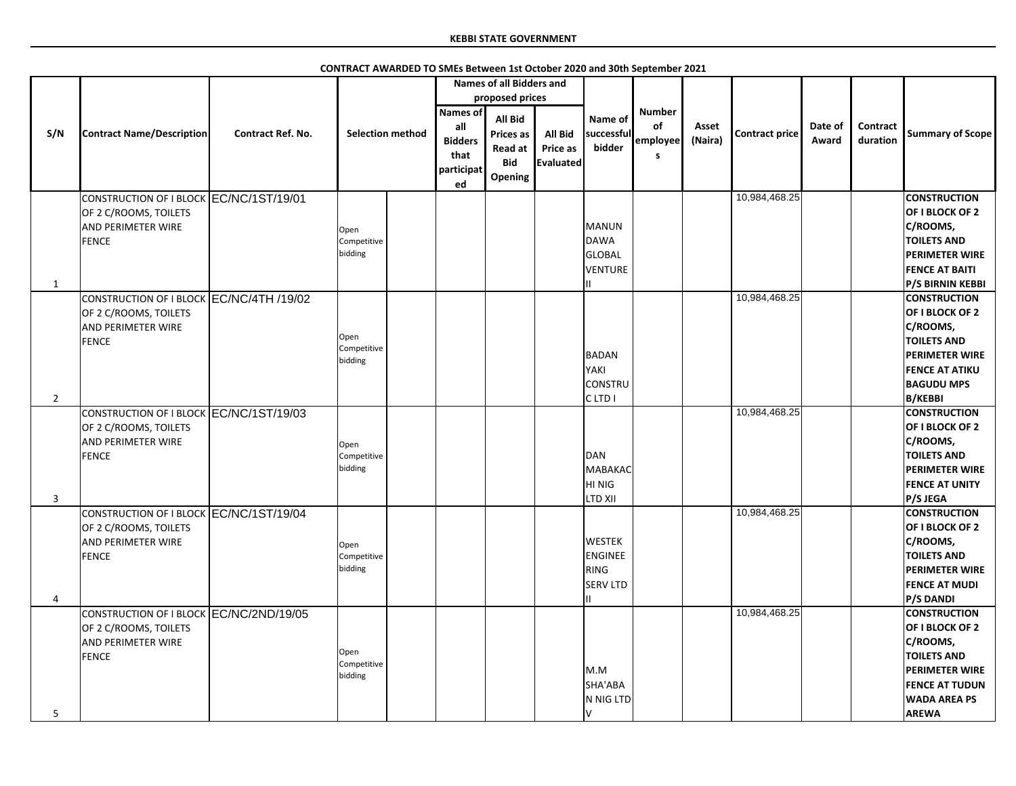|                |                                                                                                                |                          |                                |                                                                      | <b>Names of all Bidders and</b><br>proposed prices                     |                                         |                                                            |                                      |                  |                       |                  |                             |                                                                                                                                                                   |
|----------------|----------------------------------------------------------------------------------------------------------------|--------------------------|--------------------------------|----------------------------------------------------------------------|------------------------------------------------------------------------|-----------------------------------------|------------------------------------------------------------|--------------------------------------|------------------|-----------------------|------------------|-----------------------------|-------------------------------------------------------------------------------------------------------------------------------------------------------------------|
| S/N            | <b>Contract Name/Description</b>                                                                               | <b>Contract Ref. No.</b> | <b>Selection method</b>        | <b>Names of</b><br>all<br><b>Bidders</b><br>that<br>participat<br>ed | <b>All Bid</b><br><b>Prices as</b><br>Read at<br><b>Bid</b><br>Opening | All Bid<br>Price as<br><b>Evaluated</b> | Name of<br>successful<br>bidder                            | <b>Number</b><br>of<br>employee<br>s | Asset<br>(Naira) | <b>Contract price</b> | Date of<br>Award | <b>Contract</b><br>duration | <b>Summary of Scope</b>                                                                                                                                           |
|                | CONSTRUCTION OF I BLOCK EC/NC/1ST/19/01<br>OF 2 C/ROOMS, TOILETS<br><b>AND PERIMETER WIRE</b><br><b>FENCE</b>  |                          | Open<br>Competitive<br>bidding |                                                                      |                                                                        |                                         | MANUN<br>DAWA<br>GLOBAL<br>VENTURE                         |                                      |                  | 10,984,468.25         |                  |                             | <b>CONSTRUCTION</b><br><b>OF I BLOCK OF 2</b><br>C/ROOMS,<br><b>TOILETS AND</b><br><b>PERIMETER WIRE</b><br><b>FENCE AT BAITI</b><br><b>P/S BIRNIN KEBBI</b>      |
| $\overline{2}$ | CONSTRUCTION OF I BLOCK EC/NC/4TH /19/02<br>OF 2 C/ROOMS, TOILETS<br><b>AND PERIMETER WIRE</b><br><b>FENCE</b> |                          | Open<br>Competitive<br>bidding |                                                                      |                                                                        |                                         | BADAN<br>YAKI<br>CONSTRU<br>CLTD <sub>I</sub>              |                                      |                  | 10,984,468.25         |                  |                             | <b>CONSTRUCTION</b><br>OF I BLOCK OF 2<br>C/ROOMS,<br><b>TOILETS AND</b><br><b>PERIMETER WIRE</b><br><b>FENCE AT ATIKU</b><br><b>BAGUDU MPS</b><br><b>B/KEBBI</b> |
| 3              | CONSTRUCTION OF I BLOCK EC/NC/1ST/19/03<br>OF 2 C/ROOMS, TOILETS<br><b>AND PERIMETER WIRE</b><br><b>FENCE</b>  |                          | Open<br>Competitive<br>bidding |                                                                      |                                                                        |                                         | DAN<br>MABAKAC<br>HI NIG<br><b>LTD XII</b>                 |                                      |                  | 10,984,468.25         |                  |                             | <b>CONSTRUCTION</b><br>OF I BLOCK OF 2<br>C/ROOMS,<br><b>TOILETS AND</b><br><b>PERIMETER WIRE</b><br><b>FENCE AT UNITY</b><br><b>P/S JEGA</b>                     |
| 4              | CONSTRUCTION OF I BLOCK EC/NC/1ST/19/04<br>OF 2 C/ROOMS, TOILETS<br><b>AND PERIMETER WIRE</b><br>FENCE         |                          | Open<br>Competitive<br>bidding |                                                                      |                                                                        |                                         | <b>WESTEK</b><br><b>ENGINEE</b><br>RING<br><b>SERV LTD</b> |                                      |                  | 10,984,468.25         |                  |                             | <b>CONSTRUCTION</b><br>OF I BLOCK OF 2<br>C/ROOMS,<br><b>TOILETS AND</b><br><b>PERIMETER WIRE</b><br><b>FENCE AT MUDI</b><br><b>P/S DANDI</b>                     |
| 5              | CONSTRUCTION OF I BLOCK EC/NC/2ND/19/05<br>OF 2 C/ROOMS, TOILETS<br><b>AND PERIMETER WIRE</b><br><b>FENCE</b>  |                          | Open<br>Competitive<br>bidding |                                                                      |                                                                        |                                         | M.M<br>SHA'ABA<br>N NIG LTD                                |                                      |                  | 10,984,468.25         |                  |                             | <b>CONSTRUCTION</b><br>OF I BLOCK OF 2<br>C/ROOMS,<br><b>TOILETS AND</b><br><b>PERIMETER WIRE</b><br><b>FENCE AT TUDUN</b><br><b>WADA AREA PS</b><br><b>AREWA</b> |

**CONTRACT AWARDED TO SMEs Between 1st October 2020 and 30th September 2021**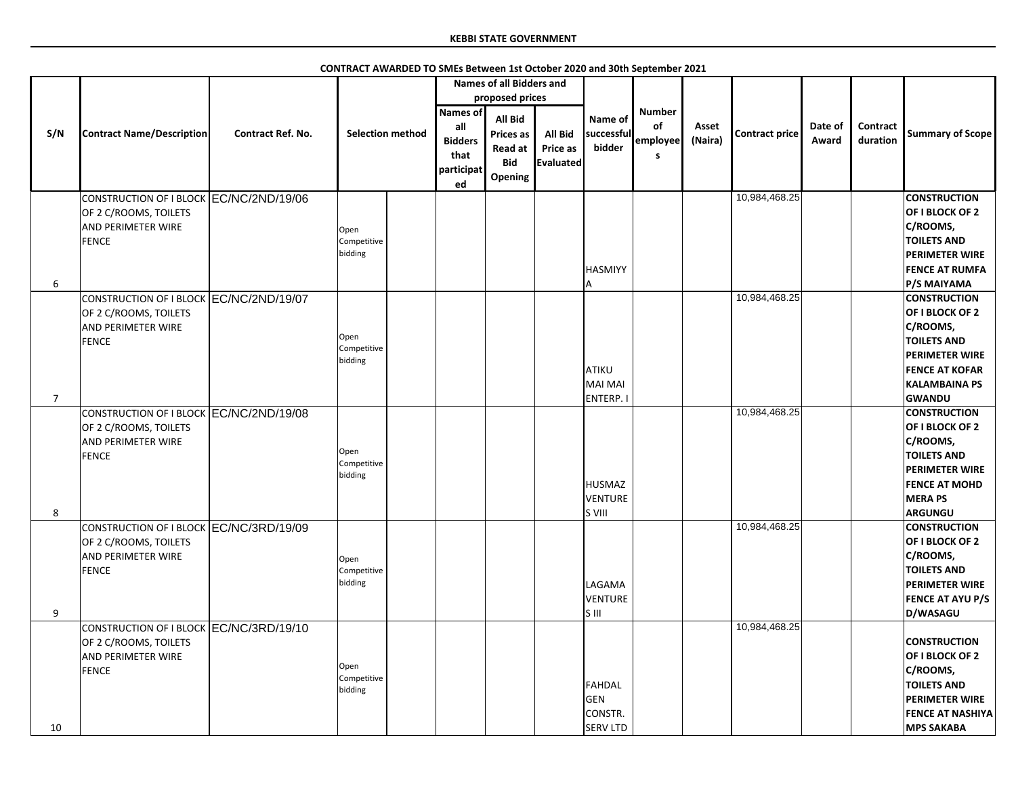|                     |                                                                                                               |                          | CONTRACT AWARDED TO SMEs Between 1st October 2020 and 30th September 2021 |                                                                      |                                                                                      |                                                       |                                                                |                                      |                  |                       |                  |                             |                                                                                                                                                                                    |
|---------------------|---------------------------------------------------------------------------------------------------------------|--------------------------|---------------------------------------------------------------------------|----------------------------------------------------------------------|--------------------------------------------------------------------------------------|-------------------------------------------------------|----------------------------------------------------------------|--------------------------------------|------------------|-----------------------|------------------|-----------------------------|------------------------------------------------------------------------------------------------------------------------------------------------------------------------------------|
|                     |                                                                                                               |                          |                                                                           |                                                                      | <b>Names of all Bidders and</b>                                                      |                                                       |                                                                |                                      |                  |                       |                  |                             |                                                                                                                                                                                    |
|                     |                                                                                                               |                          |                                                                           |                                                                      | proposed prices                                                                      |                                                       |                                                                |                                      |                  |                       |                  |                             |                                                                                                                                                                                    |
| S/N                 | <b>Contract Name/Description</b>                                                                              | <b>Contract Ref. No.</b> | <b>Selection method</b>                                                   | <b>Names of</b><br>all<br><b>Bidders</b><br>that<br>participat<br>ed | <b>All Bid</b><br><b>Prices as</b><br><b>Read at</b><br><b>Bid</b><br><b>Opening</b> | <b>All Bid</b><br><b>Price as</b><br><b>Evaluated</b> | Name of<br>successful<br>bidder                                | <b>Number</b><br>of<br>employee<br>S | Asset<br>(Naira) | <b>Contract price</b> | Date of<br>Award | <b>Contract</b><br>duration | <b>Summary of Scope</b>                                                                                                                                                            |
|                     | CONSTRUCTION OF I BLOCK EC/NC/2ND/19/06<br>OF 2 C/ROOMS, TOILETS<br><b>AND PERIMETER WIRE</b><br><b>FENCE</b> |                          | Open<br>Competitive<br>bidding                                            |                                                                      |                                                                                      |                                                       | <b>HASMIYY</b>                                                 |                                      |                  | 10,984,468.25         |                  |                             | <b>CONSTRUCTION</b><br>OF I BLOCK OF 2<br>C/ROOMS,<br><b>TOILETS AND</b><br><b>PERIMETER WIRE</b><br><b>FENCE AT RUMFA</b>                                                         |
| 6<br>$\overline{7}$ | CONSTRUCTION OF I BLOCK EC/NC/2ND/19/07<br>OF 2 C/ROOMS, TOILETS<br><b>AND PERIMETER WIRE</b><br><b>FENCE</b> |                          | Open<br>Competitive<br>bidding                                            |                                                                      |                                                                                      |                                                       | ATIKU<br>MAI MAI<br>ENTERP. I                                  |                                      |                  | 10,984,468.25         |                  |                             | P/S MAIYAMA<br><b>CONSTRUCTION</b><br>OF I BLOCK OF 2<br>C/ROOMS,<br><b>TOILETS AND</b><br><b>PERIMETER WIRE</b><br><b>FENCE AT KOFAR</b><br><b>KALAMBAINA PS</b><br><b>GWANDU</b> |
| 8                   | CONSTRUCTION OF I BLOCK EC/NC/2ND/19/08<br>OF 2 C/ROOMS, TOILETS<br><b>AND PERIMETER WIRE</b><br><b>FENCE</b> |                          | Open<br>Competitive<br>bidding                                            |                                                                      |                                                                                      |                                                       | HUSMAZ<br><b>VENTURE</b><br>S VIII                             |                                      |                  | 10,984,468.25         |                  |                             | <b>CONSTRUCTION</b><br>OF I BLOCK OF 2<br>C/ROOMS,<br><b>TOILETS AND</b><br><b>PERIMETER WIRE</b><br><b>FENCE AT MOHD</b><br><b>MERAPS</b><br><b>ARGUNGU</b>                       |
| 9                   | CONSTRUCTION OF I BLOCK EC/NC/3RD/19/09<br>OF 2 C/ROOMS, TOILETS<br><b>AND PERIMETER WIRE</b><br><b>FENCE</b> |                          | Open<br>Competitive<br>bidding                                            |                                                                      |                                                                                      |                                                       | <b>LAGAMA</b><br><b>VENTURE</b><br>$\overline{\mathsf{S}}$ III |                                      |                  | 10,984,468.25         |                  |                             | <b>CONSTRUCTION</b><br>OF I BLOCK OF 2<br>C/ROOMS,<br><b>TOILETS AND</b><br><b>PERIMETER WIRE</b><br><b>FENCE AT AYU P/S</b><br>D/WASAGU                                           |
| 10                  | CONSTRUCTION OF I BLOCK EC/NC/3RD/19/10<br>OF 2 C/ROOMS, TOILETS<br><b>AND PERIMETER WIRE</b><br><b>FENCE</b> |                          | Open<br>Competitive<br>bidding                                            |                                                                      |                                                                                      |                                                       | FAHDAL<br>GEN<br>CONSTR.<br><b>SERV LTD</b>                    |                                      |                  | 10,984,468.25         |                  |                             | <b>CONSTRUCTION</b><br>OF I BLOCK OF 2<br>C/ROOMS,<br><b>TOILETS AND</b><br><b>PERIMETER WIRE</b><br><b>FENCE AT NASHIYA</b><br><b>MPS SAKABA</b>                                  |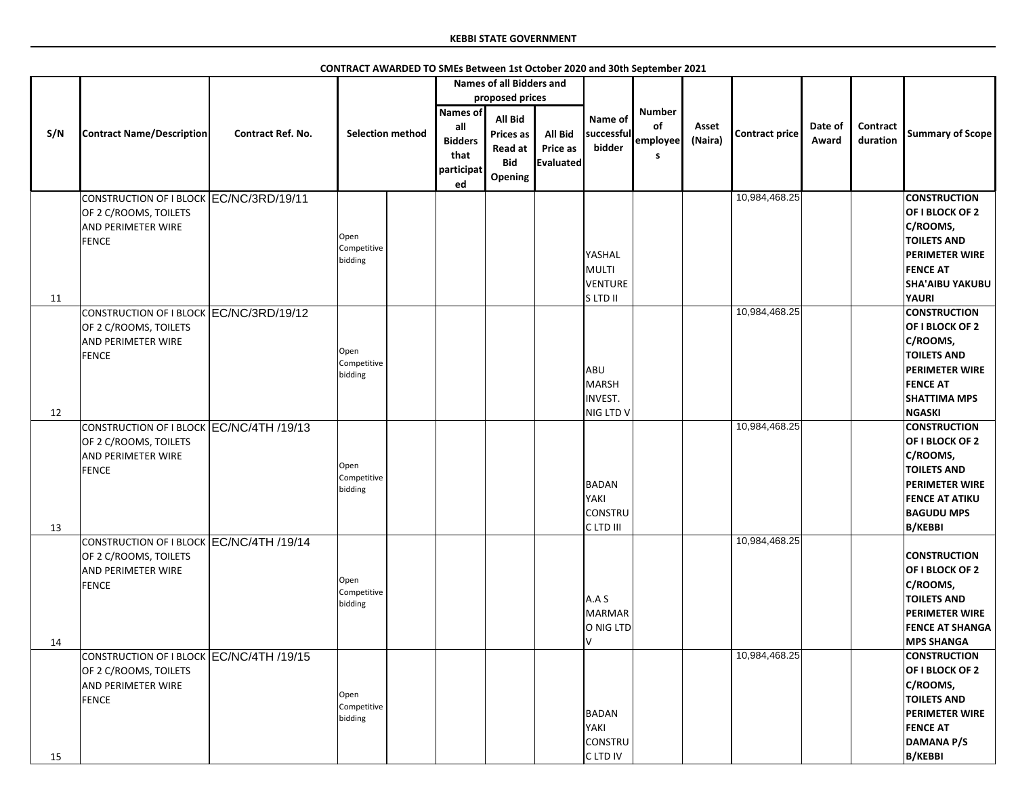|     |                                                                                                                |                          |                                |                                                                | <b>Names of all Bidders and</b>                             |                                                |                                       |                                      |                  |                       |                  |                             |                                                                                                                                                                   |
|-----|----------------------------------------------------------------------------------------------------------------|--------------------------|--------------------------------|----------------------------------------------------------------|-------------------------------------------------------------|------------------------------------------------|---------------------------------------|--------------------------------------|------------------|-----------------------|------------------|-----------------------------|-------------------------------------------------------------------------------------------------------------------------------------------------------------------|
|     |                                                                                                                |                          |                                |                                                                | proposed prices                                             |                                                |                                       |                                      |                  |                       |                  |                             |                                                                                                                                                                   |
| S/N | <b>Contract Name/Description</b>                                                                               | <b>Contract Ref. No.</b> | <b>Selection method</b>        | <b>Names of</b><br>all<br><b>Bidders</b><br>that<br>participat | <b>All Bid</b><br><b>Prices as</b><br>Read at<br><b>Bid</b> | <b>All Bid</b><br><b>Price as</b><br>Evaluated | Name of<br>successful<br>bidder       | <b>Number</b><br>of<br>employee<br>S | Asset<br>(Naira) | <b>Contract price</b> | Date of<br>Award | <b>Contract</b><br>duration | <b>Summary of Scope</b>                                                                                                                                           |
|     |                                                                                                                |                          |                                | ed                                                             | Opening                                                     |                                                |                                       |                                      |                  |                       |                  |                             |                                                                                                                                                                   |
|     | CONSTRUCTION OF I BLOCK EC/NC/3RD/19/11<br>OF 2 C/ROOMS, TOILETS<br>AND PERIMETER WIRE<br><b>FENCE</b>         |                          | Open<br>Competitive<br>bidding |                                                                |                                                             |                                                | YASHAL<br>MULTI<br>VENTURE            |                                      |                  | 10,984,468.25         |                  |                             | <b>CONSTRUCTION</b><br>OF I BLOCK OF 2<br>C/ROOMS,<br><b>TOILETS AND</b><br><b>PERIMETER WIRE</b><br><b>FENCE AT</b><br><b>SHA'AIBU YAKUBU</b>                    |
| 11  |                                                                                                                |                          |                                |                                                                |                                                             |                                                | S LTD II                              |                                      |                  |                       |                  |                             | <b>YAURI</b>                                                                                                                                                      |
| 12  | CONSTRUCTION OF I BLOCK EC/NC/3RD/19/12<br>OF 2 C/ROOMS, TOILETS<br>AND PERIMETER WIRE<br><b>FENCE</b>         |                          | Open<br>Competitive<br>bidding |                                                                |                                                             |                                                | ABU<br>MARSH<br>INVEST.<br>NIG LTD V  |                                      |                  | 10,984,468.25         |                  |                             | <b>CONSTRUCTION</b><br>OF I BLOCK OF 2<br>C/ROOMS,<br><b>TOILETS AND</b><br><b>PERIMETER WIRE</b><br><b>FENCE AT</b><br><b>SHATTIMA MPS</b><br><b>NGASKI</b>      |
| 13  | CONSTRUCTION OF I BLOCK EC/NC/4TH /19/13<br>OF 2 C/ROOMS, TOILETS<br>AND PERIMETER WIRE<br><b>FENCE</b>        |                          | Open<br>Competitive<br>bidding |                                                                |                                                             |                                                | BADAN<br>YAKI<br>CONSTRU<br>C LTD III |                                      |                  | 10,984,468.25         |                  |                             | <b>CONSTRUCTION</b><br>OF I BLOCK OF 2<br>C/ROOMS,<br><b>TOILETS AND</b><br><b>PERIMETER WIRE</b><br><b>FENCE AT ATIKU</b><br><b>BAGUDU MPS</b><br><b>B/KEBBI</b> |
| 14  | CONSTRUCTION OF I BLOCK EC/NC/4TH /19/14<br>OF 2 C/ROOMS, TOILETS<br><b>AND PERIMETER WIRE</b><br><b>FENCE</b> |                          | Open<br>Competitive<br>bidding |                                                                |                                                             |                                                | A.A S<br>MARMAR<br>O NIG LTD<br>I٧    |                                      |                  | 10,984,468.25         |                  |                             | <b>CONSTRUCTION</b><br>OF I BLOCK OF 2<br>C/ROOMS,<br><b>TOILETS AND</b><br><b>PERIMETER WIRE</b><br><b>FENCE AT SHANGA</b><br><b>MPS SHANGA</b>                  |
| 15  | CONSTRUCTION OF I BLOCK EC/NC/4TH /19/15<br>OF 2 C/ROOMS, TOILETS<br>AND PERIMETER WIRE<br><b>FENCE</b>        |                          | Open<br>Competitive<br>bidding |                                                                |                                                             |                                                | BADAN<br>YAKI<br>CONSTRU<br>C LTD IV  |                                      |                  | 10,984,468.25         |                  |                             | <b>CONSTRUCTION</b><br>OF I BLOCK OF 2<br>C/ROOMS,<br><b>TOILETS AND</b><br><b>PERIMETER WIRE</b><br><b>FENCE AT</b><br><b>DAMANA P/S</b><br><b>B/KEBBI</b>       |

**CONTRACT AWARDED TO SMEs Between 1st October 2020 and 30th September 2021**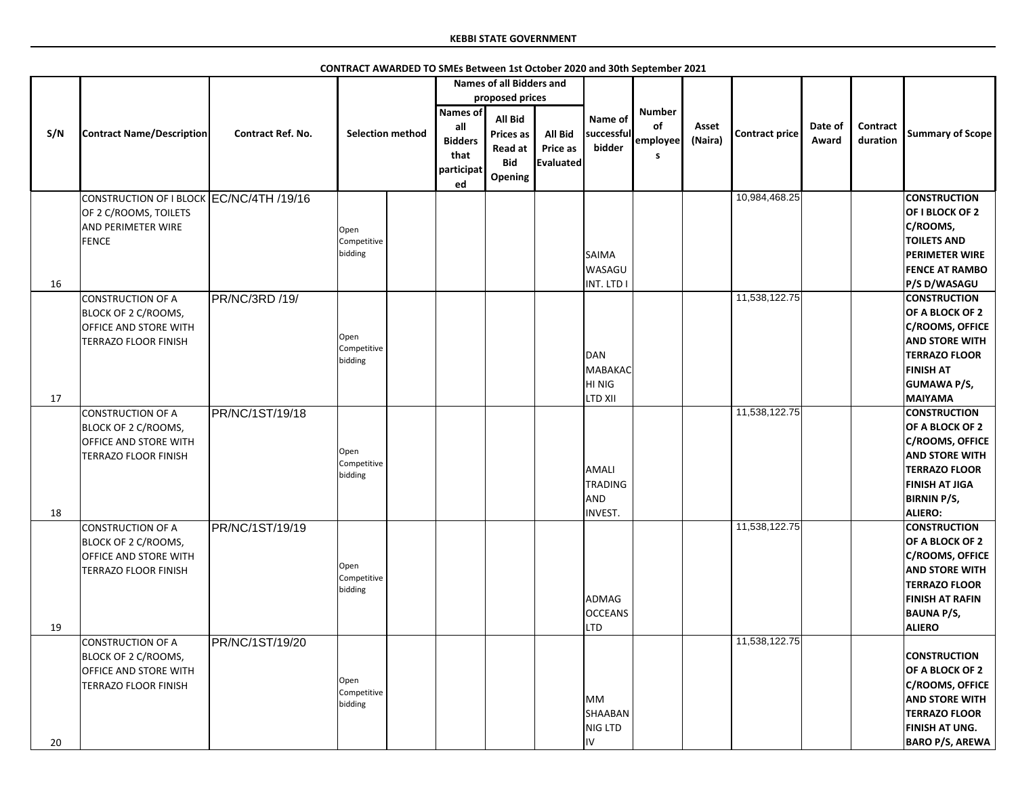|     |                                                                                                         |                          |                                | <b>Names of all Bidders and</b>                                |                                                                 |                                                       |                                                         |                                      |                  |                       |                  |                             |                                                                                                                                                                                    |
|-----|---------------------------------------------------------------------------------------------------------|--------------------------|--------------------------------|----------------------------------------------------------------|-----------------------------------------------------------------|-------------------------------------------------------|---------------------------------------------------------|--------------------------------------|------------------|-----------------------|------------------|-----------------------------|------------------------------------------------------------------------------------------------------------------------------------------------------------------------------------|
|     |                                                                                                         |                          |                                |                                                                |                                                                 |                                                       |                                                         |                                      |                  |                       |                  |                             |                                                                                                                                                                                    |
|     |                                                                                                         |                          |                                |                                                                | proposed prices                                                 |                                                       |                                                         |                                      |                  |                       |                  |                             |                                                                                                                                                                                    |
| S/N | <b>Contract Name/Description</b>                                                                        | <b>Contract Ref. No.</b> | <b>Selection method</b>        | <b>Names of</b><br>all<br><b>Bidders</b><br>that<br>participat | All Bid<br><b>Prices as</b><br>Read at<br><b>Bid</b><br>Opening | <b>All Bid</b><br><b>Price as</b><br><b>Evaluated</b> | Name of<br>successful<br>bidder                         | <b>Number</b><br>of<br>employee<br>S | Asset<br>(Naira) | <b>Contract price</b> | Date of<br>Award | <b>Contract</b><br>duration | <b>Summary of Scope</b>                                                                                                                                                            |
|     |                                                                                                         |                          |                                | ed                                                             |                                                                 |                                                       |                                                         |                                      |                  | 10,984,468.25         |                  |                             | <b>CONSTRUCTION</b>                                                                                                                                                                |
|     | CONSTRUCTION OF I BLOCK EC/NC/4TH /19/16<br>OF 2 C/ROOMS, TOILETS<br><b>AND PERIMETER WIRE</b><br>FENCE |                          | Open<br>Competitive<br>bidding |                                                                |                                                                 |                                                       | <b>SAIMA</b><br><b>WASAGU</b>                           |                                      |                  |                       |                  |                             | OF I BLOCK OF 2<br>C/ROOMS,<br><b>TOILETS AND</b><br><b>PERIMETER WIRE</b><br><b>FENCE AT RAMBO</b>                                                                                |
| 16  |                                                                                                         |                          |                                |                                                                |                                                                 |                                                       | INT. LTD I                                              |                                      |                  |                       |                  |                             | P/S D/WASAGU                                                                                                                                                                       |
|     | CONSTRUCTION OF A<br>BLOCK OF 2 C/ROOMS,<br><b>OFFICE AND STORE WITH</b><br><b>TERRAZO FLOOR FINISH</b> | PR/NC/3RD /19/           | Open<br>Competitive<br>bidding |                                                                |                                                                 |                                                       | DAN<br>MABAKAC<br>HI NIG                                |                                      |                  | 11,538,122.75         |                  |                             | <b>CONSTRUCTION</b><br>OF A BLOCK OF 2<br><b>C/ROOMS, OFFICE</b><br><b>AND STORE WITH</b><br><b>TERRAZO FLOOR</b><br><b>FINISH AT</b><br><b>GUMAWA P/S,</b>                        |
| 17  |                                                                                                         |                          |                                |                                                                |                                                                 |                                                       | <b>LTD XII</b>                                          |                                      |                  |                       |                  |                             | <b>MAIYAMA</b>                                                                                                                                                                     |
| 18  | CONSTRUCTION OF A<br><b>BLOCK OF 2 C/ROOMS,</b><br><b>OFFICE AND STORE WITH</b><br>TERRAZO FLOOR FINISH | PR/NC/1ST/19/18          | Open<br>Competitive<br>bidding |                                                                |                                                                 |                                                       | AMALI<br><b>TRADING</b><br><b>AND</b><br><b>INVEST.</b> |                                      |                  | 11,538,122.75         |                  |                             | <b>CONSTRUCTION</b><br>OF A BLOCK OF 2<br><b>C/ROOMS, OFFICE</b><br><b>AND STORE WITH</b><br><b>TERRAZO FLOOR</b><br><b>FINISH AT JIGA</b><br><b>BIRNIN P/S,</b><br><b>ALIERO:</b> |
| 19  | CONSTRUCTION OF A<br>BLOCK OF 2 C/ROOMS,<br><b>OFFICE AND STORE WITH</b><br>TERRAZO FLOOR FINISH        | PR/NC/1ST/19/19          | Open<br>Competitive<br>bidding |                                                                |                                                                 |                                                       | ADMAG<br><b>OCCEANS</b><br><b>LTD</b>                   |                                      |                  | 11,538,122.75         |                  |                             | <b>CONSTRUCTION</b><br>OF A BLOCK OF 2<br><b>C/ROOMS, OFFICE</b><br><b>AND STORE WITH</b><br><b>TERRAZO FLOOR</b><br><b>FINISH AT RAFIN</b><br><b>BAUNA P/S,</b><br><b>ALIERO</b>  |
| 20  | CONSTRUCTION OF A<br>BLOCK OF 2 C/ROOMS,<br><b>OFFICE AND STORE WITH</b><br><b>TERRAZO FLOOR FINISH</b> | PR/NC/1ST/19/20          | Open<br>Competitive<br>bidding |                                                                |                                                                 |                                                       | <b>MM</b><br>SHAABAN<br>NIG LTD<br>IV                   |                                      |                  | 11,538,122.75         |                  |                             | <b>CONSTRUCTION</b><br>OF A BLOCK OF 2<br><b>C/ROOMS, OFFICE</b><br><b>AND STORE WITH</b><br><b>TERRAZO FLOOR</b><br>FINISH AT UNG.<br><b>BARO P/S, AREWA</b>                      |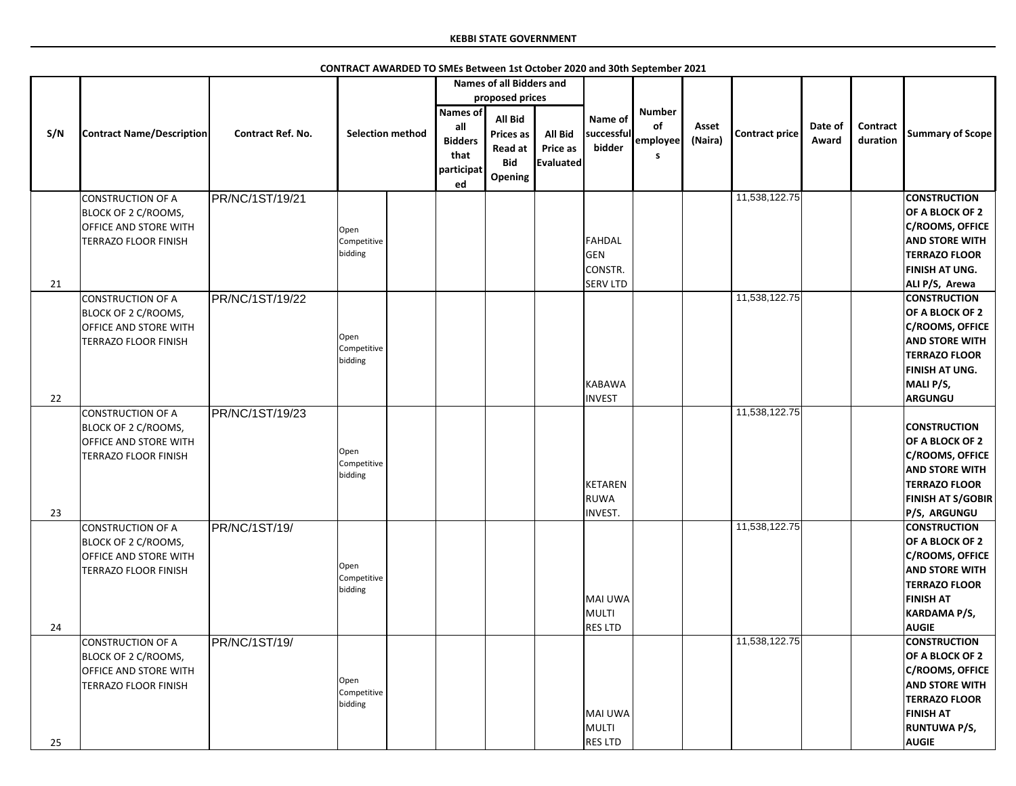|          |                                                                                                                |                          |                                |                                                                      | <b>Names of all Bidders and</b><br>proposed prices                     |                                         |                                             |                                      |                  |                       |                  |                             |                                                                                                                                                                                      |
|----------|----------------------------------------------------------------------------------------------------------------|--------------------------|--------------------------------|----------------------------------------------------------------------|------------------------------------------------------------------------|-----------------------------------------|---------------------------------------------|--------------------------------------|------------------|-----------------------|------------------|-----------------------------|--------------------------------------------------------------------------------------------------------------------------------------------------------------------------------------|
| S/N      | <b>Contract Name/Description</b>                                                                               | <b>Contract Ref. No.</b> | <b>Selection method</b>        | <b>Names of</b><br>all<br><b>Bidders</b><br>that<br>participat<br>ed | <b>All Bid</b><br><b>Prices as</b><br>Read at<br><b>Bid</b><br>Opening | <b>All Bid</b><br>Price as<br>Evaluated | Name of<br>successful<br>bidder             | <b>Number</b><br>of<br>employee<br>s | Asset<br>(Naira) | <b>Contract price</b> | Date of<br>Award | <b>Contract</b><br>duration | <b>Summary of Scope</b>                                                                                                                                                              |
|          | <b>CONSTRUCTION OF A</b><br>BLOCK OF 2 C/ROOMS,<br><b>OFFICE AND STORE WITH</b><br><b>TERRAZO FLOOR FINISH</b> | PR/NC/1ST/19/21          | Open<br>Competitive<br>bidding |                                                                      |                                                                        |                                         | FAHDAL<br>GEN<br>CONSTR.<br><b>SERV LTD</b> |                                      |                  | 11,538,122.75         |                  |                             | <b>CONSTRUCTION</b><br>OF A BLOCK OF 2<br>C/ROOMS, OFFICE<br><b>AND STORE WITH</b><br><b>TERRAZO FLOOR</b><br><b>FINISH AT UNG.</b>                                                  |
| 21<br>22 | CONSTRUCTION OF A<br>BLOCK OF 2 C/ROOMS,<br><b>OFFICE AND STORE WITH</b><br><b>TERRAZO FLOOR FINISH</b>        | PR/NC/1ST/19/22          | Open<br>Competitive<br>bidding |                                                                      |                                                                        |                                         | KABAWA<br><b>INVEST</b>                     |                                      |                  | 11,538,122.75         |                  |                             | ALI P/S, Arewa<br><b>CONSTRUCTION</b><br>OF A BLOCK OF 2<br>C/ROOMS, OFFICE<br><b>AND STORE WITH</b><br><b>TERRAZO FLOOR</b><br><b>FINISH AT UNG.</b><br>MALI P/S,<br><b>ARGUNGU</b> |
| 23       | <b>CONSTRUCTION OF A</b><br>BLOCK OF 2 C/ROOMS,<br><b>OFFICE AND STORE WITH</b><br>TERRAZO FLOOR FINISH        | PR/NC/1ST/19/23          | Open<br>Competitive<br>bidding |                                                                      |                                                                        |                                         | KETAREN<br><b>RUWA</b><br><b>INVEST.</b>    |                                      |                  | 11,538,122.75         |                  |                             | <b>CONSTRUCTION</b><br>OF A BLOCK OF 2<br>C/ROOMS, OFFICE<br><b>AND STORE WITH</b><br><b>TERRAZO FLOOR</b><br><b>FINISH AT S/GOBIR</b><br><b>P/S, ARGUNGU</b>                        |
| 24       | <b>CONSTRUCTION OF A</b><br>BLOCK OF 2 C/ROOMS,<br><b>OFFICE AND STORE WITH</b><br>TERRAZO FLOOR FINISH        | PR/NC/1ST/19/            | Open<br>Competitive<br>bidding |                                                                      |                                                                        |                                         | MAI UWA<br>MULTI<br><b>RES LTD</b>          |                                      |                  | 11,538,122.75         |                  |                             | <b>CONSTRUCTION</b><br>OF A BLOCK OF 2<br>C/ROOMS, OFFICE<br><b>AND STORE WITH</b><br><b>TERRAZO FLOOR</b><br><b>FINISH AT</b><br><b>KARDAMA P/S,</b><br><b>AUGIE</b>                |
| 25       | CONSTRUCTION OF A<br>BLOCK OF 2 C/ROOMS,<br><b>OFFICE AND STORE WITH</b><br><b>TERRAZO FLOOR FINISH</b>        | PR/NC/1ST/19/            | Open<br>Competitive<br>bidding |                                                                      |                                                                        |                                         | MAI UWA<br>MULTI<br><b>RES LTD</b>          |                                      |                  | 11,538,122.75         |                  |                             | <b>CONSTRUCTION</b><br>OF A BLOCK OF 2<br>C/ROOMS, OFFICE<br><b>AND STORE WITH</b><br><b>TERRAZO FLOOR</b><br><b>FINISH AT</b><br><b>RUNTUWA P/S,</b><br><b>AUGIE</b>                |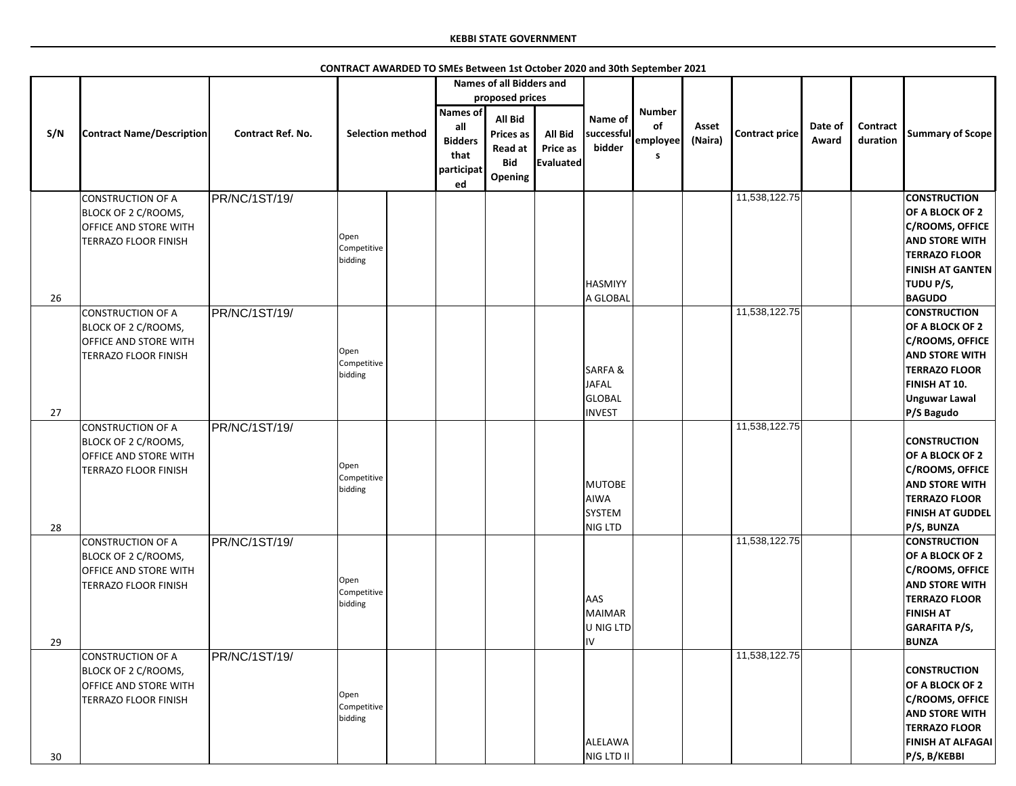|     |                                                                                                                |                          |                                | <b>Names of all Bidders and</b>                                      |                                                                        |                                         |                                                              |                                       |                  |                |                  |                             |                                                                                                                                                                               |
|-----|----------------------------------------------------------------------------------------------------------------|--------------------------|--------------------------------|----------------------------------------------------------------------|------------------------------------------------------------------------|-----------------------------------------|--------------------------------------------------------------|---------------------------------------|------------------|----------------|------------------|-----------------------------|-------------------------------------------------------------------------------------------------------------------------------------------------------------------------------|
|     |                                                                                                                |                          |                                |                                                                      | proposed prices                                                        |                                         |                                                              |                                       |                  |                |                  |                             |                                                                                                                                                                               |
| S/N | <b>Contract Name/Description</b>                                                                               | <b>Contract Ref. No.</b> | <b>Selection method</b>        | <b>Names of</b><br>all<br><b>Bidders</b><br>that<br>participat<br>ed | <b>All Bid</b><br><b>Prices as</b><br>Read at<br><b>Bid</b><br>Opening | <b>All Bid</b><br>Price as<br>Evaluated | Name of<br>successful<br>bidder                              | <b>Number</b><br>of<br>employee<br>-S | Asset<br>(Naira) | Contract price | Date of<br>Award | <b>Contract</b><br>duration | <b>Summary of Scope</b>                                                                                                                                                       |
| 26  | <b>CONSTRUCTION OF A</b><br>BLOCK OF 2 C/ROOMS,<br><b>OFFICE AND STORE WITH</b><br><b>TERRAZO FLOOR FINISH</b> | PR/NC/1ST/19/            | Open<br>Competitive<br>bidding |                                                                      |                                                                        |                                         | <b>HASMIYY</b><br>A GLOBAL                                   |                                       |                  | 11,538,122.75  |                  |                             | <b>CONSTRUCTION</b><br>OF A BLOCK OF 2<br>C/ROOMS, OFFICE<br><b>AND STORE WITH</b><br><b>TERRAZO FLOOR</b><br><b>FINISH AT GANTEN</b><br>TUDU P/S,<br><b>BAGUDO</b>           |
| 27  | <b>CONSTRUCTION OF A</b><br>BLOCK OF 2 C/ROOMS,<br><b>OFFICE AND STORE WITH</b><br><b>TERRAZO FLOOR FINISH</b> | PR/NC/1ST/19/            | Open<br>Competitive<br>bidding |                                                                      |                                                                        |                                         | <b>SARFA&amp;</b><br><b>JAFAL</b><br>GLOBAL<br><b>INVEST</b> |                                       |                  | 11,538,122.75  |                  |                             | <b>CONSTRUCTION</b><br>OF A BLOCK OF 2<br><b>C/ROOMS, OFFICE</b><br><b>AND STORE WITH</b><br><b>TERRAZO FLOOR</b><br>FINISH AT 10.<br><b>Unguwar Lawal</b><br>P/S Bagudo      |
| 28  | CONSTRUCTION OF A<br>BLOCK OF 2 C/ROOMS,<br><b>OFFICE AND STORE WITH</b><br><b>TERRAZO FLOOR FINISH</b>        | PR/NC/1ST/19/            | Open<br>Competitive<br>bidding |                                                                      |                                                                        |                                         | MUTOBE<br><b>AIWA</b><br><b>SYSTEM</b><br>NIG LTD            |                                       |                  | 11,538,122.75  |                  |                             | <b>CONSTRUCTION</b><br>OF A BLOCK OF 2<br><b>C/ROOMS, OFFICE</b><br><b>AND STORE WITH</b><br><b>TERRAZO FLOOR</b><br><b>FINISH AT GUDDEL</b><br>P/S, BUNZA                    |
| 29  | CONSTRUCTION OF A<br>BLOCK OF 2 C/ROOMS,<br><b>OFFICE AND STORE WITH</b><br>TERRAZO FLOOR FINISH               | PR/NC/1ST/19/            | Open<br>Competitive<br>bidding |                                                                      |                                                                        |                                         | <b>AAS</b><br>MAIMAR<br>U NIG LTD<br>liv                     |                                       |                  | 11,538,122.75  |                  |                             | <b>CONSTRUCTION</b><br>OF A BLOCK OF 2<br><b>C/ROOMS, OFFICE</b><br><b>AND STORE WITH</b><br><b>TERRAZO FLOOR</b><br><b>FINISH AT</b><br><b>GARAFITA P/S,</b><br><b>BUNZA</b> |
| 30  | CONSTRUCTION OF A<br>BLOCK OF 2 C/ROOMS,<br><b>OFFICE AND STORE WITH</b><br>TERRAZO FLOOR FINISH               | <b>PR/NC/1ST/19/</b>     | Open<br>Competitive<br>bidding |                                                                      |                                                                        |                                         | ALELAWA<br>NIG LTD II                                        |                                       |                  | 11,538,122.75  |                  |                             | <b>CONSTRUCTION</b><br>OF A BLOCK OF 2<br><b>C/ROOMS, OFFICE</b><br><b>AND STORE WITH</b><br><b>TERRAZO FLOOR</b><br><b>FINISH AT ALFAGAI</b><br>P/S, B/KEBBI                 |

**CONTRACT AWARDED TO SMEs Between 1st October 2020 and 30th September 2021**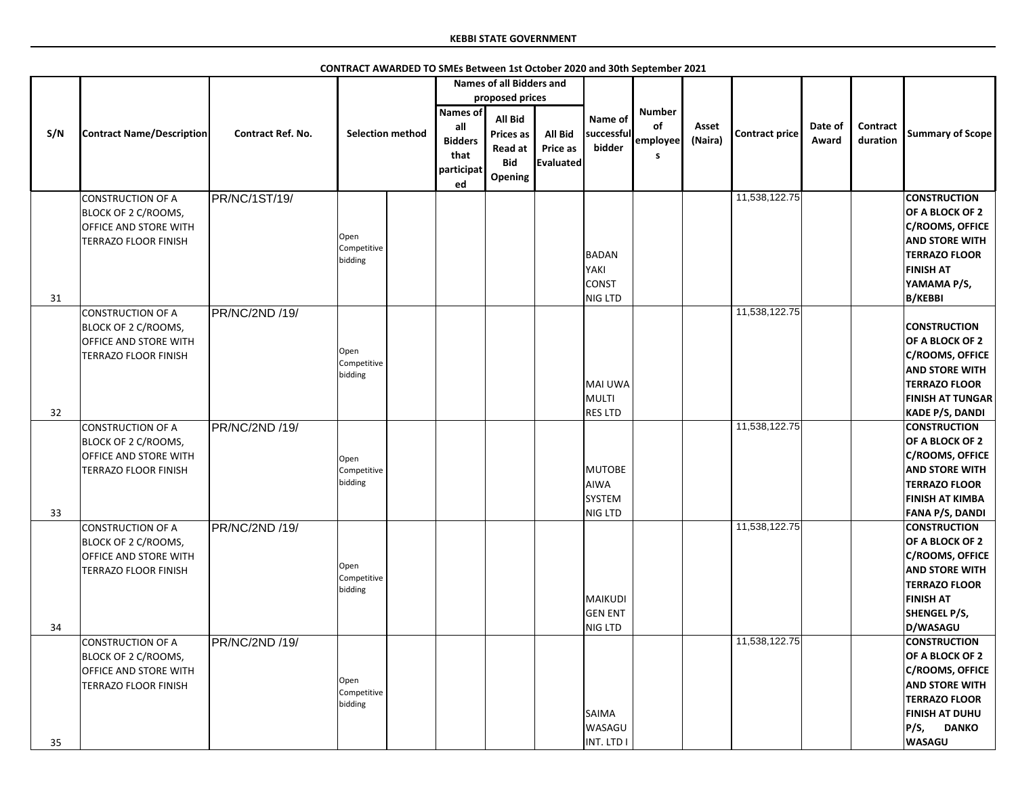|     |                                                      |                          |                         |                 | <b>Names of all Bidders and</b> |                 |                |               |         |                       |         |                 |                                                 |
|-----|------------------------------------------------------|--------------------------|-------------------------|-----------------|---------------------------------|-----------------|----------------|---------------|---------|-----------------------|---------|-----------------|-------------------------------------------------|
|     |                                                      |                          |                         |                 | proposed prices                 |                 |                |               |         |                       |         |                 |                                                 |
|     |                                                      |                          |                         | <b>Names of</b> | <b>All Bid</b>                  |                 | Name of        | <b>Number</b> |         |                       |         |                 |                                                 |
| S/N | <b>Contract Name/Description</b>                     | <b>Contract Ref. No.</b> | <b>Selection method</b> | all             | <b>Prices as</b>                | <b>All Bid</b>  | successful     | of            | Asset   | <b>Contract price</b> | Date of | <b>Contract</b> | <b>Summary of Scope</b>                         |
|     |                                                      |                          |                         | <b>Bidders</b>  | Read at                         | <b>Price as</b> | bidder         | employee      | (Naira) |                       | Award   | duration        |                                                 |
|     |                                                      |                          |                         | that            | <b>Bid</b>                      | Evaluated       |                | S             |         |                       |         |                 |                                                 |
|     |                                                      |                          |                         | participat      | Opening                         |                 |                |               |         |                       |         |                 |                                                 |
|     |                                                      |                          |                         | ed              |                                 |                 |                |               |         |                       |         |                 |                                                 |
|     | <b>CONSTRUCTION OF A</b>                             | PR/NC/1ST/19/            |                         |                 |                                 |                 |                |               |         | 11,538,122.75         |         |                 | <b>CONSTRUCTION</b>                             |
|     | BLOCK OF 2 C/ROOMS,<br><b>OFFICE AND STORE WITH</b>  |                          |                         |                 |                                 |                 |                |               |         |                       |         |                 | OF A BLOCK OF 2<br><b>C/ROOMS, OFFICE</b>       |
|     | <b>TERRAZO FLOOR FINISH</b>                          |                          | Open                    |                 |                                 |                 |                |               |         |                       |         |                 | <b>AND STORE WITH</b>                           |
|     |                                                      |                          | Competitive             |                 |                                 |                 | BADAN          |               |         |                       |         |                 | <b>TERRAZO FLOOR</b>                            |
|     |                                                      |                          | bidding                 |                 |                                 |                 | YAKI           |               |         |                       |         |                 | <b>FINISH AT</b>                                |
|     |                                                      |                          |                         |                 |                                 |                 | <b>CONST</b>   |               |         |                       |         |                 | YAMAMA P/S,                                     |
| 31  |                                                      |                          |                         |                 |                                 |                 | <b>NIG LTD</b> |               |         |                       |         |                 | <b>B/KEBBI</b>                                  |
|     | <b>CONSTRUCTION OF A</b>                             | PR/NC/2ND /19/           |                         |                 |                                 |                 |                |               |         | 11,538,122.75         |         |                 |                                                 |
|     | BLOCK OF 2 C/ROOMS,                                  |                          |                         |                 |                                 |                 |                |               |         |                       |         |                 | <b>CONSTRUCTION</b>                             |
|     | OFFICE AND STORE WITH                                |                          |                         |                 |                                 |                 |                |               |         |                       |         |                 | OF A BLOCK OF 2                                 |
|     | <b>TERRAZO FLOOR FINISH</b>                          |                          | Open<br>Competitive     |                 |                                 |                 |                |               |         |                       |         |                 | <b>C/ROOMS, OFFICE</b>                          |
|     |                                                      |                          | bidding                 |                 |                                 |                 |                |               |         |                       |         |                 | <b>AND STORE WITH</b>                           |
|     |                                                      |                          |                         |                 |                                 |                 | MAI UWA        |               |         |                       |         |                 | <b>TERRAZO FLOOR</b>                            |
|     |                                                      |                          |                         |                 |                                 |                 | MULTI          |               |         |                       |         |                 | <b>FINISH AT TUNGAR</b>                         |
| 32  |                                                      |                          |                         |                 |                                 |                 | <b>RES LTD</b> |               |         |                       |         |                 | <b>KADE P/S, DANDI</b>                          |
|     | <b>CONSTRUCTION OF A</b>                             | PR/NC/2ND /19/           |                         |                 |                                 |                 |                |               |         | 11,538,122.75         |         |                 | <b>CONSTRUCTION</b>                             |
|     | BLOCK OF 2 C/ROOMS,                                  |                          |                         |                 |                                 |                 |                |               |         |                       |         |                 | OF A BLOCK OF 2                                 |
|     | OFFICE AND STORE WITH<br><b>TERRAZO FLOOR FINISH</b> |                          | Open<br>Competitive     |                 |                                 |                 | MUTOBE         |               |         |                       |         |                 | <b>C/ROOMS, OFFICE</b><br><b>AND STORE WITH</b> |
|     |                                                      |                          | bidding                 |                 |                                 |                 | AIWA           |               |         |                       |         |                 | <b>TERRAZO FLOOR</b>                            |
|     |                                                      |                          |                         |                 |                                 |                 | <b>SYSTEM</b>  |               |         |                       |         |                 | <b>FINISH AT KIMBA</b>                          |
| 33  |                                                      |                          |                         |                 |                                 |                 | NIG LTD        |               |         |                       |         |                 | <b>FANA P/S, DANDI</b>                          |
|     | <b>CONSTRUCTION OF A</b>                             | PR/NC/2ND /19/           |                         |                 |                                 |                 |                |               |         | 11,538,122.75         |         |                 | <b>CONSTRUCTION</b>                             |
|     | BLOCK OF 2 C/ROOMS,                                  |                          |                         |                 |                                 |                 |                |               |         |                       |         |                 | OF A BLOCK OF 2                                 |
|     | OFFICE AND STORE WITH                                |                          |                         |                 |                                 |                 |                |               |         |                       |         |                 | <b>C/ROOMS, OFFICE</b>                          |
|     | TERRAZO FLOOR FINISH                                 |                          | Open                    |                 |                                 |                 |                |               |         |                       |         |                 | <b>AND STORE WITH</b>                           |
|     |                                                      |                          | Competitive<br>bidding  |                 |                                 |                 |                |               |         |                       |         |                 | <b>TERRAZO FLOOR</b>                            |
|     |                                                      |                          |                         |                 |                                 |                 | MAIKUDI        |               |         |                       |         |                 | <b>FINISH AT</b>                                |
|     |                                                      |                          |                         |                 |                                 |                 | <b>GEN ENT</b> |               |         |                       |         |                 | <b>SHENGEL P/S,</b>                             |
| 34  |                                                      |                          |                         |                 |                                 |                 | NIG LTD        |               |         |                       |         |                 | D/WASAGU                                        |
|     | <b>CONSTRUCTION OF A</b>                             | PR/NC/2ND /19/           |                         |                 |                                 |                 |                |               |         | 11,538,122.75         |         |                 | <b>CONSTRUCTION</b>                             |
|     | BLOCK OF 2 C/ROOMS,                                  |                          |                         |                 |                                 |                 |                |               |         |                       |         |                 | OF A BLOCK OF 2                                 |
|     | OFFICE AND STORE WITH                                |                          | Open                    |                 |                                 |                 |                |               |         |                       |         |                 | <b>C/ROOMS, OFFICE</b>                          |
|     | <b>TERRAZO FLOOR FINISH</b>                          |                          | Competitive             |                 |                                 |                 |                |               |         |                       |         |                 | <b>AND STORE WITH</b>                           |
|     |                                                      |                          | bidding                 |                 |                                 |                 | <b>SAIMA</b>   |               |         |                       |         |                 | <b>TERRAZO FLOOR</b><br><b>FINISH AT DUHU</b>   |
|     |                                                      |                          |                         |                 |                                 |                 | <b>WASAGU</b>  |               |         |                       |         |                 | P/S,<br><b>DANKO</b>                            |
| 35  |                                                      |                          |                         |                 |                                 |                 | INT. LTD I     |               |         |                       |         |                 | <b>WASAGU</b>                                   |
|     |                                                      |                          |                         |                 |                                 |                 |                |               |         |                       |         |                 |                                                 |

**CONTRACT AWARDED TO SMEs Between 1st October 2020 and 30th September 2021**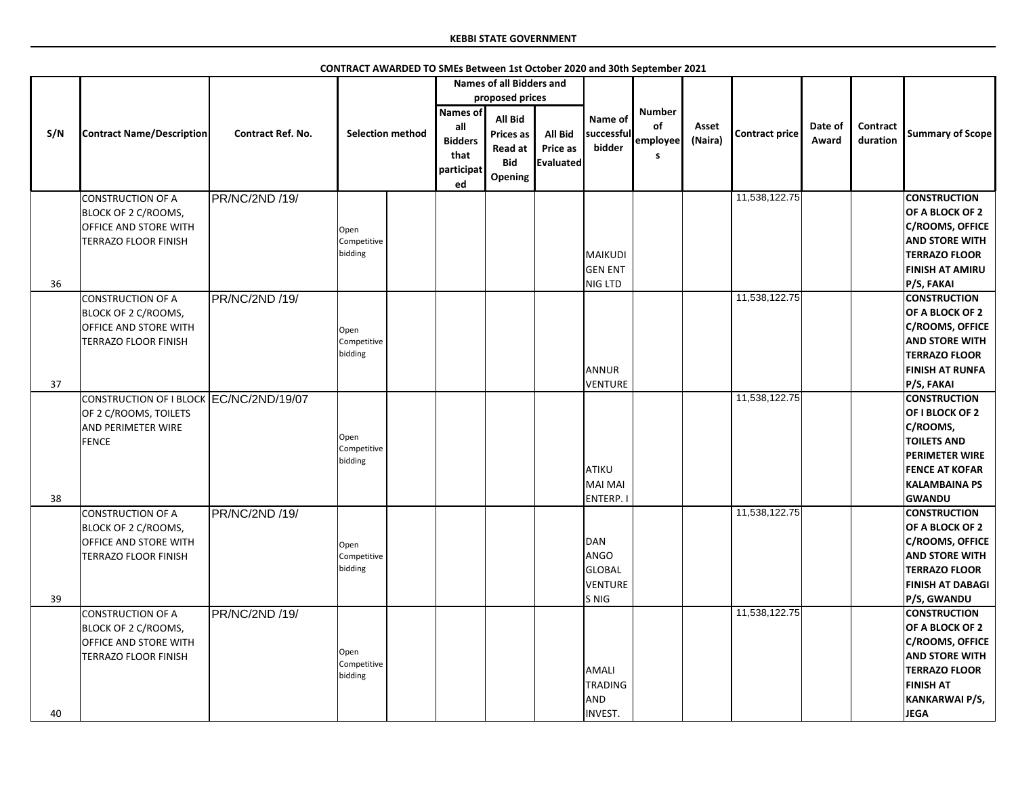|     |                                                                                                               |                          |                                |                                                               | <b>Names of all Bidders and</b>                                               |                                                |                                                  |                                             |                  |                       |                  |                      |                                                                                                                                                                            |
|-----|---------------------------------------------------------------------------------------------------------------|--------------------------|--------------------------------|---------------------------------------------------------------|-------------------------------------------------------------------------------|------------------------------------------------|--------------------------------------------------|---------------------------------------------|------------------|-----------------------|------------------|----------------------|----------------------------------------------------------------------------------------------------------------------------------------------------------------------------|
|     |                                                                                                               |                          |                                |                                                               | proposed prices                                                               |                                                |                                                  |                                             |                  |                       |                  |                      |                                                                                                                                                                            |
| S/N | <b>Contract Name/Description</b>                                                                              | <b>Contract Ref. No.</b> | <b>Selection method</b>        | Names of<br>all<br><b>Bidders</b><br>that<br>participat<br>ed | <b>All Bid</b><br><b>Prices as</b><br><b>Read at</b><br><b>Bid</b><br>Opening | All Bid<br><b>Price as</b><br><b>Evaluated</b> | Name of<br>successful<br>bidder                  | <b>Number</b><br>of<br>employee<br><b>S</b> | Asset<br>(Naira) | <b>Contract price</b> | Date of<br>Award | Contract<br>duration | <b>Summary of Scope</b>                                                                                                                                                    |
| 36  | <b>CONSTRUCTION OF A</b><br>BLOCK OF 2 C/ROOMS,<br>OFFICE AND STORE WITH<br><b>TERRAZO FLOOR FINISH</b>       | PR/NC/2ND /19/           | Open<br>Competitive<br>bidding |                                                               |                                                                               |                                                | MAIKUDI<br><b>GEN ENT</b><br>NIG LTD             |                                             |                  | 11,538,122.75         |                  |                      | <b>CONSTRUCTION</b><br><b>OF A BLOCK OF 2</b><br>C/ROOMS, OFFICE<br><b>AND STORE WITH</b><br><b>TERRAZO FLOOR</b><br><b>FINISH AT AMIRU</b><br>P/S, FAKAI                  |
| 37  | <b>CONSTRUCTION OF A</b><br>BLOCK OF 2 C/ROOMS,<br>OFFICE AND STORE WITH<br><b>TERRAZO FLOOR FINISH</b>       | PR/NC/2ND /19/           | Open<br>Competitive<br>bidding |                                                               |                                                                               |                                                | ANNUR<br><b>VENTURE</b>                          |                                             |                  | 11,538,122.75         |                  |                      | <b>CONSTRUCTION</b><br><b>OF A BLOCK OF 2</b><br>C/ROOMS, OFFICE<br><b>AND STORE WITH</b><br><b>TERRAZO FLOOR</b><br><b>FINISH AT RUNFA</b><br>P/S, FAKAI                  |
| 38  | CONSTRUCTION OF I BLOCK EC/NC/2ND/19/07<br>OF 2 C/ROOMS, TOILETS<br><b>AND PERIMETER WIRE</b><br><b>FENCE</b> |                          | Open<br>Competitive<br>bidding |                                                               |                                                                               |                                                | ATIKU<br>MAI MAI<br>ENTERP.                      |                                             |                  | 11,538,122.75         |                  |                      | <b>CONSTRUCTION</b><br><b>OF I BLOCK OF 2</b><br>C/ROOMS,<br><b>TOILETS AND</b><br><b>PERIMETER WIRE</b><br><b>FENCE AT KOFAR</b><br><b>KALAMBAINA PS</b><br><b>GWANDU</b> |
| 39  | <b>CONSTRUCTION OF A</b><br>BLOCK OF 2 C/ROOMS,<br>OFFICE AND STORE WITH<br><b>TERRAZO FLOOR FINISH</b>       | <b>PR/NC/2ND /19/</b>    | Open<br>Competitive<br>bidding |                                                               |                                                                               |                                                | DAN<br>ANGO<br><b>GLOBAL</b><br>VENTURE<br>S NIG |                                             |                  | 11,538,122.75         |                  |                      | <b>CONSTRUCTION</b><br>OF A BLOCK OF 2<br><b>C/ROOMS, OFFICE</b><br><b>AND STORE WITH</b><br><b>TERRAZO FLOOR</b><br><b>FINISH AT DABAGI</b><br>P/S, GWANDU                |
| 40  | <b>CONSTRUCTION OF A</b><br>BLOCK OF 2 C/ROOMS,<br>OFFICE AND STORE WITH<br><b>TERRAZO FLOOR FINISH</b>       | PR/NC/2ND /19/           | Open<br>Competitive<br>bidding |                                                               |                                                                               |                                                | AMALI<br><b>TRADING</b><br>AND<br>INVEST.        |                                             |                  | 11,538,122.75         |                  |                      | <b>CONSTRUCTION</b><br>OF A BLOCK OF 2<br>C/ROOMS, OFFICE<br><b>AND STORE WITH</b><br><b>TERRAZO FLOOR</b><br><b>FINISH AT</b><br>KANKARWAI P/S,<br><b>JEGA</b>            |

**CONTRACT AWARDED TO SMEs Between 1st October 2020 and 30th September 2021**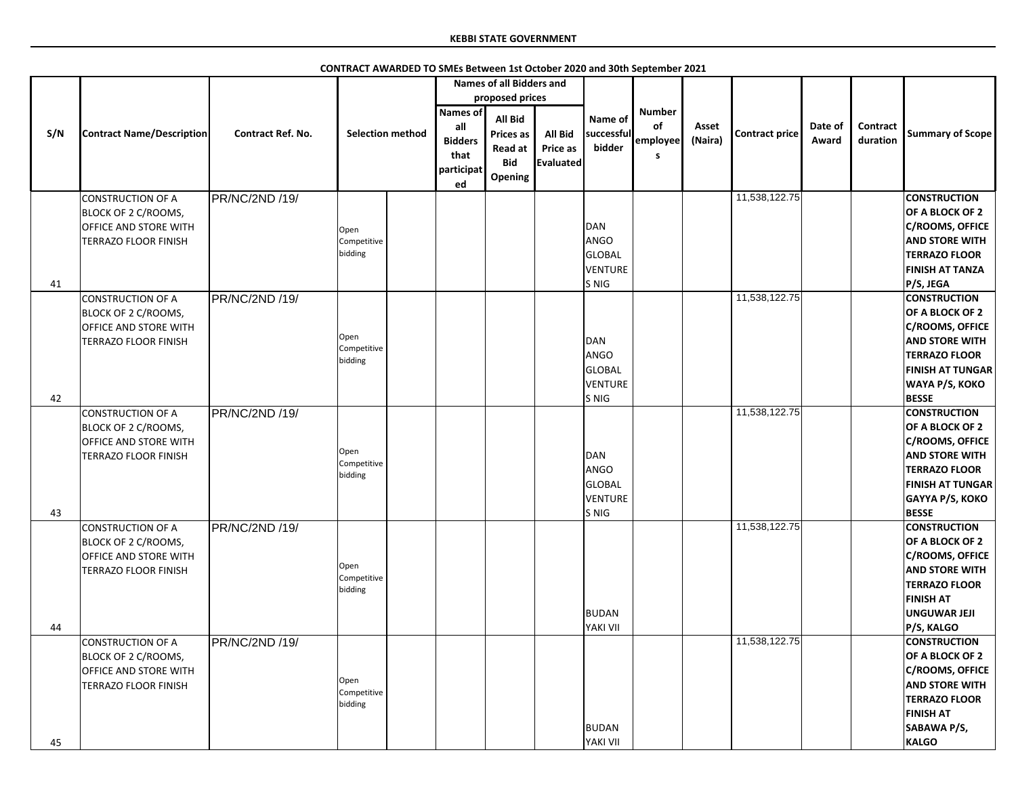|     |                                                                                                         |                          |                                | <b>Names of all Bidders and</b>                                |                                                                        |                                                       |                                                         |                                      |                  |                       |                  |                             |                                                                                                                                                                                 |
|-----|---------------------------------------------------------------------------------------------------------|--------------------------|--------------------------------|----------------------------------------------------------------|------------------------------------------------------------------------|-------------------------------------------------------|---------------------------------------------------------|--------------------------------------|------------------|-----------------------|------------------|-----------------------------|---------------------------------------------------------------------------------------------------------------------------------------------------------------------------------|
|     |                                                                                                         |                          |                                |                                                                | proposed prices                                                        |                                                       |                                                         |                                      |                  |                       |                  |                             |                                                                                                                                                                                 |
| S/N | <b>Contract Name/Description</b>                                                                        | <b>Contract Ref. No.</b> | <b>Selection method</b>        | <b>Names of</b><br>all<br><b>Bidders</b><br>that<br>participat | All Bid<br><b>Prices as</b><br><b>Read at</b><br><b>Bid</b><br>Opening | <b>All Bid</b><br><b>Price as</b><br><b>Evaluated</b> | Name of<br>successful<br>bidder                         | <b>Number</b><br>of<br>employee<br>S | Asset<br>(Naira) | <b>Contract price</b> | Date of<br>Award | <b>Contract</b><br>duration | <b>Summary of Scope</b>                                                                                                                                                         |
|     | CONSTRUCTION OF A                                                                                       | PR/NC/2ND /19/           |                                | ed                                                             |                                                                        |                                                       |                                                         |                                      |                  | 11,538,122.75         |                  |                             | <b>CONSTRUCTION</b>                                                                                                                                                             |
|     | <b>BLOCK OF 2 C/ROOMS,</b><br><b>OFFICE AND STORE WITH</b><br><b>TERRAZO FLOOR FINISH</b>               |                          | Open<br>Competitive<br>bidding |                                                                |                                                                        |                                                       | DAN<br>ANGO<br><b>GLOBAL</b><br><b>VENTURE</b>          |                                      |                  |                       |                  |                             | OF A BLOCK OF 2<br><b>C/ROOMS, OFFICE</b><br><b>AND STORE WITH</b><br><b>TERRAZO FLOOR</b><br><b>FINISH AT TANZA</b>                                                            |
| 41  |                                                                                                         |                          |                                |                                                                |                                                                        |                                                       | S NIG                                                   |                                      |                  |                       |                  |                             | P/S, JEGA                                                                                                                                                                       |
|     | CONSTRUCTION OF A<br>BLOCK OF 2 C/ROOMS,<br><b>OFFICE AND STORE WITH</b><br><b>TERRAZO FLOOR FINISH</b> | PR/NC/2ND /19/           | Open<br>Competitive<br>bidding |                                                                |                                                                        |                                                       | DAN<br>ANGO<br><b>GLOBAL</b><br><b>VENTURE</b>          |                                      |                  | 11,538,122.75         |                  |                             | <b>CONSTRUCTION</b><br>OF A BLOCK OF 2<br><b>C/ROOMS, OFFICE</b><br><b>AND STORE WITH</b><br><b>TERRAZO FLOOR</b><br><b>FINISH AT TUNGAR</b><br>WAYA P/S, KOKO                  |
| 42  |                                                                                                         |                          |                                |                                                                |                                                                        |                                                       | S NIG                                                   |                                      |                  |                       |                  |                             | <b>BESSE</b>                                                                                                                                                                    |
| 43  | CONSTRUCTION OF A<br><b>BLOCK OF 2 C/ROOMS,</b><br><b>OFFICE AND STORE WITH</b><br>TERRAZO FLOOR FINISH | PR/NC/2ND /19/           | Open<br>Competitive<br>bidding |                                                                |                                                                        |                                                       | DAN<br>ANGO<br><b>GLOBAL</b><br><b>VENTURE</b><br>S NIG |                                      |                  | 11,538,122.75         |                  |                             | <b>CONSTRUCTION</b><br>OF A BLOCK OF 2<br><b>C/ROOMS, OFFICE</b><br><b>AND STORE WITH</b><br><b>TERRAZO FLOOR</b><br><b>FINISH AT TUNGAR</b><br>GAYYA P/S, KOKO<br><b>BESSE</b> |
| 44  | CONSTRUCTION OF A<br><b>BLOCK OF 2 C/ROOMS,</b><br><b>OFFICE AND STORE WITH</b><br>TERRAZO FLOOR FINISH | PR/NC/2ND /19/           | Open<br>Competitive<br>bidding |                                                                |                                                                        |                                                       | <b>BUDAN</b><br>YAKI VII                                |                                      |                  | 11,538,122.75         |                  |                             | <b>CONSTRUCTION</b><br>OF A BLOCK OF 2<br><b>C/ROOMS, OFFICE</b><br><b>AND STORE WITH</b><br><b>TERRAZO FLOOR</b><br><b>FINISH AT</b><br><b>UNGUWAR JEJI</b><br>P/S, KALGO      |
| 45  | CONSTRUCTION OF A<br>BLOCK OF 2 C/ROOMS,<br><b>OFFICE AND STORE WITH</b><br><b>TERRAZO FLOOR FINISH</b> | PR/NC/2ND /19/           | Open<br>Competitive<br>bidding |                                                                |                                                                        |                                                       | <b>BUDAN</b><br>YAKI VII                                |                                      |                  | 11,538,122.75         |                  |                             | <b>CONSTRUCTION</b><br>OF A BLOCK OF 2<br><b>C/ROOMS, OFFICE</b><br><b>AND STORE WITH</b><br><b>TERRAZO FLOOR</b><br><b>FINISH AT</b><br>SABAWA P/S,<br><b>KALGO</b>            |

**CONTRACT AWARDED TO SMEs Between 1st October 2020 and 30th September 2021**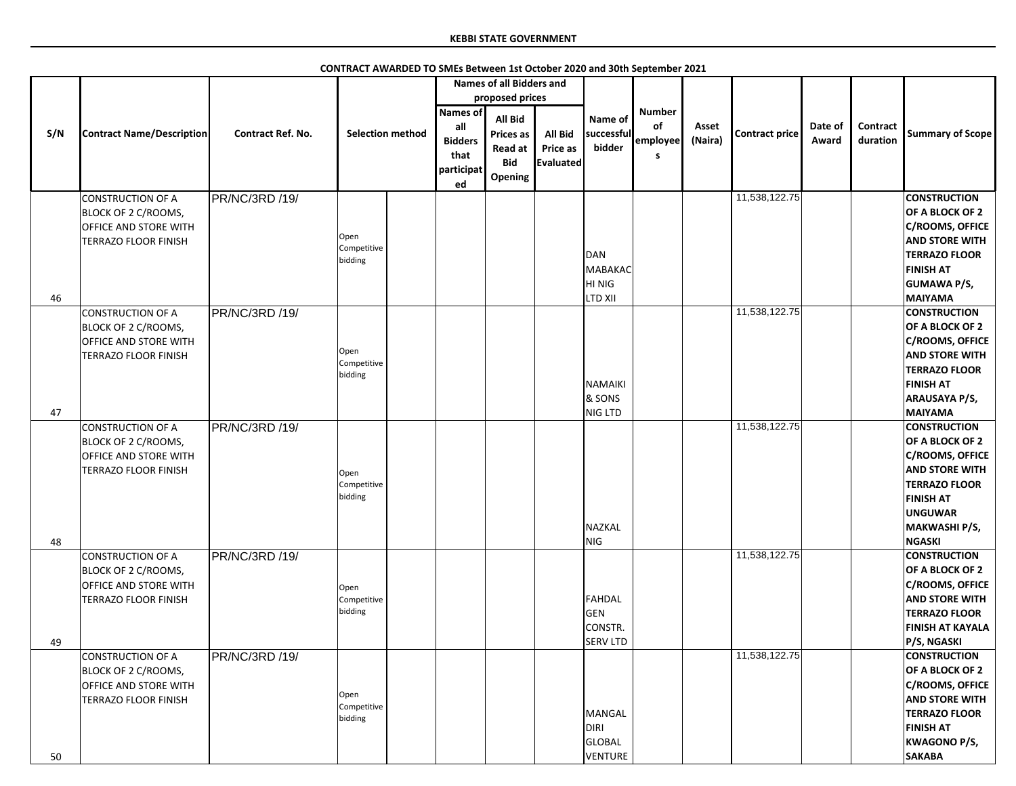|     |                                  |                          |                         | <b>Names of all Bidders and</b> |                  |                |                 |               |         |                       |         |                 |                         |
|-----|----------------------------------|--------------------------|-------------------------|---------------------------------|------------------|----------------|-----------------|---------------|---------|-----------------------|---------|-----------------|-------------------------|
|     |                                  |                          |                         |                                 | proposed prices  |                |                 |               |         |                       |         |                 |                         |
|     |                                  |                          |                         | <b>Names of</b>                 |                  |                |                 | <b>Number</b> |         |                       |         |                 |                         |
|     |                                  |                          |                         |                                 | <b>All Bid</b>   |                | Name of         |               |         |                       |         |                 |                         |
| S/N | <b>Contract Name/Description</b> | <b>Contract Ref. No.</b> | <b>Selection method</b> | all                             | <b>Prices as</b> | <b>All Bid</b> | successful      | of            | Asset   | <b>Contract price</b> | Date of | <b>Contract</b> | <b>Summary of Scope</b> |
|     |                                  |                          |                         | <b>Bidders</b>                  |                  |                |                 | employee      | (Naira) |                       | Award   | duration        |                         |
|     |                                  |                          |                         | that                            | Read at          | Price as       | bidder          | S             |         |                       |         |                 |                         |
|     |                                  |                          |                         |                                 | <b>Bid</b>       | Evaluated      |                 |               |         |                       |         |                 |                         |
|     |                                  |                          |                         | participat                      | Opening          |                |                 |               |         |                       |         |                 |                         |
|     |                                  |                          |                         | ed                              |                  |                |                 |               |         |                       |         |                 |                         |
|     | CONSTRUCTION OF A                | PR/NC/3RD /19/           |                         |                                 |                  |                |                 |               |         | 11,538,122.75         |         |                 | <b>CONSTRUCTION</b>     |
|     | BLOCK OF 2 C/ROOMS,              |                          |                         |                                 |                  |                |                 |               |         |                       |         |                 | OF A BLOCK OF 2         |
|     |                                  |                          |                         |                                 |                  |                |                 |               |         |                       |         |                 | <b>C/ROOMS, OFFICE</b>  |
|     | <b>OFFICE AND STORE WITH</b>     |                          | Open                    |                                 |                  |                |                 |               |         |                       |         |                 |                         |
|     | <b>TERRAZO FLOOR FINISH</b>      |                          | Competitive             |                                 |                  |                |                 |               |         |                       |         |                 | <b>AND STORE WITH</b>   |
|     |                                  |                          | bidding                 |                                 |                  |                | DAN             |               |         |                       |         |                 | <b>TERRAZO FLOOR</b>    |
|     |                                  |                          |                         |                                 |                  |                | MABAKAC         |               |         |                       |         |                 | <b>FINISH AT</b>        |
|     |                                  |                          |                         |                                 |                  |                | HI NIG          |               |         |                       |         |                 | <b>GUMAWA P/S,</b>      |
|     |                                  |                          |                         |                                 |                  |                |                 |               |         |                       |         |                 |                         |
| 46  |                                  |                          |                         |                                 |                  |                | <b>LTD XII</b>  |               |         |                       |         |                 | <b>MAIYAMA</b>          |
|     | <b>CONSTRUCTION OF A</b>         | PR/NC/3RD /19/           |                         |                                 |                  |                |                 |               |         | 11,538,122.75         |         |                 | <b>CONSTRUCTION</b>     |
|     | BLOCK OF 2 C/ROOMS,              |                          |                         |                                 |                  |                |                 |               |         |                       |         |                 | OF A BLOCK OF 2         |
|     | <b>OFFICE AND STORE WITH</b>     |                          |                         |                                 |                  |                |                 |               |         |                       |         |                 | <b>C/ROOMS, OFFICE</b>  |
|     |                                  |                          | Open                    |                                 |                  |                |                 |               |         |                       |         |                 | <b>AND STORE WITH</b>   |
|     | TERRAZO FLOOR FINISH             |                          | Competitive             |                                 |                  |                |                 |               |         |                       |         |                 |                         |
|     |                                  |                          | bidding                 |                                 |                  |                |                 |               |         |                       |         |                 | <b>TERRAZO FLOOR</b>    |
|     |                                  |                          |                         |                                 |                  |                | NAMAIKI         |               |         |                       |         |                 | <b>FINISH AT</b>        |
|     |                                  |                          |                         |                                 |                  |                | & SONS          |               |         |                       |         |                 | <b>ARAUSAYA P/S,</b>    |
| 47  |                                  |                          |                         |                                 |                  |                | <b>NIG LTD</b>  |               |         |                       |         |                 | <b>MAIYAMA</b>          |
|     |                                  |                          |                         |                                 |                  |                |                 |               |         | 11,538,122.75         |         |                 | <b>CONSTRUCTION</b>     |
|     | CONSTRUCTION OF A                | PR/NC/3RD /19/           |                         |                                 |                  |                |                 |               |         |                       |         |                 |                         |
|     | BLOCK OF 2 C/ROOMS,              |                          |                         |                                 |                  |                |                 |               |         |                       |         |                 | OF A BLOCK OF 2         |
|     | <b>OFFICE AND STORE WITH</b>     |                          |                         |                                 |                  |                |                 |               |         |                       |         |                 | <b>C/ROOMS, OFFICE</b>  |
|     | TERRAZO FLOOR FINISH             |                          | Open                    |                                 |                  |                |                 |               |         |                       |         |                 | <b>AND STORE WITH</b>   |
|     |                                  |                          | Competitive             |                                 |                  |                |                 |               |         |                       |         |                 | <b>TERRAZO FLOOR</b>    |
|     |                                  |                          | bidding                 |                                 |                  |                |                 |               |         |                       |         |                 |                         |
|     |                                  |                          |                         |                                 |                  |                |                 |               |         |                       |         |                 | <b>FINISH AT</b>        |
|     |                                  |                          |                         |                                 |                  |                |                 |               |         |                       |         |                 | <b>UNGUWAR</b>          |
|     |                                  |                          |                         |                                 |                  |                | NAZKAL          |               |         |                       |         |                 | MAKWASHI P/S,           |
| 48  |                                  |                          |                         |                                 |                  |                | NIG             |               |         |                       |         |                 | <b>NGASKI</b>           |
|     | <b>CONSTRUCTION OF A</b>         | PR/NC/3RD /19/           |                         |                                 |                  |                |                 |               |         | 11,538,122.75         |         |                 | <b>CONSTRUCTION</b>     |
|     |                                  |                          |                         |                                 |                  |                |                 |               |         |                       |         |                 | OF A BLOCK OF 2         |
|     | BLOCK OF 2 C/ROOMS,              |                          |                         |                                 |                  |                |                 |               |         |                       |         |                 |                         |
|     | <b>OFFICE AND STORE WITH</b>     |                          | Open                    |                                 |                  |                |                 |               |         |                       |         |                 | <b>C/ROOMS, OFFICE</b>  |
|     | TERRAZO FLOOR FINISH             |                          | Competitive             |                                 |                  |                | FAHDAL          |               |         |                       |         |                 | <b>AND STORE WITH</b>   |
|     |                                  |                          | bidding                 |                                 |                  |                | GEN             |               |         |                       |         |                 | <b>TERRAZO FLOOR</b>    |
|     |                                  |                          |                         |                                 |                  |                | CONSTR.         |               |         |                       |         |                 | <b>FINISH AT KAYALA</b> |
|     |                                  |                          |                         |                                 |                  |                |                 |               |         |                       |         |                 |                         |
| 49  |                                  |                          |                         |                                 |                  |                | <b>SERV LTD</b> |               |         |                       |         |                 | P/S, NGASKI             |
|     | CONSTRUCTION OF A                | PR/NC/3RD /19/           |                         |                                 |                  |                |                 |               |         | 11,538,122.75         |         |                 | <b>CONSTRUCTION</b>     |
|     | BLOCK OF 2 C/ROOMS,              |                          |                         |                                 |                  |                |                 |               |         |                       |         |                 | OF A BLOCK OF 2         |
|     | <b>OFFICE AND STORE WITH</b>     |                          |                         |                                 |                  |                |                 |               |         |                       |         |                 | <b>C/ROOMS, OFFICE</b>  |
|     | TERRAZO FLOOR FINISH             |                          | Open                    |                                 |                  |                |                 |               |         |                       |         |                 | <b>AND STORE WITH</b>   |
|     |                                  |                          | Competitive             |                                 |                  |                |                 |               |         |                       |         |                 |                         |
|     |                                  |                          | bidding                 |                                 |                  |                | MANGAL          |               |         |                       |         |                 | <b>TERRAZO FLOOR</b>    |
|     |                                  |                          |                         |                                 |                  |                | DIRI            |               |         |                       |         |                 | <b>FINISH AT</b>        |
|     |                                  |                          |                         |                                 |                  |                | <b>GLOBAL</b>   |               |         |                       |         |                 | <b>KWAGONO P/S,</b>     |
| 50  |                                  |                          |                         |                                 |                  |                | VENTURE         |               |         |                       |         |                 | <b>SAKABA</b>           |
|     |                                  |                          |                         |                                 |                  |                |                 |               |         |                       |         |                 |                         |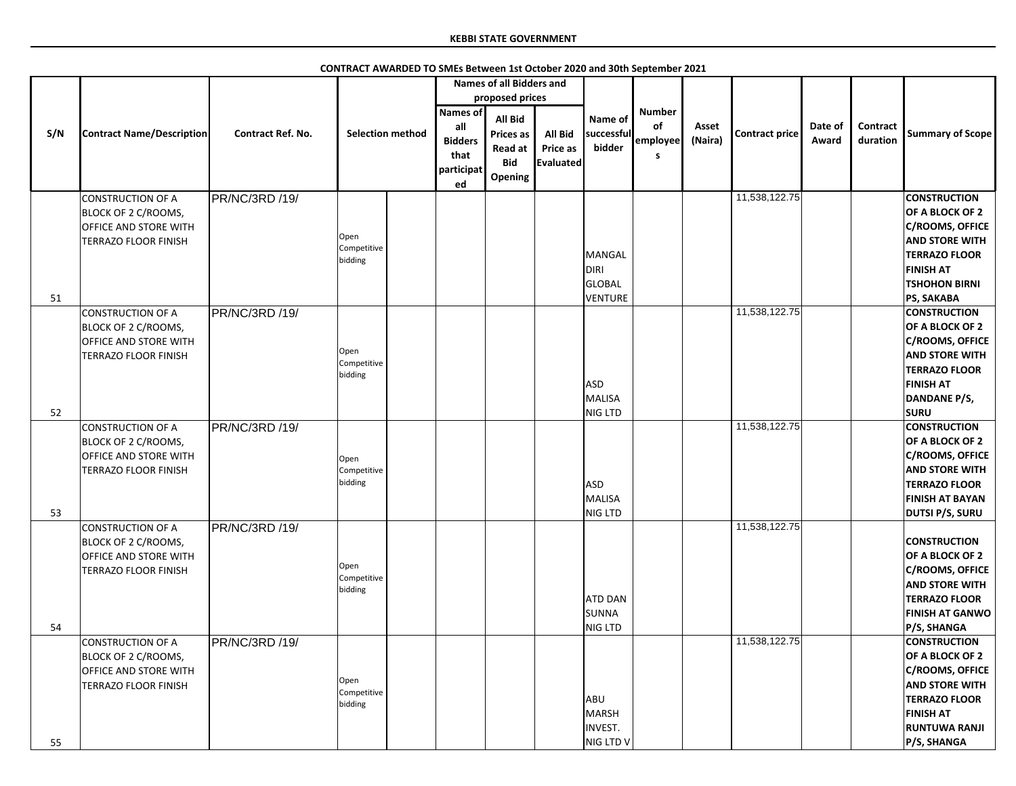|     |                                                                                                         |                          |                                |                                                                      | <b>Names of all Bidders and</b>                                        |                                         |                                           |                                      |                  |                       |                  |                             |                                                                                                                                                                              |
|-----|---------------------------------------------------------------------------------------------------------|--------------------------|--------------------------------|----------------------------------------------------------------------|------------------------------------------------------------------------|-----------------------------------------|-------------------------------------------|--------------------------------------|------------------|-----------------------|------------------|-----------------------------|------------------------------------------------------------------------------------------------------------------------------------------------------------------------------|
|     |                                                                                                         |                          |                                |                                                                      | proposed prices                                                        |                                         |                                           |                                      |                  |                       |                  |                             |                                                                                                                                                                              |
| S/N | <b>Contract Name/Description</b>                                                                        | <b>Contract Ref. No.</b> | <b>Selection method</b>        | <b>Names of</b><br>all<br><b>Bidders</b><br>that<br>participat<br>ed | <b>All Bid</b><br><b>Prices as</b><br>Read at<br><b>Bid</b><br>Opening | <b>All Bid</b><br>Price as<br>Evaluated | Name of<br>successful<br>bidder           | <b>Number</b><br>of<br>employee<br>S | Asset<br>(Naira) | <b>Contract price</b> | Date of<br>Award | <b>Contract</b><br>duration | <b>Summary of Scope</b>                                                                                                                                                      |
|     | CONSTRUCTION OF A<br>BLOCK OF 2 C/ROOMS,<br><b>OFFICE AND STORE WITH</b><br><b>TERRAZO FLOOR FINISH</b> | PR/NC/3RD /19/           | Open<br>Competitive<br>bidding |                                                                      |                                                                        |                                         | MANGAL<br>DIRI<br><b>GLOBAL</b>           |                                      |                  | 11,538,122.75         |                  |                             | <b>CONSTRUCTION</b><br>OF A BLOCK OF 2<br><b>C/ROOMS, OFFICE</b><br><b>AND STORE WITH</b><br><b>TERRAZO FLOOR</b><br><b>FINISH AT</b><br><b>TSHOHON BIRNI</b>                |
| 51  |                                                                                                         |                          |                                |                                                                      |                                                                        |                                         | VENTURE                                   |                                      |                  |                       |                  |                             | PS, SAKABA                                                                                                                                                                   |
| 52  | <b>CONSTRUCTION OF A</b><br>BLOCK OF 2 C/ROOMS,<br><b>OFFICE AND STORE WITH</b><br>TERRAZO FLOOR FINISH | PR/NC/3RD /19/           | Open<br>Competitive<br>bidding |                                                                      |                                                                        |                                         | <b>ASD</b><br>MALISA<br><b>NIG LTD</b>    |                                      |                  | 11,538,122.75         |                  |                             | <b>CONSTRUCTION</b><br>OF A BLOCK OF 2<br><b>C/ROOMS, OFFICE</b><br><b>AND STORE WITH</b><br><b>TERRAZO FLOOR</b><br><b>FINISH AT</b><br>DANDANE P/S,<br><b>SURU</b>         |
|     | CONSTRUCTION OF A                                                                                       | PR/NC/3RD /19/           |                                |                                                                      |                                                                        |                                         |                                           |                                      |                  | 11,538,122.75         |                  |                             | <b>CONSTRUCTION</b>                                                                                                                                                          |
| 53  | BLOCK OF 2 C/ROOMS,<br><b>OFFICE AND STORE WITH</b><br><b>TERRAZO FLOOR FINISH</b>                      |                          | Open<br>Competitive<br>bidding |                                                                      |                                                                        |                                         | <b>ASD</b><br>MALISA<br>NIG LTD           |                                      |                  |                       |                  |                             | OF A BLOCK OF 2<br><b>C/ROOMS, OFFICE</b><br><b>AND STORE WITH</b><br><b>TERRAZO FLOOR</b><br><b>FINISH AT BAYAN</b><br><b>DUTSI P/S, SURU</b>                               |
| 54  | CONSTRUCTION OF A<br>BLOCK OF 2 C/ROOMS,<br><b>OFFICE AND STORE WITH</b><br>TERRAZO FLOOR FINISH        | PR/NC/3RD /19/           | Open<br>Competitive<br>bidding |                                                                      |                                                                        |                                         | <b>ATD DAN</b><br><b>SUNNA</b><br>NIG LTD |                                      |                  | 11,538,122.75         |                  |                             | <b>CONSTRUCTION</b><br>OF A BLOCK OF 2<br><b>C/ROOMS, OFFICE</b><br><b>AND STORE WITH</b><br><b>TERRAZO FLOOR</b><br><b>FINISH AT GANWO</b><br>P/S, SHANGA                   |
| 55  | CONSTRUCTION OF A<br>BLOCK OF 2 C/ROOMS,<br><b>OFFICE AND STORE WITH</b><br>TERRAZO FLOOR FINISH        | PR/NC/3RD /19/           | Open<br>Competitive<br>bidding |                                                                      |                                                                        |                                         | ABU<br>MARSH<br>INVEST.<br>NIG LTD V      |                                      |                  | 11,538,122.75         |                  |                             | <b>CONSTRUCTION</b><br>OF A BLOCK OF 2<br><b>C/ROOMS, OFFICE</b><br><b>AND STORE WITH</b><br><b>TERRAZO FLOOR</b><br><b>FINISH AT</b><br><b>RUNTUWA RANJI</b><br>P/S, SHANGA |

**CONTRACT AWARDED TO SMEs Between 1st October 2020 and 30th September 2021**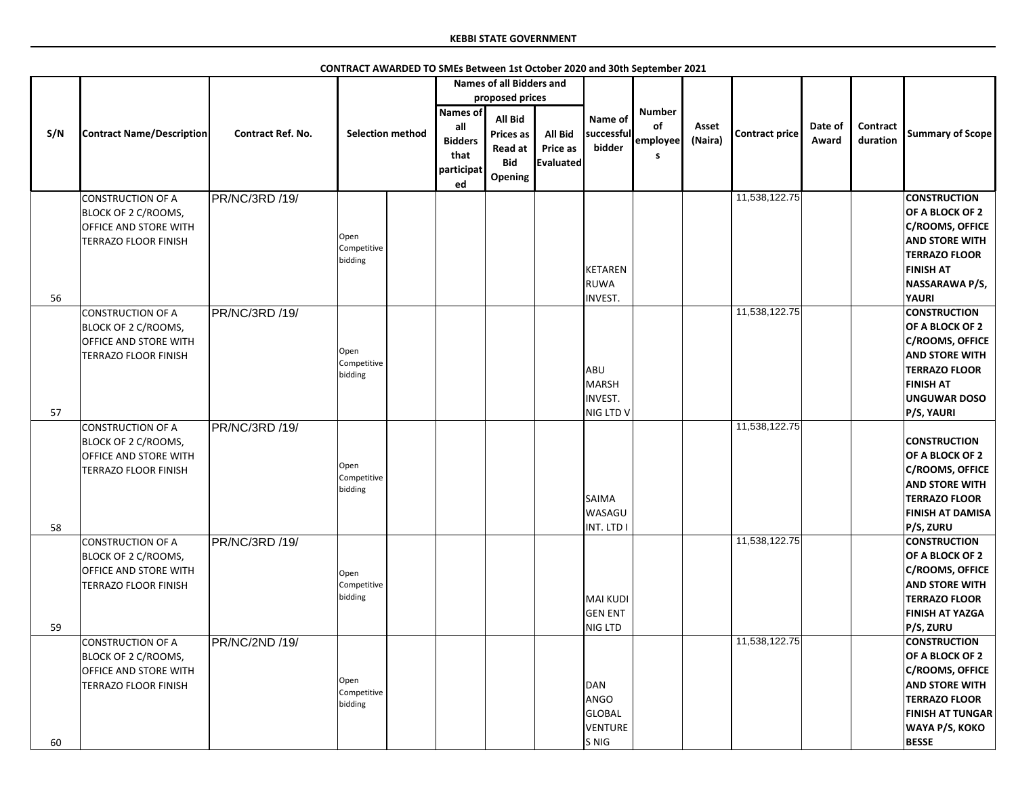|     |                                  |                          |                         |                 | <b>Names of all Bidders and</b> |                  |                |               |         |                       |         |                 |                         |
|-----|----------------------------------|--------------------------|-------------------------|-----------------|---------------------------------|------------------|----------------|---------------|---------|-----------------------|---------|-----------------|-------------------------|
|     |                                  |                          |                         |                 | proposed prices                 |                  |                |               |         |                       |         |                 |                         |
|     |                                  |                          |                         | <b>Names of</b> | All Bid                         |                  | Name of        | <b>Number</b> |         |                       |         |                 |                         |
|     | <b>Contract Name/Description</b> | <b>Contract Ref. No.</b> | <b>Selection method</b> | all             |                                 | <b>All Bid</b>   | successful     | of            | Asset   | <b>Contract price</b> | Date of | <b>Contract</b> | <b>Summary of Scope</b> |
| S/N |                                  |                          |                         | <b>Bidders</b>  | <b>Prices as</b>                |                  | bidder         | employee      | (Naira) |                       | Award   | duration        |                         |
|     |                                  |                          |                         | that            | Read at                         | <b>Price as</b>  |                | S             |         |                       |         |                 |                         |
|     |                                  |                          |                         | participat      | <b>Bid</b>                      | <b>Evaluated</b> |                |               |         |                       |         |                 |                         |
|     |                                  |                          |                         | ed              | Opening                         |                  |                |               |         |                       |         |                 |                         |
|     | <b>CONSTRUCTION OF A</b>         | PR/NC/3RD /19/           |                         |                 |                                 |                  |                |               |         | 11,538,122.75         |         |                 | <b>CONSTRUCTION</b>     |
|     | BLOCK OF 2 C/ROOMS,              |                          |                         |                 |                                 |                  |                |               |         |                       |         |                 | OF A BLOCK OF 2         |
|     | <b>OFFICE AND STORE WITH</b>     |                          |                         |                 |                                 |                  |                |               |         |                       |         |                 | <b>C/ROOMS, OFFICE</b>  |
|     | <b>TERRAZO FLOOR FINISH</b>      |                          | Open                    |                 |                                 |                  |                |               |         |                       |         |                 | <b>AND STORE WITH</b>   |
|     |                                  |                          | Competitive<br>bidding  |                 |                                 |                  |                |               |         |                       |         |                 | <b>TERRAZO FLOOR</b>    |
|     |                                  |                          |                         |                 |                                 |                  | KETAREN        |               |         |                       |         |                 | <b>FINISH AT</b>        |
|     |                                  |                          |                         |                 |                                 |                  | RUWA           |               |         |                       |         |                 | NASSARAWA P/S,          |
| 56  |                                  |                          |                         |                 |                                 |                  | <b>INVEST.</b> |               |         |                       |         |                 | <b>YAURI</b>            |
|     | CONSTRUCTION OF A                | PR/NC/3RD /19/           |                         |                 |                                 |                  |                |               |         | 11,538,122.75         |         |                 | <b>CONSTRUCTION</b>     |
|     | BLOCK OF 2 C/ROOMS,              |                          |                         |                 |                                 |                  |                |               |         |                       |         |                 | OF A BLOCK OF 2         |
|     | <b>OFFICE AND STORE WITH</b>     |                          |                         |                 |                                 |                  |                |               |         |                       |         |                 | <b>C/ROOMS, OFFICE</b>  |
|     | TERRAZO FLOOR FINISH             |                          | Open                    |                 |                                 |                  |                |               |         |                       |         |                 | <b>AND STORE WITH</b>   |
|     |                                  |                          | Competitive             |                 |                                 |                  | ABU            |               |         |                       |         |                 | <b>TERRAZO FLOOR</b>    |
|     |                                  |                          | bidding                 |                 |                                 |                  | MARSH          |               |         |                       |         |                 | <b>FINISH AT</b>        |
|     |                                  |                          |                         |                 |                                 |                  | <b>INVEST.</b> |               |         |                       |         |                 | <b>UNGUWAR DOSO</b>     |
| 57  |                                  |                          |                         |                 |                                 |                  | NIG LTD V      |               |         |                       |         |                 | P/S, YAURI              |
|     | <b>CONSTRUCTION OF A</b>         | PR/NC/3RD /19/           |                         |                 |                                 |                  |                |               |         | 11,538,122.75         |         |                 |                         |
|     | BLOCK OF 2 C/ROOMS,              |                          |                         |                 |                                 |                  |                |               |         |                       |         |                 | <b>CONSTRUCTION</b>     |
|     | <b>OFFICE AND STORE WITH</b>     |                          |                         |                 |                                 |                  |                |               |         |                       |         |                 | OF A BLOCK OF 2         |
|     | <b>TERRAZO FLOOR FINISH</b>      |                          | Open                    |                 |                                 |                  |                |               |         |                       |         |                 | <b>C/ROOMS, OFFICE</b>  |
|     |                                  |                          | Competitive<br>bidding  |                 |                                 |                  |                |               |         |                       |         |                 | <b>AND STORE WITH</b>   |
|     |                                  |                          |                         |                 |                                 |                  | SAIMA          |               |         |                       |         |                 | <b>TERRAZO FLOOR</b>    |
|     |                                  |                          |                         |                 |                                 |                  | <b>WASAGU</b>  |               |         |                       |         |                 | <b>FINISH AT DAMISA</b> |
| 58  |                                  |                          |                         |                 |                                 |                  | INT. LTD I     |               |         |                       |         |                 | P/S, ZURU               |
|     | CONSTRUCTION OF A                | PR/NC/3RD /19/           |                         |                 |                                 |                  |                |               |         | 11,538,122.75         |         |                 | <b>CONSTRUCTION</b>     |
|     | BLOCK OF 2 C/ROOMS,              |                          |                         |                 |                                 |                  |                |               |         |                       |         |                 | OF A BLOCK OF 2         |
|     | <b>OFFICE AND STORE WITH</b>     |                          | Open                    |                 |                                 |                  |                |               |         |                       |         |                 | <b>C/ROOMS, OFFICE</b>  |
|     | TERRAZO FLOOR FINISH             |                          | Competitive             |                 |                                 |                  |                |               |         |                       |         |                 | <b>AND STORE WITH</b>   |
|     |                                  |                          | bidding                 |                 |                                 |                  | MAI KUDI       |               |         |                       |         |                 | <b>TERRAZO FLOOR</b>    |
|     |                                  |                          |                         |                 |                                 |                  | <b>GEN ENT</b> |               |         |                       |         |                 | <b>FINISH AT YAZGA</b>  |
| 59  |                                  |                          |                         |                 |                                 |                  | NIG LTD        |               |         |                       |         |                 | P/S, ZURU               |
|     | CONSTRUCTION OF A                | PR/NC/2ND /19/           |                         |                 |                                 |                  |                |               |         | 11,538,122.75         |         |                 | <b>CONSTRUCTION</b>     |
|     | BLOCK OF 2 C/ROOMS,              |                          |                         |                 |                                 |                  |                |               |         |                       |         |                 | OF A BLOCK OF 2         |
|     | <b>OFFICE AND STORE WITH</b>     |                          |                         |                 |                                 |                  |                |               |         |                       |         |                 | <b>C/ROOMS, OFFICE</b>  |
|     | <b>TERRAZO FLOOR FINISH</b>      |                          | Open                    |                 |                                 |                  | DAN            |               |         |                       |         |                 | <b>AND STORE WITH</b>   |
|     |                                  |                          | Competitive<br>bidding  |                 |                                 |                  | ANGO           |               |         |                       |         |                 | <b>TERRAZO FLOOR</b>    |
|     |                                  |                          |                         |                 |                                 |                  | <b>GLOBAL</b>  |               |         |                       |         |                 | <b>FINISH AT TUNGAR</b> |
|     |                                  |                          |                         |                 |                                 |                  | VENTURE        |               |         |                       |         |                 | WAYA P/S, KOKO          |
| 60  |                                  |                          |                         |                 |                                 |                  | S NIG          |               |         |                       |         |                 | <b>BESSE</b>            |

**CONTRACT AWARDED TO SMEs Between 1st October 2020 and 30th September 2021**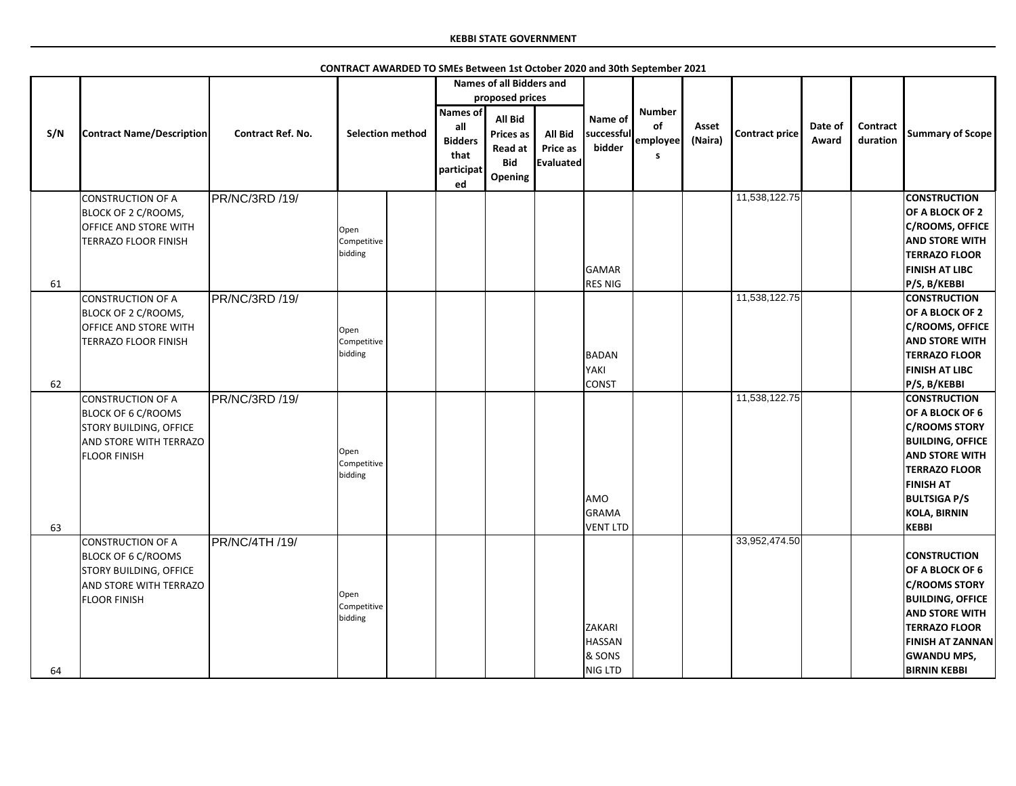|     |                                  |                          |                         |                                                                      | <b>Names of all Bidders and</b>                                        |                                                |                                 |                                      |                  |                       |                  |                      |                         |
|-----|----------------------------------|--------------------------|-------------------------|----------------------------------------------------------------------|------------------------------------------------------------------------|------------------------------------------------|---------------------------------|--------------------------------------|------------------|-----------------------|------------------|----------------------|-------------------------|
|     |                                  |                          |                         |                                                                      | proposed prices                                                        |                                                |                                 |                                      |                  |                       |                  |                      |                         |
| S/N | <b>Contract Name/Description</b> | <b>Contract Ref. No.</b> | <b>Selection method</b> | <b>Names of</b><br>all<br><b>Bidders</b><br>that<br>participat<br>ed | <b>All Bid</b><br><b>Prices as</b><br>Read at<br><b>Bid</b><br>Opening | <b>All Bid</b><br>Price as<br><b>Evaluated</b> | Name of<br>successful<br>bidder | <b>Number</b><br>of<br>employee<br>s | Asset<br>(Naira) | <b>Contract price</b> | Date of<br>Award | Contract<br>duration | <b>Summary of Scope</b> |
|     | <b>CONSTRUCTION OF A</b>         | PR/NC/3RD /19/           |                         |                                                                      |                                                                        |                                                |                                 |                                      |                  | 11,538,122.75         |                  |                      | <b>CONSTRUCTION</b>     |
|     | <b>BLOCK OF 2 C/ROOMS,</b>       |                          |                         |                                                                      |                                                                        |                                                |                                 |                                      |                  |                       |                  |                      | OF A BLOCK OF 2         |
|     |                                  |                          |                         |                                                                      |                                                                        |                                                |                                 |                                      |                  |                       |                  |                      | C/ROOMS, OFFICE         |
|     | <b>OFFICE AND STORE WITH</b>     |                          | Open                    |                                                                      |                                                                        |                                                |                                 |                                      |                  |                       |                  |                      | <b>AND STORE WITH</b>   |
|     | TERRAZO FLOOR FINISH             |                          | Competitive<br>bidding  |                                                                      |                                                                        |                                                |                                 |                                      |                  |                       |                  |                      |                         |
|     |                                  |                          |                         |                                                                      |                                                                        |                                                |                                 |                                      |                  |                       |                  |                      | <b>TERRAZO FLOOR</b>    |
|     |                                  |                          |                         |                                                                      |                                                                        |                                                | GAMAR                           |                                      |                  |                       |                  |                      | <b>FINISH AT LIBC</b>   |
| 61  |                                  |                          |                         |                                                                      |                                                                        |                                                | <b>RES NIG</b>                  |                                      |                  |                       |                  |                      | P/S, B/KEBBI            |
|     | <b>CONSTRUCTION OF A</b>         | PR/NC/3RD /19/           |                         |                                                                      |                                                                        |                                                |                                 |                                      |                  | 11,538,122.75         |                  |                      | <b>CONSTRUCTION</b>     |
|     | BLOCK OF 2 C/ROOMS,              |                          |                         |                                                                      |                                                                        |                                                |                                 |                                      |                  |                       |                  |                      | OF A BLOCK OF 2         |
|     | <b>OFFICE AND STORE WITH</b>     |                          | Open                    |                                                                      |                                                                        |                                                |                                 |                                      |                  |                       |                  |                      | C/ROOMS, OFFICE         |
|     | <b>TERRAZO FLOOR FINISH</b>      |                          | Competitive             |                                                                      |                                                                        |                                                |                                 |                                      |                  |                       |                  |                      | <b>AND STORE WITH</b>   |
|     |                                  |                          | bidding                 |                                                                      |                                                                        |                                                | BADAN                           |                                      |                  |                       |                  |                      | <b>TERRAZO FLOOR</b>    |
|     |                                  |                          |                         |                                                                      |                                                                        |                                                | YAKI                            |                                      |                  |                       |                  |                      | <b>FINISH AT LIBC</b>   |
| 62  |                                  |                          |                         |                                                                      |                                                                        |                                                | <b>CONST</b>                    |                                      |                  |                       |                  |                      | P/S, B/KEBBI            |
|     | CONSTRUCTION OF A                | PR/NC/3RD /19/           |                         |                                                                      |                                                                        |                                                |                                 |                                      |                  | 11,538,122.75         |                  |                      | <b>CONSTRUCTION</b>     |
|     | <b>BLOCK OF 6 C/ROOMS</b>        |                          |                         |                                                                      |                                                                        |                                                |                                 |                                      |                  |                       |                  |                      | <b>OF A BLOCK OF 6</b>  |
|     | <b>STORY BUILDING, OFFICE</b>    |                          |                         |                                                                      |                                                                        |                                                |                                 |                                      |                  |                       |                  |                      | <b>C/ROOMS STORY</b>    |
|     | <b>AND STORE WITH TERRAZO</b>    |                          |                         |                                                                      |                                                                        |                                                |                                 |                                      |                  |                       |                  |                      | <b>BUILDING, OFFICE</b> |
|     | <b>FLOOR FINISH</b>              |                          | Open                    |                                                                      |                                                                        |                                                |                                 |                                      |                  |                       |                  |                      | <b>AND STORE WITH</b>   |
|     |                                  |                          | Competitive<br>bidding  |                                                                      |                                                                        |                                                |                                 |                                      |                  |                       |                  |                      | <b>TERRAZO FLOOR</b>    |
|     |                                  |                          |                         |                                                                      |                                                                        |                                                |                                 |                                      |                  |                       |                  |                      | <b>FINISH AT</b>        |
|     |                                  |                          |                         |                                                                      |                                                                        |                                                | <b>AMO</b>                      |                                      |                  |                       |                  |                      | <b>BULTSIGA P/S</b>     |
|     |                                  |                          |                         |                                                                      |                                                                        |                                                | GRAMA                           |                                      |                  |                       |                  |                      | <b>KOLA, BIRNIN</b>     |
| 63  |                                  |                          |                         |                                                                      |                                                                        |                                                | <b>VENT LTD</b>                 |                                      |                  |                       |                  |                      | <b>KEBBI</b>            |
|     | CONSTRUCTION OF A                | <b>PR/NC/4TH /19/</b>    |                         |                                                                      |                                                                        |                                                |                                 |                                      |                  | 33,952,474.50         |                  |                      |                         |
|     | <b>BLOCK OF 6 C/ROOMS</b>        |                          |                         |                                                                      |                                                                        |                                                |                                 |                                      |                  |                       |                  |                      | <b>CONSTRUCTION</b>     |
|     | <b>STORY BUILDING, OFFICE</b>    |                          |                         |                                                                      |                                                                        |                                                |                                 |                                      |                  |                       |                  |                      | OF A BLOCK OF 6         |
|     | AND STORE WITH TERRAZO           |                          |                         |                                                                      |                                                                        |                                                |                                 |                                      |                  |                       |                  |                      | <b>C/ROOMS STORY</b>    |
|     | <b>FLOOR FINISH</b>              |                          | Open                    |                                                                      |                                                                        |                                                |                                 |                                      |                  |                       |                  |                      | <b>BUILDING, OFFICE</b> |
|     |                                  |                          | Competitive             |                                                                      |                                                                        |                                                |                                 |                                      |                  |                       |                  |                      | <b>AND STORE WITH</b>   |
|     |                                  |                          | bidding                 |                                                                      |                                                                        |                                                | ZAKARI                          |                                      |                  |                       |                  |                      | <b>TERRAZO FLOOR</b>    |
|     |                                  |                          |                         |                                                                      |                                                                        |                                                | <b>HASSAN</b>                   |                                      |                  |                       |                  |                      | <b>FINISH AT ZANNAN</b> |
|     |                                  |                          |                         |                                                                      |                                                                        |                                                | & SONS                          |                                      |                  |                       |                  |                      |                         |
|     |                                  |                          |                         |                                                                      |                                                                        |                                                |                                 |                                      |                  |                       |                  |                      | <b>GWANDU MPS,</b>      |
| 64  |                                  |                          |                         |                                                                      |                                                                        |                                                | NIG LTD                         |                                      |                  |                       |                  |                      | <b>BIRNIN KEBBI</b>     |

**CONTRACT AWARDED TO SMEs Between 1st October 2020 and 30th September 2021**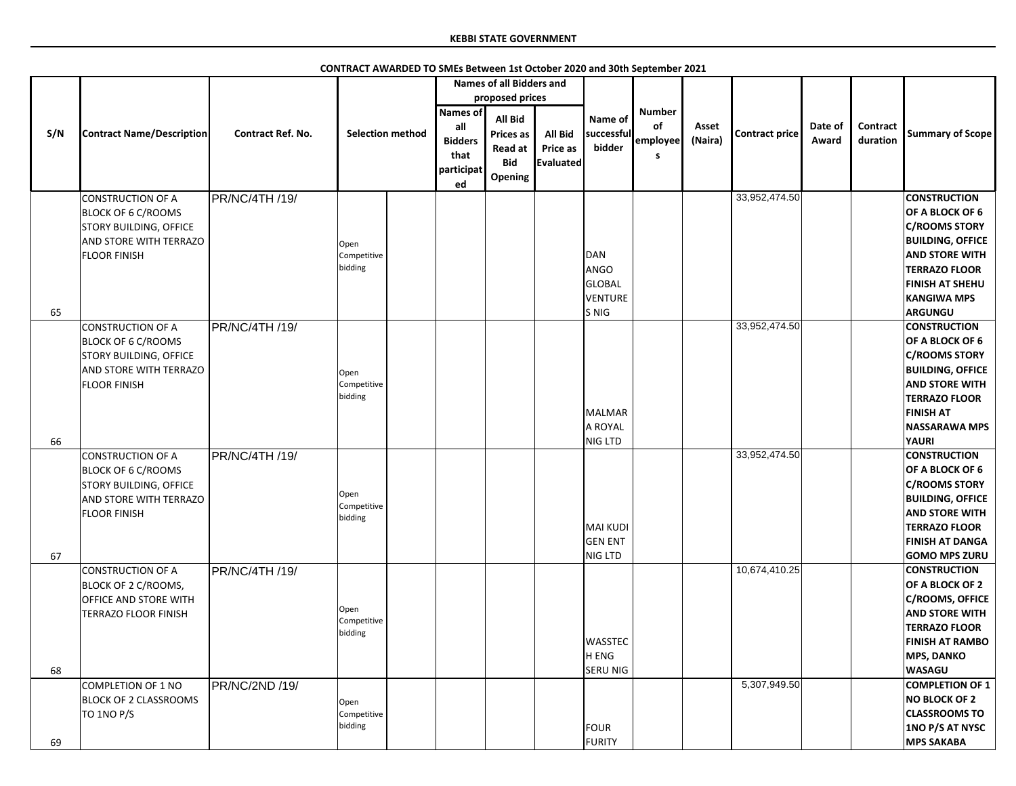|          |                                                                                                                                         |                          |                                |                                                                      | <b>Names of all Bidders and</b>                                 |                                                |                                                |                                       |                  |                       |                  |                             |                                                                                                                                                                                                                          |
|----------|-----------------------------------------------------------------------------------------------------------------------------------------|--------------------------|--------------------------------|----------------------------------------------------------------------|-----------------------------------------------------------------|------------------------------------------------|------------------------------------------------|---------------------------------------|------------------|-----------------------|------------------|-----------------------------|--------------------------------------------------------------------------------------------------------------------------------------------------------------------------------------------------------------------------|
|          |                                                                                                                                         |                          |                                |                                                                      | proposed prices                                                 |                                                |                                                |                                       |                  |                       |                  |                             |                                                                                                                                                                                                                          |
| S/N      | <b>Contract Name/Description</b>                                                                                                        | <b>Contract Ref. No.</b> | <b>Selection method</b>        | <b>Names of</b><br>all<br><b>Bidders</b><br>that<br>participat<br>ed | All Bid<br><b>Prices as</b><br>Read at<br><b>Bid</b><br>Opening | <b>All Bid</b><br>Price as<br><b>Evaluated</b> | Name of<br>successful<br>bidder                | <b>Number</b><br>of<br>employee<br>-S | Asset<br>(Naira) | <b>Contract price</b> | Date of<br>Award | <b>Contract</b><br>duration | <b>Summary of Scope</b>                                                                                                                                                                                                  |
|          | <b>CONSTRUCTION OF A</b><br><b>BLOCK OF 6 C/ROOMS</b><br>STORY BUILDING, OFFICE<br>AND STORE WITH TERRAZO<br><b>FLOOR FINISH</b>        | PR/NC/4TH /19/           | Open<br>Competitive<br>bidding |                                                                      |                                                                 |                                                | DAN<br>ANGO<br><b>GLOBAL</b><br><b>VENTURE</b> |                                       |                  | 33,952,474.50         |                  |                             | <b>CONSTRUCTION</b><br>OF A BLOCK OF 6<br><b>C/ROOMS STORY</b><br><b>BUILDING, OFFICE</b><br><b>AND STORE WITH</b><br><b>TERRAZO FLOOR</b><br><b>FINISH AT SHEHU</b><br><b>KANGIWA MPS</b>                               |
| 65<br>66 | <b>CONSTRUCTION OF A</b><br><b>BLOCK OF 6 C/ROOMS</b><br>STORY BUILDING, OFFICE<br>AND STORE WITH TERRAZO<br><b>FLOOR FINISH</b>        | <b>PR/NC/4TH /19/</b>    | Open<br>Competitive<br>bidding |                                                                      |                                                                 |                                                | S NIG<br>MALMAR<br>A ROYAL<br>NIG LTD          |                                       |                  | 33,952,474.50         |                  |                             | <b>ARGUNGU</b><br><b>CONSTRUCTION</b><br>OF A BLOCK OF 6<br><b>C/ROOMS STORY</b><br><b>BUILDING, OFFICE</b><br><b>AND STORE WITH</b><br><b>TERRAZO FLOOR</b><br><b>FINISH AT</b><br><b>NASSARAWA MPS</b><br><b>YAURI</b> |
| 67       | <b>CONSTRUCTION OF A</b><br><b>BLOCK OF 6 C/ROOMS</b><br><b>STORY BUILDING, OFFICE</b><br>AND STORE WITH TERRAZO<br><b>FLOOR FINISH</b> | <b>PR/NC/4TH /19/</b>    | Open<br>Competitive<br>bidding |                                                                      |                                                                 |                                                | MAI KUDI<br><b>GEN ENT</b><br>NIG LTD          |                                       |                  | 33,952,474.50         |                  |                             | <b>CONSTRUCTION</b><br>OF A BLOCK OF 6<br><b>C/ROOMS STORY</b><br><b>BUILDING, OFFICE</b><br><b>AND STORE WITH</b><br><b>TERRAZO FLOOR</b><br><b>FINISH AT DANGA</b><br><b>GOMO MPS ZURU</b>                             |
| 68       | <b>CONSTRUCTION OF A</b><br>BLOCK OF 2 C/ROOMS,<br>OFFICE AND STORE WITH<br><b>TERRAZO FLOOR FINISH</b>                                 | <b>PR/NC/4TH /19/</b>    | Open<br>Competitive<br>bidding |                                                                      |                                                                 |                                                | <b>WASSTEC</b><br>H ENG<br><b>SERU NIG</b>     |                                       |                  | 10,674,410.25         |                  |                             | <b>CONSTRUCTION</b><br>OF A BLOCK OF 2<br>C/ROOMS, OFFICE<br><b>AND STORE WITH</b><br><b>TERRAZO FLOOR</b><br><b>FINISH AT RAMBO</b><br><b>MPS, DANKO</b><br><b>WASAGU</b>                                               |
| 69       | <b>COMPLETION OF 1 NO</b><br><b>BLOCK OF 2 CLASSROOMS</b><br>TO 1NO P/S                                                                 | PR/NC/2ND /19/           | Open<br>Competitive<br>bidding |                                                                      |                                                                 |                                                | FOUR<br>FURITY                                 |                                       |                  | 5,307,949.50          |                  |                             | <b>COMPLETION OF 1</b><br><b>NO BLOCK OF 2</b><br><b>CLASSROOMS TO</b><br>1NO P/S AT NYSC<br><b>MPS SAKABA</b>                                                                                                           |

**CONTRACT AWARDED TO SMEs Between 1st October 2020 and 30th September 2021**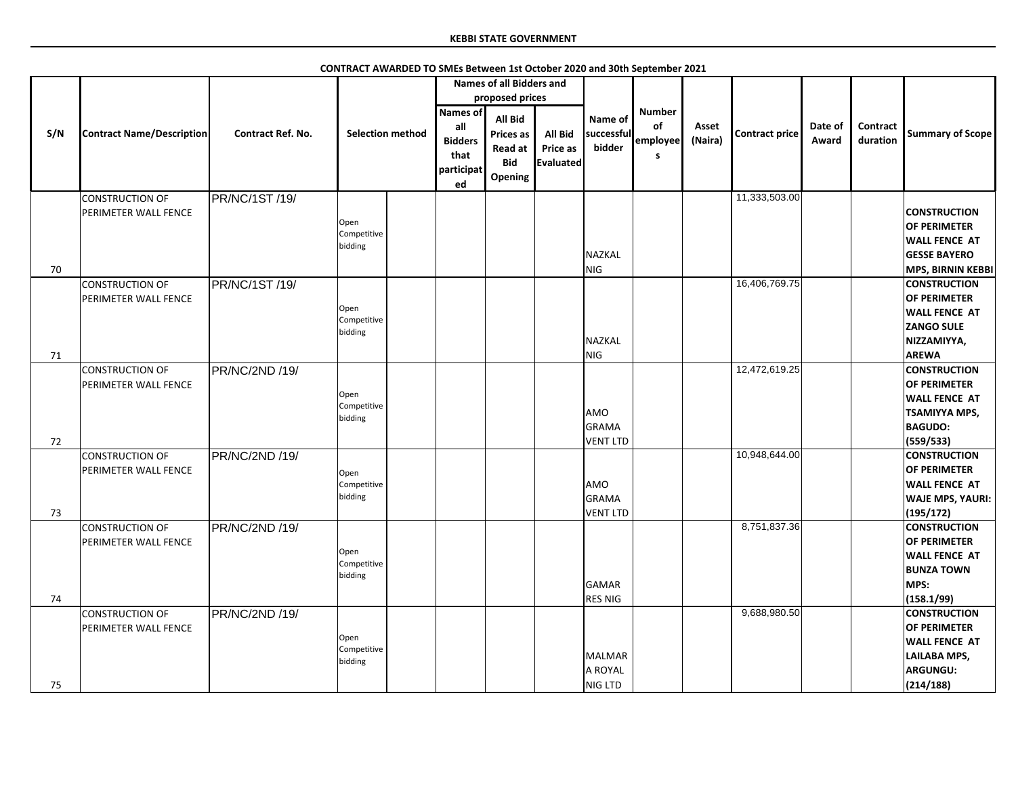|     |                                                |                          | CONTRACT AWARDED TO SMEs Between 1st October 2020 and 30th September 2021 |                         |                                                                      |                                                                               |                                                       |                                     |                                       |                  |                       |                  |                             |                                                                                                                        |
|-----|------------------------------------------------|--------------------------|---------------------------------------------------------------------------|-------------------------|----------------------------------------------------------------------|-------------------------------------------------------------------------------|-------------------------------------------------------|-------------------------------------|---------------------------------------|------------------|-----------------------|------------------|-----------------------------|------------------------------------------------------------------------------------------------------------------------|
|     |                                                |                          |                                                                           |                         |                                                                      | <b>Names of all Bidders and</b>                                               |                                                       |                                     |                                       |                  |                       |                  |                             |                                                                                                                        |
|     |                                                |                          |                                                                           |                         |                                                                      | proposed prices                                                               |                                                       |                                     |                                       |                  |                       |                  |                             |                                                                                                                        |
| S/N | <b>Contract Name/Description</b>               | <b>Contract Ref. No.</b> |                                                                           | <b>Selection method</b> | <b>Names of</b><br>all<br><b>Bidders</b><br>that<br>participat<br>ed | <b>All Bid</b><br><b>Prices as</b><br><b>Read at</b><br><b>Bid</b><br>Opening | <b>All Bid</b><br><b>Price as</b><br><b>Evaluated</b> | Name of<br>successful<br>bidder     | <b>Number</b><br>of<br>employee<br>S. | Asset<br>(Naira) | <b>Contract price</b> | Date of<br>Award | <b>Contract</b><br>duration | <b>Summary of Scope</b>                                                                                                |
|     | CONSTRUCTION OF                                | PR/NC/1ST /19/           |                                                                           |                         |                                                                      |                                                                               |                                                       |                                     |                                       |                  | 11,333,503.00         |                  |                             |                                                                                                                        |
|     | <b>PERIMETER WALL FENCE</b>                    |                          | Open<br>Competitive<br>bidding                                            |                         |                                                                      |                                                                               |                                                       | NAZKAL                              |                                       |                  |                       |                  |                             | <b>CONSTRUCTION</b><br><b>OF PERIMETER</b><br><b>WALL FENCE AT</b><br><b>GESSE BAYERO</b>                              |
| 70  |                                                |                          |                                                                           |                         |                                                                      |                                                                               |                                                       | NIG                                 |                                       |                  |                       |                  |                             | <b>MPS, BIRNIN KEBBI</b>                                                                                               |
| 71  | CONSTRUCTION OF<br><b>PERIMETER WALL FENCE</b> | PR/NC/1ST /19/           | Open<br>Competitive<br>bidding                                            |                         |                                                                      |                                                                               |                                                       | NAZKAL<br>NIG                       |                                       |                  | 16,406,769.75         |                  |                             | <b>CONSTRUCTION</b><br><b>OF PERIMETER</b><br><b>WALL FENCE AT</b><br><b>ZANGO SULE</b><br>NIZZAMIYYA,<br><b>AREWA</b> |
|     | CONSTRUCTION OF                                | PR/NC/2ND /19/           |                                                                           |                         |                                                                      |                                                                               |                                                       |                                     |                                       |                  | 12,472,619.25         |                  |                             | <b>CONSTRUCTION</b>                                                                                                    |
|     | PERIMETER WALL FENCE                           |                          | Open<br>Competitive<br>bidding                                            |                         |                                                                      |                                                                               |                                                       | AMO<br>GRAMA                        |                                       |                  |                       |                  |                             | <b>OF PERIMETER</b><br><b>WALL FENCE AT</b><br><b>TSAMIYYA MPS,</b><br><b>BAGUDO:</b>                                  |
| 72  |                                                |                          |                                                                           |                         |                                                                      |                                                                               |                                                       | VENT LTD                            |                                       |                  |                       |                  |                             | (559/533)                                                                                                              |
| 73  | <b>CONSTRUCTION OF</b><br>PERIMETER WALL FENCE | PR/NC/2ND /19/           | Open<br>Competitive<br>bidding                                            |                         |                                                                      |                                                                               |                                                       | AMO<br>GRAMA<br>VENT LTD            |                                       |                  | 10,948,644.00         |                  |                             | <b>CONSTRUCTION</b><br><b>OF PERIMETER</b><br><b>WALL FENCE AT</b><br><b>WAJE MPS, YAURI:</b><br>(195/172)             |
| 74  | CONSTRUCTION OF<br><b>PERIMETER WALL FENCE</b> | PR/NC/2ND /19/           | Open<br>Competitive<br>bidding                                            |                         |                                                                      |                                                                               |                                                       | GAMAR<br><b>RES NIG</b>             |                                       |                  | 8,751,837.36          |                  |                             | <b>CONSTRUCTION</b><br><b>OF PERIMETER</b><br><b>WALL FENCE AT</b><br><b>BUNZA TOWN</b><br>MPS:<br>(158.1/99)          |
| 75  | CONSTRUCTION OF<br><b>PERIMETER WALL FENCE</b> | PR/NC/2ND /19/           | Open<br>Competitive<br>bidding                                            |                         |                                                                      |                                                                               |                                                       | <b>MALMAR</b><br>A ROYAL<br>NIG LTD |                                       |                  | 9,688,980.50          |                  |                             | <b>CONSTRUCTION</b><br><b>OF PERIMETER</b><br><b>WALL FENCE AT</b><br><b>LAILABA MPS,</b><br>ARGUNGU:<br>(214/188)     |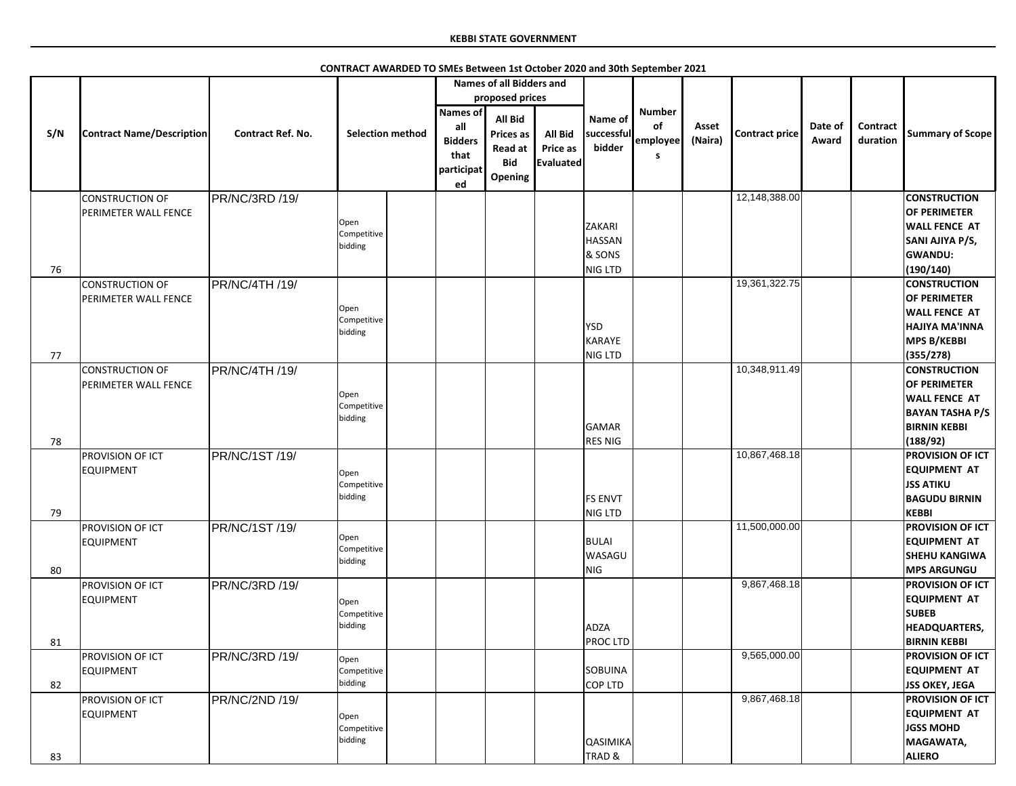|     |                                  |                          |                         | <b>Names of all Bidders and</b> |                  |                |                 |               |         |                       |         |                 |                         |
|-----|----------------------------------|--------------------------|-------------------------|---------------------------------|------------------|----------------|-----------------|---------------|---------|-----------------------|---------|-----------------|-------------------------|
|     |                                  |                          |                         |                                 | proposed prices  |                |                 |               |         |                       |         |                 |                         |
|     |                                  |                          |                         | Names of                        |                  |                |                 | <b>Number</b> |         |                       |         |                 |                         |
|     |                                  |                          |                         |                                 | <b>All Bid</b>   |                | Name of         |               |         |                       |         |                 |                         |
| S/N | <b>Contract Name/Description</b> | <b>Contract Ref. No.</b> | <b>Selection method</b> | all                             | <b>Prices as</b> | <b>All Bid</b> | successful      | of            | Asset   | <b>Contract price</b> | Date of | <b>Contract</b> | <b>Summary of Scope</b> |
|     |                                  |                          |                         | <b>Bidders</b>                  | Read at          | Price as       | bidder          | employee      | (Naira) |                       | Award   | duration        |                         |
|     |                                  |                          |                         | that                            | <b>Bid</b>       | Evaluated      |                 | S.            |         |                       |         |                 |                         |
|     |                                  |                          |                         | participat                      |                  |                |                 |               |         |                       |         |                 |                         |
|     |                                  |                          |                         | ed                              | Opening          |                |                 |               |         |                       |         |                 |                         |
|     | <b>CONSTRUCTION OF</b>           | PR/NC/3RD /19/           |                         |                                 |                  |                |                 |               |         | 12,148,388.00         |         |                 | <b>CONSTRUCTION</b>     |
|     | PERIMETER WALL FENCE             |                          |                         |                                 |                  |                |                 |               |         |                       |         |                 | <b>OF PERIMETER</b>     |
|     |                                  |                          | Open                    |                                 |                  |                | <b>ZAKARI</b>   |               |         |                       |         |                 | <b>WALL FENCE AT</b>    |
|     |                                  |                          | Competitive             |                                 |                  |                |                 |               |         |                       |         |                 |                         |
|     |                                  |                          | bidding                 |                                 |                  |                | <b>HASSAN</b>   |               |         |                       |         |                 | SANI AJIYA P/S,         |
|     |                                  |                          |                         |                                 |                  |                | & SONS          |               |         |                       |         |                 | <b>GWANDU:</b>          |
| 76  |                                  |                          |                         |                                 |                  |                | NIG LTD         |               |         |                       |         |                 | (190/140)               |
|     | <b>CONSTRUCTION OF</b>           | PR/NC/4TH /19/           |                         |                                 |                  |                |                 |               |         | 19,361,322.75         |         |                 | <b>CONSTRUCTION</b>     |
|     | PERIMETER WALL FENCE             |                          |                         |                                 |                  |                |                 |               |         |                       |         |                 | <b>OF PERIMETER</b>     |
|     |                                  |                          | Open                    |                                 |                  |                |                 |               |         |                       |         |                 | <b>WALL FENCE AT</b>    |
|     |                                  |                          | Competitive             |                                 |                  |                | <b>YSD</b>      |               |         |                       |         |                 | <b>HAJIYA MA'INNA</b>   |
|     |                                  |                          | bidding                 |                                 |                  |                | KARAYE          |               |         |                       |         |                 | <b>MPS B/KEBBI</b>      |
| 77  |                                  |                          |                         |                                 |                  |                | NIG LTD         |               |         |                       |         |                 | (355/278)               |
|     | <b>CONSTRUCTION OF</b>           | PR/NC/4TH /19/           |                         |                                 |                  |                |                 |               |         | 10,348,911.49         |         |                 | <b>CONSTRUCTION</b>     |
|     |                                  |                          |                         |                                 |                  |                |                 |               |         |                       |         |                 | <b>OF PERIMETER</b>     |
|     | PERIMETER WALL FENCE             |                          | Open                    |                                 |                  |                |                 |               |         |                       |         |                 |                         |
|     |                                  |                          | Competitive             |                                 |                  |                |                 |               |         |                       |         |                 | <b>WALL FENCE AT</b>    |
|     |                                  |                          | bidding                 |                                 |                  |                |                 |               |         |                       |         |                 | <b>BAYAN TASHA P/S</b>  |
|     |                                  |                          |                         |                                 |                  |                | GAMAR           |               |         |                       |         |                 | <b>BIRNIN KEBBI</b>     |
| 78  |                                  |                          |                         |                                 |                  |                | <b>RES NIG</b>  |               |         |                       |         |                 | (188/92)                |
|     | <b>PROVISION OF ICT</b>          | PR/NC/1ST /19/           |                         |                                 |                  |                |                 |               |         | 10,867,468.18         |         |                 | <b>PROVISION OF ICT</b> |
|     | <b>EQUIPMENT</b>                 |                          | Open                    |                                 |                  |                |                 |               |         |                       |         |                 | <b>EQUIPMENT AT</b>     |
|     |                                  |                          | Competitive             |                                 |                  |                |                 |               |         |                       |         |                 | <b>JSS ATIKU</b>        |
|     |                                  |                          | bidding                 |                                 |                  |                | <b>FS ENVT</b>  |               |         |                       |         |                 | <b>BAGUDU BIRNIN</b>    |
| 79  |                                  |                          |                         |                                 |                  |                | NIG LTD         |               |         |                       |         |                 | <b>KEBBI</b>            |
|     | PROVISION OF ICT                 | PR/NC/1ST /19/           |                         |                                 |                  |                |                 |               |         | 11,500,000.00         |         |                 | <b>PROVISION OF ICT</b> |
|     | <b>EQUIPMENT</b>                 |                          | Open                    |                                 |                  |                | <b>BULAI</b>    |               |         |                       |         |                 | <b>EQUIPMENT AT</b>     |
|     |                                  |                          | Competitive             |                                 |                  |                | WASAGU          |               |         |                       |         |                 |                         |
|     |                                  |                          | bidding                 |                                 |                  |                |                 |               |         |                       |         |                 | <b>SHEHU KANGIWA</b>    |
| 80  |                                  |                          |                         |                                 |                  |                | NIG             |               |         |                       |         |                 | <b>MPS ARGUNGU</b>      |
|     | PROVISION OF ICT                 | PR/NC/3RD /19/           |                         |                                 |                  |                |                 |               |         | 9,867,468.18          |         |                 | <b>PROVISION OF ICT</b> |
|     | <b>EQUIPMENT</b>                 |                          | Open                    |                                 |                  |                |                 |               |         |                       |         |                 | <b>EQUIPMENT AT</b>     |
|     |                                  |                          | Competitive             |                                 |                  |                |                 |               |         |                       |         |                 | <b>SUBEB</b>            |
|     |                                  |                          | bidding                 |                                 |                  |                | <b>ADZA</b>     |               |         |                       |         |                 | <b>HEADQUARTERS,</b>    |
| 81  |                                  |                          |                         |                                 |                  |                | <b>PROCLTD</b>  |               |         |                       |         |                 | <b>BIRNIN KEBBI</b>     |
|     | PROVISION OF ICT                 | PR/NC/3RD /19/           | Open                    |                                 |                  |                |                 |               |         | 9,565,000.00          |         |                 | <b>PROVISION OF ICT</b> |
|     | <b>EQUIPMENT</b>                 |                          | Competitive             |                                 |                  |                | <b>SOBUINA</b>  |               |         |                       |         |                 | <b>EQUIPMENT AT</b>     |
| 82  |                                  |                          | bidding                 |                                 |                  |                | COP LTD         |               |         |                       |         |                 | <b>JSS OKEY, JEGA</b>   |
|     | <b>PROVISION OF ICT</b>          | PR/NC/2ND /19/           |                         |                                 |                  |                |                 |               |         | 9,867,468.18          |         |                 | <b>PROVISION OF ICT</b> |
|     | <b>EQUIPMENT</b>                 |                          |                         |                                 |                  |                |                 |               |         |                       |         |                 | <b>EQUIPMENT AT</b>     |
|     |                                  |                          | Open<br>Competitive     |                                 |                  |                |                 |               |         |                       |         |                 | <b>JGSS MOHD</b>        |
|     |                                  |                          | bidding                 |                                 |                  |                | <b>QASIMIKA</b> |               |         |                       |         |                 | MAGAWATA,               |
|     |                                  |                          |                         |                                 |                  |                |                 |               |         |                       |         |                 |                         |
| 83  |                                  |                          |                         |                                 |                  |                | TRAD &          |               |         |                       |         |                 | <b>ALIERO</b>           |

**CONTRACT AWARDED TO SMEs Between 1st October 2020 and 30th September 2021**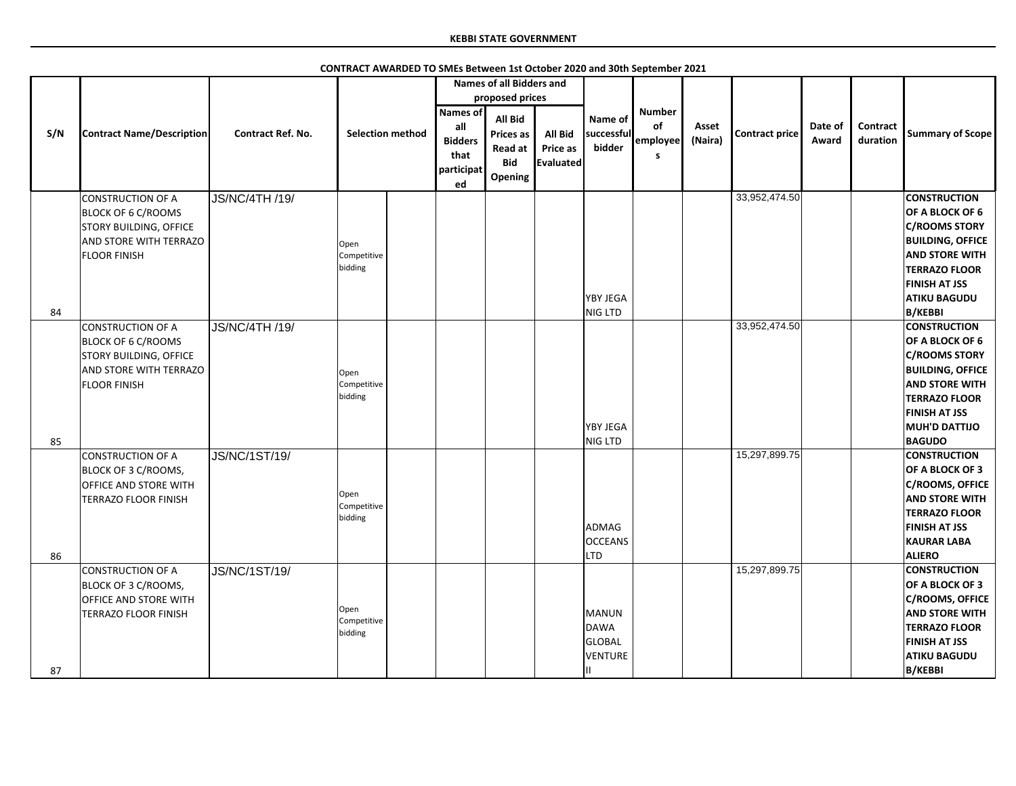|     |                                  |                          |                         |                                                                      | <b>Names of all Bidders and</b>                                        |                                                       |                                 |                                       |                  |                |                  |                      |                         |
|-----|----------------------------------|--------------------------|-------------------------|----------------------------------------------------------------------|------------------------------------------------------------------------|-------------------------------------------------------|---------------------------------|---------------------------------------|------------------|----------------|------------------|----------------------|-------------------------|
|     |                                  |                          |                         |                                                                      | proposed prices                                                        |                                                       |                                 |                                       |                  |                |                  |                      |                         |
| S/N | <b>Contract Name/Description</b> | <b>Contract Ref. No.</b> | <b>Selection method</b> | <b>Names of</b><br>all<br><b>Bidders</b><br>that<br>participat<br>ed | All Bid<br><b>Prices as</b><br><b>Read at</b><br><b>Bid</b><br>Opening | <b>All Bid</b><br><b>Price as</b><br><b>Evaluated</b> | Name of<br>successful<br>bidder | <b>Number</b><br>of<br>employee<br>S. | Asset<br>(Naira) | Contract price | Date of<br>Award | Contract<br>duration | <b>Summary of Scope</b> |
|     | <b>CONSTRUCTION OF A</b>         | <b>JS/NC/4TH /19/</b>    |                         |                                                                      |                                                                        |                                                       |                                 |                                       |                  | 33,952,474.50  |                  |                      | <b>CONSTRUCTION</b>     |
|     | <b>BLOCK OF 6 C/ROOMS</b>        |                          |                         |                                                                      |                                                                        |                                                       |                                 |                                       |                  |                |                  |                      | <b>OF A BLOCK OF 6</b>  |
|     | <b>STORY BUILDING, OFFICE</b>    |                          |                         |                                                                      |                                                                        |                                                       |                                 |                                       |                  |                |                  |                      | <b>C/ROOMS STORY</b>    |
|     | AND STORE WITH TERRAZO           |                          | Open                    |                                                                      |                                                                        |                                                       |                                 |                                       |                  |                |                  |                      | <b>BUILDING, OFFICE</b> |
|     | <b>FLOOR FINISH</b>              |                          | Competitive             |                                                                      |                                                                        |                                                       |                                 |                                       |                  |                |                  |                      | <b>AND STORE WITH</b>   |
|     |                                  |                          | bidding                 |                                                                      |                                                                        |                                                       |                                 |                                       |                  |                |                  |                      | <b>TERRAZO FLOOR</b>    |
|     |                                  |                          |                         |                                                                      |                                                                        |                                                       |                                 |                                       |                  |                |                  |                      | <b>FINISH AT JSS</b>    |
|     |                                  |                          |                         |                                                                      |                                                                        |                                                       | YBY JEGA                        |                                       |                  |                |                  |                      | <b>ATIKU BAGUDU</b>     |
| 84  |                                  |                          |                         |                                                                      |                                                                        |                                                       | NIG LTD                         |                                       |                  |                |                  |                      | <b>B/KEBBI</b>          |
|     | <b>CONSTRUCTION OF A</b>         | <b>JS/NC/4TH /19/</b>    |                         |                                                                      |                                                                        |                                                       |                                 |                                       |                  | 33,952,474.50  |                  |                      | <b>CONSTRUCTION</b>     |
|     | <b>BLOCK OF 6 C/ROOMS</b>        |                          |                         |                                                                      |                                                                        |                                                       |                                 |                                       |                  |                |                  |                      | <b>OF A BLOCK OF 6</b>  |
|     | <b>STORY BUILDING, OFFICE</b>    |                          |                         |                                                                      |                                                                        |                                                       |                                 |                                       |                  |                |                  |                      | <b>C/ROOMS STORY</b>    |
|     | AND STORE WITH TERRAZO           |                          | Open                    |                                                                      |                                                                        |                                                       |                                 |                                       |                  |                |                  |                      | <b>BUILDING, OFFICE</b> |
|     | <b>FLOOR FINISH</b>              |                          | Competitive             |                                                                      |                                                                        |                                                       |                                 |                                       |                  |                |                  |                      | <b>AND STORE WITH</b>   |
|     |                                  |                          | bidding                 |                                                                      |                                                                        |                                                       |                                 |                                       |                  |                |                  |                      | <b>TERRAZO FLOOR</b>    |
|     |                                  |                          |                         |                                                                      |                                                                        |                                                       |                                 |                                       |                  |                |                  |                      | <b>FINISH AT JSS</b>    |
|     |                                  |                          |                         |                                                                      |                                                                        |                                                       | <b>YBY JEGA</b>                 |                                       |                  |                |                  |                      | MUH'D DATTIJO           |
| 85  |                                  |                          |                         |                                                                      |                                                                        |                                                       | NIG LTD                         |                                       |                  |                |                  |                      | <b>BAGUDO</b>           |
|     | <b>CONSTRUCTION OF A</b>         | JS/NC/1ST/19/            |                         |                                                                      |                                                                        |                                                       |                                 |                                       |                  | 15,297,899.75  |                  |                      | <b>CONSTRUCTION</b>     |
|     | BLOCK OF 3 C/ROOMS,              |                          |                         |                                                                      |                                                                        |                                                       |                                 |                                       |                  |                |                  |                      | OF A BLOCK OF 3         |
|     | OFFICE AND STORE WITH            |                          |                         |                                                                      |                                                                        |                                                       |                                 |                                       |                  |                |                  |                      | <b>C/ROOMS, OFFICE</b>  |
|     | <b>TERRAZO FLOOR FINISH</b>      |                          | Open                    |                                                                      |                                                                        |                                                       |                                 |                                       |                  |                |                  |                      | <b>AND STORE WITH</b>   |
|     |                                  |                          | Competitive             |                                                                      |                                                                        |                                                       |                                 |                                       |                  |                |                  |                      | <b>TERRAZO FLOOR</b>    |
|     |                                  |                          | pidding                 |                                                                      |                                                                        |                                                       | ADMAG                           |                                       |                  |                |                  |                      | <b>FINISH AT JSS</b>    |
|     |                                  |                          |                         |                                                                      |                                                                        |                                                       | <b>OCCEANS</b>                  |                                       |                  |                |                  |                      | <b>KAURAR LABA</b>      |
| 86  |                                  |                          |                         |                                                                      |                                                                        |                                                       | <b>LTD</b>                      |                                       |                  |                |                  |                      | <b>ALIERO</b>           |
|     | <b>CONSTRUCTION OF A</b>         | JS/NC/1ST/19/            |                         |                                                                      |                                                                        |                                                       |                                 |                                       |                  | 15,297,899.75  |                  |                      | <b>CONSTRUCTION</b>     |
|     | BLOCK OF 3 C/ROOMS,              |                          |                         |                                                                      |                                                                        |                                                       |                                 |                                       |                  |                |                  |                      | OF A BLOCK OF 3         |
|     | <b>OFFICE AND STORE WITH</b>     |                          |                         |                                                                      |                                                                        |                                                       |                                 |                                       |                  |                |                  |                      | <b>C/ROOMS, OFFICE</b>  |
|     | <b>TERRAZO FLOOR FINISH</b>      |                          | Open                    |                                                                      |                                                                        |                                                       | MANUN                           |                                       |                  |                |                  |                      | <b>AND STORE WITH</b>   |
|     |                                  |                          | Competitive<br>bidding  |                                                                      |                                                                        |                                                       | DAWA                            |                                       |                  |                |                  |                      | <b>TERRAZO FLOOR</b>    |
|     |                                  |                          |                         |                                                                      |                                                                        |                                                       | GLOBAL                          |                                       |                  |                |                  |                      | <b>FINISH AT JSS</b>    |
|     |                                  |                          |                         |                                                                      |                                                                        |                                                       | VENTURE                         |                                       |                  |                |                  |                      | <b>ATIKU BAGUDU</b>     |
| 87  |                                  |                          |                         |                                                                      |                                                                        |                                                       |                                 |                                       |                  |                |                  |                      | <b>B/KEBBI</b>          |

**CONTRACT AWARDED TO SMEs Between 1st October 2020 and 30th September 2021**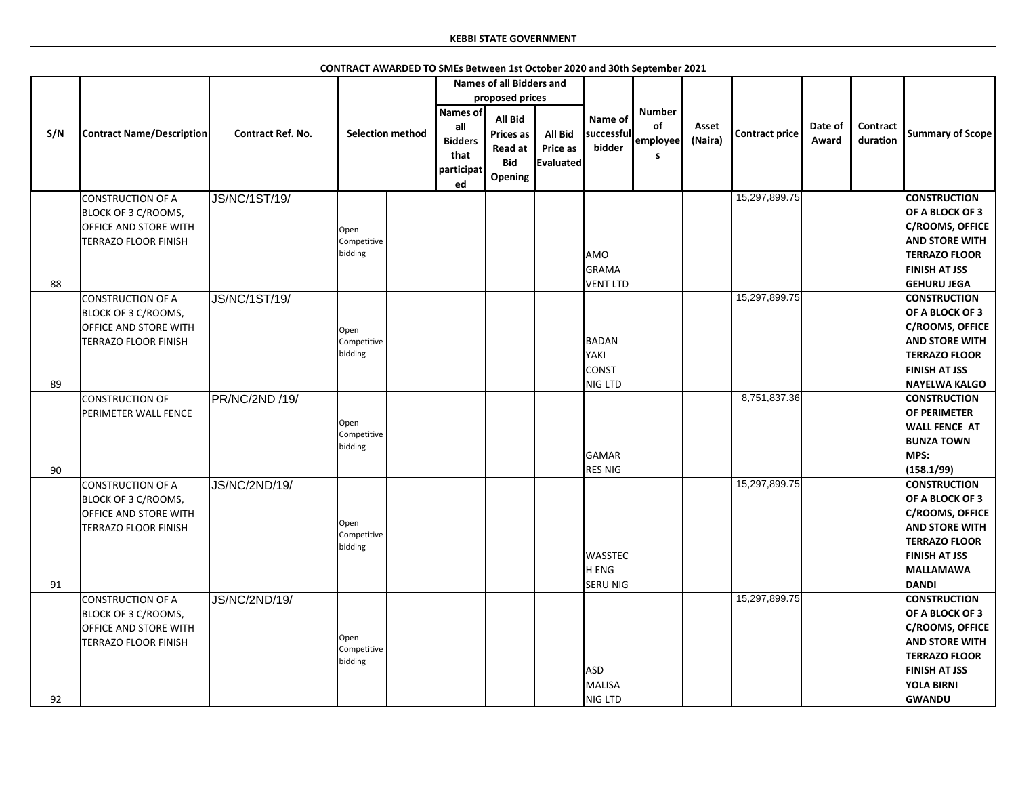|     |                                  |                          |                         |                                             | <b>Names of all Bidders and</b>                                        |                                         |                                 |                     |                  |                       |                  |                             |                         |
|-----|----------------------------------|--------------------------|-------------------------|---------------------------------------------|------------------------------------------------------------------------|-----------------------------------------|---------------------------------|---------------------|------------------|-----------------------|------------------|-----------------------------|-------------------------|
|     |                                  |                          |                         |                                             | proposed prices                                                        |                                         |                                 |                     |                  |                       |                  |                             |                         |
|     |                                  |                          |                         | Names of                                    |                                                                        |                                         |                                 | <b>Number</b>       |                  |                       |                  |                             |                         |
| S/N | <b>Contract Name/Description</b> | <b>Contract Ref. No.</b> | <b>Selection method</b> | all<br><b>Bidders</b><br>that<br>participat | All Bid<br><b>Prices as</b><br><b>Read at</b><br><b>Bid</b><br>Opening | <b>All Bid</b><br>Price as<br>Evaluated | Name of<br>successful<br>bidder | of<br>employee<br>S | Asset<br>(Naira) | <b>Contract price</b> | Date of<br>Award | <b>Contract</b><br>duration | <b>Summary of Scope</b> |
|     |                                  |                          |                         | ed                                          |                                                                        |                                         |                                 |                     |                  |                       |                  |                             |                         |
|     | <b>CONSTRUCTION OF A</b>         | <b>JS/NC/1ST/19/</b>     |                         |                                             |                                                                        |                                         |                                 |                     |                  | 15,297,899.75         |                  |                             | <b>CONSTRUCTION</b>     |
|     | BLOCK OF 3 C/ROOMS,              |                          |                         |                                             |                                                                        |                                         |                                 |                     |                  |                       |                  |                             | OF A BLOCK OF 3         |
|     | OFFICE AND STORE WITH            |                          | Open                    |                                             |                                                                        |                                         |                                 |                     |                  |                       |                  |                             | C/ROOMS, OFFICE         |
|     | TERRAZO FLOOR FINISH             |                          | Competitive             |                                             |                                                                        |                                         |                                 |                     |                  |                       |                  |                             | <b>AND STORE WITH</b>   |
|     |                                  |                          | bidding                 |                                             |                                                                        |                                         | <b>AMO</b>                      |                     |                  |                       |                  |                             | <b>TERRAZO FLOOR</b>    |
|     |                                  |                          |                         |                                             |                                                                        |                                         | <b>GRAMA</b>                    |                     |                  |                       |                  |                             | <b>FINISH AT JSS</b>    |
| 88  |                                  |                          |                         |                                             |                                                                        |                                         | <b>VENT LTD</b>                 |                     |                  |                       |                  |                             | <b>GEHURU JEGA</b>      |
|     | <b>CONSTRUCTION OF A</b>         | <b>JS/NC/1ST/19/</b>     |                         |                                             |                                                                        |                                         |                                 |                     |                  | 15,297,899.75         |                  |                             | <b>CONSTRUCTION</b>     |
|     | BLOCK OF 3 C/ROOMS,              |                          |                         |                                             |                                                                        |                                         |                                 |                     |                  |                       |                  |                             | <b>OF A BLOCK OF 3</b>  |
|     | OFFICE AND STORE WITH            |                          | Open                    |                                             |                                                                        |                                         |                                 |                     |                  |                       |                  |                             | C/ROOMS, OFFICE         |
|     | <b>TERRAZO FLOOR FINISH</b>      |                          | Competitive             |                                             |                                                                        |                                         | BADAN                           |                     |                  |                       |                  |                             | <b>AND STORE WITH</b>   |
|     |                                  |                          | bidding                 |                                             |                                                                        |                                         | YAKI                            |                     |                  |                       |                  |                             | <b>TERRAZO FLOOR</b>    |
|     |                                  |                          |                         |                                             |                                                                        |                                         | <b>CONST</b>                    |                     |                  |                       |                  |                             | <b>FINISH AT JSS</b>    |
| 89  |                                  |                          |                         |                                             |                                                                        |                                         | NIG LTD                         |                     |                  |                       |                  |                             | <b>NAYELWA KALGO</b>    |
|     | <b>CONSTRUCTION OF</b>           | PR/NC/2ND /19/           |                         |                                             |                                                                        |                                         |                                 |                     |                  | 8,751,837.36          |                  |                             | <b>CONSTRUCTION</b>     |
|     | PERIMETER WALL FENCE             |                          |                         |                                             |                                                                        |                                         |                                 |                     |                  |                       |                  |                             | <b>OF PERIMETER</b>     |
|     |                                  |                          | Open                    |                                             |                                                                        |                                         |                                 |                     |                  |                       |                  |                             | <b>WALL FENCE AT</b>    |
|     |                                  |                          | Competitive<br>bidding  |                                             |                                                                        |                                         |                                 |                     |                  |                       |                  |                             | <b>BUNZA TOWN</b>       |
|     |                                  |                          |                         |                                             |                                                                        |                                         | GAMAR                           |                     |                  |                       |                  |                             | MPS:                    |
| 90  |                                  |                          |                         |                                             |                                                                        |                                         | <b>RES NIG</b>                  |                     |                  |                       |                  |                             | (158.1/99)              |
|     | <b>CONSTRUCTION OF A</b>         | JS/NC/2ND/19/            |                         |                                             |                                                                        |                                         |                                 |                     |                  | 15,297,899.75         |                  |                             | <b>CONSTRUCTION</b>     |
|     | BLOCK OF 3 C/ROOMS,              |                          |                         |                                             |                                                                        |                                         |                                 |                     |                  |                       |                  |                             | OF A BLOCK OF 3         |
|     | OFFICE AND STORE WITH            |                          |                         |                                             |                                                                        |                                         |                                 |                     |                  |                       |                  |                             | <b>C/ROOMS, OFFICE</b>  |
|     | <b>TERRAZO FLOOR FINISH</b>      |                          | Open                    |                                             |                                                                        |                                         |                                 |                     |                  |                       |                  |                             | <b>AND STORE WITH</b>   |
|     |                                  |                          | Competitive<br>bidding  |                                             |                                                                        |                                         |                                 |                     |                  |                       |                  |                             | <b>TERRAZO FLOOR</b>    |
|     |                                  |                          |                         |                                             |                                                                        |                                         | <b>WASSTEC</b>                  |                     |                  |                       |                  |                             | <b>FINISH AT JSS</b>    |
|     |                                  |                          |                         |                                             |                                                                        |                                         | H ENG                           |                     |                  |                       |                  |                             | <b>MALLAMAWA</b>        |
| 91  |                                  |                          |                         |                                             |                                                                        |                                         | <b>SERU NIG</b>                 |                     |                  |                       |                  |                             | <b>DANDI</b>            |
|     | <b>CONSTRUCTION OF A</b>         | <b>JS/NC/2ND/19/</b>     |                         |                                             |                                                                        |                                         |                                 |                     |                  | 15,297,899.75         |                  |                             | <b>CONSTRUCTION</b>     |
|     | BLOCK OF 3 C/ROOMS,              |                          |                         |                                             |                                                                        |                                         |                                 |                     |                  |                       |                  |                             | OF A BLOCK OF 3         |
|     | OFFICE AND STORE WITH            |                          |                         |                                             |                                                                        |                                         |                                 |                     |                  |                       |                  |                             | C/ROOMS, OFFICE         |
|     | <b>TERRAZO FLOOR FINISH</b>      |                          | Open                    |                                             |                                                                        |                                         |                                 |                     |                  |                       |                  |                             | <b>AND STORE WITH</b>   |
|     |                                  |                          | Competitive             |                                             |                                                                        |                                         |                                 |                     |                  |                       |                  |                             | <b>TERRAZO FLOOR</b>    |
|     |                                  |                          | bidding                 |                                             |                                                                        |                                         | <b>ASD</b>                      |                     |                  |                       |                  |                             | <b>FINISH AT JSS</b>    |
|     |                                  |                          |                         |                                             |                                                                        |                                         | MALISA                          |                     |                  |                       |                  |                             | <b>YOLA BIRNI</b>       |
| 92  |                                  |                          |                         |                                             |                                                                        |                                         | NIG LTD                         |                     |                  |                       |                  |                             | <b>GWANDU</b>           |

**CONTRACT AWARDED TO SMEs Between 1st October 2020 and 30th September 2021**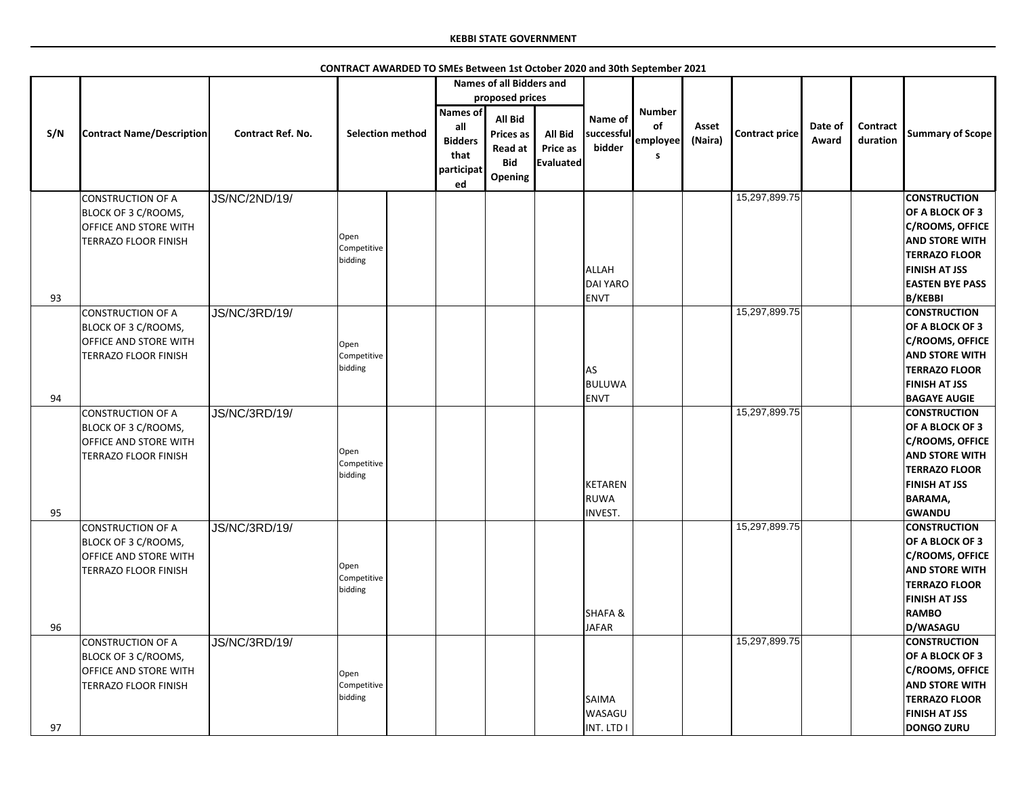|          |                                                                                                         |                          |                                |                                                                | <b>Names of all Bidders and</b>                                               |                                                |                                             |                                      |                  |                       |                  |                             |                                                                                                                                                                                                     |
|----------|---------------------------------------------------------------------------------------------------------|--------------------------|--------------------------------|----------------------------------------------------------------|-------------------------------------------------------------------------------|------------------------------------------------|---------------------------------------------|--------------------------------------|------------------|-----------------------|------------------|-----------------------------|-----------------------------------------------------------------------------------------------------------------------------------------------------------------------------------------------------|
|          |                                                                                                         |                          |                                |                                                                | proposed prices                                                               |                                                |                                             |                                      |                  |                       |                  |                             |                                                                                                                                                                                                     |
| S/N      | <b>Contract Name/Description</b>                                                                        | <b>Contract Ref. No.</b> | <b>Selection method</b>        | <b>Names of</b><br>all<br><b>Bidders</b><br>that<br>participat | <b>All Bid</b><br><b>Prices as</b><br><b>Read at</b><br><b>Bid</b><br>Opening | <b>All Bid</b><br><b>Price as</b><br>Evaluated | Name of<br>successful<br>bidder             | <b>Number</b><br>of<br>employee<br>S | Asset<br>(Naira) | <b>Contract price</b> | Date of<br>Award | <b>Contract</b><br>duration | <b>Summary of Scope</b>                                                                                                                                                                             |
|          | <b>CONSTRUCTION OF A</b><br>BLOCK OF 3 C/ROOMS,<br><b>OFFICE AND STORE WITH</b><br>TERRAZO FLOOR FINISH | <b>JS/NC/2ND/19/</b>     | Open<br>Competitive<br>bidding | ed                                                             |                                                                               |                                                | ALLAH<br><b>DAI YARO</b>                    |                                      |                  | 15,297,899.75         |                  |                             | <b>CONSTRUCTION</b><br>OF A BLOCK OF 3<br><b>C/ROOMS, OFFICE</b><br><b>AND STORE WITH</b><br><b>TERRAZO FLOOR</b><br><b>FINISH AT JSS</b><br><b>EASTEN BYE PASS</b>                                 |
| 93       | CONSTRUCTION OF A<br>BLOCK OF 3 C/ROOMS,<br><b>OFFICE AND STORE WITH</b><br><b>TERRAZO FLOOR FINISH</b> | <b>JS/NC/3RD/19/</b>     | Open<br>Competitive<br>bidding |                                                                |                                                                               |                                                | <b>ENVT</b><br><b>AS</b><br>BULUWA          |                                      |                  | 15,297,899.75         |                  |                             | <b>B/KEBBI</b><br><b>CONSTRUCTION</b><br>OF A BLOCK OF 3<br><b>C/ROOMS, OFFICE</b><br><b>AND STORE WITH</b><br><b>TERRAZO FLOOR</b><br><b>FINISH AT JSS</b>                                         |
| 94<br>95 | CONSTRUCTION OF A<br>BLOCK OF 3 C/ROOMS,<br><b>OFFICE AND STORE WITH</b><br>TERRAZO FLOOR FINISH        | <b>JS/NC/3RD/19/</b>     | Open<br>Competitive<br>bidding |                                                                |                                                                               |                                                | ENVT<br>KETAREN<br>RUWA<br>INVEST.          |                                      |                  | 15,297,899.75         |                  |                             | <b>BAGAYE AUGIE</b><br><b>CONSTRUCTION</b><br>OF A BLOCK OF 3<br><b>C/ROOMS, OFFICE</b><br><b>AND STORE WITH</b><br><b>TERRAZO FLOOR</b><br><b>FINISH AT JSS</b><br><b>BARAMA,</b><br><b>GWANDU</b> |
| 96       | CONSTRUCTION OF A<br>BLOCK OF 3 C/ROOMS,<br><b>OFFICE AND STORE WITH</b><br>TERRAZO FLOOR FINISH        | JS/NC/3RD/19/            | Open<br>Competitive<br>bidding |                                                                |                                                                               |                                                | <b>SHAFA&amp;</b><br><b>JAFAR</b>           |                                      |                  | 15,297,899.75         |                  |                             | <b>CONSTRUCTION</b><br>OF A BLOCK OF 3<br><b>C/ROOMS, OFFICE</b><br><b>AND STORE WITH</b><br><b>TERRAZO FLOOR</b><br><b>FINISH AT JSS</b><br><b>RAMBO</b><br>D/WASAGU                               |
| 97       | CONSTRUCTION OF A<br>BLOCK OF 3 C/ROOMS,<br><b>OFFICE AND STORE WITH</b><br><b>TERRAZO FLOOR FINISH</b> | <b>JS/NC/3RD/19/</b>     | Open<br>Competitive<br>bidding |                                                                |                                                                               |                                                | <b>SAIMA</b><br><b>WASAGU</b><br>INT. LTD I |                                      |                  | 15,297,899.75         |                  |                             | <b>CONSTRUCTION</b><br>OF A BLOCK OF 3<br><b>C/ROOMS, OFFICE</b><br><b>AND STORE WITH</b><br><b>TERRAZO FLOOR</b><br><b>FINISH AT JSS</b><br><b>DONGO ZURU</b>                                      |

**CONTRACT AWARDED TO SMEs Between 1st October 2020 and 30th September 2021**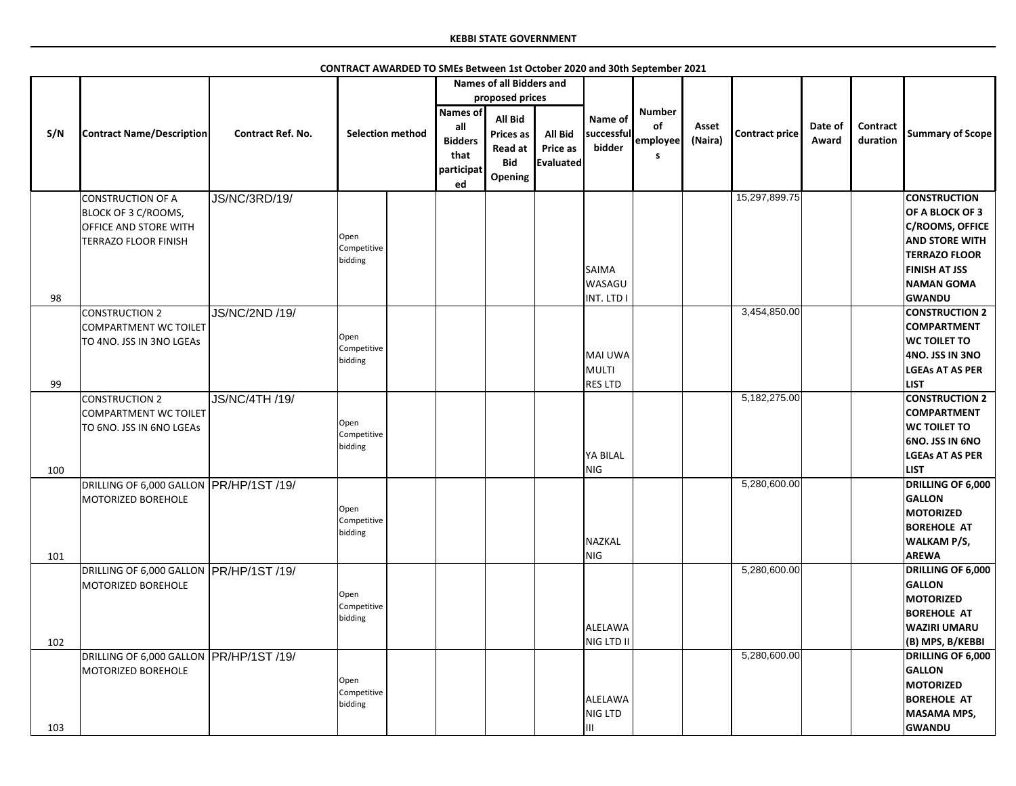|     |                                                                                                                |                          |                                |                                                               | <b>Names of all Bidders and</b>                                               |                                                |                                           |                                      |                  |                       |                  |                             |                                                                                                                                                                |
|-----|----------------------------------------------------------------------------------------------------------------|--------------------------|--------------------------------|---------------------------------------------------------------|-------------------------------------------------------------------------------|------------------------------------------------|-------------------------------------------|--------------------------------------|------------------|-----------------------|------------------|-----------------------------|----------------------------------------------------------------------------------------------------------------------------------------------------------------|
|     |                                                                                                                |                          |                                |                                                               | proposed prices                                                               |                                                |                                           |                                      |                  |                       |                  |                             |                                                                                                                                                                |
| S/N | <b>Contract Name/Description</b>                                                                               | <b>Contract Ref. No.</b> | <b>Selection method</b>        | Names of<br>all<br><b>Bidders</b><br>that<br>participat<br>ed | <b>All Bid</b><br><b>Prices as</b><br><b>Read at</b><br><b>Bid</b><br>Opening | <b>All Bid</b><br>Price as<br><b>Evaluated</b> | Name of<br>successful<br>bidder           | <b>Number</b><br>of<br>employee<br>s | Asset<br>(Naira) | <b>Contract price</b> | Date of<br>Award | <b>Contract</b><br>duration | <b>Summary of Scope</b>                                                                                                                                        |
|     | <b>CONSTRUCTION OF A</b><br><b>BLOCK OF 3 C/ROOMS,</b><br><b>OFFICE AND STORE WITH</b><br>TERRAZO FLOOR FINISH | JS/NC/3RD/19/            | Open<br>Competitive<br>bidding |                                                               |                                                                               |                                                | <b>SAIMA</b><br><b>WASAGU</b>             |                                      |                  | 15,297,899.75         |                  |                             | <b>CONSTRUCTION</b><br><b>OF A BLOCK OF 3</b><br>C/ROOMS, OFFICE<br><b>AND STORE WITH</b><br><b>TERRAZO FLOOR</b><br><b>FINISH AT JSS</b><br><b>NAMAN GOMA</b> |
| 98  |                                                                                                                |                          |                                |                                                               |                                                                               |                                                | INT. LTD I                                |                                      |                  |                       |                  |                             | <b>GWANDU</b>                                                                                                                                                  |
| 99  | CONSTRUCTION 2<br>COMPARTMENT WC TOILET<br>TO 4NO. JSS IN 3NO LGEAS                                            | <b>JS/NC/2ND /19/</b>    | Open<br>Competitive<br>bidding |                                                               |                                                                               |                                                | MAI UWA<br>MULTI<br><b>RES LTD</b>        |                                      |                  | 3,454,850.00          |                  |                             | <b>CONSTRUCTION 2</b><br><b>COMPARTMENT</b><br><b>WC TOILET TO</b><br>4NO. JSS IN 3NO<br><b>LGEAs AT AS PER</b><br><b>LIST</b>                                 |
|     |                                                                                                                |                          |                                |                                                               |                                                                               |                                                |                                           |                                      |                  | 5,182,275.00          |                  |                             | <b>CONSTRUCTION 2</b>                                                                                                                                          |
| 100 | CONSTRUCTION 2<br>COMPARTMENT WC TOILET<br>TO 6NO. JSS IN 6NO LGEAS                                            | JS/NC/4TH /19/           | Open<br>Competitive<br>bidding |                                                               |                                                                               |                                                | YA BILAL<br><b>NIG</b>                    |                                      |                  |                       |                  |                             | <b>COMPARTMENT</b><br><b>WC TOILET TO</b><br><b>6NO. JSS IN 6NO</b><br><b>LGEAs AT AS PER</b><br><b>LIST</b>                                                   |
| 101 | DRILLING OF 6,000 GALLON   PR/HP/1ST /19/<br>MOTORIZED BOREHOLE                                                |                          | Open<br>Competitive<br>bidding |                                                               |                                                                               |                                                | NAZKAL<br><b>NIG</b>                      |                                      |                  | 5,280,600.00          |                  |                             | DRILLING OF 6,000<br><b>GALLON</b><br><b>MOTORIZED</b><br><b>BOREHOLE AT</b><br><b>WALKAM P/S,</b><br><b>AREWA</b>                                             |
| 102 | DRILLING OF 6,000 GALLON PR/HP/1ST /19/<br>MOTORIZED BOREHOLE                                                  |                          | Open<br>Competitive<br>bidding |                                                               |                                                                               |                                                | ALELAWA<br>NIG LTD II                     |                                      |                  | 5,280,600.00          |                  |                             | <b>DRILLING OF 6,000</b><br><b>GALLON</b><br><b>MOTORIZED</b><br><b>BOREHOLE AT</b><br><b>WAZIRI UMARU</b><br>(B) MPS, B/KEBBI                                 |
| 103 | DRILLING OF 6,000 GALLON   PR/HP/1ST /19/<br>MOTORIZED BOREHOLE                                                |                          | Open<br>Competitive<br>bidding |                                                               |                                                                               |                                                | <b>ALELAWA</b><br>NIG LTD<br>$\mathbf{H}$ |                                      |                  | 5,280,600.00          |                  |                             | <b>DRILLING OF 6,000</b><br><b>GALLON</b><br><b>MOTORIZED</b><br><b>BOREHOLE AT</b><br><b>MASAMA MPS,</b><br><b>GWANDU</b>                                     |

**CONTRACT AWARDED TO SMEs Between 1st October 2020 and 30th September 2021**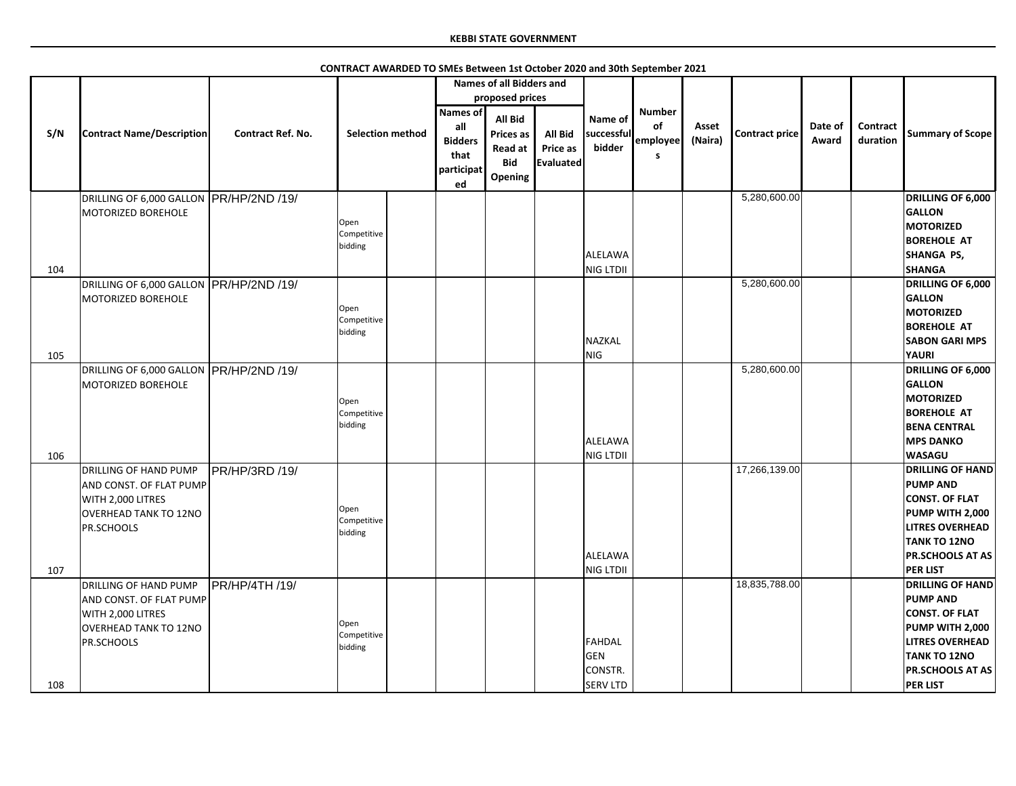|     |                                                                                                                                   |                          | CONTRACT AWARDED TO SMEs Between 1st October 2020 and 30th September 2021 |                                                                      |                                                                               |                                         |                                             |                                       |                  |                       |                  |                             |                                                                                                                                                                                       |
|-----|-----------------------------------------------------------------------------------------------------------------------------------|--------------------------|---------------------------------------------------------------------------|----------------------------------------------------------------------|-------------------------------------------------------------------------------|-----------------------------------------|---------------------------------------------|---------------------------------------|------------------|-----------------------|------------------|-----------------------------|---------------------------------------------------------------------------------------------------------------------------------------------------------------------------------------|
|     |                                                                                                                                   |                          |                                                                           |                                                                      | <b>Names of all Bidders and</b>                                               |                                         |                                             |                                       |                  |                       |                  |                             |                                                                                                                                                                                       |
|     |                                                                                                                                   |                          |                                                                           |                                                                      | proposed prices                                                               |                                         |                                             |                                       |                  |                       |                  |                             |                                                                                                                                                                                       |
| S/N | <b>Contract Name/Description</b>                                                                                                  | <b>Contract Ref. No.</b> | <b>Selection method</b>                                                   | <b>Names of</b><br>all<br><b>Bidders</b><br>that<br>participat<br>ed | <b>All Bid</b><br><b>Prices as</b><br><b>Read at</b><br><b>Bid</b><br>Opening | <b>All Bid</b><br>Price as<br>Evaluated | Name of<br>successful<br>bidder             | <b>Number</b><br>οf<br>employee<br>-S | Asset<br>(Naira) | <b>Contract price</b> | Date of<br>Award | <b>Contract</b><br>duration | <b>Summary of Scope</b>                                                                                                                                                               |
|     | DRILLING OF 6,000 GALLON PR/HP/2ND /19/                                                                                           |                          |                                                                           |                                                                      |                                                                               |                                         |                                             |                                       |                  | 5,280,600.00          |                  |                             | <b>DRILLING OF 6,000</b>                                                                                                                                                              |
|     | MOTORIZED BOREHOLE                                                                                                                |                          | Open<br>Competitive<br>bidding                                            |                                                                      |                                                                               |                                         | ALELAWA                                     |                                       |                  |                       |                  |                             | <b>GALLON</b><br><b>MOTORIZED</b><br><b>BOREHOLE AT</b><br>SHANGA PS,                                                                                                                 |
| 104 |                                                                                                                                   |                          |                                                                           |                                                                      |                                                                               |                                         | NIG LTDII                                   |                                       |                  |                       |                  |                             | <b>SHANGA</b>                                                                                                                                                                         |
| 105 | DRILLING OF 6,000 GALLON PR/HP/2ND /19/<br>MOTORIZED BOREHOLE                                                                     |                          | Open<br>Competitive<br>bidding                                            |                                                                      |                                                                               |                                         | NAZKAL<br>NIG                               |                                       |                  | 5,280,600.00          |                  |                             | <b>DRILLING OF 6,000</b><br><b>GALLON</b><br><b>MOTORIZED</b><br><b>BOREHOLE AT</b><br><b>SABON GARI MPS</b><br><b>YAURI</b>                                                          |
|     | DRILLING OF 6,000 GALLON PR/HP/2ND /19/                                                                                           |                          |                                                                           |                                                                      |                                                                               |                                         |                                             |                                       |                  | 5,280,600.00          |                  |                             | DRILLING OF 6,000                                                                                                                                                                     |
| 106 | MOTORIZED BOREHOLE                                                                                                                |                          | Open<br>Competitive<br>bidding                                            |                                                                      |                                                                               |                                         | ALELAWA<br>NIG LTDII                        |                                       |                  |                       |                  |                             | <b>GALLON</b><br><b>MOTORIZED</b><br><b>BOREHOLE AT</b><br><b>BENA CENTRAL</b><br><b>MPS DANKO</b><br><b>WASAGU</b>                                                                   |
| 107 | <b>DRILLING OF HAND PUMP</b><br>AND CONST. OF FLAT PUMP<br>WITH 2,000 LITRES<br><b>OVERHEAD TANK TO 12NO</b><br><b>PR.SCHOOLS</b> | PR/HP/3RD /19/           | Open<br>Competitive<br>bidding                                            |                                                                      |                                                                               |                                         | ALELAWA<br>NIG LTDII                        |                                       |                  | 17,266,139.00         |                  |                             | <b>DRILLING OF HAND</b><br><b>PUMP AND</b><br><b>CONST. OF FLAT</b><br>PUMP WITH 2,000<br><b>LITRES OVERHEAD</b><br><b>TANK TO 12NO</b><br><b>PR.SCHOOLS AT AS</b><br><b>PER LIST</b> |
|     | DRILLING OF HAND PUMP                                                                                                             | <b>PR/HP/4TH /19/</b>    |                                                                           |                                                                      |                                                                               |                                         |                                             |                                       |                  | 18,835,788.00         |                  |                             | <b>DRILLING OF HAND</b>                                                                                                                                                               |
| 108 | AND CONST. OF FLAT PUMP<br>WITH 2,000 LITRES<br>OVERHEAD TANK TO 12NO<br><b>PR.SCHOOLS</b>                                        |                          | Open<br>Competitive<br>bidding                                            |                                                                      |                                                                               |                                         | FAHDAL<br>GEN<br>CONSTR.<br><b>SERV LTD</b> |                                       |                  |                       |                  |                             | <b>PUMP AND</b><br><b>CONST. OF FLAT</b><br>PUMP WITH 2,000<br><b>LITRES OVERHEAD</b><br><b>TANK TO 12NO</b><br><b>PR.SCHOOLS AT AS</b><br><b>PER LIST</b>                            |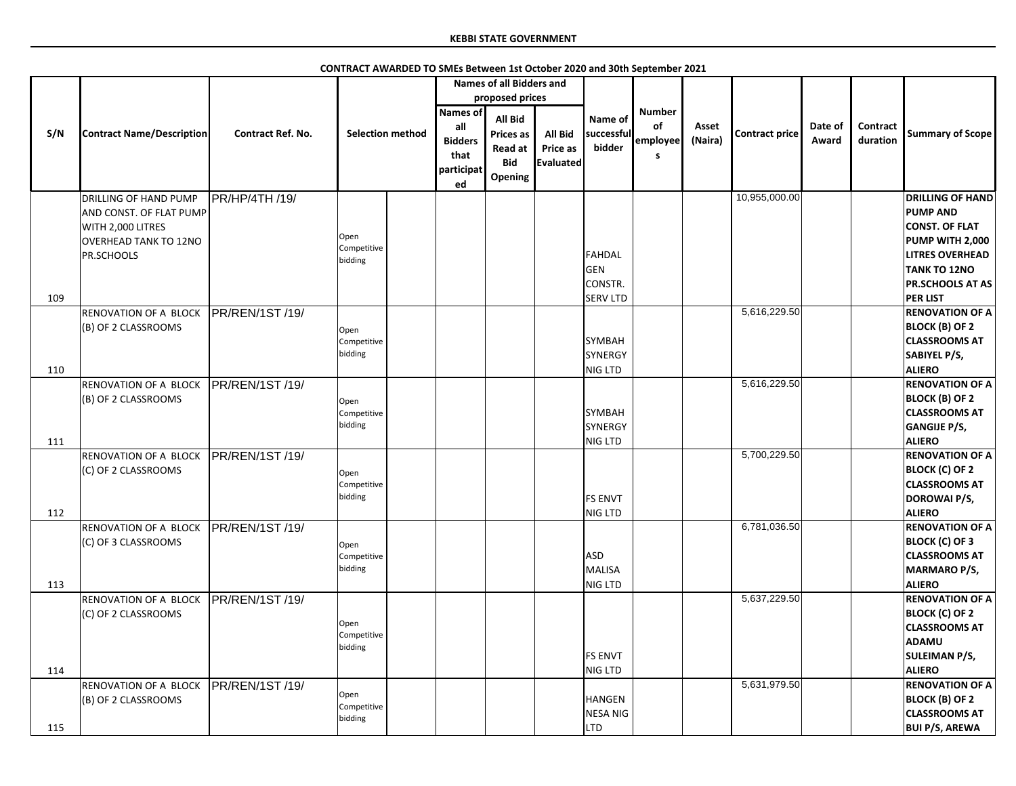|            |                                                                                                                     |                          |                                |                                             | <b>Names of all Bidders and</b>                                               |                                                |                                            |                      |                  |                |                  |                      |                                                                                                                                         |
|------------|---------------------------------------------------------------------------------------------------------------------|--------------------------|--------------------------------|---------------------------------------------|-------------------------------------------------------------------------------|------------------------------------------------|--------------------------------------------|----------------------|------------------|----------------|------------------|----------------------|-----------------------------------------------------------------------------------------------------------------------------------------|
|            |                                                                                                                     |                          |                                |                                             | proposed prices                                                               |                                                |                                            |                      |                  |                |                  |                      |                                                                                                                                         |
|            |                                                                                                                     |                          |                                | <b>Names of</b>                             |                                                                               |                                                |                                            | <b>Number</b>        |                  |                |                  |                      |                                                                                                                                         |
| S/N        | <b>Contract Name/Description</b>                                                                                    | <b>Contract Ref. No.</b> | <b>Selection method</b>        | all<br><b>Bidders</b><br>that<br>participat | <b>All Bid</b><br><b>Prices as</b><br><b>Read at</b><br><b>Bid</b><br>Opening | <b>All Bid</b><br>Price as<br><b>Evaluated</b> | Name of<br>successful<br>bidder            | of<br>employee<br>S. | Asset<br>(Naira) | Contract price | Date of<br>Award | Contract<br>duration | <b>Summary of Scope</b>                                                                                                                 |
|            |                                                                                                                     |                          |                                | ed                                          |                                                                               |                                                |                                            |                      |                  |                |                  |                      |                                                                                                                                         |
|            | DRILLING OF HAND PUMP<br>AND CONST. OF FLAT PUMP<br>WITH 2,000 LITRES<br><b>OVERHEAD TANK TO 12NO</b><br>PR.SCHOOLS | <b>PR/HP/4TH /19/</b>    | Open<br>Competitive<br>bidding |                                             |                                                                               |                                                | FAHDAL<br>GEN                              |                      |                  | 10,955,000.00  |                  |                      | <b>DRILLING OF HAND</b><br><b>PUMP AND</b><br><b>CONST. OF FLAT</b><br>PUMP WITH 2,000<br><b>LITRES OVERHEAD</b><br><b>TANK TO 12NO</b> |
|            |                                                                                                                     |                          |                                |                                             |                                                                               |                                                | <b>CONSTR.</b><br><b>SERV LTD</b>          |                      |                  |                |                  |                      | <b>PR.SCHOOLS AT AS</b><br><b>PER LIST</b>                                                                                              |
| 109<br>110 | RENOVATION OF A BLOCK<br>(B) OF 2 CLASSROOMS                                                                        | PR/REN/1ST/19/           | Open<br>Competitive<br>bidding |                                             |                                                                               |                                                | <b>SYMBAH</b><br><b>SYNERGY</b><br>NIG LTD |                      |                  | 5,616,229.50   |                  |                      | <b>RENOVATION OF A</b><br><b>BLOCK (B) OF 2</b><br><b>CLASSROOMS AT</b><br>SABIYEL P/S,<br><b>ALIERO</b>                                |
|            | RENOVATION OF A BLOCK                                                                                               | <b>IPR/REN/1ST/19/</b>   |                                |                                             |                                                                               |                                                |                                            |                      |                  | 5,616,229.50   |                  |                      | <b>RENOVATION OF A</b>                                                                                                                  |
| 111        | (B) OF 2 CLASSROOMS                                                                                                 |                          | Open<br>Competitive<br>bidding |                                             |                                                                               |                                                | <b>SYMBAH</b><br>SYNERGY<br>NIG LTD        |                      |                  |                |                  |                      | <b>BLOCK (B) OF 2</b><br><b>CLASSROOMS AT</b><br><b>GANGIJE P/S,</b><br><b>ALIERO</b>                                                   |
| 112        | RENOVATION OF A BLOCK<br>(C) OF 2 CLASSROOMS                                                                        | PR/REN/1ST /19/          | Open<br>Competitive<br>bidding |                                             |                                                                               |                                                | <b>FS ENVT</b><br>NIG LTD                  |                      |                  | 5,700,229.50   |                  |                      | <b>RENOVATION OF A</b><br><b>BLOCK (C) OF 2</b><br><b>CLASSROOMS AT</b><br>DOROWAI P/S,<br><b>ALIERO</b>                                |
| 113        | RENOVATION OF A BLOCK<br>(C) OF 3 CLASSROOMS                                                                        | PR/REN/1ST /19/          | Open<br>Competitive<br>bidding |                                             |                                                                               |                                                | <b>ASD</b><br>MALISA<br>NIG LTD            |                      |                  | 6,781,036.50   |                  |                      | <b>RENOVATION OF A</b><br><b>BLOCK (C) OF 3</b><br><b>CLASSROOMS AT</b><br><b>MARMARO P/S,</b><br><b>ALIERO</b>                         |
| 114        | RENOVATION OF A BLOCK<br>(C) OF 2 CLASSROOMS                                                                        | PR/REN/1ST /19/          | Open<br>Competitive<br>bidding |                                             |                                                                               |                                                | <b>FS ENVT</b><br>NIG LTD                  |                      |                  | 5,637,229.50   |                  |                      | <b>RENOVATION OF A</b><br><b>BLOCK (C) OF 2</b><br><b>CLASSROOMS AT</b><br><b>ADAMU</b><br><b>SULEIMAN P/S,</b><br><b>ALIERO</b>        |
| 115        | RENOVATION OF A BLOCK<br>(B) OF 2 CLASSROOMS                                                                        | <b>IPR/REN/1ST/19/</b>   | Open<br>Competitive<br>bidding |                                             |                                                                               |                                                | <b>HANGEN</b><br>NESA NIG<br><b>LTD</b>    |                      |                  | 5,631,979.50   |                  |                      | <b>RENOVATION OF A</b><br><b>BLOCK (B) OF 2</b><br><b>CLASSROOMS AT</b><br><b>BUI P/S, AREWA</b>                                        |

**CONTRACT AWARDED TO SMEs Between 1st October 2020 and 30th September 2021**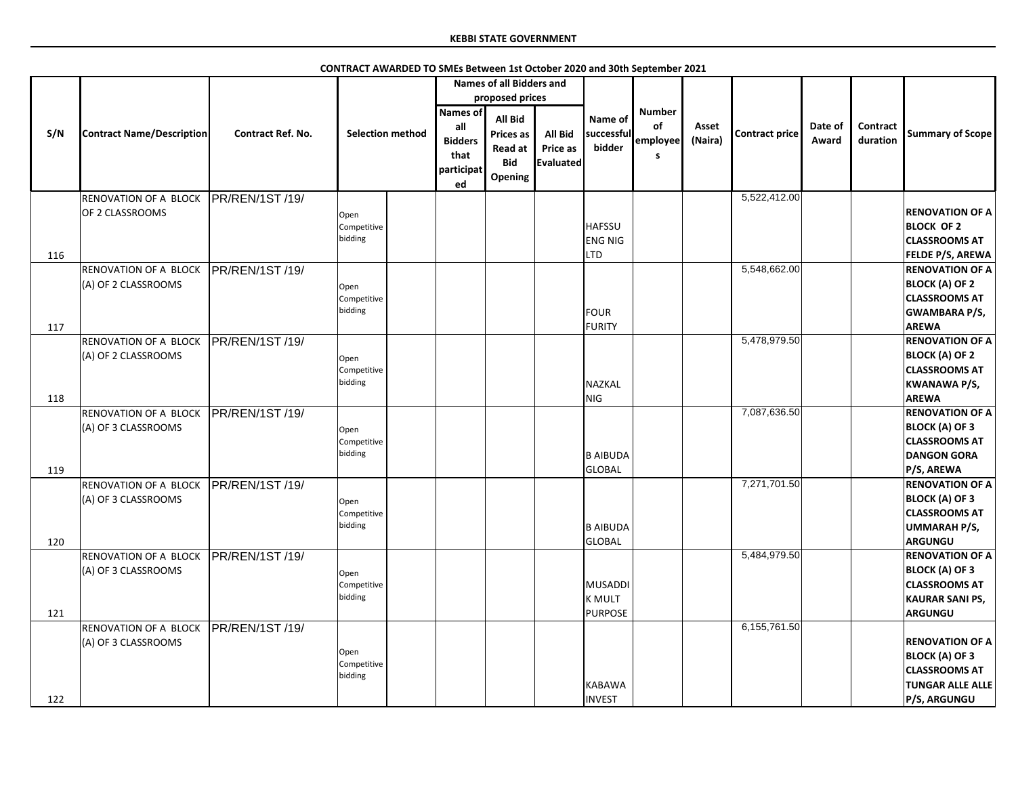|     |                                  |                          |                         |                | <b>Names of all Bidders and</b> |                |                 |               |         |                |         |          |                         |
|-----|----------------------------------|--------------------------|-------------------------|----------------|---------------------------------|----------------|-----------------|---------------|---------|----------------|---------|----------|-------------------------|
|     |                                  |                          |                         |                | proposed prices                 |                |                 |               |         |                |         |          |                         |
|     |                                  |                          |                         | Names of       |                                 |                |                 | <b>Number</b> |         |                |         |          |                         |
|     |                                  |                          |                         | all            | <b>All Bid</b>                  |                | Name of         | of            | Asset   |                | Date of | Contract |                         |
| S/N | <b>Contract Name/Description</b> | <b>Contract Ref. No.</b> | <b>Selection method</b> |                | <b>Prices as</b>                | <b>All Bid</b> | successful      |               |         | Contract price |         |          | <b>Summary of Scope</b> |
|     |                                  |                          |                         | <b>Bidders</b> | <b>Read at</b>                  | Price as       | bidder          | employee      | (Naira) |                | Award   | duration |                         |
|     |                                  |                          |                         | that           | <b>Bid</b>                      | Evaluated      |                 | S.            |         |                |         |          |                         |
|     |                                  |                          |                         | participat     | <b>Opening</b>                  |                |                 |               |         |                |         |          |                         |
|     |                                  |                          |                         | ed             |                                 |                |                 |               |         |                |         |          |                         |
|     | RENOVATION OF A BLOCK            | PR/REN/1ST /19/          |                         |                |                                 |                |                 |               |         | 5,522,412.00   |         |          |                         |
|     | OF 2 CLASSROOMS                  |                          | Open                    |                |                                 |                |                 |               |         |                |         |          | <b>RENOVATION OF A</b>  |
|     |                                  |                          | Competitive             |                |                                 |                | <b>HAFSSU</b>   |               |         |                |         |          | <b>BLOCK OF 2</b>       |
|     |                                  |                          | bidding                 |                |                                 |                | <b>ENG NIG</b>  |               |         |                |         |          | <b>CLASSROOMS AT</b>    |
|     |                                  |                          |                         |                |                                 |                | <b>LTD</b>      |               |         |                |         |          |                         |
| 116 |                                  |                          |                         |                |                                 |                |                 |               |         |                |         |          | <b>FELDE P/S, AREWA</b> |
|     | <b>RENOVATION OF A BLOCK</b>     | PR/REN/1ST /19/          |                         |                |                                 |                |                 |               |         | 5,548,662.00   |         |          | <b>RENOVATION OF A</b>  |
|     | (A) OF 2 CLASSROOMS              |                          | Open                    |                |                                 |                |                 |               |         |                |         |          | <b>BLOCK (A) OF 2</b>   |
|     |                                  |                          | Competitive             |                |                                 |                |                 |               |         |                |         |          | <b>CLASSROOMS AT</b>    |
|     |                                  |                          | bidding                 |                |                                 |                | <b>FOUR</b>     |               |         |                |         |          | <b>GWAMBARA P/S,</b>    |
| 117 |                                  |                          |                         |                |                                 |                | <b>FURITY</b>   |               |         |                |         |          | <b>AREWA</b>            |
|     | RENOVATION OF A BLOCK            | PR/REN/1ST /19/          |                         |                |                                 |                |                 |               |         | 5,478,979.50   |         |          | <b>RENOVATION OF A</b>  |
|     | (A) OF 2 CLASSROOMS              |                          | Open                    |                |                                 |                |                 |               |         |                |         |          | <b>BLOCK (A) OF 2</b>   |
|     |                                  |                          | Competitive             |                |                                 |                |                 |               |         |                |         |          | <b>CLASSROOMS AT</b>    |
|     |                                  |                          | bidding                 |                |                                 |                | NAZKAL          |               |         |                |         |          | <b>KWANAWA P/S,</b>     |
| 118 |                                  |                          |                         |                |                                 |                | NIG             |               |         |                |         |          | <b>AREWA</b>            |
|     | <b>RENOVATION OF A BLOCK</b>     |                          |                         |                |                                 |                |                 |               |         | 7,087,636.50   |         |          | <b>RENOVATION OF A</b>  |
|     |                                  | PR/REN/1ST /19/          |                         |                |                                 |                |                 |               |         |                |         |          |                         |
|     | (A) OF 3 CLASSROOMS              |                          | Open                    |                |                                 |                |                 |               |         |                |         |          | <b>BLOCK (A) OF 3</b>   |
|     |                                  |                          | Competitive             |                |                                 |                |                 |               |         |                |         |          | <b>CLASSROOMS AT</b>    |
|     |                                  |                          | bidding                 |                |                                 |                | <b>B AIBUDA</b> |               |         |                |         |          | <b>DANGON GORA</b>      |
| 119 |                                  |                          |                         |                |                                 |                | <b>GLOBAL</b>   |               |         |                |         |          | P/S, AREWA              |
|     | <b>RENOVATION OF A BLOCK</b>     | <b>IPR/REN/1ST/19/</b>   |                         |                |                                 |                |                 |               |         | 7,271,701.50   |         |          | <b>RENOVATION OF A</b>  |
|     | (A) OF 3 CLASSROOMS              |                          | Open                    |                |                                 |                |                 |               |         |                |         |          | <b>BLOCK (A) OF 3</b>   |
|     |                                  |                          | Competitive             |                |                                 |                |                 |               |         |                |         |          | <b>CLASSROOMS AT</b>    |
|     |                                  |                          | bidding                 |                |                                 |                | <b>B AIBUDA</b> |               |         |                |         |          | <b>UMMARAH P/S,</b>     |
| 120 |                                  |                          |                         |                |                                 |                | GLOBAL          |               |         |                |         |          | <b>ARGUNGU</b>          |
|     | <b>RENOVATION OF A BLOCK</b>     | PR/REN/1ST /19/          |                         |                |                                 |                |                 |               |         | 5,484,979.50   |         |          | <b>RENOVATION OF A</b>  |
|     |                                  |                          |                         |                |                                 |                |                 |               |         |                |         |          |                         |
|     | (A) OF 3 CLASSROOMS              |                          | Open                    |                |                                 |                |                 |               |         |                |         |          | <b>BLOCK (A) OF 3</b>   |
|     |                                  |                          | Competitive             |                |                                 |                | MUSADDI         |               |         |                |         |          | <b>CLASSROOMS AT</b>    |
|     |                                  |                          | bidding                 |                |                                 |                | <b>K MULT</b>   |               |         |                |         |          | <b>KAURAR SANI PS,</b>  |
| 121 |                                  |                          |                         |                |                                 |                | <b>PURPOSE</b>  |               |         |                |         |          | <b>ARGUNGU</b>          |
|     | <b>RENOVATION OF A BLOCK</b>     | PR/REN/1ST /19/          |                         |                |                                 |                |                 |               |         | 6,155,761.50   |         |          |                         |
|     | (A) OF 3 CLASSROOMS              |                          |                         |                |                                 |                |                 |               |         |                |         |          | <b>RENOVATION OF A</b>  |
|     |                                  |                          | Open                    |                |                                 |                |                 |               |         |                |         |          | <b>BLOCK (A) OF 3</b>   |
|     |                                  |                          | Competitive             |                |                                 |                |                 |               |         |                |         |          | <b>CLASSROOMS AT</b>    |
|     |                                  |                          | bidding                 |                |                                 |                | <b>KABAWA</b>   |               |         |                |         |          | <b>TUNGAR ALLE ALLE</b> |
|     |                                  |                          |                         |                |                                 |                | <b>INVEST</b>   |               |         |                |         |          | <b>P/S, ARGUNGU</b>     |
| 122 |                                  |                          |                         |                |                                 |                |                 |               |         |                |         |          |                         |

**CONTRACT AWARDED TO SMEs Between 1st October 2020 and 30th September 2021**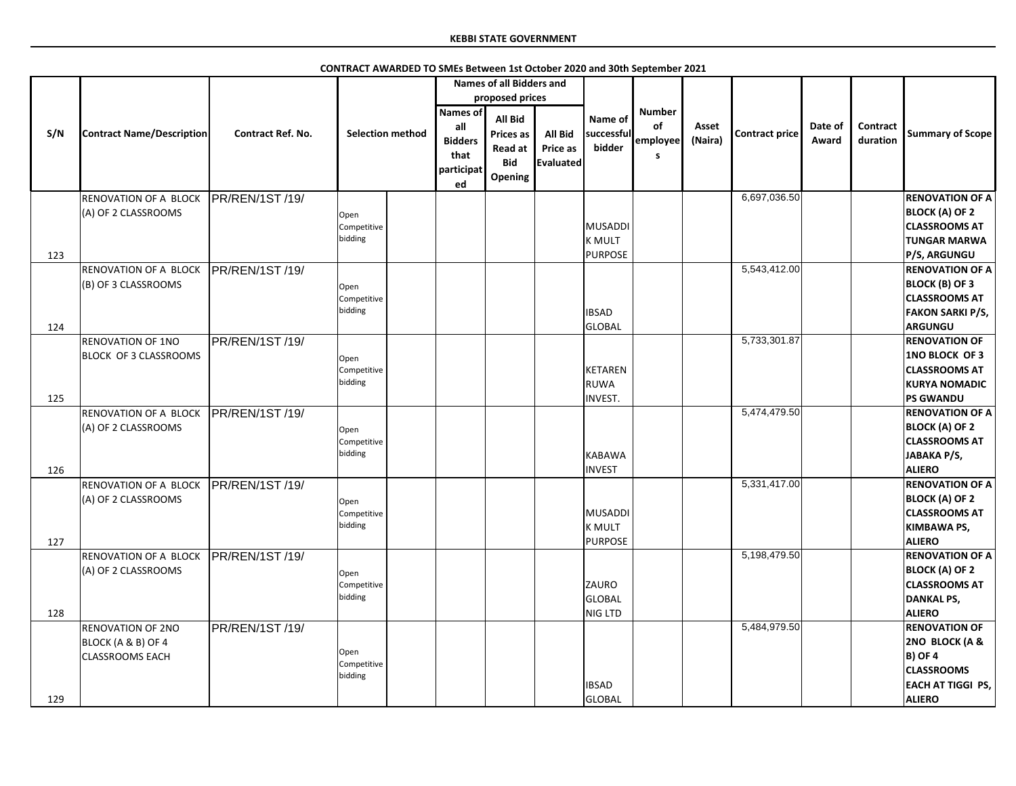|     |                                                                          |                          | CONTRACT AWARDED TO SMEs Between 1st October 2020 and 30th September 2021 |                                                                      |                                                                        |                                                       |                                                 |                                      |                  |                       |                  |                      |                                                                                                                            |
|-----|--------------------------------------------------------------------------|--------------------------|---------------------------------------------------------------------------|----------------------------------------------------------------------|------------------------------------------------------------------------|-------------------------------------------------------|-------------------------------------------------|--------------------------------------|------------------|-----------------------|------------------|----------------------|----------------------------------------------------------------------------------------------------------------------------|
|     |                                                                          |                          |                                                                           |                                                                      | <b>Names of all Bidders and</b>                                        |                                                       |                                                 |                                      |                  |                       |                  |                      |                                                                                                                            |
|     |                                                                          |                          |                                                                           |                                                                      | proposed prices                                                        |                                                       |                                                 |                                      |                  |                       |                  |                      |                                                                                                                            |
| S/N | <b>Contract Name/Description</b>                                         | <b>Contract Ref. No.</b> | <b>Selection method</b>                                                   | <b>Names of</b><br>all<br><b>Bidders</b><br>that<br>participat<br>ed | All Bid<br><b>Prices as</b><br><b>Read at</b><br><b>Bid</b><br>Opening | <b>All Bid</b><br><b>Price as</b><br><b>Evaluated</b> | Name of<br>successful<br>bidder                 | <b>Number</b><br>of<br>employee<br>S | Asset<br>(Naira) | <b>Contract price</b> | Date of<br>Award | Contract<br>duration | <b>Summary of Scope</b>                                                                                                    |
|     | <b>RENOVATION OF A BLOCK</b>                                             | <b>PR/REN/1ST/19/</b>    |                                                                           |                                                                      |                                                                        |                                                       |                                                 |                                      |                  | 6,697,036.50          |                  |                      | <b>RENOVATION OF A</b>                                                                                                     |
| 123 | (A) OF 2 CLASSROOMS                                                      |                          | Open<br>Competitive<br>bidding                                            |                                                                      |                                                                        |                                                       | MUSADDI<br><b>K MULT</b><br><b>PURPOSE</b>      |                                      |                  |                       |                  |                      | <b>BLOCK (A) OF 2</b><br><b>CLASSROOMS AT</b><br><b>TUNGAR MARWA</b><br><b>P/S, ARGUNGU</b>                                |
|     | <b>RENOVATION OF A BLOCK</b>                                             | <b>PR/REN/1ST/19/</b>    |                                                                           |                                                                      |                                                                        |                                                       |                                                 |                                      |                  | 5,543,412.00          |                  |                      | <b>RENOVATION OF A</b>                                                                                                     |
|     | (B) OF 3 CLASSROOMS                                                      |                          | Open<br>Competitive<br>bidding                                            |                                                                      |                                                                        |                                                       | <b>IBSAD</b>                                    |                                      |                  |                       |                  |                      | <b>BLOCK (B) OF 3</b><br><b>CLASSROOMS AT</b><br><b>FAKON SARKI P/S,</b>                                                   |
| 124 |                                                                          |                          |                                                                           |                                                                      |                                                                        |                                                       | GLOBAL                                          |                                      |                  |                       |                  |                      | <b>ARGUNGU</b>                                                                                                             |
|     | <b>RENOVATION OF 1NO</b><br><b>BLOCK OF 3 CLASSROOMS</b>                 | PR/REN/1ST /19/          | Open<br>Competitive<br>bidding                                            |                                                                      |                                                                        |                                                       | <b>KETAREN</b><br><b>RUWA</b>                   |                                      |                  | 5,733,301.87          |                  |                      | <b>RENOVATION OF</b><br><b>1NO BLOCK OF 3</b><br><b>CLASSROOMS AT</b><br><b>KURYA NOMADIC</b>                              |
| 125 |                                                                          |                          |                                                                           |                                                                      |                                                                        |                                                       | <b>INVEST.</b>                                  |                                      |                  |                       |                  |                      | <b>PS GWANDU</b>                                                                                                           |
| 126 | <b>RENOVATION OF A BLOCK</b><br>(A) OF 2 CLASSROOMS                      | PR/REN/1ST /19/          | Open<br>Competitive<br>bidding                                            |                                                                      |                                                                        |                                                       | KABAWA<br><b>INVEST</b>                         |                                      |                  | 5,474,479.50          |                  |                      | <b>RENOVATION OF A</b><br><b>BLOCK (A) OF 2</b><br><b>CLASSROOMS AT</b><br>JABAKA P/S,<br><b>ALIERO</b>                    |
| 127 | <b>RENOVATION OF A BLOCK</b><br>(A) OF 2 CLASSROOMS                      | PR/REN/1ST /19/          | Open<br>Competitive<br>bidding                                            |                                                                      |                                                                        |                                                       | MUSADDI<br><b>K MULT</b><br><b>PURPOSE</b>      |                                      |                  | 5,331,417.00          |                  |                      | <b>RENOVATION OF A</b><br><b>BLOCK (A) OF 2</b><br><b>CLASSROOMS AT</b><br><b>KIMBAWA PS,</b><br><b>ALIERO</b>             |
| 128 | <b>RENOVATION OF A BLOCK</b><br>(A) OF 2 CLASSROOMS                      | PR/REN/1ST/19            | Open<br>Competitive<br>bidding                                            |                                                                      |                                                                        |                                                       | <b>ZAURO</b><br><b>GLOBAL</b><br><b>NIG LTD</b> |                                      |                  | 5,198,479.50          |                  |                      | <b>RENOVATION OF A</b><br><b>BLOCK (A) OF 2</b><br><b>CLASSROOMS AT</b><br><b>DANKAL PS,</b><br><b>ALIERO</b>              |
| 129 | <b>RENOVATION OF 2NO</b><br>BLOCK (A & B) OF 4<br><b>CLASSROOMS EACH</b> | PR/REN/1ST/19/           | Open<br>Competitive<br>bidding                                            |                                                                      |                                                                        |                                                       | <b>IBSAD</b><br><b>GLOBAL</b>                   |                                      |                  | 5,484,979.50          |                  |                      | <b>RENOVATION OF</b><br>2NO BLOCK (A &<br><b>B) OF 4</b><br><b>CLASSROOMS</b><br><b>EACH AT TIGGI PS,</b><br><b>ALIERO</b> |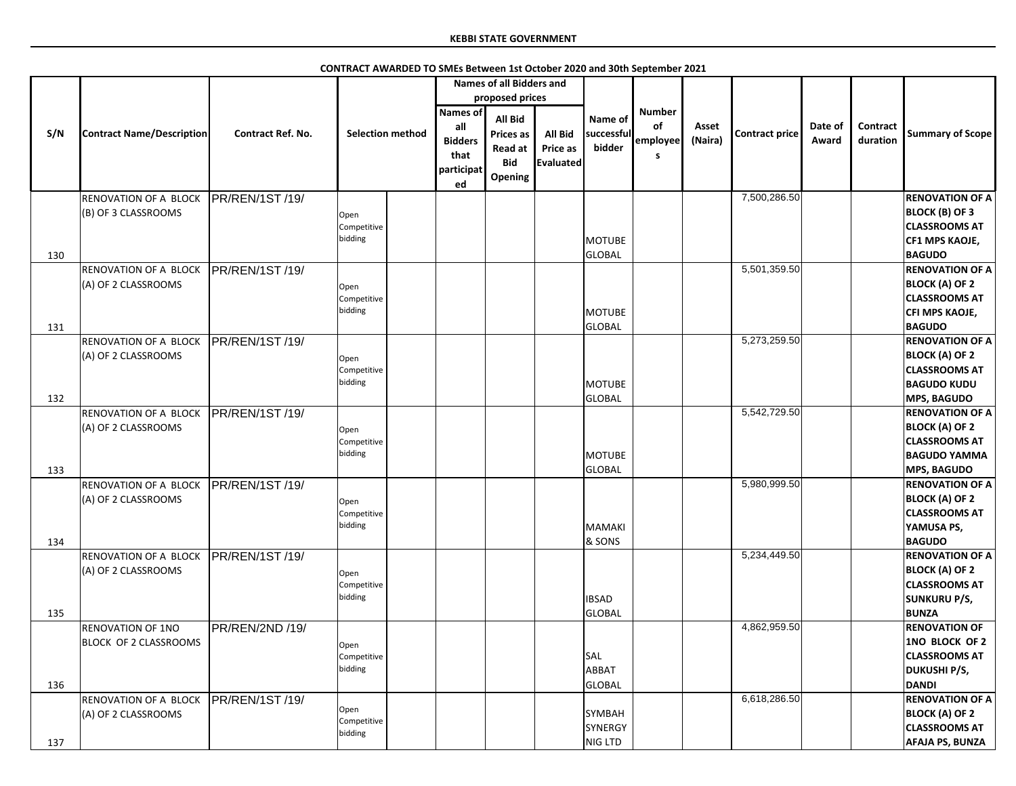|     |                                              |                          |                                |                                                         | <b>Names of all Bidders and</b>                                        |                                         |                                     |                                             |                  |                |                  |                      |                                                                                                                      |
|-----|----------------------------------------------|--------------------------|--------------------------------|---------------------------------------------------------|------------------------------------------------------------------------|-----------------------------------------|-------------------------------------|---------------------------------------------|------------------|----------------|------------------|----------------------|----------------------------------------------------------------------------------------------------------------------|
|     |                                              |                          |                                |                                                         | proposed prices                                                        |                                         |                                     |                                             |                  |                |                  |                      |                                                                                                                      |
| S/N | <b>Contract Name/Description</b>             | <b>Contract Ref. No.</b> | <b>Selection method</b>        | Names of<br>all<br><b>Bidders</b><br>that<br>participat | <b>All Bid</b><br>Prices as<br><b>Read at</b><br><b>Bid</b><br>Opening | <b>All Bid</b><br>Price as<br>Evaluated | Name of<br>successful<br>bidder     | <b>Number</b><br>of<br>employee<br><b>S</b> | Asset<br>(Naira) | Contract price | Date of<br>Award | Contract<br>duration | <b>Summary of Scope</b>                                                                                              |
|     |                                              |                          |                                | ed                                                      |                                                                        |                                         |                                     |                                             |                  |                |                  |                      |                                                                                                                      |
| 130 | RENOVATION OF A BLOCK<br>(B) OF 3 CLASSROOMS | PR/REN/1ST /19/          | Open<br>Competitive<br>bidding |                                                         |                                                                        |                                         | <b>MOTUBE</b><br><b>GLOBAL</b>      |                                             |                  | 7,500,286.50   |                  |                      | <b>RENOVATION OF A</b><br><b>BLOCK (B) OF 3</b><br><b>CLASSROOMS AT</b><br><b>CF1 MPS KAOJE,</b><br><b>BAGUDO</b>    |
|     | RENOVATION OF A BLOCK                        | PR/REN/1ST /19/          |                                |                                                         |                                                                        |                                         |                                     |                                             |                  | 5,501,359.50   |                  |                      | <b>RENOVATION OF A</b>                                                                                               |
| 131 | (A) OF 2 CLASSROOMS                          |                          | Open<br>Competitive<br>bidding |                                                         |                                                                        |                                         | <b>MOTUBE</b><br>GLOBAL             |                                             |                  |                |                  |                      | <b>BLOCK (A) OF 2</b><br><b>CLASSROOMS AT</b><br>CFI MPS KAOJE,<br><b>BAGUDO</b>                                     |
|     | RENOVATION OF A BLOCK                        | PR/REN/1ST /19/          |                                |                                                         |                                                                        |                                         |                                     |                                             |                  | 5,273,259.50   |                  |                      | <b>RENOVATION OF A</b>                                                                                               |
|     | (A) OF 2 CLASSROOMS                          |                          | Open<br>Competitive<br>bidding |                                                         |                                                                        |                                         | <b>MOTUBE</b>                       |                                             |                  |                |                  |                      | <b>BLOCK (A) OF 2</b><br><b>CLASSROOMS AT</b><br><b>BAGUDO KUDU</b>                                                  |
| 132 |                                              |                          |                                |                                                         |                                                                        |                                         | <b>GLOBAL</b>                       |                                             |                  |                |                  |                      | <b>MPS, BAGUDO</b>                                                                                                   |
| 133 | RENOVATION OF A BLOCK<br>(A) OF 2 CLASSROOMS | PR/REN/1ST /19/          | Open<br>Competitive<br>bidding |                                                         |                                                                        |                                         | <b>MOTUBE</b><br>GLOBAL             |                                             |                  | 5,542,729.50   |                  |                      | <b>RENOVATION OF A</b><br><b>BLOCK (A) OF 2</b><br><b>CLASSROOMS AT</b><br><b>BAGUDO YAMMA</b><br><b>MPS, BAGUDO</b> |
| 134 | RENOVATION OF A BLOCK<br>(A) OF 2 CLASSROOMS | PR/REN/1ST /19/          | Open<br>Competitive<br>bidding |                                                         |                                                                        |                                         | <b>MAMAKI</b><br>& SONS             |                                             |                  | 5,980,999.50   |                  |                      | <b>RENOVATION OF A</b><br><b>BLOCK (A) OF 2</b><br><b>CLASSROOMS AT</b><br>YAMUSA PS,<br><b>BAGUDO</b>               |
| 135 | RENOVATION OF A BLOCK<br>(A) OF 2 CLASSROOMS | <b>PR/REN/1ST/19/</b>    | Open<br>Competitive<br>bidding |                                                         |                                                                        |                                         | <b>IBSAD</b><br>GLOBAL              |                                             |                  | 5,234,449.50   |                  |                      | <b>RENOVATION OF A</b><br><b>BLOCK (A) OF 2</b><br><b>CLASSROOMS AT</b><br><b>SUNKURU P/S,</b><br><b>BUNZA</b>       |
|     | <b>RENOVATION OF 1NO</b>                     | PR/REN/2ND /19/          |                                |                                                         |                                                                        |                                         |                                     |                                             |                  | 4,862,959.50   |                  |                      | <b>RENOVATION OF</b>                                                                                                 |
| 136 | <b>BLOCK OF 2 CLASSROOMS</b>                 |                          | Open<br>Competitive<br>bidding |                                                         |                                                                        |                                         | SAL<br>ABBAT<br><b>GLOBAL</b>       |                                             |                  |                |                  |                      | 1NO BLOCK OF 2<br><b>CLASSROOMS AT</b><br><b>DUKUSHI P/S,</b><br><b>DANDI</b>                                        |
| 137 | RENOVATION OF A BLOCK<br>(A) OF 2 CLASSROOMS | <b>IPR/REN/1ST/19/</b>   | Open<br>Competitive<br>bidding |                                                         |                                                                        |                                         | <b>SYMBAH</b><br>SYNERGY<br>NIG LTD |                                             |                  | 6,618,286.50   |                  |                      | <b>RENOVATION OF A</b><br><b>BLOCK (A) OF 2</b><br><b>CLASSROOMS AT</b><br><b>AFAJA PS, BUNZA</b>                    |

**CONTRACT AWARDED TO SMEs Between 1st October 2020 and 30th September 2021**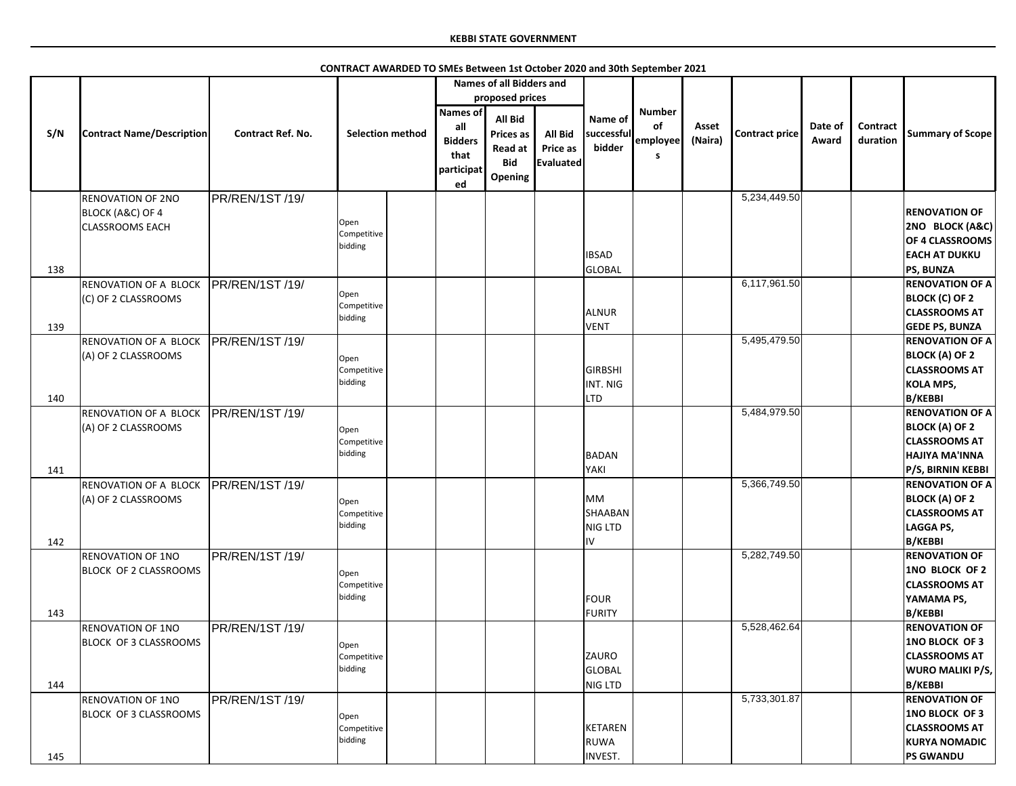|            |                                                                                   |                          |                                |                                                               | <b>Names of all Bidders and</b>                                                           |                                                |                                              |                                       |                  |                       |                  |                      |                                                                                                                       |
|------------|-----------------------------------------------------------------------------------|--------------------------|--------------------------------|---------------------------------------------------------------|-------------------------------------------------------------------------------------------|------------------------------------------------|----------------------------------------------|---------------------------------------|------------------|-----------------------|------------------|----------------------|-----------------------------------------------------------------------------------------------------------------------|
| S/N        | <b>Contract Name/Description</b>                                                  | <b>Contract Ref. No.</b> | <b>Selection method</b>        | Names of<br>all<br><b>Bidders</b><br>that<br>participat<br>ed | proposed prices<br><b>All Bid</b><br><b>Prices as</b><br>Read at<br><b>Bid</b><br>Opening | <b>All Bid</b><br>Price as<br><b>Evaluated</b> | Name of<br>successful<br>bidder              | <b>Number</b><br>of<br>employee<br>S. | Asset<br>(Naira) | <b>Contract price</b> | Date of<br>Award | Contract<br>duration | <b>Summary of Scope</b>                                                                                               |
|            | <b>RENOVATION OF 2NO</b><br><b>BLOCK (A&amp;C) OF 4</b><br><b>CLASSROOMS EACH</b> | PR/REN/1ST/19/           | Open<br>Competitive<br>bidding |                                                               |                                                                                           |                                                | <b>IBSAD</b>                                 |                                       |                  | 5,234,449.50          |                  |                      | <b>RENOVATION OF</b><br>2NO BLOCK (A&C)<br>OF 4 CLASSROOMS<br><b>EACH AT DUKKU</b>                                    |
| 138<br>139 | <b>RENOVATION OF A BLOCK</b><br>(C) OF 2 CLASSROOMS                               | PR/REN/1ST /19/          | Open<br>Competitive<br>bidding |                                                               |                                                                                           |                                                | <b>GLOBAL</b><br><b>ALNUR</b><br><b>VENT</b> |                                       |                  | 6,117,961.50          |                  |                      | <b>PS, BUNZA</b><br><b>RENOVATION OF A</b><br><b>BLOCK (C) OF 2</b><br><b>CLASSROOMS AT</b><br><b>GEDE PS, BUNZA</b>  |
|            | <b>RENOVATION OF A BLOCK</b><br>(A) OF 2 CLASSROOMS                               | PR/REN/1ST /19/          | Open<br>Competitive<br>bidding |                                                               |                                                                                           |                                                | <b>GIRBSHI</b><br>INT. NIG<br><b>LTD</b>     |                                       |                  | 5,495,479.50          |                  |                      | <b>RENOVATION OF A</b><br><b>BLOCK (A) OF 2</b><br><b>CLASSROOMS AT</b><br><b>KOLA MPS,</b><br><b>B/KEBBI</b>         |
| 140<br>141 | <b>RENOVATION OF A BLOCK</b><br>(A) OF 2 CLASSROOMS                               | PR/REN/1ST /19/          | Open<br>Competitive<br>bidding |                                                               |                                                                                           |                                                | <b>BADAN</b><br>YAKI                         |                                       |                  | 5,484,979.50          |                  |                      | <b>RENOVATION OF A</b><br><b>BLOCK (A) OF 2</b><br><b>CLASSROOMS AT</b><br><b>HAJIYA MA'INNA</b><br>P/S, BIRNIN KEBBI |
| 142        | RENOVATION OF A BLOCK<br>(A) OF 2 CLASSROOMS                                      | PR/REN/1ST /19/          | Open<br>Competitive<br>bidding |                                                               |                                                                                           |                                                | <b>MM</b><br>SHAABAN<br><b>NIG LTD</b><br>IV |                                       |                  | 5,366,749.50          |                  |                      | <b>RENOVATION OF A</b><br><b>BLOCK (A) OF 2</b><br><b>CLASSROOMS AT</b><br><b>LAGGA PS,</b><br><b>B/KEBBI</b>         |
| 143        | <b>RENOVATION OF 1NO</b><br><b>BLOCK OF 2 CLASSROOMS</b>                          | PR/REN/1ST/19/           | Open<br>Competitive<br>bidding |                                                               |                                                                                           |                                                | <b>FOUR</b><br><b>FURITY</b>                 |                                       |                  | 5,282,749.50          |                  |                      | <b>RENOVATION OF</b><br>1NO BLOCK OF 2<br><b>CLASSROOMS AT</b><br>YAMAMA PS,<br><b>B/KEBBI</b>                        |
| 144        | <b>RENOVATION OF 1NO</b><br><b>BLOCK OF 3 CLASSROOMS</b>                          | PR/REN/1ST/19/           | Open<br>Competitive<br>bidding |                                                               |                                                                                           |                                                | ZAURO<br><b>GLOBAL</b><br>NIG LTD            |                                       |                  | 5,528,462.64          |                  |                      | <b>RENOVATION OF</b><br><b>1NO BLOCK OF 3</b><br><b>CLASSROOMS AT</b><br><b>WURO MALIKI P/S,</b><br><b>B/KEBBI</b>    |
| 145        | <b>RENOVATION OF 1NO</b><br><b>BLOCK OF 3 CLASSROOMS</b>                          | PR/REN/1ST/19/           | Open<br>Competitive<br>bidding |                                                               |                                                                                           |                                                | <b>KETAREN</b><br><b>RUWA</b><br>INVEST.     |                                       |                  | 5,733,301.87          |                  |                      | <b>RENOVATION OF</b><br><b>1NO BLOCK OF 3</b><br><b>CLASSROOMS AT</b><br><b>KURYA NOMADIC</b><br><b>PS GWANDU</b>     |

**CONTRACT AWARDED TO SMEs Between 1st October 2020 and 30th September 2021**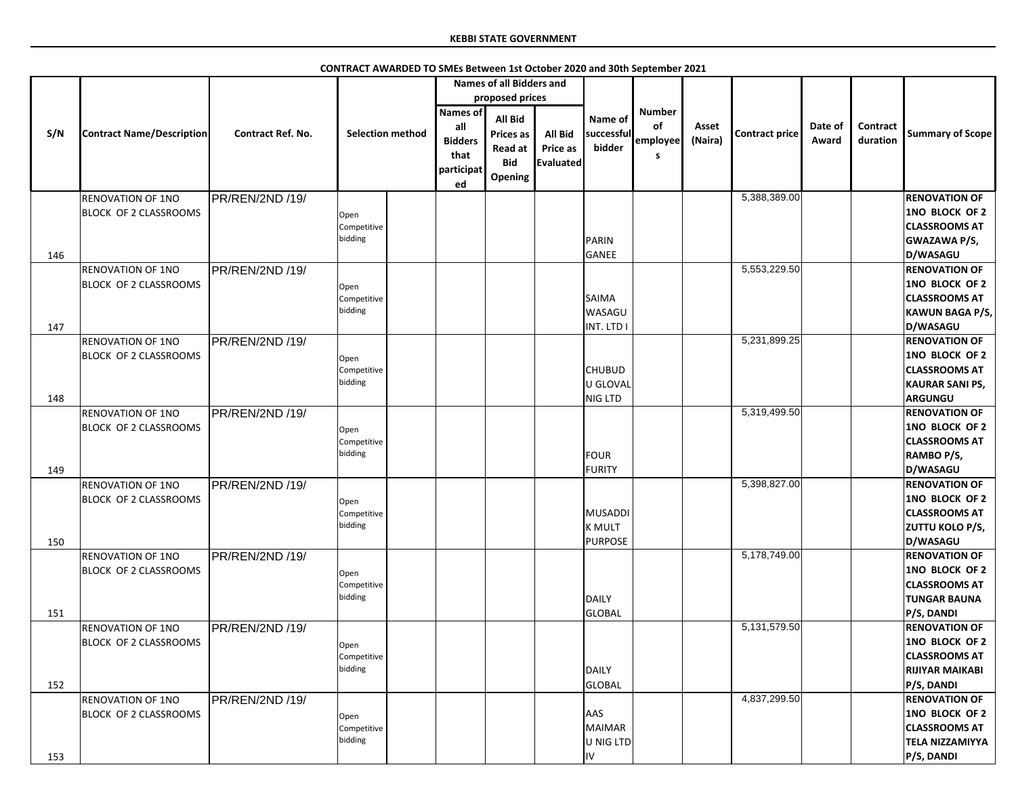|     |                                  |                          |                         |                                                                      | <b>Names of all Bidders and</b>                                        |                                                |                                 |                                       |                  |                |                  |                      |                                          |
|-----|----------------------------------|--------------------------|-------------------------|----------------------------------------------------------------------|------------------------------------------------------------------------|------------------------------------------------|---------------------------------|---------------------------------------|------------------|----------------|------------------|----------------------|------------------------------------------|
|     |                                  |                          |                         |                                                                      | proposed prices                                                        |                                                |                                 |                                       |                  |                |                  |                      |                                          |
| S/N | <b>Contract Name/Description</b> | <b>Contract Ref. No.</b> | <b>Selection method</b> | <b>Names of</b><br>all<br><b>Bidders</b><br>that<br>participat<br>ed | <b>All Bid</b><br><b>Prices as</b><br>Read at<br><b>Bid</b><br>Opening | All Bid<br><b>Price as</b><br><b>Evaluated</b> | Name of<br>successful<br>bidder | <b>Number</b><br>of<br>employee<br>-S | Asset<br>(Naira) | Contract price | Date of<br>Award | Contract<br>duration | <b>Summary of Scope</b>                  |
|     | <b>RENOVATION OF 1NO</b>         | PR/REN/2ND /19/          |                         |                                                                      |                                                                        |                                                |                                 |                                       |                  | 5,388,389.00   |                  |                      | <b>RENOVATION OF</b>                     |
|     | <b>BLOCK OF 2 CLASSROOMS</b>     |                          |                         |                                                                      |                                                                        |                                                |                                 |                                       |                  |                |                  |                      | <b>1NO BLOCK OF 2</b>                    |
|     |                                  |                          | Open<br>Competitive     |                                                                      |                                                                        |                                                |                                 |                                       |                  |                |                  |                      | <b>CLASSROOMS AT</b>                     |
|     |                                  |                          | bidding                 |                                                                      |                                                                        |                                                | PARIN                           |                                       |                  |                |                  |                      | <b>GWAZAWA P/S,</b>                      |
| 146 |                                  |                          |                         |                                                                      |                                                                        |                                                | GANEE                           |                                       |                  |                |                  |                      | D/WASAGU                                 |
|     | <b>RENOVATION OF 1NO</b>         | PR/REN/2ND /19/          |                         |                                                                      |                                                                        |                                                |                                 |                                       |                  | 5,553,229.50   |                  |                      | <b>RENOVATION OF</b>                     |
|     | <b>BLOCK OF 2 CLASSROOMS</b>     |                          |                         |                                                                      |                                                                        |                                                |                                 |                                       |                  |                |                  |                      | 1NO BLOCK OF 2                           |
|     |                                  |                          | Open                    |                                                                      |                                                                        |                                                | <b>SAIMA</b>                    |                                       |                  |                |                  |                      | <b>CLASSROOMS AT</b>                     |
|     |                                  |                          | Competitive<br>bidding  |                                                                      |                                                                        |                                                | <b>WASAGU</b>                   |                                       |                  |                |                  |                      | <b>KAWUN BAGA P/S,</b>                   |
| 147 |                                  |                          |                         |                                                                      |                                                                        |                                                | INT. LTD I                      |                                       |                  |                |                  |                      | D/WASAGU                                 |
|     | <b>RENOVATION OF 1NO</b>         | <b>PR/REN/2ND /19/</b>   |                         |                                                                      |                                                                        |                                                |                                 |                                       |                  | 5,231,899.25   |                  |                      | <b>RENOVATION OF</b>                     |
|     |                                  |                          |                         |                                                                      |                                                                        |                                                |                                 |                                       |                  |                |                  |                      | 1NO BLOCK OF 2                           |
|     | <b>BLOCK OF 2 CLASSROOMS</b>     |                          | Open                    |                                                                      |                                                                        |                                                | <b>CHUBUD</b>                   |                                       |                  |                |                  |                      | <b>CLASSROOMS AT</b>                     |
|     |                                  |                          | Competitive<br>bidding  |                                                                      |                                                                        |                                                | U GLOVAL                        |                                       |                  |                |                  |                      |                                          |
|     |                                  |                          |                         |                                                                      |                                                                        |                                                | NIG LTD                         |                                       |                  |                |                  |                      | <b>KAURAR SANI PS,</b><br><b>ARGUNGU</b> |
| 148 |                                  |                          |                         |                                                                      |                                                                        |                                                |                                 |                                       |                  | 5,319,499.50   |                  |                      | <b>RENOVATION OF</b>                     |
|     | <b>RENOVATION OF 1NO</b>         | PR/REN/2ND /19/          |                         |                                                                      |                                                                        |                                                |                                 |                                       |                  |                |                  |                      | 1NO BLOCK OF 2                           |
|     | <b>BLOCK OF 2 CLASSROOMS</b>     |                          | Open                    |                                                                      |                                                                        |                                                |                                 |                                       |                  |                |                  |                      |                                          |
|     |                                  |                          | Competitive<br>bidding  |                                                                      |                                                                        |                                                |                                 |                                       |                  |                |                  |                      | <b>CLASSROOMS AT</b>                     |
|     |                                  |                          |                         |                                                                      |                                                                        |                                                | FOUR                            |                                       |                  |                |                  |                      | RAMBO P/S,                               |
| 149 |                                  |                          |                         |                                                                      |                                                                        |                                                | FURITY                          |                                       |                  |                |                  |                      | D/WASAGU                                 |
|     | <b>RENOVATION OF 1NO</b>         | PR/REN/2ND /19/          |                         |                                                                      |                                                                        |                                                |                                 |                                       |                  | 5,398,827.00   |                  |                      | <b>RENOVATION OF</b>                     |
|     | <b>BLOCK OF 2 CLASSROOMS</b>     |                          | Open                    |                                                                      |                                                                        |                                                |                                 |                                       |                  |                |                  |                      | 1NO BLOCK OF 2                           |
|     |                                  |                          | Competitive<br>bidding  |                                                                      |                                                                        |                                                | MUSADDI                         |                                       |                  |                |                  |                      | <b>CLASSROOMS AT</b>                     |
|     |                                  |                          |                         |                                                                      |                                                                        |                                                | K MULT                          |                                       |                  |                |                  |                      | <b>ZUTTU KOLO P/S,</b>                   |
| 150 |                                  |                          |                         |                                                                      |                                                                        |                                                | PURPOSE                         |                                       |                  |                |                  |                      | D/WASAGU                                 |
|     | <b>RENOVATION OF 1NO</b>         | PR/REN/2ND /19/          |                         |                                                                      |                                                                        |                                                |                                 |                                       |                  | 5,178,749.00   |                  |                      | <b>RENOVATION OF</b>                     |
|     | <b>BLOCK OF 2 CLASSROOMS</b>     |                          | Open                    |                                                                      |                                                                        |                                                |                                 |                                       |                  |                |                  |                      | 1NO BLOCK OF 2                           |
|     |                                  |                          | Competitive<br>bidding  |                                                                      |                                                                        |                                                |                                 |                                       |                  |                |                  |                      | <b>CLASSROOMS AT</b>                     |
|     |                                  |                          |                         |                                                                      |                                                                        |                                                | DAILY                           |                                       |                  |                |                  |                      | <b>TUNGAR BAUNA</b>                      |
| 151 |                                  |                          |                         |                                                                      |                                                                        |                                                | GLOBAL                          |                                       |                  |                |                  |                      | P/S, DANDI                               |
|     | <b>RENOVATION OF 1NO</b>         | PR/REN/2ND /19/          |                         |                                                                      |                                                                        |                                                |                                 |                                       |                  | 5,131,579.50   |                  |                      | <b>RENOVATION OF</b>                     |
|     | <b>BLOCK OF 2 CLASSROOMS</b>     |                          | Open                    |                                                                      |                                                                        |                                                |                                 |                                       |                  |                |                  |                      | 1NO BLOCK OF 2                           |
|     |                                  |                          | Competitive             |                                                                      |                                                                        |                                                |                                 |                                       |                  |                |                  |                      | <b>CLASSROOMS AT</b>                     |
|     |                                  |                          | bidding                 |                                                                      |                                                                        |                                                | DAILY                           |                                       |                  |                |                  |                      | <b>RIJIYAR MAIKABI</b>                   |
| 152 |                                  |                          |                         |                                                                      |                                                                        |                                                | GLOBAL                          |                                       |                  |                |                  |                      | <b>P/S, DANDI</b>                        |
|     | <b>RENOVATION OF 1NO</b>         | PR/REN/2ND /19/          |                         |                                                                      |                                                                        |                                                |                                 |                                       |                  | 4,837,299.50   |                  |                      | <b>RENOVATION OF</b>                     |
|     | <b>BLOCK OF 2 CLASSROOMS</b>     |                          | Open                    |                                                                      |                                                                        |                                                | <b>AAS</b>                      |                                       |                  |                |                  |                      | 1NO BLOCK OF 2                           |
|     |                                  |                          | Competitive             |                                                                      |                                                                        |                                                | MAIMAR                          |                                       |                  |                |                  |                      | <b>CLASSROOMS AT</b>                     |
|     |                                  |                          | bidding                 |                                                                      |                                                                        |                                                | U NIG LTD                       |                                       |                  |                |                  |                      | <b>TELA NIZZAMIYYA</b>                   |
| 153 |                                  |                          |                         |                                                                      |                                                                        |                                                | <b>IV</b>                       |                                       |                  |                |                  |                      | P/S, DANDI                               |

# **CONTRACT AWARDED TO SMEs Between 1st October 2020 and 30th September 2021**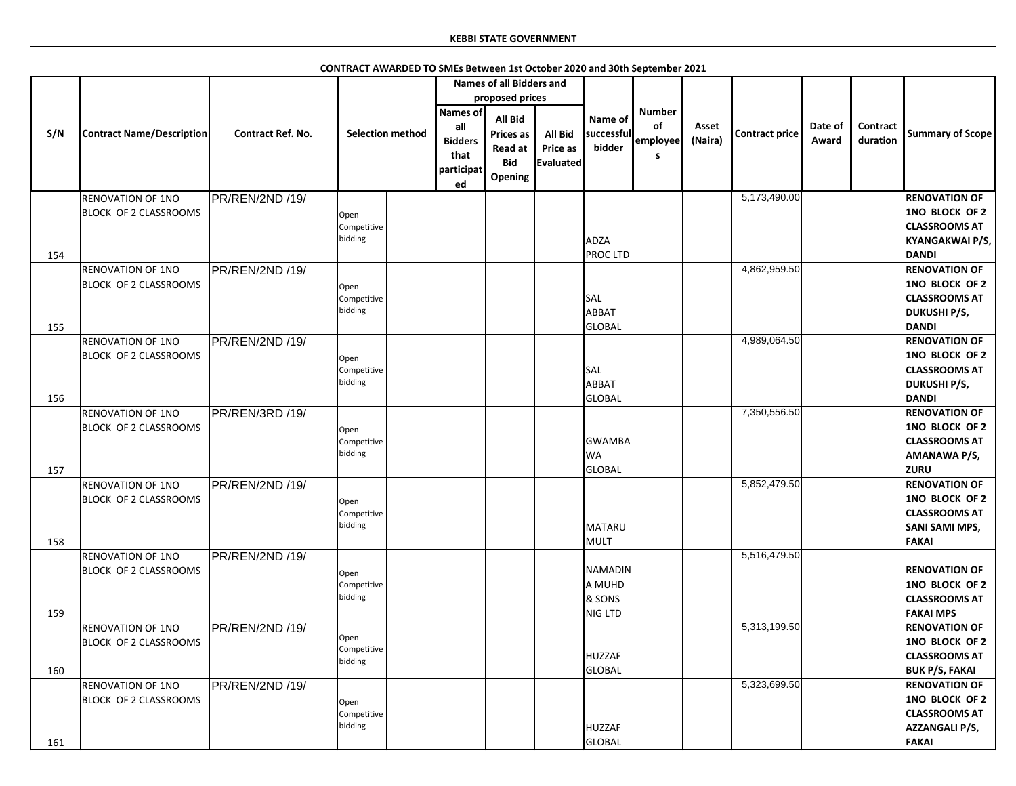|     |                                                          |                   |                                |                                                                      | <b>Names of all Bidders and</b>                                        |                                         |                                               |                                      |                  |                       |                  |                      |                                                                                                         |
|-----|----------------------------------------------------------|-------------------|--------------------------------|----------------------------------------------------------------------|------------------------------------------------------------------------|-----------------------------------------|-----------------------------------------------|--------------------------------------|------------------|-----------------------|------------------|----------------------|---------------------------------------------------------------------------------------------------------|
|     |                                                          |                   |                                |                                                                      | proposed prices                                                        |                                         |                                               |                                      |                  |                       |                  |                      |                                                                                                         |
| S/N | <b>Contract Name/Description</b>                         | Contract Ref. No. | <b>Selection method</b>        | <b>Names of</b><br>all<br><b>Bidders</b><br>that<br>participat<br>ed | <b>All Bid</b><br>Prices as<br><b>Read at</b><br><b>Bid</b><br>Opening | <b>All Bid</b><br>Price as<br>Evaluated | Name of<br>successful<br>bidder               | <b>Number</b><br>of<br>employee<br>s | Asset<br>(Naira) | <b>Contract price</b> | Date of<br>Award | Contract<br>duration | <b>Summary of Scope</b>                                                                                 |
|     | <b>RENOVATION OF 1NO</b><br><b>BLOCK OF 2 CLASSROOMS</b> | PR/REN/2ND /19/   | Open<br>Competitive<br>bidding |                                                                      |                                                                        |                                         | ADZA                                          |                                      |                  | 5,173,490.00          |                  |                      | <b>RENOVATION OF</b><br>1NO BLOCK OF 2<br><b>CLASSROOMS AT</b><br><b>KYANGAKWAI P/S,</b>                |
| 154 |                                                          |                   |                                |                                                                      |                                                                        |                                         | <b>PROCLTD</b>                                |                                      |                  | 4,862,959.50          |                  |                      | <b>DANDI</b>                                                                                            |
| 155 | <b>RENOVATION OF 1NO</b><br><b>BLOCK OF 2 CLASSROOMS</b> | PR/REN/2ND /19/   | Open<br>Competitive<br>bidding |                                                                      |                                                                        |                                         | <b>SAL</b><br><b>ABBAT</b><br><b>GLOBAL</b>   |                                      |                  |                       |                  |                      | <b>RENOVATION OF</b><br>1NO BLOCK OF 2<br><b>CLASSROOMS AT</b><br><b>DUKUSHI P/S,</b><br><b>DANDI</b>   |
|     | <b>RENOVATION OF 1NO</b>                                 | PR/REN/2ND /19/   |                                |                                                                      |                                                                        |                                         |                                               |                                      |                  | 4,989,064.50          |                  |                      | <b>RENOVATION OF</b>                                                                                    |
|     | <b>BLOCK OF 2 CLASSROOMS</b>                             |                   | Open<br>Competitive<br>bidding |                                                                      |                                                                        |                                         | <b>SAL</b><br><b>ABBAT</b>                    |                                      |                  |                       |                  |                      | 1NO BLOCK OF 2<br><b>CLASSROOMS AT</b><br><b>DUKUSHI P/S,</b>                                           |
| 156 |                                                          |                   |                                |                                                                      |                                                                        |                                         | <b>GLOBAL</b>                                 |                                      |                  |                       |                  |                      | <b>DANDI</b>                                                                                            |
| 157 | <b>RENOVATION OF 1NO</b><br><b>BLOCK OF 2 CLASSROOMS</b> | PR/REN/3RD /19/   | Open<br>Competitive<br>bidding |                                                                      |                                                                        |                                         | <b>GWAMBA</b><br><b>WA</b><br><b>GLOBAL</b>   |                                      |                  | 7,350,556.50          |                  |                      | <b>RENOVATION OF</b><br>1NO BLOCK OF 2<br><b>CLASSROOMS AT</b><br><b>AMANAWA P/S,</b><br><b>ZURU</b>    |
| 158 | <b>RENOVATION OF 1NO</b><br><b>BLOCK OF 2 CLASSROOMS</b> | PR/REN/2ND /19/   | Open<br>Competitive<br>bidding |                                                                      |                                                                        |                                         | <b>MATARU</b><br>MULT                         |                                      |                  | 5,852,479.50          |                  |                      | <b>RENOVATION OF</b><br>1NO BLOCK OF 2<br><b>CLASSROOMS AT</b><br><b>SANI SAMI MPS,</b><br><b>FAKAI</b> |
| 159 | <b>RENOVATION OF 1NO</b><br><b>BLOCK OF 2 CLASSROOMS</b> | PR/REN/2ND /19/   | Open<br>Competitive<br>bidding |                                                                      |                                                                        |                                         | <b>NAMADIN</b><br>A MUHD<br>& SONS<br>NIG LTD |                                      |                  | 5,516,479.50          |                  |                      | <b>RENOVATION OF</b><br>1NO BLOCK OF 2<br><b>CLASSROOMS AT</b><br><b>FAKAI MPS</b>                      |
| 160 | <b>RENOVATION OF 1NO</b><br><b>BLOCK OF 2 CLASSROOMS</b> | PR/REN/2ND /19/   | Open<br>Competitive<br>bidding |                                                                      |                                                                        |                                         | <b>HUZZAF</b><br><b>GLOBAL</b>                |                                      |                  | 5,313,199.50          |                  |                      | <b>RENOVATION OF</b><br>1NO BLOCK OF 2<br><b>CLASSROOMS AT</b><br><b>BUK P/S, FAKAI</b>                 |
| 161 | <b>RENOVATION OF 1NO</b><br><b>BLOCK OF 2 CLASSROOMS</b> | PR/REN/2ND /19/   | Open<br>Competitive<br>bidding |                                                                      |                                                                        |                                         | <b>HUZZAF</b><br><b>GLOBAL</b>                |                                      |                  | 5,323,699.50          |                  |                      | <b>RENOVATION OF</b><br>1NO BLOCK OF 2<br><b>CLASSROOMS AT</b><br><b>AZZANGALI P/S,</b><br><b>FAKAI</b> |

**CONTRACT AWARDED TO SMEs Between 1st October 2020 and 30th September 2021**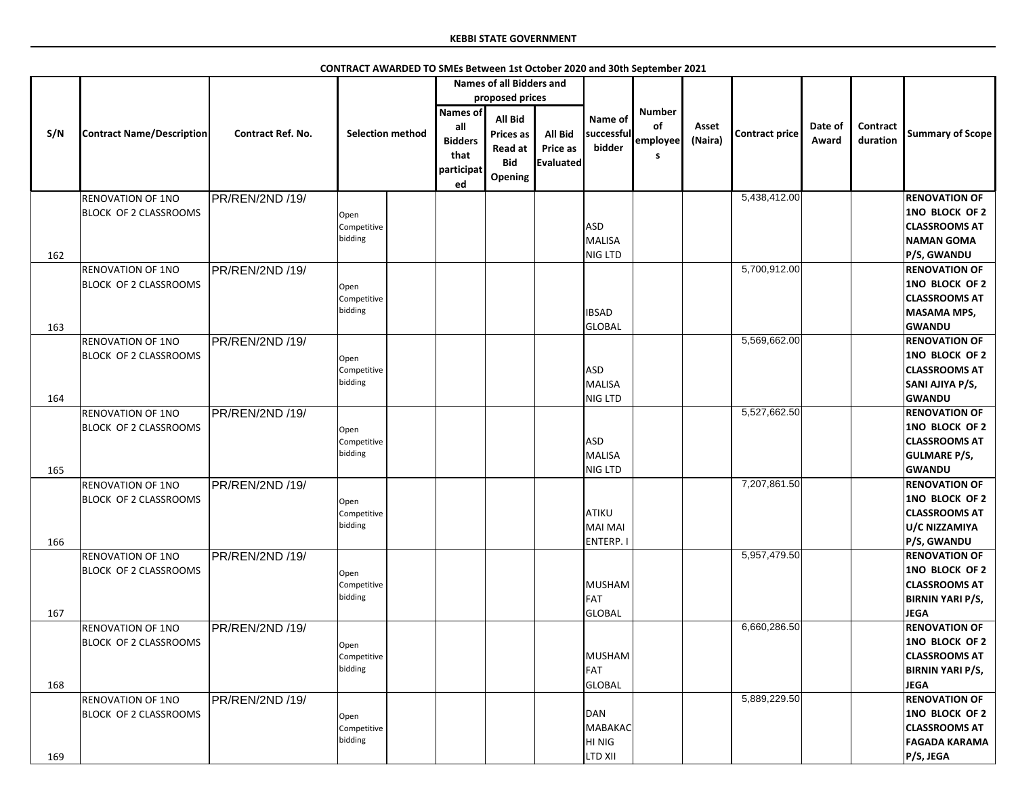|     |                                  |                          |                         |                                                                | <b>Names of all Bidders and</b>                                        |                                                |                                 |                                             |                  |                |                  |                      |                         |
|-----|----------------------------------|--------------------------|-------------------------|----------------------------------------------------------------|------------------------------------------------------------------------|------------------------------------------------|---------------------------------|---------------------------------------------|------------------|----------------|------------------|----------------------|-------------------------|
|     |                                  |                          |                         |                                                                | proposed prices                                                        |                                                |                                 |                                             |                  |                |                  |                      |                         |
| S/N | <b>Contract Name/Description</b> | <b>Contract Ref. No.</b> | <b>Selection method</b> | <b>Names of</b><br>all<br><b>Bidders</b><br>that<br>participat | <b>All Bid</b><br><b>Prices as</b><br>Read at<br><b>Bid</b><br>Opening | <b>All Bid</b><br>Price as<br><b>Evaluated</b> | Name of<br>successful<br>bidder | <b>Number</b><br>of<br>employee<br><b>S</b> | Asset<br>(Naira) | Contract price | Date of<br>Award | Contract<br>duration | <b>Summary of Scope</b> |
|     |                                  |                          |                         | ed                                                             |                                                                        |                                                |                                 |                                             |                  |                |                  |                      |                         |
|     | <b>RENOVATION OF 1NO</b>         | PR/REN/2ND /19/          |                         |                                                                |                                                                        |                                                |                                 |                                             |                  | 5,438,412.00   |                  |                      | <b>RENOVATION OF</b>    |
|     | <b>BLOCK OF 2 CLASSROOMS</b>     |                          |                         |                                                                |                                                                        |                                                |                                 |                                             |                  |                |                  |                      | 1NO BLOCK OF 2          |
|     |                                  |                          | Open                    |                                                                |                                                                        |                                                | ASD                             |                                             |                  |                |                  |                      | <b>CLASSROOMS AT</b>    |
|     |                                  |                          | Competitive<br>bidding  |                                                                |                                                                        |                                                |                                 |                                             |                  |                |                  |                      |                         |
|     |                                  |                          |                         |                                                                |                                                                        |                                                | MALISA                          |                                             |                  |                |                  |                      | <b>NAMAN GOMA</b>       |
| 162 |                                  |                          |                         |                                                                |                                                                        |                                                | NIG LTD                         |                                             |                  |                |                  |                      | P/S, GWANDU             |
|     | <b>RENOVATION OF 1NO</b>         | PR/REN/2ND /19/          |                         |                                                                |                                                                        |                                                |                                 |                                             |                  | 5,700,912.00   |                  |                      | <b>RENOVATION OF</b>    |
|     | <b>BLOCK OF 2 CLASSROOMS</b>     |                          | Open                    |                                                                |                                                                        |                                                |                                 |                                             |                  |                |                  |                      | 1NO BLOCK OF 2          |
|     |                                  |                          | Competitive             |                                                                |                                                                        |                                                |                                 |                                             |                  |                |                  |                      | <b>CLASSROOMS AT</b>    |
|     |                                  |                          | bidding                 |                                                                |                                                                        |                                                | <b>IBSAD</b>                    |                                             |                  |                |                  |                      | <b>MASAMA MPS,</b>      |
| 163 |                                  |                          |                         |                                                                |                                                                        |                                                | GLOBAL                          |                                             |                  |                |                  |                      | <b>GWANDU</b>           |
|     | <b>RENOVATION OF 1NO</b>         | PR/REN/2ND /19/          |                         |                                                                |                                                                        |                                                |                                 |                                             |                  | 5,569,662.00   |                  |                      | <b>RENOVATION OF</b>    |
|     | <b>BLOCK OF 2 CLASSROOMS</b>     |                          |                         |                                                                |                                                                        |                                                |                                 |                                             |                  |                |                  |                      | 1NO BLOCK OF 2          |
|     |                                  |                          | Open<br>Competitive     |                                                                |                                                                        |                                                | <b>ASD</b>                      |                                             |                  |                |                  |                      | <b>CLASSROOMS AT</b>    |
|     |                                  |                          | bidding                 |                                                                |                                                                        |                                                |                                 |                                             |                  |                |                  |                      |                         |
|     |                                  |                          |                         |                                                                |                                                                        |                                                | MALISA                          |                                             |                  |                |                  |                      | SANI AJIYA P/S,         |
| 164 |                                  |                          |                         |                                                                |                                                                        |                                                | NIG LTD                         |                                             |                  |                |                  |                      | <b>GWANDU</b>           |
|     | <b>RENOVATION OF 1NO</b>         | PR/REN/2ND /19/          |                         |                                                                |                                                                        |                                                |                                 |                                             |                  | 5,527,662.50   |                  |                      | <b>RENOVATION OF</b>    |
|     | <b>BLOCK OF 2 CLASSROOMS</b>     |                          | Open                    |                                                                |                                                                        |                                                |                                 |                                             |                  |                |                  |                      | 1NO BLOCK OF 2          |
|     |                                  |                          | Competitive             |                                                                |                                                                        |                                                | <b>ASD</b>                      |                                             |                  |                |                  |                      | <b>CLASSROOMS AT</b>    |
|     |                                  |                          | bidding                 |                                                                |                                                                        |                                                | MALISA                          |                                             |                  |                |                  |                      | <b>GULMARE P/S,</b>     |
| 165 |                                  |                          |                         |                                                                |                                                                        |                                                | NIG LTD                         |                                             |                  |                |                  |                      | <b>GWANDU</b>           |
|     | <b>RENOVATION OF 1NO</b>         | PR/REN/2ND /19/          |                         |                                                                |                                                                        |                                                |                                 |                                             |                  | 7,207,861.50   |                  |                      | <b>RENOVATION OF</b>    |
|     | <b>BLOCK OF 2 CLASSROOMS</b>     |                          |                         |                                                                |                                                                        |                                                |                                 |                                             |                  |                |                  |                      | 1NO BLOCK OF 2          |
|     |                                  |                          | Open<br>Competitive     |                                                                |                                                                        |                                                | ATIKU                           |                                             |                  |                |                  |                      | <b>CLASSROOMS AT</b>    |
|     |                                  |                          | bidding                 |                                                                |                                                                        |                                                | MAI MAI                         |                                             |                  |                |                  |                      |                         |
|     |                                  |                          |                         |                                                                |                                                                        |                                                |                                 |                                             |                  |                |                  |                      | U/C NIZZAMIYA           |
| 166 |                                  |                          |                         |                                                                |                                                                        |                                                | ENTERP.                         |                                             |                  |                |                  |                      | P/S, GWANDU             |
|     | <b>RENOVATION OF 1NO</b>         | PR/REN/2ND /19/          |                         |                                                                |                                                                        |                                                |                                 |                                             |                  | 5,957,479.50   |                  |                      | <b>RENOVATION OF</b>    |
|     | <b>BLOCK OF 2 CLASSROOMS</b>     |                          | Open                    |                                                                |                                                                        |                                                |                                 |                                             |                  |                |                  |                      | 1NO BLOCK OF 2          |
|     |                                  |                          | Competitive             |                                                                |                                                                        |                                                | MUSHAM                          |                                             |                  |                |                  |                      | <b>CLASSROOMS AT</b>    |
|     |                                  |                          | bidding                 |                                                                |                                                                        |                                                | FAT                             |                                             |                  |                |                  |                      | <b>BIRNIN YARI P/S,</b> |
| 167 |                                  |                          |                         |                                                                |                                                                        |                                                | <b>GLOBAL</b>                   |                                             |                  |                |                  |                      | <b>JEGA</b>             |
|     | <b>RENOVATION OF 1NO</b>         | PR/REN/2ND /19/          |                         |                                                                |                                                                        |                                                |                                 |                                             |                  | 6,660,286.50   |                  |                      | <b>RENOVATION OF</b>    |
|     | <b>BLOCK OF 2 CLASSROOMS</b>     |                          | Open                    |                                                                |                                                                        |                                                |                                 |                                             |                  |                |                  |                      | 1NO BLOCK OF 2          |
|     |                                  |                          | Competitive             |                                                                |                                                                        |                                                | MUSHAM                          |                                             |                  |                |                  |                      | <b>CLASSROOMS AT</b>    |
|     |                                  |                          | bidding                 |                                                                |                                                                        |                                                | FAT                             |                                             |                  |                |                  |                      | <b>BIRNIN YARI P/S,</b> |
|     |                                  |                          |                         |                                                                |                                                                        |                                                | <b>GLOBAL</b>                   |                                             |                  |                |                  |                      |                         |
| 168 |                                  |                          |                         |                                                                |                                                                        |                                                |                                 |                                             |                  |                |                  |                      | <b>JEGA</b>             |
|     | <b>RENOVATION OF 1NO</b>         | PR/REN/2ND /19/          |                         |                                                                |                                                                        |                                                |                                 |                                             |                  | 5,889,229.50   |                  |                      | <b>RENOVATION OF</b>    |
|     | <b>BLOCK OF 2 CLASSROOMS</b>     |                          | Open                    |                                                                |                                                                        |                                                | DAN                             |                                             |                  |                |                  |                      | 1NO BLOCK OF 2          |
|     |                                  |                          | Competitive             |                                                                |                                                                        |                                                | MABAKAC                         |                                             |                  |                |                  |                      | <b>CLASSROOMS AT</b>    |
|     |                                  |                          | bidding                 |                                                                |                                                                        |                                                | HI NIG                          |                                             |                  |                |                  |                      | <b>FAGADA KARAMA</b>    |
| 169 |                                  |                          |                         |                                                                |                                                                        |                                                | <b>LTD XII</b>                  |                                             |                  |                |                  |                      | P/S, JEGA               |

# **CONTRACT AWARDED TO SMEs Between 1st October 2020 and 30th September 2021**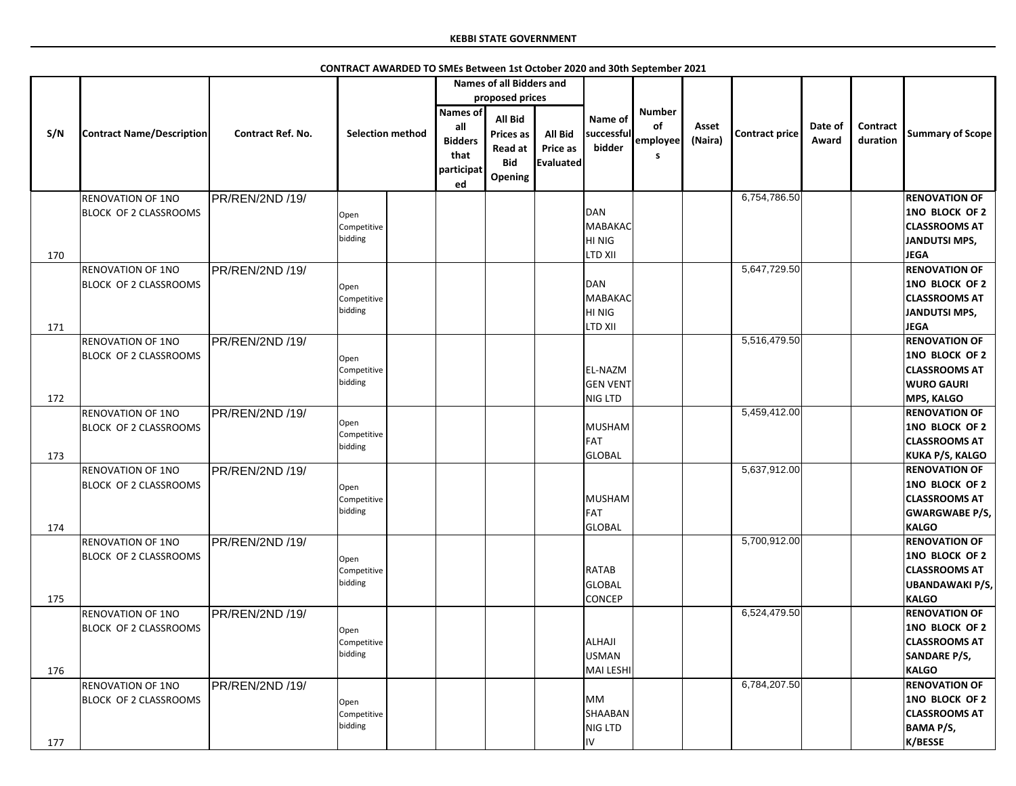|            |                                                          |                          |                                |                                                               | <b>Names of all Bidders and</b>                                               |                                                |                                                              |                                      |                  |                       |                  |                             |                                                                                                                      |
|------------|----------------------------------------------------------|--------------------------|--------------------------------|---------------------------------------------------------------|-------------------------------------------------------------------------------|------------------------------------------------|--------------------------------------------------------------|--------------------------------------|------------------|-----------------------|------------------|-----------------------------|----------------------------------------------------------------------------------------------------------------------|
|            |                                                          |                          |                                |                                                               | proposed prices                                                               |                                                |                                                              |                                      |                  |                       |                  |                             |                                                                                                                      |
| S/N        | <b>Contract Name/Description</b>                         | <b>Contract Ref. No.</b> | <b>Selection method</b>        | Names of<br>all<br><b>Bidders</b><br>that<br>participat<br>ed | <b>All Bid</b><br><b>Prices as</b><br><b>Read at</b><br><b>Bid</b><br>Opening | <b>All Bid</b><br><b>Price as</b><br>Evaluated | Name of<br>successful<br>bidder                              | <b>Number</b><br>of<br>employee<br>S | Asset<br>(Naira) | <b>Contract price</b> | Date of<br>Award | <b>Contract</b><br>duration | <b>Summary of Scope</b>                                                                                              |
|            | <b>RENOVATION OF 1NO</b><br>BLOCK OF 2 CLASSROOMS        | PR/REN/2ND /19/          | Open<br>Competitive<br>bidding |                                                               |                                                                               |                                                | DAN<br>MABAKAC<br>HI NIG                                     |                                      |                  | 6,754,786.50          |                  |                             | <b>RENOVATION OF</b><br>1NO BLOCK OF 2<br><b>CLASSROOMS AT</b><br><b>JANDUTSI MPS,</b>                               |
| 170<br>171 | <b>RENOVATION OF 1NO</b><br><b>BLOCK OF 2 CLASSROOMS</b> | PR/REN/2ND /19/          | Open<br>Competitive<br>bidding |                                                               |                                                                               |                                                | <b>LTD XII</b><br>DAN<br>MABAKAC<br>HI NIG<br><b>LTD XII</b> |                                      |                  | 5,647,729.50          |                  |                             | <b>JEGA</b><br><b>RENOVATION OF</b><br>1NO BLOCK OF 2<br><b>CLASSROOMS AT</b><br>JANDUTSI MPS,<br><b>JEGA</b>        |
|            | <b>RENOVATION OF 1NO</b><br><b>BLOCK OF 2 CLASSROOMS</b> | PR/REN/2ND /19/          | Open<br>Competitive<br>bidding |                                                               |                                                                               |                                                | EL-NAZM<br><b>GEN VENT</b>                                   |                                      |                  | 5,516,479.50          |                  |                             | <b>RENOVATION OF</b><br>1NO BLOCK OF 2<br><b>CLASSROOMS AT</b><br><b>WURO GAURI</b>                                  |
| 172<br>173 | <b>RENOVATION OF 1NO</b><br>BLOCK OF 2 CLASSROOMS        | PR/REN/2ND /19/          | Open<br>Competitive<br>bidding |                                                               |                                                                               |                                                | <b>NIG LTD</b><br>MUSHAM<br>FAT<br>GLOBAL                    |                                      |                  | 5,459,412.00          |                  |                             | <b>MPS, KALGO</b><br><b>RENOVATION OF</b><br><b>1NO BLOCK OF 2</b><br><b>CLASSROOMS AT</b><br><b>KUKA P/S, KALGO</b> |
| 174        | <b>RENOVATION OF 1NO</b><br><b>BLOCK OF 2 CLASSROOMS</b> | PR/REN/2ND /19/          | Open<br>Competitive<br>bidding |                                                               |                                                                               |                                                | MUSHAM<br>FAT<br>GLOBAL                                      |                                      |                  | 5,637,912.00          |                  |                             | <b>RENOVATION OF</b><br>1NO BLOCK OF 2<br><b>CLASSROOMS AT</b><br><b>GWARGWABE P/S,</b><br><b>KALGO</b>              |
| 175        | <b>RENOVATION OF 1NO</b><br><b>BLOCK OF 2 CLASSROOMS</b> | PR/REN/2ND /19/          | Open<br>Competitive<br>bidding |                                                               |                                                                               |                                                | <b>RATAB</b><br><b>GLOBAL</b><br><b>CONCEP</b>               |                                      |                  | 5,700,912.00          |                  |                             | <b>RENOVATION OF</b><br>1NO BLOCK OF 2<br><b>CLASSROOMS AT</b><br><b>UBANDAWAKI P/S,</b><br><b>KALGO</b>             |
| 176        | <b>RENOVATION OF 1NO</b><br><b>BLOCK OF 2 CLASSROOMS</b> | PR/REN/2ND /19/          | Open<br>Competitive<br>bidding |                                                               |                                                                               |                                                | ALHAJI<br><b>USMAN</b><br>MAI LESHI                          |                                      |                  | 6,524,479.50          |                  |                             | <b>RENOVATION OF</b><br>1NO BLOCK OF 2<br><b>CLASSROOMS AT</b><br><b>SANDARE P/S,</b><br><b>KALGO</b>                |
| 177        | <b>RENOVATION OF 1NO</b><br><b>BLOCK OF 2 CLASSROOMS</b> | PR/REN/2ND /19/          | Open<br>Competitive<br>bidding |                                                               |                                                                               |                                                | <b>MM</b><br>SHAABAN<br><b>NIG LTD</b><br>IV.                |                                      |                  | 6,784,207.50          |                  |                             | <b>RENOVATION OF</b><br>1NO BLOCK OF 2<br><b>CLASSROOMS AT</b><br><b>BAMA P/S,</b><br>K/BESSE                        |

**CONTRACT AWARDED TO SMEs Between 1st October 2020 and 30th September 2021**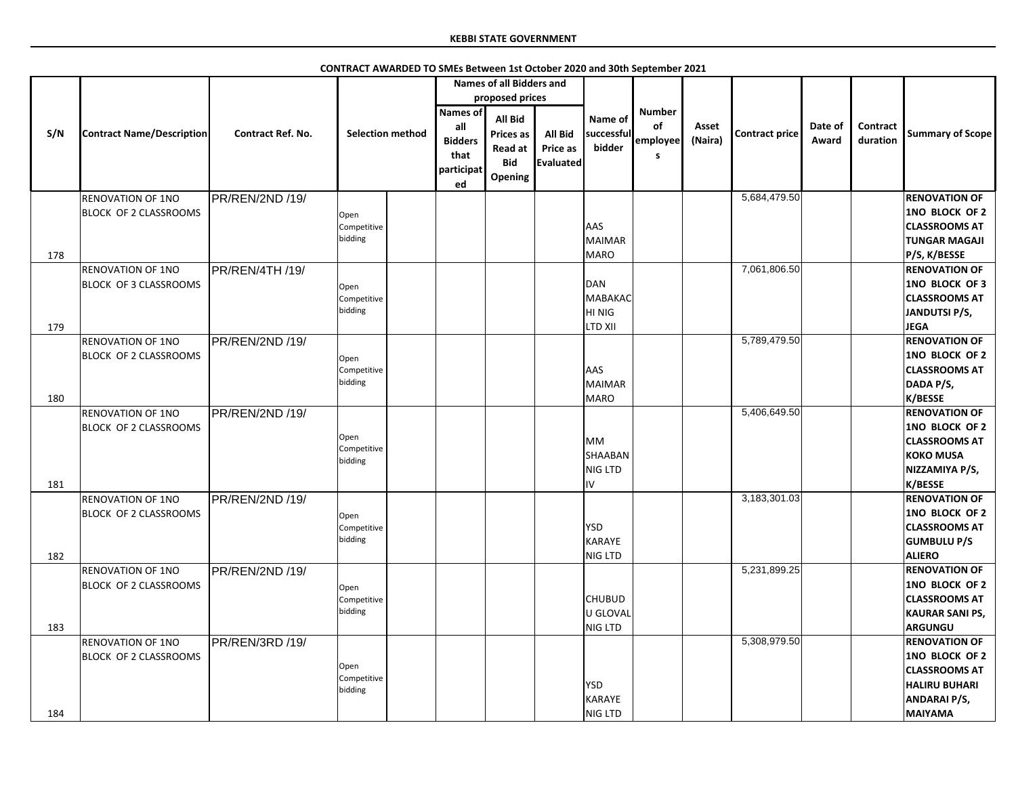|     |                                  |                          |                         |                                                                      | <b>Names of all Bidders and</b>                                                      |                                         |                                 |                                             |                  |                       |                  |                             |                         |
|-----|----------------------------------|--------------------------|-------------------------|----------------------------------------------------------------------|--------------------------------------------------------------------------------------|-----------------------------------------|---------------------------------|---------------------------------------------|------------------|-----------------------|------------------|-----------------------------|-------------------------|
|     |                                  |                          |                         |                                                                      | proposed prices                                                                      |                                         |                                 |                                             |                  |                       |                  |                             |                         |
|     |                                  |                          |                         |                                                                      |                                                                                      |                                         |                                 |                                             |                  |                       |                  |                             |                         |
| S/N | <b>Contract Name/Description</b> | <b>Contract Ref. No.</b> | <b>Selection method</b> | <b>Names of</b><br>all<br><b>Bidders</b><br>that<br>participat<br>ed | <b>All Bid</b><br><b>Prices as</b><br><b>Read at</b><br><b>Bid</b><br><b>Opening</b> | <b>All Bid</b><br>Price as<br>Evaluated | Name of<br>successful<br>bidder | <b>Number</b><br>of<br>employee<br><b>S</b> | Asset<br>(Naira) | <b>Contract price</b> | Date of<br>Award | <b>Contract</b><br>duration | <b>Summary of Scope</b> |
|     | <b>RENOVATION OF 1NO</b>         | PR/REN/2ND /19/          |                         |                                                                      |                                                                                      |                                         |                                 |                                             |                  | 5,684,479.50          |                  |                             | <b>RENOVATION OF</b>    |
|     | <b>BLOCK OF 2 CLASSROOMS</b>     |                          | Open                    |                                                                      |                                                                                      |                                         |                                 |                                             |                  |                       |                  |                             | 1NO BLOCK OF 2          |
|     |                                  |                          | Competitive             |                                                                      |                                                                                      |                                         | <b>AAS</b>                      |                                             |                  |                       |                  |                             | <b>CLASSROOMS AT</b>    |
|     |                                  |                          | bidding                 |                                                                      |                                                                                      |                                         | MAIMAR                          |                                             |                  |                       |                  |                             | <b>TUNGAR MAGAJI</b>    |
| 178 |                                  |                          |                         |                                                                      |                                                                                      |                                         | MARO                            |                                             |                  |                       |                  |                             | P/S, K/BESSE            |
|     | <b>RENOVATION OF 1NO</b>         | PR/REN/4TH /19/          |                         |                                                                      |                                                                                      |                                         |                                 |                                             |                  | 7,061,806.50          |                  |                             | <b>RENOVATION OF</b>    |
|     | <b>BLOCK OF 3 CLASSROOMS</b>     |                          |                         |                                                                      |                                                                                      |                                         | DAN                             |                                             |                  |                       |                  |                             | 1NO BLOCK OF 3          |
|     |                                  |                          | Open                    |                                                                      |                                                                                      |                                         | MABAKAC                         |                                             |                  |                       |                  |                             | <b>CLASSROOMS AT</b>    |
|     |                                  |                          | Competitive<br>bidding  |                                                                      |                                                                                      |                                         |                                 |                                             |                  |                       |                  |                             |                         |
|     |                                  |                          |                         |                                                                      |                                                                                      |                                         | HI NIG                          |                                             |                  |                       |                  |                             | JANDUTSI P/S,           |
| 179 |                                  |                          |                         |                                                                      |                                                                                      |                                         | <b>LTD XII</b>                  |                                             |                  |                       |                  |                             | <b>JEGA</b>             |
|     | <b>RENOVATION OF 1NO</b>         | PR/REN/2ND /19/          |                         |                                                                      |                                                                                      |                                         |                                 |                                             |                  | 5,789,479.50          |                  |                             | <b>RENOVATION OF</b>    |
|     | BLOCK OF 2 CLASSROOMS            |                          | Open                    |                                                                      |                                                                                      |                                         |                                 |                                             |                  |                       |                  |                             | 1NO BLOCK OF 2          |
|     |                                  |                          | Competitive             |                                                                      |                                                                                      |                                         | <b>AAS</b>                      |                                             |                  |                       |                  |                             | <b>CLASSROOMS AT</b>    |
|     |                                  |                          | bidding                 |                                                                      |                                                                                      |                                         | MAIMAR                          |                                             |                  |                       |                  |                             | DADA P/S,               |
| 180 |                                  |                          |                         |                                                                      |                                                                                      |                                         | <b>MARO</b>                     |                                             |                  |                       |                  |                             | <b>K/BESSE</b>          |
|     | <b>RENOVATION OF 1NO</b>         | PR/REN/2ND /19/          |                         |                                                                      |                                                                                      |                                         |                                 |                                             |                  | 5,406,649.50          |                  |                             | <b>RENOVATION OF</b>    |
|     | BLOCK OF 2 CLASSROOMS            |                          |                         |                                                                      |                                                                                      |                                         |                                 |                                             |                  |                       |                  |                             | 1NO BLOCK OF 2          |
|     |                                  |                          | Open                    |                                                                      |                                                                                      |                                         | <b>MM</b>                       |                                             |                  |                       |                  |                             | <b>CLASSROOMS AT</b>    |
|     |                                  |                          | Competitive<br>bidding  |                                                                      |                                                                                      |                                         | SHAABAN                         |                                             |                  |                       |                  |                             | <b>KOKO MUSA</b>        |
|     |                                  |                          |                         |                                                                      |                                                                                      |                                         | NIG LTD                         |                                             |                  |                       |                  |                             | NIZZAMIYA P/S,          |
| 181 |                                  |                          |                         |                                                                      |                                                                                      |                                         | IV                              |                                             |                  |                       |                  |                             | <b>K/BESSE</b>          |
|     | <b>RENOVATION OF 1NO</b>         | PR/REN/2ND /19/          |                         |                                                                      |                                                                                      |                                         |                                 |                                             |                  | 3,183,301.03          |                  |                             | <b>RENOVATION OF</b>    |
|     | BLOCK OF 2 CLASSROOMS            |                          | Open                    |                                                                      |                                                                                      |                                         |                                 |                                             |                  |                       |                  |                             | <b>1NO BLOCK OF 2</b>   |
|     |                                  |                          | Competitive             |                                                                      |                                                                                      |                                         | <b>YSD</b>                      |                                             |                  |                       |                  |                             | <b>CLASSROOMS AT</b>    |
|     |                                  |                          | bidding                 |                                                                      |                                                                                      |                                         | KARAYE                          |                                             |                  |                       |                  |                             | <b>GUMBULU P/S</b>      |
| 182 |                                  |                          |                         |                                                                      |                                                                                      |                                         | NIG LTD                         |                                             |                  |                       |                  |                             | <b>ALIERO</b>           |
|     | <b>RENOVATION OF 1NO</b>         | PR/REN/2ND /19/          |                         |                                                                      |                                                                                      |                                         |                                 |                                             |                  | 5,231,899.25          |                  |                             | <b>RENOVATION OF</b>    |
|     | <b>BLOCK OF 2 CLASSROOMS</b>     |                          |                         |                                                                      |                                                                                      |                                         |                                 |                                             |                  |                       |                  |                             | 1NO BLOCK OF 2          |
|     |                                  |                          | Open                    |                                                                      |                                                                                      |                                         | <b>CHUBUD</b>                   |                                             |                  |                       |                  |                             | <b>CLASSROOMS AT</b>    |
|     |                                  |                          | Competitive<br>bidding  |                                                                      |                                                                                      |                                         |                                 |                                             |                  |                       |                  |                             |                         |
|     |                                  |                          |                         |                                                                      |                                                                                      |                                         | U GLOVAL                        |                                             |                  |                       |                  |                             | <b>KAURAR SANI PS,</b>  |
| 183 |                                  |                          |                         |                                                                      |                                                                                      |                                         | NIG LTD                         |                                             |                  |                       |                  |                             | <b>ARGUNGU</b>          |
|     | <b>RENOVATION OF 1NO</b>         | PR/REN/3RD /19/          |                         |                                                                      |                                                                                      |                                         |                                 |                                             |                  | 5,308,979.50          |                  |                             | <b>RENOVATION OF</b>    |
|     | <b>BLOCK OF 2 CLASSROOMS</b>     |                          | Open                    |                                                                      |                                                                                      |                                         |                                 |                                             |                  |                       |                  |                             | 1NO BLOCK OF 2          |
|     |                                  |                          | Competitive             |                                                                      |                                                                                      |                                         |                                 |                                             |                  |                       |                  |                             | <b>CLASSROOMS AT</b>    |
|     |                                  |                          | bidding                 |                                                                      |                                                                                      |                                         | <b>YSD</b>                      |                                             |                  |                       |                  |                             | <b>HALIRU BUHARI</b>    |
|     |                                  |                          |                         |                                                                      |                                                                                      |                                         | KARAYE                          |                                             |                  |                       |                  |                             | <b>ANDARAI P/S,</b>     |
| 184 |                                  |                          |                         |                                                                      |                                                                                      |                                         | NIG LTD                         |                                             |                  |                       |                  |                             | <b>MAIYAMA</b>          |

**CONTRACT AWARDED TO SMEs Between 1st October 2020 and 30th September 2021**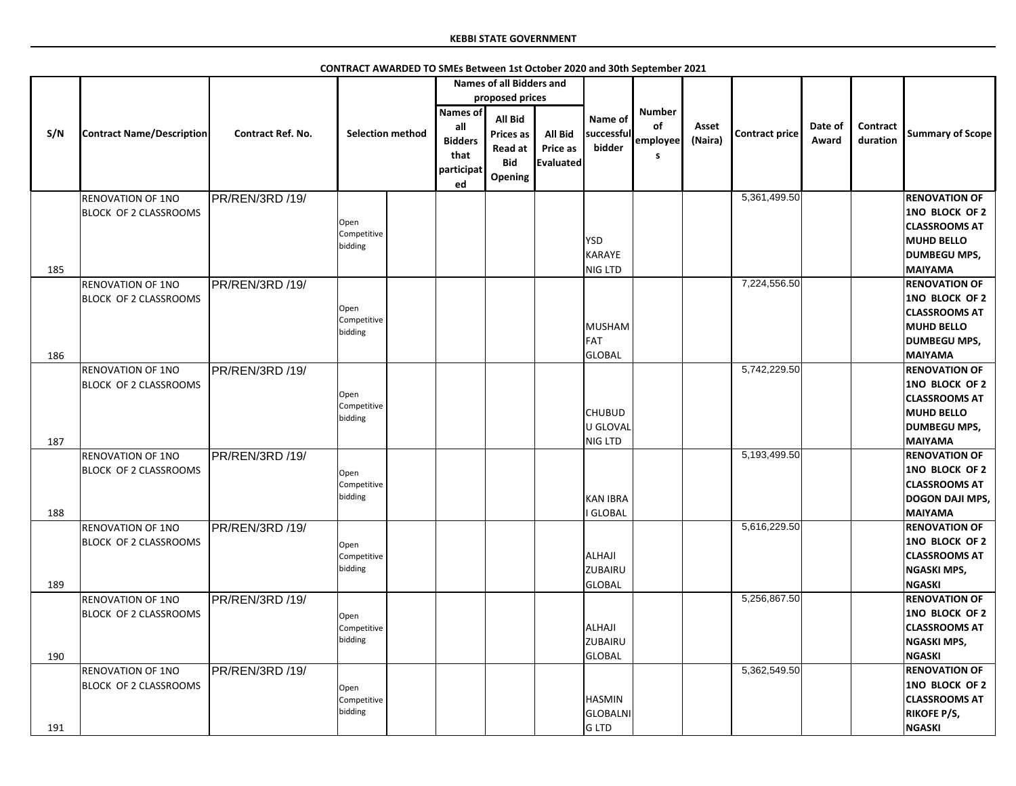|     |                                  |                          |                         |                                             | <b>Names of all Bidders and</b>                                               |                                                |                                 |                     |                  |                       |                  |                      |                         |
|-----|----------------------------------|--------------------------|-------------------------|---------------------------------------------|-------------------------------------------------------------------------------|------------------------------------------------|---------------------------------|---------------------|------------------|-----------------------|------------------|----------------------|-------------------------|
|     |                                  |                          |                         |                                             | proposed prices                                                               |                                                |                                 |                     |                  |                       |                  |                      |                         |
|     |                                  |                          |                         | <b>Names of</b>                             |                                                                               |                                                |                                 | <b>Number</b>       |                  |                       |                  |                      |                         |
| S/N | <b>Contract Name/Description</b> | <b>Contract Ref. No.</b> | <b>Selection method</b> | all<br><b>Bidders</b><br>that<br>participat | <b>All Bid</b><br><b>Prices as</b><br><b>Read at</b><br><b>Bid</b><br>Opening | <b>All Bid</b><br><b>Price as</b><br>Evaluated | Name of<br>successful<br>bidder | of<br>employee<br>S | Asset<br>(Naira) | <b>Contract price</b> | Date of<br>Award | Contract<br>duration | <b>Summary of Scope</b> |
|     |                                  |                          |                         | ed                                          |                                                                               |                                                |                                 |                     |                  |                       |                  |                      |                         |
|     | <b>RENOVATION OF 1NO</b>         | PR/REN/3RD /19/          |                         |                                             |                                                                               |                                                |                                 |                     |                  | 5,361,499.50          |                  |                      | <b>RENOVATION OF</b>    |
|     | <b>BLOCK OF 2 CLASSROOMS</b>     |                          |                         |                                             |                                                                               |                                                |                                 |                     |                  |                       |                  |                      | <b>1NO BLOCK OF 2</b>   |
|     |                                  |                          | Open<br>Competitive     |                                             |                                                                               |                                                |                                 |                     |                  |                       |                  |                      | <b>CLASSROOMS AT</b>    |
|     |                                  |                          | bidding                 |                                             |                                                                               |                                                | <b>YSD</b>                      |                     |                  |                       |                  |                      | <b>MUHD BELLO</b>       |
|     |                                  |                          |                         |                                             |                                                                               |                                                | KARAYE                          |                     |                  |                       |                  |                      | <b>DUMBEGU MPS,</b>     |
| 185 |                                  |                          |                         |                                             |                                                                               |                                                | NIG LTD                         |                     |                  |                       |                  |                      | <b>MAIYAMA</b>          |
|     | <b>RENOVATION OF 1NO</b>         | PR/REN/3RD /19/          |                         |                                             |                                                                               |                                                |                                 |                     |                  | 7,224,556.50          |                  |                      | <b>RENOVATION OF</b>    |
|     | <b>BLOCK OF 2 CLASSROOMS</b>     |                          |                         |                                             |                                                                               |                                                |                                 |                     |                  |                       |                  |                      | 1NO BLOCK OF 2          |
|     |                                  |                          | Open                    |                                             |                                                                               |                                                |                                 |                     |                  |                       |                  |                      | <b>CLASSROOMS AT</b>    |
|     |                                  |                          | Competitive             |                                             |                                                                               |                                                | MUSHAM                          |                     |                  |                       |                  |                      | <b>MUHD BELLO</b>       |
|     |                                  |                          | bidding                 |                                             |                                                                               |                                                | FAT                             |                     |                  |                       |                  |                      | <b>DUMBEGU MPS,</b>     |
| 186 |                                  |                          |                         |                                             |                                                                               |                                                | GLOBAL                          |                     |                  |                       |                  |                      | <b>MAIYAMA</b>          |
|     | <b>RENOVATION OF 1NO</b>         | PR/REN/3RD /19/          |                         |                                             |                                                                               |                                                |                                 |                     |                  | 5,742,229.50          |                  |                      | <b>RENOVATION OF</b>    |
|     |                                  |                          |                         |                                             |                                                                               |                                                |                                 |                     |                  |                       |                  |                      | <b>1NO BLOCK OF 2</b>   |
|     | <b>BLOCK OF 2 CLASSROOMS</b>     |                          | Open                    |                                             |                                                                               |                                                |                                 |                     |                  |                       |                  |                      |                         |
|     |                                  |                          | Competitive             |                                             |                                                                               |                                                |                                 |                     |                  |                       |                  |                      | <b>CLASSROOMS AT</b>    |
|     |                                  |                          | bidding                 |                                             |                                                                               |                                                | <b>CHUBUD</b>                   |                     |                  |                       |                  |                      | <b>MUHD BELLO</b>       |
|     |                                  |                          |                         |                                             |                                                                               |                                                | U GLOVAL                        |                     |                  |                       |                  |                      | <b>DUMBEGU MPS,</b>     |
| 187 |                                  |                          |                         |                                             |                                                                               |                                                | NIG LTD                         |                     |                  |                       |                  |                      | <b>MAIYAMA</b>          |
|     | <b>RENOVATION OF 1NO</b>         | PR/REN/3RD /19/          |                         |                                             |                                                                               |                                                |                                 |                     |                  | 5,193,499.50          |                  |                      | <b>RENOVATION OF</b>    |
|     | <b>BLOCK OF 2 CLASSROOMS</b>     |                          | Open                    |                                             |                                                                               |                                                |                                 |                     |                  |                       |                  |                      | 1NO BLOCK OF 2          |
|     |                                  |                          | Competitive             |                                             |                                                                               |                                                |                                 |                     |                  |                       |                  |                      | <b>CLASSROOMS AT</b>    |
|     |                                  |                          | bidding                 |                                             |                                                                               |                                                | <b>KAN IBRA</b>                 |                     |                  |                       |                  |                      | <b>DOGON DAJI MPS,</b>  |
| 188 |                                  |                          |                         |                                             |                                                                               |                                                | I GLOBAL                        |                     |                  |                       |                  |                      | <b>MAIYAMA</b>          |
|     | <b>RENOVATION OF 1NO</b>         | PR/REN/3RD /19/          |                         |                                             |                                                                               |                                                |                                 |                     |                  | 5,616,229.50          |                  |                      | <b>RENOVATION OF</b>    |
|     | <b>BLOCK OF 2 CLASSROOMS</b>     |                          | Open                    |                                             |                                                                               |                                                |                                 |                     |                  |                       |                  |                      | <b>1NO BLOCK OF 2</b>   |
|     |                                  |                          | Competitive             |                                             |                                                                               |                                                | ALHAJI                          |                     |                  |                       |                  |                      | <b>CLASSROOMS AT</b>    |
|     |                                  |                          | bidding                 |                                             |                                                                               |                                                | <b>ZUBAIRU</b>                  |                     |                  |                       |                  |                      | <b>NGASKI MPS,</b>      |
| 189 |                                  |                          |                         |                                             |                                                                               |                                                | GLOBAL                          |                     |                  |                       |                  |                      | <b>NGASKI</b>           |
|     | <b>RENOVATION OF 1NO</b>         | PR/REN/3RD /19/          |                         |                                             |                                                                               |                                                |                                 |                     |                  | 5,256,867.50          |                  |                      | <b>RENOVATION OF</b>    |
|     | <b>BLOCK OF 2 CLASSROOMS</b>     |                          |                         |                                             |                                                                               |                                                |                                 |                     |                  |                       |                  |                      | 1NO BLOCK OF 2          |
|     |                                  |                          | Open                    |                                             |                                                                               |                                                |                                 |                     |                  |                       |                  |                      |                         |
|     |                                  |                          | Competitive<br>bidding  |                                             |                                                                               |                                                | ALHAJI                          |                     |                  |                       |                  |                      | <b>CLASSROOMS AT</b>    |
|     |                                  |                          |                         |                                             |                                                                               |                                                | <b>ZUBAIRU</b>                  |                     |                  |                       |                  |                      | <b>NGASKI MPS,</b>      |
| 190 |                                  |                          |                         |                                             |                                                                               |                                                | GLOBAL                          |                     |                  |                       |                  |                      | <b>NGASKI</b>           |
|     | <b>RENOVATION OF 1NO</b>         | PR/REN/3RD /19/          |                         |                                             |                                                                               |                                                |                                 |                     |                  | 5,362,549.50          |                  |                      | <b>RENOVATION OF</b>    |
|     | <b>BLOCK OF 2 CLASSROOMS</b>     |                          | Open                    |                                             |                                                                               |                                                |                                 |                     |                  |                       |                  |                      | 1NO BLOCK OF 2          |
|     |                                  |                          | Competitive             |                                             |                                                                               |                                                | <b>HASMIN</b>                   |                     |                  |                       |                  |                      | <b>CLASSROOMS AT</b>    |
|     |                                  |                          | bidding                 |                                             |                                                                               |                                                | <b>GLOBALNI</b>                 |                     |                  |                       |                  |                      | <b>RIKOFE P/S,</b>      |
| 191 |                                  |                          |                         |                                             |                                                                               |                                                | G LTD                           |                     |                  |                       |                  |                      | <b>NGASKI</b>           |

**CONTRACT AWARDED TO SMEs Between 1st October 2020 and 30th September 2021**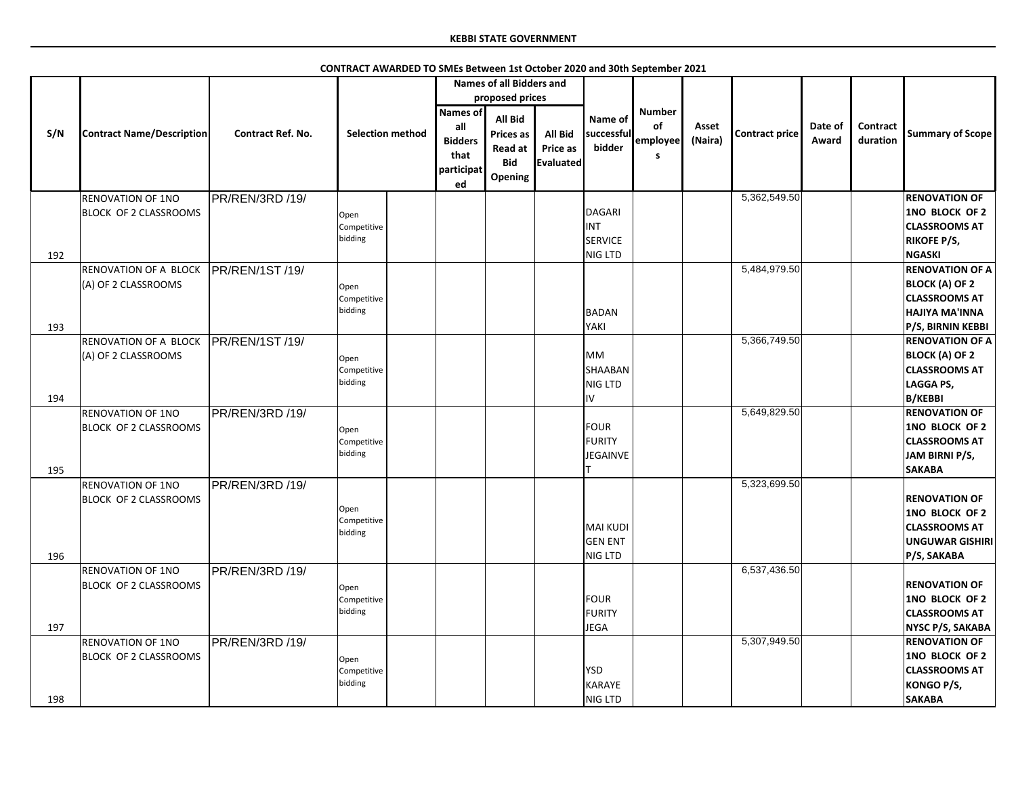|     |                                                          |                          | CONTRACT AWARDED TO SMEs Between 1st October 2020 and 30th September 2021 |                                                                      |                                                                        |                                                       |                                                   |                                      |                  |                       |                  |                      |                                                                                                      |
|-----|----------------------------------------------------------|--------------------------|---------------------------------------------------------------------------|----------------------------------------------------------------------|------------------------------------------------------------------------|-------------------------------------------------------|---------------------------------------------------|--------------------------------------|------------------|-----------------------|------------------|----------------------|------------------------------------------------------------------------------------------------------|
|     |                                                          |                          |                                                                           |                                                                      | <b>Names of all Bidders and</b>                                        |                                                       |                                                   |                                      |                  |                       |                  |                      |                                                                                                      |
|     |                                                          |                          |                                                                           |                                                                      | proposed prices                                                        |                                                       |                                                   |                                      |                  |                       |                  |                      |                                                                                                      |
| S/N | <b>Contract Name/Description</b>                         | <b>Contract Ref. No.</b> | <b>Selection method</b>                                                   | <b>Names of</b><br>all<br><b>Bidders</b><br>that<br>participat<br>ed | All Bid<br><b>Prices as</b><br><b>Read at</b><br><b>Bid</b><br>Opening | <b>All Bid</b><br><b>Price as</b><br><b>Evaluated</b> | Name of<br>successful<br>bidder                   | <b>Number</b><br>of<br>employee<br>S | Asset<br>(Naira) | <b>Contract price</b> | Date of<br>Award | Contract<br>duration | <b>Summary of Scope</b>                                                                              |
|     | <b>RENOVATION OF 1NO</b>                                 | PR/REN/3RD /19/          |                                                                           |                                                                      |                                                                        |                                                       |                                                   |                                      |                  | 5,362,549.50          |                  |                      | <b>RENOVATION OF</b>                                                                                 |
| 192 | <b>BLOCK OF 2 CLASSROOMS</b>                             |                          | Open<br>Competitive<br>bidding                                            |                                                                      |                                                                        |                                                       | DAGARI<br><b>INT</b><br><b>SERVICE</b><br>NIG LTD |                                      |                  |                       |                  |                      | 1NO BLOCK OF 2<br><b>CLASSROOMS AT</b><br><b>RIKOFE P/S,</b><br><b>NGASKI</b>                        |
|     | <b>RENOVATION OF A BLOCK</b>                             | <b>PR/REN/1ST/19/</b>    |                                                                           |                                                                      |                                                                        |                                                       |                                                   |                                      |                  | 5,484,979.50          |                  |                      | <b>RENOVATION OF A</b>                                                                               |
|     | (A) OF 2 CLASSROOMS                                      |                          | Open<br>Competitive<br>bidding                                            |                                                                      |                                                                        |                                                       | BADAN                                             |                                      |                  |                       |                  |                      | <b>BLOCK (A) OF 2</b><br><b>CLASSROOMS AT</b><br><b>HAJIYA MA'INNA</b>                               |
| 193 |                                                          |                          |                                                                           |                                                                      |                                                                        |                                                       | YAKI                                              |                                      |                  | 5,366,749.50          |                  |                      | P/S, BIRNIN KEBBI<br><b>RENOVATION OF A</b>                                                          |
|     | <b>RENOVATION OF A BLOCK</b><br>(A) OF 2 CLASSROOMS      | PR/REN/1ST /19/          | Open<br>Competitive<br>bidding                                            |                                                                      |                                                                        |                                                       | <b>MM</b><br>SHAABAN<br><b>NIG LTD</b>            |                                      |                  |                       |                  |                      | <b>BLOCK (A) OF 2</b><br><b>CLASSROOMS AT</b><br>LAGGA PS,                                           |
| 194 |                                                          |                          |                                                                           |                                                                      |                                                                        |                                                       | IV                                                |                                      |                  | 5,649,829.50          |                  |                      | <b>B/KEBBI</b><br><b>RENOVATION OF</b>                                                               |
| 195 | <b>RENOVATION OF 1NO</b><br><b>BLOCK OF 2 CLASSROOMS</b> | PR/REN/3RD /19/          | Open<br>Competitive<br>bidding                                            |                                                                      |                                                                        |                                                       | <b>FOUR</b><br>FURITY<br><b>JEGAINVE</b>          |                                      |                  |                       |                  |                      | 1NO BLOCK OF 2<br><b>CLASSROOMS AT</b><br>JAM BIRNI P/S,<br><b>SAKABA</b>                            |
|     | <b>RENOVATION OF 1NO</b><br><b>BLOCK OF 2 CLASSROOMS</b> | PR/REN/3RD /19/          | Open<br>Competitive<br>bidding                                            |                                                                      |                                                                        |                                                       | MAI KUDI<br><b>GEN ENT</b>                        |                                      |                  | 5,323,699.50          |                  |                      | <b>RENOVATION OF</b><br>1NO BLOCK OF 2<br><b>CLASSROOMS AT</b><br><b>UNGUWAR GISHIRI</b>             |
| 196 |                                                          |                          |                                                                           |                                                                      |                                                                        |                                                       | NIG LTD                                           |                                      |                  | 6,537,436.50          |                  |                      | P/S, SAKABA                                                                                          |
| 197 | <b>RENOVATION OF 1NO</b><br><b>BLOCK OF 2 CLASSROOMS</b> | PR/REN/3RD /19/          | Open<br>Competitive<br>bidding                                            |                                                                      |                                                                        |                                                       | FOUR<br><b>FURITY</b><br><b>JEGA</b>              |                                      |                  |                       |                  |                      | <b>RENOVATION OF</b><br>1NO BLOCK OF 2<br><b>CLASSROOMS AT</b><br>NYSC P/S, SAKABA                   |
| 198 | <b>RENOVATION OF 1NO</b><br><b>BLOCK OF 2 CLASSROOMS</b> | PR/REN/3RD /19/          | Open<br>Competitive<br>bidding                                            |                                                                      |                                                                        |                                                       | <b>YSD</b><br>KARAYE<br>NIG LTD                   |                                      |                  | 5,307,949.50          |                  |                      | <b>RENOVATION OF</b><br><b>1NO BLOCK OF 2</b><br><b>CLASSROOMS AT</b><br>KONGO P/S,<br><b>SAKABA</b> |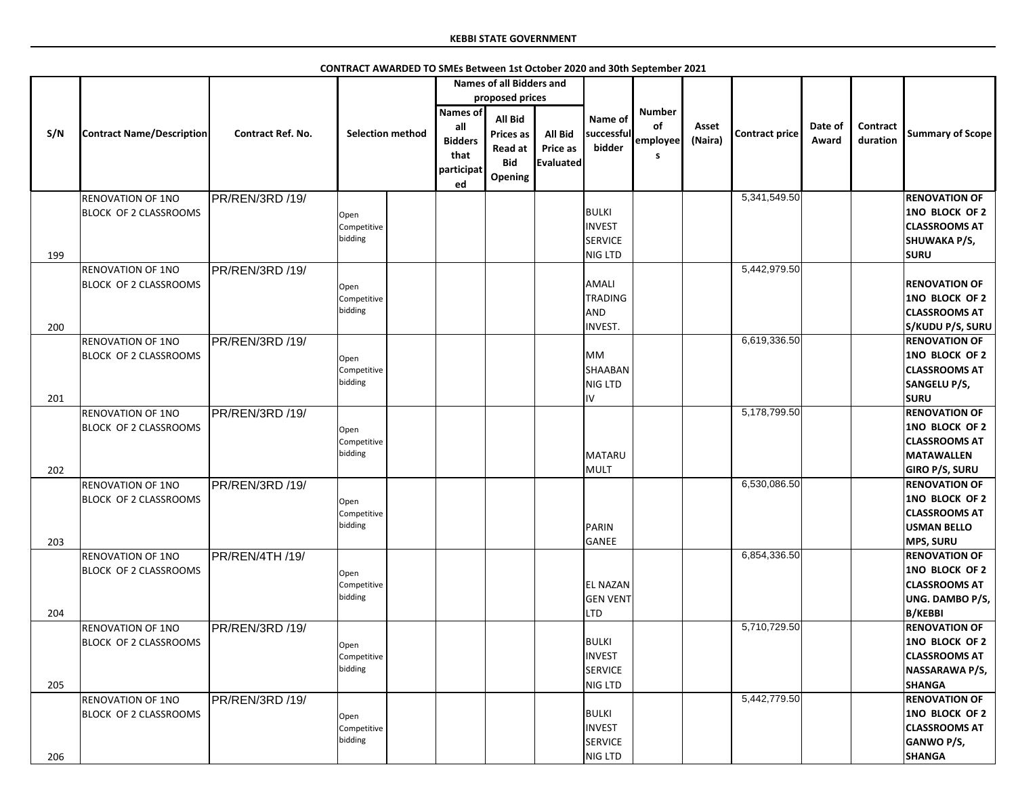|            |                                                          |                          | CONTRACT AWARDED TO SMEs Between 1st October 2020 and 30th September 2021 |                                                                      |                                                                        |                                         |                                                            |                                      |                  |                       |                  |                             |                                                                                                                                |
|------------|----------------------------------------------------------|--------------------------|---------------------------------------------------------------------------|----------------------------------------------------------------------|------------------------------------------------------------------------|-----------------------------------------|------------------------------------------------------------|--------------------------------------|------------------|-----------------------|------------------|-----------------------------|--------------------------------------------------------------------------------------------------------------------------------|
|            |                                                          |                          |                                                                           |                                                                      | <b>Names of all Bidders and</b>                                        |                                         |                                                            |                                      |                  |                       |                  |                             |                                                                                                                                |
|            |                                                          |                          |                                                                           |                                                                      | proposed prices                                                        |                                         |                                                            |                                      |                  |                       |                  |                             |                                                                                                                                |
| S/N        | <b>Contract Name/Description</b>                         | <b>Contract Ref. No.</b> | <b>Selection method</b>                                                   | <b>Names of</b><br>all<br><b>Bidders</b><br>that<br>participat<br>ed | <b>All Bid</b><br><b>Prices as</b><br>Read at<br><b>Bid</b><br>Opening | <b>All Bid</b><br>Price as<br>Evaluated | Name of<br>successful<br>bidder                            | <b>Number</b><br>of<br>employee<br>s | Asset<br>(Naira) | <b>Contract price</b> | Date of<br>Award | <b>Contract</b><br>duration | <b>Summary of Scope</b>                                                                                                        |
|            | <b>RENOVATION OF 1NO</b>                                 | PR/REN/3RD /19/          |                                                                           |                                                                      |                                                                        |                                         |                                                            |                                      |                  | 5,341,549.50          |                  |                             | <b>RENOVATION OF</b>                                                                                                           |
| 199        | <b>BLOCK OF 2 CLASSROOMS</b>                             |                          | Open<br>Competitive<br>bidding                                            |                                                                      |                                                                        |                                         | BULKI<br><b>INVEST</b><br><b>SERVICE</b><br>NIG LTD        |                                      |                  |                       |                  |                             | 1NO BLOCK OF 2<br><b>CLASSROOMS AT</b><br><b>SHUWAKA P/S,</b><br><b>SURU</b>                                                   |
|            | <b>RENOVATION OF 1NO</b>                                 | PR/REN/3RD /19/          |                                                                           |                                                                      |                                                                        |                                         |                                                            |                                      |                  | 5,442,979.50          |                  |                             |                                                                                                                                |
| 200        | <b>BLOCK OF 2 CLASSROOMS</b>                             |                          | Open<br>Competitive<br>bidding                                            |                                                                      |                                                                        |                                         | AMALI<br><b>TRADING</b><br>AND<br>INVEST.                  |                                      |                  |                       |                  |                             | <b>RENOVATION OF</b><br>1NO BLOCK OF 2<br><b>CLASSROOMS AT</b><br>S/KUDU P/S, SURU                                             |
|            | <b>RENOVATION OF 1NO</b>                                 | PR/REN/3RD /19/          |                                                                           |                                                                      |                                                                        |                                         |                                                            |                                      |                  | 6,619,336.50          |                  |                             | <b>RENOVATION OF</b>                                                                                                           |
|            | <b>BLOCK OF 2 CLASSROOMS</b>                             |                          | Open<br>Competitive<br>bidding                                            |                                                                      |                                                                        |                                         | <b>MM</b><br>SHAABAN<br><b>NIG LTD</b>                     |                                      |                  |                       |                  |                             | 1NO BLOCK OF 2<br><b>CLASSROOMS AT</b><br><b>SANGELU P/S,</b>                                                                  |
| 201        |                                                          |                          |                                                                           |                                                                      |                                                                        |                                         | liv                                                        |                                      |                  |                       |                  |                             | <b>SURU</b>                                                                                                                    |
| 202        | <b>RENOVATION OF 1NO</b><br><b>BLOCK OF 2 CLASSROOMS</b> | PR/REN/3RD /19/          | Open<br>Competitive<br>bidding                                            |                                                                      |                                                                        |                                         | MATARU<br>MULT                                             |                                      |                  | 5,178,799.50          |                  |                             | <b>RENOVATION OF</b><br>1NO BLOCK OF 2<br><b>CLASSROOMS AT</b><br><b>MATAWALLEN</b><br><b>GIRO P/S, SURU</b>                   |
|            | <b>RENOVATION OF 1NO</b><br><b>BLOCK OF 2 CLASSROOMS</b> | PR/REN/3RD /19/          | Open<br>Competitive<br>bidding                                            |                                                                      |                                                                        |                                         | PARIN                                                      |                                      |                  | 6,530,086.50          |                  |                             | <b>RENOVATION OF</b><br>1NO BLOCK OF 2<br><b>CLASSROOMS AT</b><br><b>USMAN BELLO</b>                                           |
| 203<br>204 | <b>RENOVATION OF 1NO</b><br>BLOCK OF 2 CLASSROOMS        | PR/REN/4TH /19/          | Open<br>Competitive<br>bidding                                            |                                                                      |                                                                        |                                         | GANEE<br><b>EL NAZAN</b><br><b>GEN VENT</b><br><b>LTD</b>  |                                      |                  | 6,854,336.50          |                  |                             | <b>MPS, SURU</b><br><b>RENOVATION OF</b><br>1NO BLOCK OF 2<br><b>CLASSROOMS AT</b><br><b>UNG. DAMBO P/S,</b><br><b>B/KEBBI</b> |
| 205        | <b>RENOVATION OF 1NO</b><br>BLOCK OF 2 CLASSROOMS        | PR/REN/3RD /19/          | Open<br>Competitive<br>bidding                                            |                                                                      |                                                                        |                                         | BULKI<br><b>INVEST</b><br><b>SERVICE</b><br><b>NIG LTD</b> |                                      |                  | 5,710,729.50          |                  |                             | <b>RENOVATION OF</b><br>1NO BLOCK OF 2<br><b>CLASSROOMS AT</b><br>NASSARAWA P/S,<br><b>SHANGA</b>                              |
| 206        | <b>RENOVATION OF 1NO</b><br>BLOCK OF 2 CLASSROOMS        | PR/REN/3RD /19/          | Open<br>Competitive<br>bidding                                            |                                                                      |                                                                        |                                         | BULKI<br><b>INVEST</b><br>SERVICE<br>NIG LTD               |                                      |                  | 5,442,779.50          |                  |                             | <b>RENOVATION OF</b><br>1NO BLOCK OF 2<br><b>CLASSROOMS AT</b><br><b>GANWO P/S,</b><br><b>SHANGA</b>                           |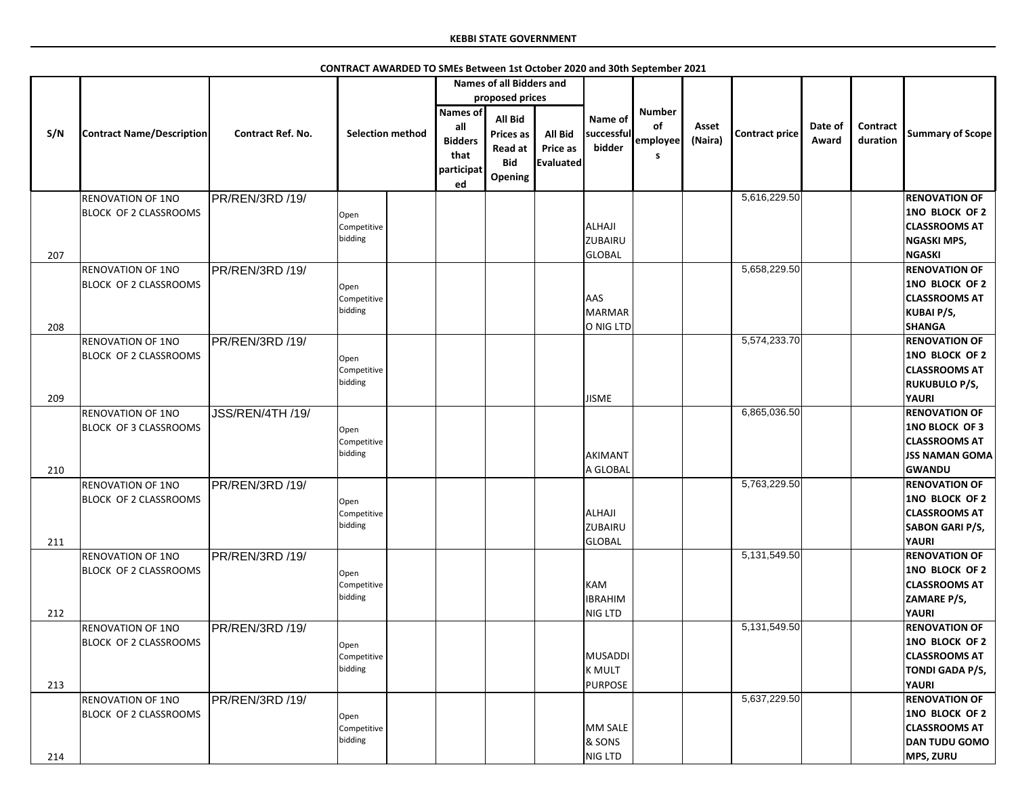|     |                                                   |                          |                                |                                                                      | <b>Names of all Bidders and</b>                                        |                                                |                                           |                                             |                  |                |                  |                             |                                                                                                                 |
|-----|---------------------------------------------------|--------------------------|--------------------------------|----------------------------------------------------------------------|------------------------------------------------------------------------|------------------------------------------------|-------------------------------------------|---------------------------------------------|------------------|----------------|------------------|-----------------------------|-----------------------------------------------------------------------------------------------------------------|
|     |                                                   |                          |                                |                                                                      | proposed prices                                                        |                                                |                                           |                                             |                  |                |                  |                             |                                                                                                                 |
| S/N | <b>Contract Name/Description</b>                  | <b>Contract Ref. No.</b> | <b>Selection method</b>        | <b>Names of</b><br>all<br><b>Bidders</b><br>that<br>participat<br>ed | All Bid<br><b>Prices as</b><br><b>Read at</b><br><b>Bid</b><br>Opening | <b>All Bid</b><br><b>Price as</b><br>Evaluated | Name of<br>successful<br>bidder           | <b>Number</b><br><b>of</b><br>employee<br>S | Asset<br>(Naira) | Contract price | Date of<br>Award | <b>Contract</b><br>duration | <b>Summary of Scope</b>                                                                                         |
|     | <b>RENOVATION OF 1NO</b>                          | PR/REN/3RD /19/          |                                |                                                                      |                                                                        |                                                |                                           |                                             |                  | 5,616,229.50   |                  |                             | <b>RENOVATION OF</b>                                                                                            |
| 207 | BLOCK OF 2 CLASSROOMS                             |                          | Open<br>Competitive<br>bidding |                                                                      |                                                                        |                                                | ALHAJI<br><b>ZUBAIRU</b><br><b>GLOBAL</b> |                                             |                  |                |                  |                             | 1NO BLOCK OF 2<br><b>CLASSROOMS AT</b><br><b>NGASKI MPS,</b><br><b>NGASKI</b>                                   |
|     | <b>RENOVATION OF 1NO</b>                          | PR/REN/3RD /19/          |                                |                                                                      |                                                                        |                                                |                                           |                                             |                  | 5,658,229.50   |                  |                             | <b>RENOVATION OF</b>                                                                                            |
| 208 | <b>BLOCK OF 2 CLASSROOMS</b>                      |                          | Open<br>Competitive<br>bidding |                                                                      |                                                                        |                                                | <b>AAS</b><br>MARMAR<br>O NIG LTD         |                                             |                  |                |                  |                             | 1NO BLOCK OF 2<br><b>CLASSROOMS AT</b><br><b>KUBAI P/S,</b><br><b>SHANGA</b>                                    |
|     | <b>RENOVATION OF 1NO</b>                          | PR/REN/3RD /19/          |                                |                                                                      |                                                                        |                                                |                                           |                                             |                  | 5,574,233.70   |                  |                             | <b>RENOVATION OF</b>                                                                                            |
| 209 | <b>BLOCK OF 2 CLASSROOMS</b>                      |                          | Open<br>Competitive<br>bidding |                                                                      |                                                                        |                                                | <b>JISME</b>                              |                                             |                  |                |                  |                             | <b>1NO BLOCK OF 2</b><br><b>CLASSROOMS AT</b><br><b>RUKUBULO P/S,</b><br><b>YAURI</b>                           |
|     | <b>RENOVATION OF 1NO</b>                          | JSS/REN/4TH /19/         |                                |                                                                      |                                                                        |                                                |                                           |                                             |                  | 6,865,036.50   |                  |                             | <b>RENOVATION OF</b>                                                                                            |
|     | BLOCK OF 3 CLASSROOMS                             |                          | Open<br>Competitive<br>bidding |                                                                      |                                                                        |                                                | AKIMANT                                   |                                             |                  |                |                  |                             | <b>1NO BLOCK OF 3</b><br><b>CLASSROOMS AT</b><br><b>JSS NAMAN GOMA</b>                                          |
| 210 |                                                   |                          |                                |                                                                      |                                                                        |                                                | A GLOBAL                                  |                                             |                  | 5,763,229.50   |                  |                             | <b>GWANDU</b>                                                                                                   |
| 211 | <b>RENOVATION OF 1NO</b><br>BLOCK OF 2 CLASSROOMS | PR/REN/3RD /19/          | Open<br>Competitive<br>bidding |                                                                      |                                                                        |                                                | ALHAJI<br><b>ZUBAIRU</b><br>GLOBAL        |                                             |                  |                |                  |                             | <b>RENOVATION OF</b><br><b>1NO BLOCK OF 2</b><br><b>CLASSROOMS AT</b><br><b>SABON GARI P/S,</b><br><b>YAURI</b> |
|     | <b>RENOVATION OF 1NO</b>                          | PR/REN/3RD /19/          |                                |                                                                      |                                                                        |                                                |                                           |                                             |                  | 5,131,549.50   |                  |                             | <b>RENOVATION OF</b>                                                                                            |
|     | <b>BLOCK OF 2 CLASSROOMS</b>                      |                          | Open<br>Competitive<br>bidding |                                                                      |                                                                        |                                                | KAM<br><b>IBRAHIM</b>                     |                                             |                  |                |                  |                             | 1NO BLOCK OF 2<br><b>CLASSROOMS AT</b><br>ZAMARE P/S,                                                           |
| 212 | <b>RENOVATION OF 1NO</b>                          |                          |                                |                                                                      |                                                                        |                                                | NIG LTD                                   |                                             |                  | 5,131,549.50   |                  |                             | <b>YAURI</b><br><b>RENOVATION OF</b>                                                                            |
| 213 | BLOCK OF 2 CLASSROOMS                             | PR/REN/3RD /19/          | Open<br>Competitive<br>bidding |                                                                      |                                                                        |                                                | MUSADDI<br><b>K MULT</b><br>PURPOSE       |                                             |                  |                |                  |                             | 1NO BLOCK OF 2<br><b>CLASSROOMS AT</b><br><b>TONDI GADA P/S,</b><br><b>YAURI</b>                                |
|     | <b>RENOVATION OF 1NO</b><br>BLOCK OF 2 CLASSROOMS | PR/REN/3RD /19/          | Open<br>Competitive<br>bidding |                                                                      |                                                                        |                                                | MM SALE<br>& SONS<br>NIG LTD              |                                             |                  | 5,637,229.50   |                  |                             | <b>RENOVATION OF</b><br>1NO BLOCK OF 2<br><b>CLASSROOMS AT</b><br><b>DAN TUDU GOMO</b>                          |
| 214 |                                                   |                          |                                |                                                                      |                                                                        |                                                |                                           |                                             |                  |                |                  |                             | <b>MPS, ZURU</b>                                                                                                |

# **CONTRACT AWARDED TO SMEs Between 1st October 2020 and 30th September 2021**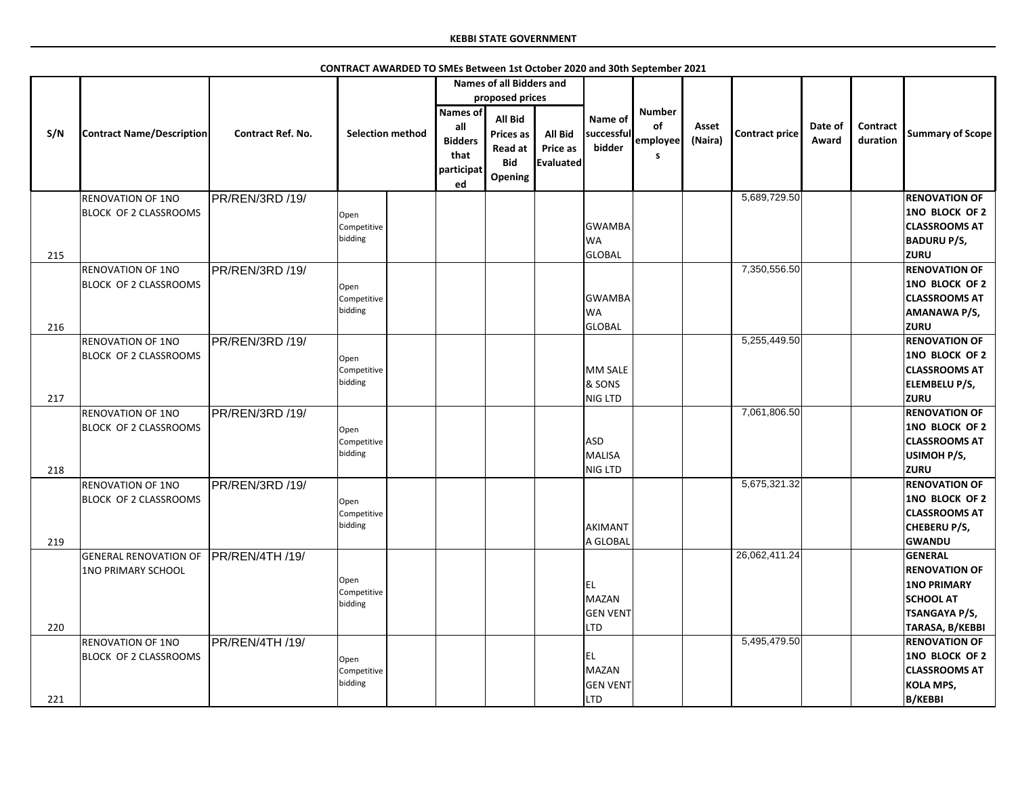|     |                                  |                          |                         |                 | <b>Names of all Bidders and</b> |                  |                 |               |         |                |         |                 |                         |
|-----|----------------------------------|--------------------------|-------------------------|-----------------|---------------------------------|------------------|-----------------|---------------|---------|----------------|---------|-----------------|-------------------------|
|     |                                  |                          |                         |                 | proposed prices                 |                  |                 |               |         |                |         |                 |                         |
|     |                                  |                          |                         | <b>Names of</b> |                                 |                  |                 | <b>Number</b> |         |                |         |                 |                         |
|     |                                  |                          |                         | all             | All Bid                         |                  | Name of         | of            | Asset   |                | Date of | <b>Contract</b> |                         |
| S/N | <b>Contract Name/Description</b> | <b>Contract Ref. No.</b> | <b>Selection method</b> |                 | <b>Prices as</b>                | All Bid          | successful      |               |         | Contract price |         |                 | <b>Summary of Scope</b> |
|     |                                  |                          |                         | <b>Bidders</b>  | <b>Read at</b>                  | <b>Price as</b>  | bidder          | employee      | (Naira) |                | Award   | duration        |                         |
|     |                                  |                          |                         | that            | <b>Bid</b>                      | <b>Evaluated</b> |                 | S.            |         |                |         |                 |                         |
|     |                                  |                          |                         | participat      | Opening                         |                  |                 |               |         |                |         |                 |                         |
|     |                                  |                          |                         | ed              |                                 |                  |                 |               |         |                |         |                 |                         |
|     | <b>RENOVATION OF 1NO</b>         | PR/REN/3RD /19/          |                         |                 |                                 |                  |                 |               |         | 5,689,729.50   |         |                 | <b>RENOVATION OF</b>    |
|     | <b>BLOCK OF 2 CLASSROOMS</b>     |                          | Open                    |                 |                                 |                  |                 |               |         |                |         |                 | <b>1NO BLOCK OF 2</b>   |
|     |                                  |                          | Competitive             |                 |                                 |                  | <b>GWAMBA</b>   |               |         |                |         |                 | <b>CLASSROOMS AT</b>    |
|     |                                  |                          | bidding                 |                 |                                 |                  | <b>WA</b>       |               |         |                |         |                 | <b>BADURU P/S,</b>      |
|     |                                  |                          |                         |                 |                                 |                  |                 |               |         |                |         |                 | <b>ZURU</b>             |
| 215 |                                  |                          |                         |                 |                                 |                  | <b>GLOBAL</b>   |               |         |                |         |                 |                         |
|     | <b>RENOVATION OF 1NO</b>         | PR/REN/3RD /19/          |                         |                 |                                 |                  |                 |               |         | 7,350,556.50   |         |                 | <b>RENOVATION OF</b>    |
|     | <b>BLOCK OF 2 CLASSROOMS</b>     |                          | Open                    |                 |                                 |                  |                 |               |         |                |         |                 | <b>1NO BLOCK OF 2</b>   |
|     |                                  |                          | Competitive             |                 |                                 |                  | <b>GWAMBA</b>   |               |         |                |         |                 | <b>CLASSROOMS AT</b>    |
|     |                                  |                          | bidding                 |                 |                                 |                  | <b>WA</b>       |               |         |                |         |                 | <b>AMANAWA P/S,</b>     |
| 216 |                                  |                          |                         |                 |                                 |                  | <b>GLOBAL</b>   |               |         |                |         |                 | <b>ZURU</b>             |
|     | <b>RENOVATION OF 1NO</b>         | PR/REN/3RD /19/          |                         |                 |                                 |                  |                 |               |         | 5,255,449.50   |         |                 | <b>RENOVATION OF</b>    |
|     | <b>BLOCK OF 2 CLASSROOMS</b>     |                          |                         |                 |                                 |                  |                 |               |         |                |         |                 | <b>1NO BLOCK OF 2</b>   |
|     |                                  |                          | Open                    |                 |                                 |                  | MM SALE         |               |         |                |         |                 | <b>CLASSROOMS AT</b>    |
|     |                                  |                          | Competitive<br>bidding  |                 |                                 |                  |                 |               |         |                |         |                 |                         |
|     |                                  |                          |                         |                 |                                 |                  | & SONS          |               |         |                |         |                 | <b>ELEMBELU P/S,</b>    |
| 217 |                                  |                          |                         |                 |                                 |                  | NIG LTD         |               |         |                |         |                 | <b>ZURU</b>             |
|     | <b>RENOVATION OF 1NO</b>         | PR/REN/3RD /19/          |                         |                 |                                 |                  |                 |               |         | 7,061,806.50   |         |                 | <b>RENOVATION OF</b>    |
|     | <b>BLOCK OF 2 CLASSROOMS</b>     |                          | Open                    |                 |                                 |                  |                 |               |         |                |         |                 | <b>1NO BLOCK OF 2</b>   |
|     |                                  |                          | Competitive             |                 |                                 |                  | <b>ASD</b>      |               |         |                |         |                 | <b>CLASSROOMS AT</b>    |
|     |                                  |                          | bidding                 |                 |                                 |                  | MALISA          |               |         |                |         |                 | USIMOH P/S,             |
| 218 |                                  |                          |                         |                 |                                 |                  | NIG LTD         |               |         |                |         |                 | <b>ZURU</b>             |
|     | <b>RENOVATION OF 1NO</b>         | PR/REN/3RD /19/          |                         |                 |                                 |                  |                 |               |         | 5,675,321.32   |         |                 | <b>RENOVATION OF</b>    |
|     | <b>BLOCK OF 2 CLASSROOMS</b>     |                          |                         |                 |                                 |                  |                 |               |         |                |         |                 | <b>1NO BLOCK OF 2</b>   |
|     |                                  |                          | Open                    |                 |                                 |                  |                 |               |         |                |         |                 |                         |
|     |                                  |                          | Competitive<br>bidding  |                 |                                 |                  |                 |               |         |                |         |                 | <b>CLASSROOMS AT</b>    |
|     |                                  |                          |                         |                 |                                 |                  | AKIMANT         |               |         |                |         |                 | <b>CHEBERU P/S,</b>     |
| 219 |                                  |                          |                         |                 |                                 |                  | A GLOBAL        |               |         |                |         |                 | GWANDU                  |
|     | <b>GENERAL RENOVATION OF</b>     | PR/REN/4TH/19/           |                         |                 |                                 |                  |                 |               |         | 26,062,411.24  |         |                 | <b>GENERAL</b>          |
|     | <b>1NO PRIMARY SCHOOL</b>        |                          |                         |                 |                                 |                  |                 |               |         |                |         |                 | <b>RENOVATION OF</b>    |
|     |                                  |                          | Open                    |                 |                                 |                  | <b>IEL</b>      |               |         |                |         |                 | <b>1NO PRIMARY</b>      |
|     |                                  |                          | Competitive             |                 |                                 |                  | MAZAN           |               |         |                |         |                 | <b>SCHOOL AT</b>        |
|     |                                  |                          | bidding                 |                 |                                 |                  | <b>GEN VENT</b> |               |         |                |         |                 | <b>TSANGAYA P/S,</b>    |
| 220 |                                  |                          |                         |                 |                                 |                  | <b>LTD</b>      |               |         |                |         |                 | TARASA, B/KEBBI         |
|     |                                  |                          |                         |                 |                                 |                  |                 |               |         | 5,495,479.50   |         |                 | <b>RENOVATION OF</b>    |
|     | <b>RENOVATION OF 1NO</b>         | PR/REN/4TH /19/          |                         |                 |                                 |                  |                 |               |         |                |         |                 |                         |
|     | <b>BLOCK OF 2 CLASSROOMS</b>     |                          | Open                    |                 |                                 |                  | IEL.            |               |         |                |         |                 | <b>1NO BLOCK OF 2</b>   |
|     |                                  |                          | Competitive             |                 |                                 |                  | MAZAN           |               |         |                |         |                 | <b>CLASSROOMS AT</b>    |
|     |                                  |                          | bidding                 |                 |                                 |                  | <b>GEN VENT</b> |               |         |                |         |                 | <b>KOLA MPS,</b>        |
| 221 |                                  |                          |                         |                 |                                 |                  | <b>LTD</b>      |               |         |                |         |                 | <b>B/KEBBI</b>          |

**CONTRACT AWARDED TO SMEs Between 1st October 2020 and 30th September 2021**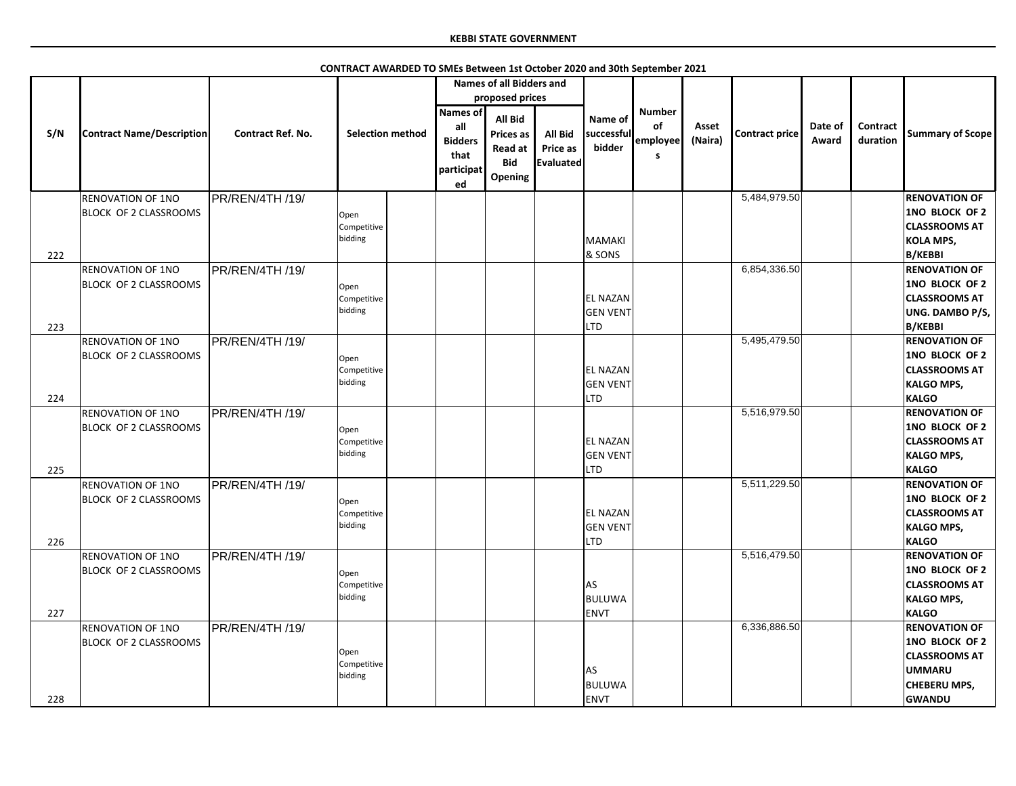|     |                                                          |                          | CONTRACT AWARDED TO SMEs Between 1st October 2020 and 30th September 2021 |                                                                                                                                                |                                                |                                                  |                                      |                  |                |                  |                             |                                                                                                                         |
|-----|----------------------------------------------------------|--------------------------|---------------------------------------------------------------------------|------------------------------------------------------------------------------------------------------------------------------------------------|------------------------------------------------|--------------------------------------------------|--------------------------------------|------------------|----------------|------------------|-----------------------------|-------------------------------------------------------------------------------------------------------------------------|
|     |                                                          |                          |                                                                           | <b>Names of all Bidders and</b>                                                                                                                |                                                |                                                  |                                      |                  |                |                  |                             |                                                                                                                         |
|     |                                                          |                          |                                                                           | proposed prices                                                                                                                                |                                                |                                                  |                                      |                  |                |                  |                             |                                                                                                                         |
| S/N | <b>Contract Name/Description</b>                         | <b>Contract Ref. No.</b> | <b>Selection method</b>                                                   | <b>Names of</b><br><b>All Bid</b><br>all<br>Prices as<br><b>Bidders</b><br><b>Read at</b><br>that<br><b>Bid</b><br>participat<br>Opening<br>ed | <b>All Bid</b><br>Price as<br><b>Evaluated</b> | Name of<br>successful<br>bidder                  | <b>Number</b><br>of<br>employee<br>s | Asset<br>(Naira) | Contract price | Date of<br>Award | <b>Contract</b><br>duration | <b>Summary of Scope</b>                                                                                                 |
|     | <b>RENOVATION OF 1NO</b>                                 | PR/REN/4TH /19/          |                                                                           |                                                                                                                                                |                                                |                                                  |                                      |                  | 5,484,979.50   |                  |                             | <b>RENOVATION OF</b>                                                                                                    |
| 222 | <b>BLOCK OF 2 CLASSROOMS</b>                             |                          | Open<br>Competitive<br>bidding                                            |                                                                                                                                                |                                                | MAMAKI<br>& SONS                                 |                                      |                  |                |                  |                             | <b>1NO BLOCK OF 2</b><br><b>CLASSROOMS AT</b><br><b>KOLA MPS,</b><br><b>B/KEBBI</b>                                     |
|     | <b>RENOVATION OF 1NO</b>                                 | PR/REN/4TH /19/          |                                                                           |                                                                                                                                                |                                                |                                                  |                                      |                  | 6,854,336.50   |                  |                             | <b>RENOVATION OF</b>                                                                                                    |
|     | <b>BLOCK OF 2 CLASSROOMS</b>                             |                          | Open<br>Competitive<br>bidding                                            |                                                                                                                                                |                                                | <b>EL NAZAN</b><br><b>GEN VENT</b>               |                                      |                  |                |                  |                             | <b>1NO BLOCK OF 2</b><br><b>CLASSROOMS AT</b><br><b>UNG. DAMBO P/S,</b>                                                 |
| 223 |                                                          |                          |                                                                           |                                                                                                                                                |                                                | <b>LTD</b>                                       |                                      |                  |                |                  |                             | <b>B/KEBBI</b>                                                                                                          |
|     | <b>RENOVATION OF 1NO</b><br><b>BLOCK OF 2 CLASSROOMS</b> | PR/REN/4TH /19/          | Open<br>Competitive<br>bidding                                            |                                                                                                                                                |                                                | <b>EL NAZAN</b><br><b>GEN VENT</b>               |                                      |                  | 5,495,479.50   |                  |                             | <b>RENOVATION OF</b><br><b>1NO BLOCK OF 2</b><br><b>CLASSROOMS AT</b><br><b>KALGO MPS,</b>                              |
| 224 |                                                          |                          |                                                                           |                                                                                                                                                |                                                | <b>LTD</b>                                       |                                      |                  |                |                  |                             | <b>KALGO</b>                                                                                                            |
| 225 | <b>RENOVATION OF 1NO</b><br><b>BLOCK OF 2 CLASSROOMS</b> | PR/REN/4TH /19/          | Open<br>Competitive<br>bidding                                            |                                                                                                                                                |                                                | <b>EL NAZAN</b><br><b>GEN VENT</b><br><b>LTD</b> |                                      |                  | 5,516,979.50   |                  |                             | <b>RENOVATION OF</b><br><b>1NO BLOCK OF 2</b><br><b>CLASSROOMS AT</b><br><b>KALGO MPS,</b><br><b>KALGO</b>              |
|     | <b>RENOVATION OF 1NO</b>                                 | PR/REN/4TH /19/          |                                                                           |                                                                                                                                                |                                                |                                                  |                                      |                  | 5,511,229.50   |                  |                             | <b>RENOVATION OF</b>                                                                                                    |
| 226 | <b>BLOCK OF 2 CLASSROOMS</b>                             |                          | Open<br>Competitive<br>bidding                                            |                                                                                                                                                |                                                | <b>EL NAZAN</b><br><b>GEN VENT</b><br>LTD        |                                      |                  |                |                  |                             | <b>1NO BLOCK OF 2</b><br><b>CLASSROOMS AT</b><br><b>KALGO MPS,</b><br><b>KALGO</b>                                      |
| 227 | <b>RENOVATION OF 1NO</b><br>BLOCK OF 2 CLASSROOMS        | PR/REN/4TH /19/          | Open<br>Competitive<br>bidding                                            |                                                                                                                                                |                                                | <b>JAS</b><br><b>BULUWA</b><br><b>ENVT</b>       |                                      |                  | 5,516,479.50   |                  |                             | <b>RENOVATION OF</b><br>1NO BLOCK OF 2<br><b>CLASSROOMS AT</b><br><b>KALGO MPS,</b><br><b>KALGO</b>                     |
| 228 | <b>RENOVATION OF 1NO</b><br><b>BLOCK OF 2 CLASSROOMS</b> | PR/REN/4TH /19/          | Open<br>Competitive<br>bidding                                            |                                                                                                                                                |                                                | <b>JAS</b><br><b>BULUWA</b><br><b>ENVT</b>       |                                      |                  | 6,336,886.50   |                  |                             | <b>RENOVATION OF</b><br>1NO BLOCK OF 2<br><b>CLASSROOMS AT</b><br><b>UMMARU</b><br><b>CHEBERU MPS,</b><br><b>GWANDU</b> |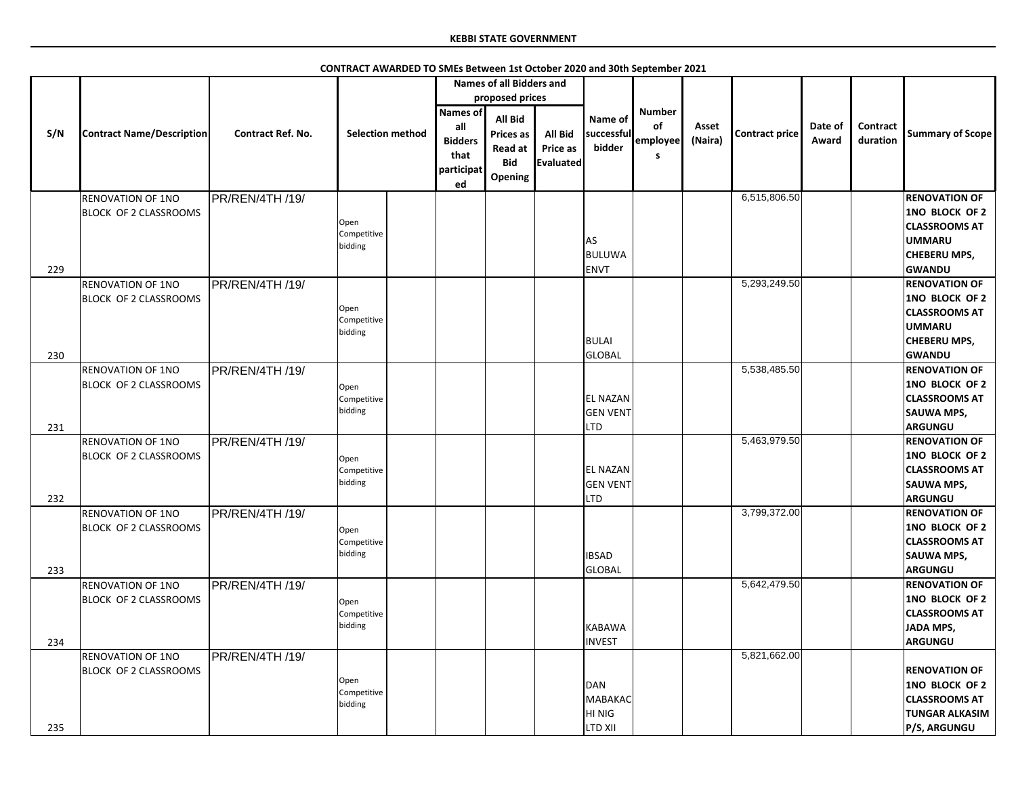|     |                                  |                          |                                |                                             | <b>Names of all Bidders and</b>                                               |                                                |                                 |                     |                  |                       |                  |                      |                                                                |
|-----|----------------------------------|--------------------------|--------------------------------|---------------------------------------------|-------------------------------------------------------------------------------|------------------------------------------------|---------------------------------|---------------------|------------------|-----------------------|------------------|----------------------|----------------------------------------------------------------|
|     |                                  |                          |                                |                                             | proposed prices                                                               |                                                |                                 |                     |                  |                       |                  |                      |                                                                |
|     |                                  |                          |                                | <b>Names of</b>                             |                                                                               |                                                |                                 | <b>Number</b>       |                  |                       |                  |                      |                                                                |
| S/N | <b>Contract Name/Description</b> | <b>Contract Ref. No.</b> | <b>Selection method</b>        | all<br><b>Bidders</b><br>that<br>participat | <b>All Bid</b><br><b>Prices as</b><br><b>Read at</b><br><b>Bid</b><br>Opening | <b>All Bid</b><br><b>Price as</b><br>Evaluated | Name of<br>successful<br>bidder | of<br>employee<br>S | Asset<br>(Naira) | <b>Contract price</b> | Date of<br>Award | Contract<br>duration | <b>Summary of Scope</b>                                        |
|     |                                  |                          |                                | ed                                          |                                                                               |                                                |                                 |                     |                  | 6,515,806.50          |                  |                      |                                                                |
|     | <b>RENOVATION OF 1NO</b>         | PR/REN/4TH /19/          |                                |                                             |                                                                               |                                                |                                 |                     |                  |                       |                  |                      | <b>RENOVATION OF</b>                                           |
|     | <b>BLOCK OF 2 CLASSROOMS</b>     |                          | Open<br>Competitive<br>bidding |                                             |                                                                               |                                                | AS                              |                     |                  |                       |                  |                      | <b>1NO BLOCK OF 2</b><br><b>CLASSROOMS AT</b><br><b>UMMARU</b> |
|     |                                  |                          |                                |                                             |                                                                               |                                                | BULUWA                          |                     |                  |                       |                  |                      | <b>CHEBERU MPS,</b>                                            |
| 229 |                                  |                          |                                |                                             |                                                                               |                                                | ENVT                            |                     |                  |                       |                  |                      | <b>GWANDU</b>                                                  |
|     | <b>RENOVATION OF 1NO</b>         | PR/REN/4TH /19/          |                                |                                             |                                                                               |                                                |                                 |                     |                  | 5,293,249.50          |                  |                      | <b>RENOVATION OF</b>                                           |
|     | <b>BLOCK OF 2 CLASSROOMS</b>     |                          |                                |                                             |                                                                               |                                                |                                 |                     |                  |                       |                  |                      | 1NO BLOCK OF 2                                                 |
|     |                                  |                          | Open                           |                                             |                                                                               |                                                |                                 |                     |                  |                       |                  |                      | <b>CLASSROOMS AT</b>                                           |
|     |                                  |                          | Competitive                    |                                             |                                                                               |                                                |                                 |                     |                  |                       |                  |                      | <b>UMMARU</b>                                                  |
|     |                                  |                          | bidding                        |                                             |                                                                               |                                                | BULAI                           |                     |                  |                       |                  |                      |                                                                |
|     |                                  |                          |                                |                                             |                                                                               |                                                |                                 |                     |                  |                       |                  |                      | <b>CHEBERU MPS,</b>                                            |
| 230 |                                  |                          |                                |                                             |                                                                               |                                                | GLOBAL                          |                     |                  |                       |                  |                      | <b>GWANDU</b>                                                  |
|     | <b>RENOVATION OF 1NO</b>         | PR/REN/4TH /19/          |                                |                                             |                                                                               |                                                |                                 |                     |                  | 5,538,485.50          |                  |                      | <b>RENOVATION OF</b>                                           |
|     | <b>BLOCK OF 2 CLASSROOMS</b>     |                          | Open                           |                                             |                                                                               |                                                |                                 |                     |                  |                       |                  |                      | 1NO BLOCK OF 2                                                 |
|     |                                  |                          | Competitive                    |                                             |                                                                               |                                                | <b>EL NAZAN</b>                 |                     |                  |                       |                  |                      | <b>CLASSROOMS AT</b>                                           |
|     |                                  |                          | bidding                        |                                             |                                                                               |                                                | <b>GEN VENT</b>                 |                     |                  |                       |                  |                      | <b>SAUWA MPS,</b>                                              |
| 231 |                                  |                          |                                |                                             |                                                                               |                                                | <b>LTD</b>                      |                     |                  |                       |                  |                      | <b>ARGUNGU</b>                                                 |
|     | <b>RENOVATION OF 1NO</b>         | PR/REN/4TH /19/          |                                |                                             |                                                                               |                                                |                                 |                     |                  | 5,463,979.50          |                  |                      | <b>RENOVATION OF</b>                                           |
|     | <b>BLOCK OF 2 CLASSROOMS</b>     |                          | Open                           |                                             |                                                                               |                                                |                                 |                     |                  |                       |                  |                      | 1NO BLOCK OF 2                                                 |
|     |                                  |                          | Competitive                    |                                             |                                                                               |                                                | <b>EL NAZAN</b>                 |                     |                  |                       |                  |                      | <b>CLASSROOMS AT</b>                                           |
|     |                                  |                          | bidding                        |                                             |                                                                               |                                                | <b>GEN VENT</b>                 |                     |                  |                       |                  |                      | <b>SAUWA MPS,</b>                                              |
| 232 |                                  |                          |                                |                                             |                                                                               |                                                | <b>LTD</b>                      |                     |                  |                       |                  |                      | <b>ARGUNGU</b>                                                 |
|     | <b>RENOVATION OF 1NO</b>         | PR/REN/4TH /19/          |                                |                                             |                                                                               |                                                |                                 |                     |                  | 3,799,372.00          |                  |                      | <b>RENOVATION OF</b>                                           |
|     | BLOCK OF 2 CLASSROOMS            |                          |                                |                                             |                                                                               |                                                |                                 |                     |                  |                       |                  |                      | 1NO BLOCK OF 2                                                 |
|     |                                  |                          | Open<br>Competitive            |                                             |                                                                               |                                                |                                 |                     |                  |                       |                  |                      | <b>CLASSROOMS AT</b>                                           |
|     |                                  |                          | bidding                        |                                             |                                                                               |                                                | <b>IBSAD</b>                    |                     |                  |                       |                  |                      | <b>SAUWA MPS,</b>                                              |
| 233 |                                  |                          |                                |                                             |                                                                               |                                                | <b>GLOBAL</b>                   |                     |                  |                       |                  |                      | <b>ARGUNGU</b>                                                 |
|     |                                  |                          |                                |                                             |                                                                               |                                                |                                 |                     |                  | 5,642,479.50          |                  |                      | <b>RENOVATION OF</b>                                           |
|     | <b>RENOVATION OF 1NO</b>         | PR/REN/4TH /19/          |                                |                                             |                                                                               |                                                |                                 |                     |                  |                       |                  |                      |                                                                |
|     | <b>BLOCK OF 2 CLASSROOMS</b>     |                          | Open                           |                                             |                                                                               |                                                |                                 |                     |                  |                       |                  |                      | 1NO BLOCK OF 2                                                 |
|     |                                  |                          | Competitive                    |                                             |                                                                               |                                                |                                 |                     |                  |                       |                  |                      | <b>CLASSROOMS AT</b>                                           |
|     |                                  |                          | bidding                        |                                             |                                                                               |                                                | <b>KABAWA</b>                   |                     |                  |                       |                  |                      | <b>JADA MPS,</b>                                               |
| 234 |                                  |                          |                                |                                             |                                                                               |                                                | <b>INVEST</b>                   |                     |                  |                       |                  |                      | <b>ARGUNGU</b>                                                 |
|     | <b>RENOVATION OF 1NO</b>         | PR/REN/4TH /19/          |                                |                                             |                                                                               |                                                |                                 |                     |                  | 5,821,662.00          |                  |                      |                                                                |
|     | <b>BLOCK OF 2 CLASSROOMS</b>     |                          |                                |                                             |                                                                               |                                                |                                 |                     |                  |                       |                  |                      | <b>RENOVATION OF</b>                                           |
|     |                                  |                          | Open                           |                                             |                                                                               |                                                | DAN                             |                     |                  |                       |                  |                      | <b>1NO BLOCK OF 2</b>                                          |
|     |                                  |                          | Competitive<br>bidding         |                                             |                                                                               |                                                | MABAKAC                         |                     |                  |                       |                  |                      | <b>CLASSROOMS AT</b>                                           |
|     |                                  |                          |                                |                                             |                                                                               |                                                | HI NIG                          |                     |                  |                       |                  |                      | <b>TUNGAR ALKASIM</b>                                          |
| 235 |                                  |                          |                                |                                             |                                                                               |                                                | <b>LTD XII</b>                  |                     |                  |                       |                  |                      | P/S, ARGUNGU                                                   |

**CONTRACT AWARDED TO SMEs Between 1st October 2020 and 30th September 2021**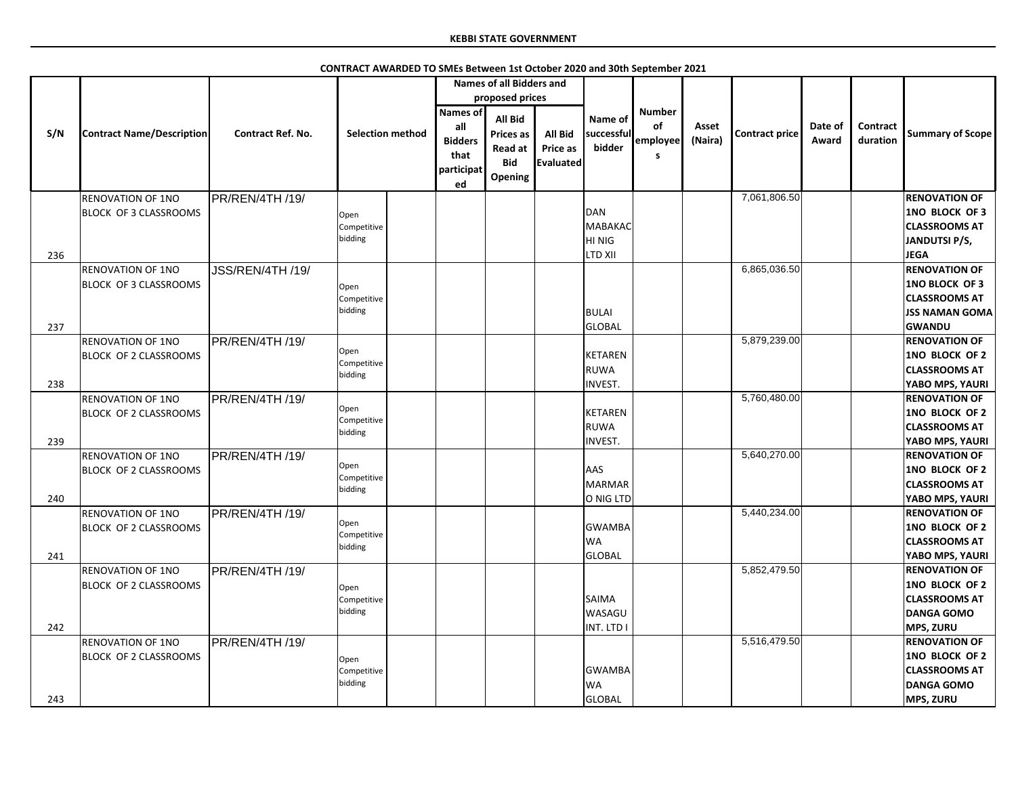|     |                                                          |                          | CONTRACT AWARDED TO SMEs Between 1st October 2020 and 30th September 2021 |                                                                      |                                                                 |                                         |                                                         |                                      |                  |                       |                  |                      |                                                                                                                 |
|-----|----------------------------------------------------------|--------------------------|---------------------------------------------------------------------------|----------------------------------------------------------------------|-----------------------------------------------------------------|-----------------------------------------|---------------------------------------------------------|--------------------------------------|------------------|-----------------------|------------------|----------------------|-----------------------------------------------------------------------------------------------------------------|
|     |                                                          |                          |                                                                           |                                                                      | <b>Names of all Bidders and</b>                                 |                                         |                                                         |                                      |                  |                       |                  |                      |                                                                                                                 |
|     |                                                          |                          |                                                                           |                                                                      | proposed prices                                                 |                                         |                                                         |                                      |                  |                       |                  |                      |                                                                                                                 |
| S/N | <b>Contract Name/Description</b>                         | <b>Contract Ref. No.</b> | <b>Selection method</b>                                                   | <b>Names of</b><br>all<br><b>Bidders</b><br>that<br>participat<br>ed | All Bid<br>Prices as<br><b>Read at</b><br><b>Bid</b><br>Opening | All Bid<br>Price as<br><b>Evaluated</b> | Name of<br>successful<br>bidder                         | <b>Number</b><br>of<br>employee<br>s | Asset<br>(Naira) | <b>Contract price</b> | Date of<br>Award | Contract<br>duration | <b>Summary of Scope</b>                                                                                         |
|     | <b>RENOVATION OF 1NO</b>                                 | PR/REN/4TH /19/          |                                                                           |                                                                      |                                                                 |                                         |                                                         |                                      |                  | 7,061,806.50          |                  |                      | <b>RENOVATION OF</b>                                                                                            |
| 236 | <b>BLOCK OF 3 CLASSROOMS</b>                             |                          | Open<br>Competitive<br>bidding                                            |                                                                      |                                                                 |                                         | <b>DAN</b><br><b>MABAKAC</b><br><b>HINIG</b><br>LTD XII |                                      |                  |                       |                  |                      | 1NO BLOCK OF 3<br><b>CLASSROOMS AT</b><br><b>JANDUTSI P/S,</b><br><b>JEGA</b>                                   |
| 237 | <b>RENOVATION OF 1NO</b><br><b>BLOCK OF 3 CLASSROOMS</b> | JSS/REN/4TH /19/         | Open<br>Competitive<br>bidding                                            |                                                                      |                                                                 |                                         | <b>BULAI</b><br><b>GLOBAL</b>                           |                                      |                  | 6,865,036.50          |                  |                      | <b>RENOVATION OF</b><br><b>1NO BLOCK OF 3</b><br><b>CLASSROOMS AT</b><br><b>JSS NAMAN GOMA</b><br><b>GWANDU</b> |
| 238 | <b>RENOVATION OF 1NO</b><br><b>BLOCK OF 2 CLASSROOMS</b> | PR/REN/4TH /19/          | Open<br>Competitive<br>bidding                                            |                                                                      |                                                                 |                                         | <b>KETAREN</b><br><b>RUWA</b><br><b>INVEST.</b>         |                                      |                  | 5,879,239.00          |                  |                      | <b>RENOVATION OF</b><br>1NO BLOCK OF 2<br><b>CLASSROOMS AT</b><br>YABO MPS, YAURI                               |
| 239 | <b>RENOVATION OF 1NO</b><br><b>BLOCK OF 2 CLASSROOMS</b> | PR/REN/4TH /19/          | Open<br>Competitive<br>bidding                                            |                                                                      |                                                                 |                                         | <b>KETAREN</b><br><b>RUWA</b><br><b>INVEST.</b>         |                                      |                  | 5,760,480.00          |                  |                      | <b>RENOVATION OF</b><br>1NO BLOCK OF 2<br><b>CLASSROOMS AT</b><br>YABO MPS, YAURI                               |
| 240 | <b>RENOVATION OF 1NO</b><br><b>BLOCK OF 2 CLASSROOMS</b> | PR/REN/4TH /19/          | Open<br>Competitive<br>bidding                                            |                                                                      |                                                                 |                                         | AAS<br><b>MARMAR</b><br>O NIG LTD                       |                                      |                  | 5,640,270.00          |                  |                      | <b>RENOVATION OF</b><br><b>1NO BLOCK OF 2</b><br><b>CLASSROOMS AT</b><br>YABO MPS, YAURI                        |
| 241 | <b>RENOVATION OF 1NO</b><br><b>BLOCK OF 2 CLASSROOMS</b> | PR/REN/4TH /19/          | Open<br>Competitive<br>bidding                                            |                                                                      |                                                                 |                                         | <b>GWAMBA</b><br>WA<br><b>GLOBAL</b>                    |                                      |                  | 5,440,234.00          |                  |                      | <b>RENOVATION OF</b><br>1NO BLOCK OF 2<br><b>CLASSROOMS AT</b><br>YABO MPS, YAURI                               |
|     | <b>RENOVATION OF 1NO</b><br><b>BLOCK OF 2 CLASSROOMS</b> | PR/REN/4TH /19/          | Open<br>Competitive<br>bidding                                            |                                                                      |                                                                 |                                         | SAIMA<br>WASAGU                                         |                                      |                  | 5,852,479.50          |                  |                      | <b>RENOVATION OF</b><br>1NO BLOCK OF 2<br><b>CLASSROOMS AT</b><br><b>DANGA GOMO</b>                             |

INT. LTD I

GWAMBA WA **GLOBAL** 

**MPS, ZURU**

**1NO BLOCK OF 2 CLASSROOMS AT DANGA GOMO MPS, ZURU**

5,516,479.50 **RENOVATION OF** 

236

237

238

239

240

241

242

RENOVATION OF 1NO BLOCK OF 2 CLASSROOMS PR/REN/4TH /19/

Open Competitive bidding

243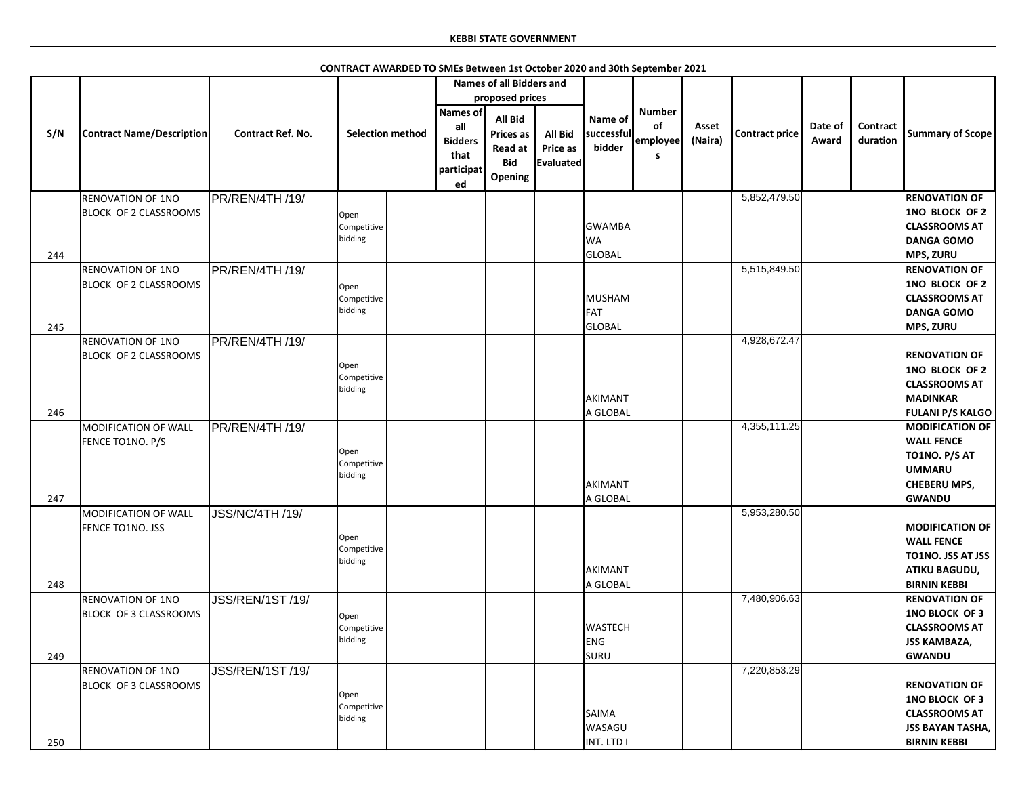|            |                                                          |                          |                                |                                                                      | <b>Names of all Bidders and</b>                                 |                                                |                                             |                                      |                  |                       |                  |                             |                                                                                                                             |
|------------|----------------------------------------------------------|--------------------------|--------------------------------|----------------------------------------------------------------------|-----------------------------------------------------------------|------------------------------------------------|---------------------------------------------|--------------------------------------|------------------|-----------------------|------------------|-----------------------------|-----------------------------------------------------------------------------------------------------------------------------|
|            |                                                          |                          |                                |                                                                      | proposed prices                                                 |                                                |                                             |                                      |                  |                       |                  |                             |                                                                                                                             |
| S/N        | <b>Contract Name/Description</b>                         | <b>Contract Ref. No.</b> | <b>Selection method</b>        | <b>Names of</b><br>all<br><b>Bidders</b><br>that<br>participat<br>ed | All Bid<br><b>Prices as</b><br>Read at<br><b>Bid</b><br>Opening | <b>All Bid</b><br>Price as<br><b>Evaluated</b> | Name of<br>successful<br>bidder             | <b>Number</b><br>of<br>employee<br>s | Asset<br>(Naira) | <b>Contract price</b> | Date of<br>Award | <b>Contract</b><br>duration | <b>Summary of Scope</b>                                                                                                     |
|            | <b>RENOVATION OF 1NO</b><br><b>BLOCK OF 2 CLASSROOMS</b> | PR/REN/4TH /19/          | Open<br>Competitive<br>bidding |                                                                      |                                                                 |                                                | <b>GWAMBA</b><br><b>WA</b>                  |                                      |                  | 5,852,479.50          |                  |                             | <b>RENOVATION OF</b><br>1NO BLOCK OF 2<br><b>CLASSROOMS AT</b><br><b>DANGA GOMO</b>                                         |
| 244<br>245 | <b>RENOVATION OF 1NO</b><br><b>BLOCK OF 2 CLASSROOMS</b> | PR/REN/4TH /19/          | Open<br>Competitive<br>bidding |                                                                      |                                                                 |                                                | GLOBAL<br>MUSHAM<br>FAT<br>GLOBAL           |                                      |                  | 5,515,849.50          |                  |                             | <b>MPS, ZURU</b><br><b>RENOVATION OF</b><br>1NO BLOCK OF 2<br><b>CLASSROOMS AT</b><br><b>DANGA GOMO</b><br><b>MPS, ZURU</b> |
| 246        | <b>RENOVATION OF 1NO</b><br><b>BLOCK OF 2 CLASSROOMS</b> | PR/REN/4TH /19/          | Open<br>Competitive<br>bidding |                                                                      |                                                                 |                                                | AKIMANT<br>A GLOBAL                         |                                      |                  | 4,928,672.47          |                  |                             | <b>RENOVATION OF</b><br>1NO BLOCK OF 2<br><b>CLASSROOMS AT</b><br><b>MADINKAR</b><br><b>FULANI P/S KALGO</b>                |
| 247        | MODIFICATION OF WALL<br>FENCE TO1NO. P/S                 | PR/REN/4TH /19/          | Open<br>Competitive<br>bidding |                                                                      |                                                                 |                                                | AKIMANT<br>A GLOBAL                         |                                      |                  | 4,355,111.25          |                  |                             | <b>MODIFICATION OF</b><br><b>WALL FENCE</b><br>TO1NO. P/S AT<br><b>UMMARU</b><br><b>CHEBERU MPS,</b><br><b>GWANDU</b>       |
| 248        | MODIFICATION OF WALL<br><b>FENCE TO1NO. JSS</b>          | <b>JSS/NC/4TH /19/</b>   | Open<br>Competitive<br>bidding |                                                                      |                                                                 |                                                | AKIMANT<br>A GLOBAL                         |                                      |                  | 5,953,280.50          |                  |                             | <b>MODIFICATION OF</b><br><b>WALL FENCE</b><br><b>TO1NO. JSS AT JSS</b><br><b>ATIKU BAGUDU,</b><br><b>BIRNIN KEBBI</b>      |
| 249        | RENOVATION OF 1NO<br>BLOCK OF 3 CLASSROOMS               | JSS/REN/1ST /19/         | Open<br>Competitive<br>bidding |                                                                      |                                                                 |                                                | <b>WASTECH</b><br>ENG<br>SURU               |                                      |                  | 7,480,906.63          |                  |                             | <b>RENOVATION OF</b><br><b>1NO BLOCK OF 3</b><br><b>CLASSROOMS AT</b><br><b>JSS KAMBAZA,</b><br><b>GWANDU</b>               |
| 250        | <b>RENOVATION OF 1NO</b><br>BLOCK OF 3 CLASSROOMS        | JSS/REN/1ST /19/         | Open<br>Competitive<br>bidding |                                                                      |                                                                 |                                                | <b>SAIMA</b><br><b>WASAGU</b><br>INT. LTD I |                                      |                  | 7,220,853.29          |                  |                             | <b>RENOVATION OF</b><br><b>1NO BLOCK OF 3</b><br><b>CLASSROOMS AT</b><br><b>JSS BAYAN TASHA,</b><br><b>BIRNIN KEBBI</b>     |

**CONTRACT AWARDED TO SMEs Between 1st October 2020 and 30th September 2021**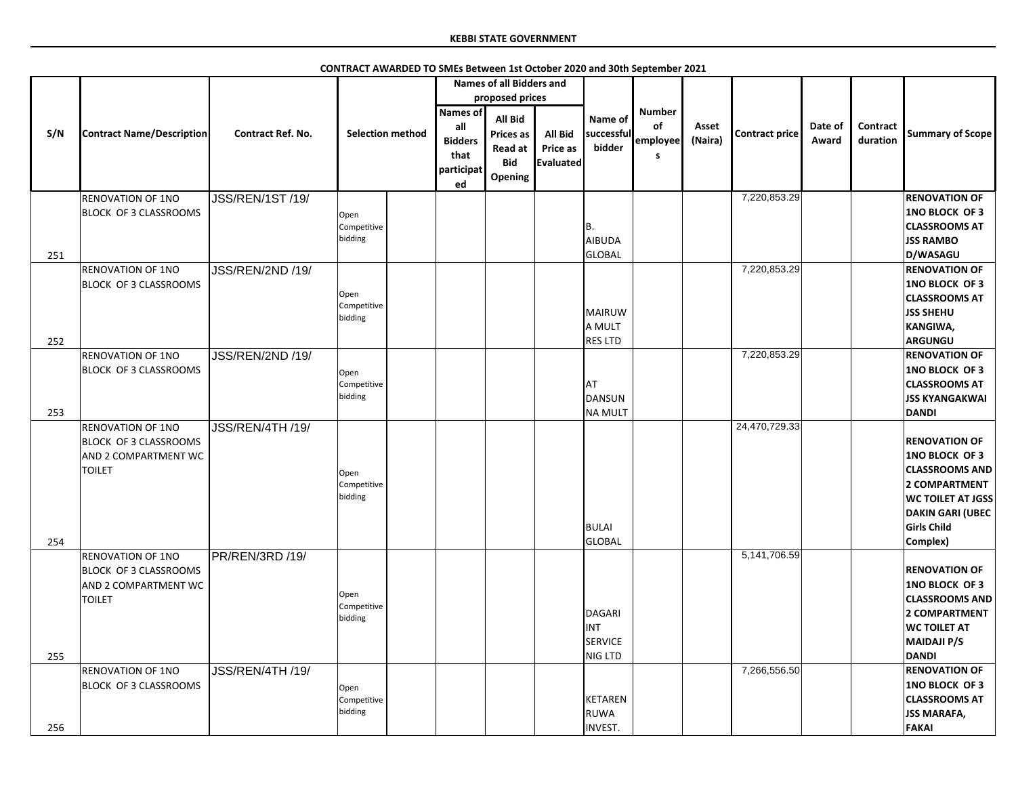|     |                                                                                                   |                          | CONTRACT AWARDED TO SMEs Between 1st October 2020 and 30th September 2021 |                                                                      |                                                                                      |                                                |                                            |                                      |                  |                       |                  |                      |                                                                                                                                                                                         |
|-----|---------------------------------------------------------------------------------------------------|--------------------------|---------------------------------------------------------------------------|----------------------------------------------------------------------|--------------------------------------------------------------------------------------|------------------------------------------------|--------------------------------------------|--------------------------------------|------------------|-----------------------|------------------|----------------------|-----------------------------------------------------------------------------------------------------------------------------------------------------------------------------------------|
|     |                                                                                                   |                          |                                                                           |                                                                      | <b>Names of all Bidders and</b>                                                      |                                                |                                            |                                      |                  |                       |                  |                      |                                                                                                                                                                                         |
|     |                                                                                                   |                          |                                                                           |                                                                      | proposed prices                                                                      |                                                |                                            |                                      |                  |                       |                  |                      |                                                                                                                                                                                         |
| S/N | <b>Contract Name/Description</b>                                                                  | <b>Contract Ref. No.</b> | <b>Selection method</b>                                                   | <b>Names of</b><br>all<br><b>Bidders</b><br>that<br>participat<br>ed | <b>All Bid</b><br><b>Prices as</b><br><b>Read at</b><br><b>Bid</b><br><b>Opening</b> | <b>All Bid</b><br><b>Price as</b><br>Evaluated | Name of<br>successful<br>bidder            | <b>Number</b><br>of<br>employee<br>S | Asset<br>(Naira) | <b>Contract price</b> | Date of<br>Award | Contract<br>duration | <b>Summary of Scope</b>                                                                                                                                                                 |
|     | <b>RENOVATION OF 1NO</b>                                                                          | <b>JSS/REN/1ST /19/</b>  |                                                                           |                                                                      |                                                                                      |                                                |                                            |                                      |                  | 7,220,853.29          |                  |                      | <b>RENOVATION OF</b>                                                                                                                                                                    |
| 251 | <b>BLOCK OF 3 CLASSROOMS</b>                                                                      |                          | Open<br>Competitive<br>bidding                                            |                                                                      |                                                                                      |                                                | B.<br>AIBUDA<br>GLOBAL                     |                                      |                  |                       |                  |                      | <b>1NO BLOCK OF 3</b><br><b>CLASSROOMS AT</b><br><b>JSS RAMBO</b><br>D/WASAGU                                                                                                           |
|     | <b>RENOVATION OF 1NO</b>                                                                          | <b>JSS/REN/2ND /19/</b>  |                                                                           |                                                                      |                                                                                      |                                                |                                            |                                      |                  | 7,220,853.29          |                  |                      | <b>RENOVATION OF</b>                                                                                                                                                                    |
|     | <b>BLOCK OF 3 CLASSROOMS</b>                                                                      |                          | Open<br>Competitive<br>bidding                                            |                                                                      |                                                                                      |                                                | MAIRUW<br>A MULT                           |                                      |                  |                       |                  |                      | <b>1NO BLOCK OF 3</b><br><b>CLASSROOMS AT</b><br><b>JSS SHEHU</b><br>KANGIWA,                                                                                                           |
| 252 |                                                                                                   |                          |                                                                           |                                                                      |                                                                                      |                                                | <b>RES LTD</b>                             |                                      |                  | 7,220,853.29          |                  |                      | <b>ARGUNGU</b>                                                                                                                                                                          |
|     | <b>RENOVATION OF 1NO</b><br><b>BLOCK OF 3 CLASSROOMS</b>                                          | JSS/REN/2ND /19/         | Open<br>Competitive<br>bidding                                            |                                                                      |                                                                                      |                                                | <b>AT</b><br>DANSUN                        |                                      |                  |                       |                  |                      | <b>RENOVATION OF</b><br><b>1NO BLOCK OF 3</b><br><b>CLASSROOMS AT</b><br><b>JSS KYANGAKWAI</b>                                                                                          |
| 253 |                                                                                                   |                          |                                                                           |                                                                      |                                                                                      |                                                | <b>NA MULT</b>                             |                                      |                  |                       |                  |                      | <b>DANDI</b>                                                                                                                                                                            |
| 254 | <b>RENOVATION OF 1NO</b><br><b>BLOCK OF 3 CLASSROOMS</b><br>AND 2 COMPARTMENT WC<br><b>TOILET</b> | JSS/REN/4TH /19/         | Open<br>Competitive<br>bidding                                            |                                                                      |                                                                                      |                                                | BULAI<br>GLOBAL                            |                                      |                  | 24,470,729.33         |                  |                      | <b>RENOVATION OF</b><br><b>1NO BLOCK OF 3</b><br><b>CLASSROOMS AND</b><br><b>2 COMPARTMENT</b><br><b>WC TOILET AT JGSS</b><br><b>DAKIN GARI (UBEC</b><br><b>Girls Child</b><br>Complex) |
| 255 | <b>RENOVATION OF 1NO</b><br><b>BLOCK OF 3 CLASSROOMS</b><br>AND 2 COMPARTMENT WC<br><b>TOILET</b> | PR/REN/3RD /19/          | Open<br>Competitive<br>bidding                                            |                                                                      |                                                                                      |                                                | DAGARI<br><b>INT</b><br>SERVICE<br>NIG LTD |                                      |                  | 5,141,706.59          |                  |                      | <b>RENOVATION OF</b><br><b>1NO BLOCK OF 3</b><br><b>CLASSROOMS AND</b><br><b>2 COMPARTMENT</b><br><b>WC TOILET AT</b><br><b>MAIDAJI P/S</b><br><b>DANDI</b>                             |
| 256 | <b>RENOVATION OF 1NO</b><br>BLOCK OF 3 CLASSROOMS                                                 | JSS/REN/4TH /19/         | Open<br>Competitive<br>bidding                                            |                                                                      |                                                                                      |                                                | KETAREN<br><b>RUWA</b><br><b>INVEST.</b>   |                                      |                  | 7,266,556.50          |                  |                      | <b>RENOVATION OF</b><br><b>1NO BLOCK OF 3</b><br><b>CLASSROOMS AT</b><br><b>JSS MARAFA,</b><br><b>FAKAI</b>                                                                             |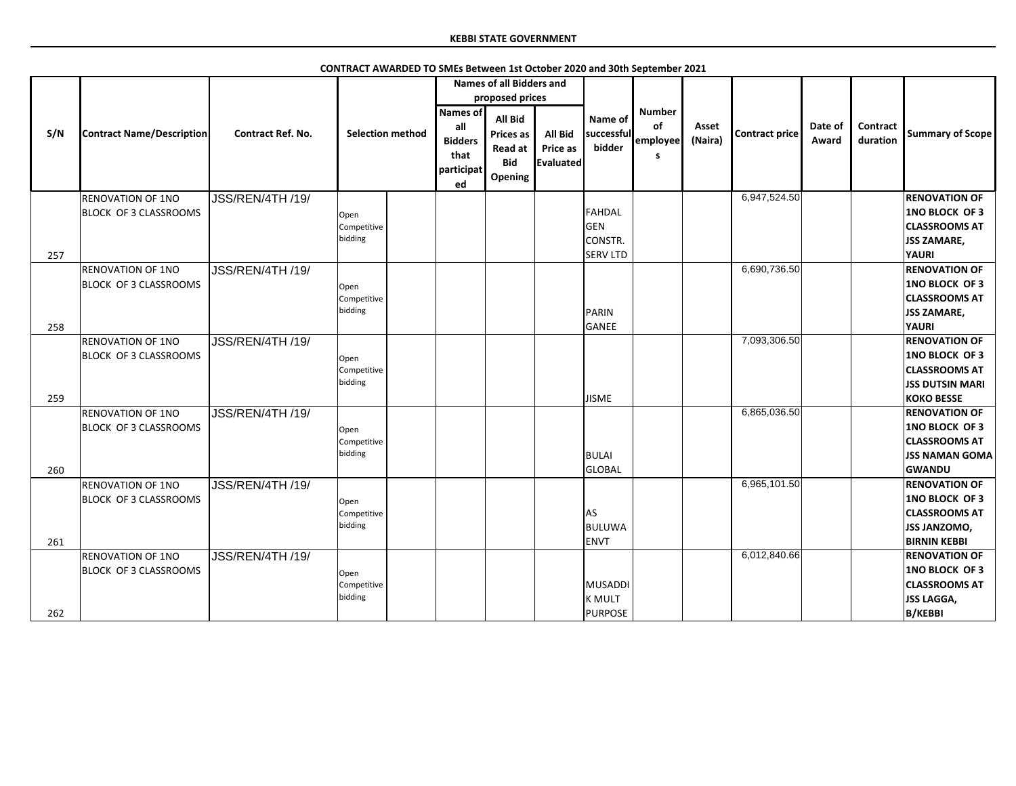|     |                                            |                          |                                |                                                               | <b>Names of all Bidders and</b>                                                                  |                                         |                                                    |                                             |                  |                       |                  |                             |                                                                                                              |
|-----|--------------------------------------------|--------------------------|--------------------------------|---------------------------------------------------------------|--------------------------------------------------------------------------------------------------|-----------------------------------------|----------------------------------------------------|---------------------------------------------|------------------|-----------------------|------------------|-----------------------------|--------------------------------------------------------------------------------------------------------------|
| S/N | <b>Contract Name/Description</b>           | <b>Contract Ref. No.</b> | <b>Selection method</b>        | Names of<br>all<br><b>Bidders</b><br>that<br>participat<br>ed | proposed prices<br><b>All Bid</b><br><b>Prices as</b><br><b>Read at</b><br><b>Bid</b><br>Opening | All Bid<br><b>Price as</b><br>Evaluated | Name of<br>successful<br>bidder                    | <b>Number</b><br><b>of</b><br>employee<br>S | Asset<br>(Naira) | <b>Contract price</b> | Date of<br>Award | <b>Contract</b><br>duration | <b>Summary of Scope</b>                                                                                      |
|     | <b>RENOVATION OF 1NO</b>                   | JSS/REN/4TH /19/         |                                |                                                               |                                                                                                  |                                         |                                                    |                                             |                  | 6,947,524.50          |                  |                             | <b>RENOVATION OF</b>                                                                                         |
| 257 | BLOCK OF 3 CLASSROOMS                      |                          | Open<br>Competitive<br>bidding |                                                               |                                                                                                  |                                         | FAHDAL<br>GEN<br><b>CONSTR.</b><br><b>SERV LTD</b> |                                             |                  |                       |                  |                             | <b>1NO BLOCK OF 3</b><br><b>CLASSROOMS AT</b><br><b>JSS ZAMARE,</b><br><b>YAURI</b>                          |
|     | <b>RENOVATION OF 1NO</b>                   | JSS/REN/4TH /19/         |                                |                                                               |                                                                                                  |                                         |                                                    |                                             |                  | 6,690,736.50          |                  |                             | <b>RENOVATION OF</b>                                                                                         |
|     | BLOCK OF 3 CLASSROOMS                      |                          | Open<br>Competitive            |                                                               |                                                                                                  |                                         |                                                    |                                             |                  |                       |                  |                             | <b>1NO BLOCK OF 3</b><br><b>CLASSROOMS AT</b>                                                                |
|     |                                            |                          | bidding                        |                                                               |                                                                                                  |                                         | PARIN                                              |                                             |                  |                       |                  |                             | <b>JSS ZAMARE,</b>                                                                                           |
| 258 | <b>RENOVATION OF 1NO</b>                   | JSS/REN/4TH /19/         |                                |                                                               |                                                                                                  |                                         | GANEE                                              |                                             |                  | 7,093,306.50          |                  |                             | <b>YAURI</b><br><b>RENOVATION OF</b>                                                                         |
| 259 | BLOCK OF 3 CLASSROOMS                      |                          | Open<br>Competitive<br>bidding |                                                               |                                                                                                  |                                         | <b>JISME</b>                                       |                                             |                  |                       |                  |                             | <b>1NO BLOCK OF 3</b><br><b>CLASSROOMS AT</b><br><b>JSS DUTSIN MARI</b><br><b>KOKO BESSE</b>                 |
|     | <b>RENOVATION OF 1NO</b>                   | JSS/REN/4TH /19/         |                                |                                                               |                                                                                                  |                                         |                                                    |                                             |                  | 6,865,036.50          |                  |                             | <b>RENOVATION OF</b>                                                                                         |
| 260 | BLOCK OF 3 CLASSROOMS                      |                          | Open<br>Competitive<br>bidding |                                                               |                                                                                                  |                                         | <b>BULAI</b><br><b>GLOBAL</b>                      |                                             |                  |                       |                  |                             | <b>1NO BLOCK OF 3</b><br><b>CLASSROOMS AT</b><br><b>JSS NAMAN GOMA</b><br><b>GWANDU</b>                      |
|     | <b>RENOVATION OF 1NO</b>                   | JSS/REN/4TH /19/         |                                |                                                               |                                                                                                  |                                         |                                                    |                                             |                  | 6,965,101.50          |                  |                             | <b>RENOVATION OF</b>                                                                                         |
| 261 | BLOCK OF 3 CLASSROOMS                      |                          | Open<br>Competitive<br>bidding |                                                               |                                                                                                  |                                         | <b>AS</b><br><b>BULUWA</b><br><b>ENVT</b>          |                                             |                  |                       |                  |                             | <b>1NO BLOCK OF 3</b><br><b>CLASSROOMS AT</b><br><b>JSS JANZOMO,</b><br><b>BIRNIN KEBBI</b>                  |
| 262 | RENOVATION OF 1NO<br>BLOCK OF 3 CLASSROOMS | JSS/REN/4TH /19/         | Open<br>Competitive<br>bidding |                                                               |                                                                                                  |                                         | MUSADDI<br><b>K MULT</b><br>PURPOSE                |                                             |                  | 6,012,840.66          |                  |                             | <b>RENOVATION OF</b><br><b>1NO BLOCK OF 3</b><br><b>CLASSROOMS AT</b><br><b>JSS LAGGA,</b><br><b>B/KEBBI</b> |
|     |                                            |                          |                                |                                                               |                                                                                                  |                                         |                                                    |                                             |                  |                       |                  |                             |                                                                                                              |

**CONTRACT AWARDED TO SMEs Between 1st October 2020 and 30th September 2021**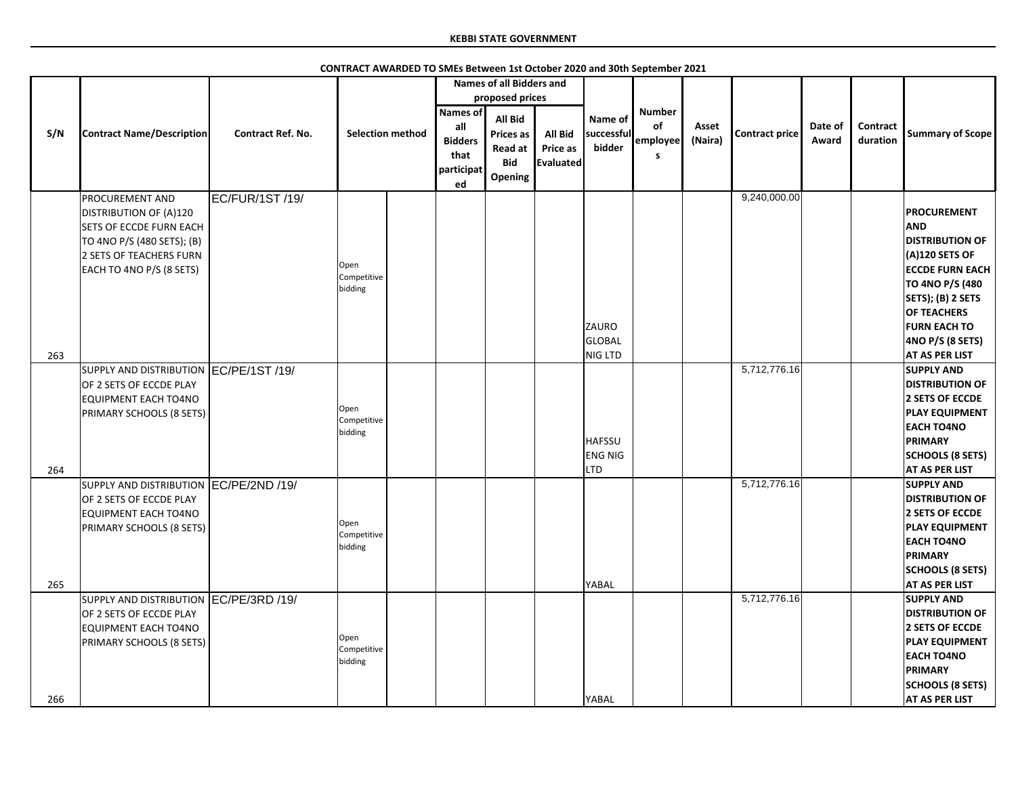|     |                                                                                                                                                                                |                          |                                |                                                                      | <b>Names of all Bidders and</b>                                                                  |                                                |                                               |                                      |                  |                |                  |                      |                                                                                                                                                                                                                                            |
|-----|--------------------------------------------------------------------------------------------------------------------------------------------------------------------------------|--------------------------|--------------------------------|----------------------------------------------------------------------|--------------------------------------------------------------------------------------------------|------------------------------------------------|-----------------------------------------------|--------------------------------------|------------------|----------------|------------------|----------------------|--------------------------------------------------------------------------------------------------------------------------------------------------------------------------------------------------------------------------------------------|
| S/N | <b>Contract Name/Description</b>                                                                                                                                               | <b>Contract Ref. No.</b> | <b>Selection method</b>        | <b>Names of</b><br>all<br><b>Bidders</b><br>that<br>participat<br>ed | proposed prices<br><b>All Bid</b><br><b>Prices as</b><br><b>Read at</b><br><b>Bid</b><br>Opening | <b>All Bid</b><br>Price as<br><b>Evaluated</b> | Name of<br>successful<br>bidder               | <b>Number</b><br>of<br>employee<br>S | Asset<br>(Naira) | Contract price | Date of<br>Award | Contract<br>duration | <b>Summary of Scope</b>                                                                                                                                                                                                                    |
| 263 | <b>PROCUREMENT AND</b><br><b>DISTRIBUTION OF (A)120</b><br><b>SETS OF ECCDE FURN EACH</b><br>TO 4NO P/S (480 SETS); (B)<br>2 SETS OF TEACHERS FURN<br>EACH TO 4NO P/S (8 SETS) | EC/FUR/1ST /19/          | Open<br>Competitive<br>bidding |                                                                      |                                                                                                  |                                                | ZAURO<br><b>GLOBAL</b><br>NIG LTD             |                                      |                  | 9,240,000.00   |                  |                      | <b>PROCUREMENT</b><br><b>AND</b><br><b>DISTRIBUTION OF</b><br>$(A)120$ SETS OF<br><b>ECCDE FURN EACH</b><br>TO 4NO P/S (480<br>SETS); (B) 2 SETS<br><b>OF TEACHERS</b><br><b>FURN EACH TO</b><br>4NO P/S (8 SETS)<br><b>AT AS PER LIST</b> |
| 264 | SUPPLY AND DISTRIBUTION EC/PE/1ST /19/<br>OF 2 SETS OF ECCDE PLAY<br>EQUIPMENT EACH TO4NO<br><b>PRIMARY SCHOOLS (8 SETS)</b>                                                   |                          | Open<br>Competitive<br>bidding |                                                                      |                                                                                                  |                                                | <b>HAFSSU</b><br><b>ENG NIG</b><br><b>LTD</b> |                                      |                  | 5,712,776.16   |                  |                      | <b>SUPPLY AND</b><br><b>DISTRIBUTION OF</b><br>2 SETS OF ECCDE<br><b>PLAY EQUIPMENT</b><br><b>EACH TO4NO</b><br><b>PRIMARY</b><br><b>SCHOOLS (8 SETS)</b><br><b>AT AS PER LIST</b>                                                         |
| 265 | SUPPLY AND DISTRIBUTION EC/PE/2ND /19/<br>OF 2 SETS OF ECCDE PLAY<br>EQUIPMENT EACH TO4NO<br><b>PRIMARY SCHOOLS (8 SETS)</b>                                                   |                          | Open<br>Competitive<br>bidding |                                                                      |                                                                                                  |                                                | YABAL                                         |                                      |                  | 5,712,776.16   |                  |                      | <b>SUPPLY AND</b><br><b>DISTRIBUTION OF</b><br>2 SETS OF ECCDE<br><b>PLAY EQUIPMENT</b><br><b>EACH TO4NO</b><br><b>PRIMARY</b><br><b>SCHOOLS (8 SETS)</b><br><b>AT AS PER LIST</b>                                                         |
| 266 | SUPPLY AND DISTRIBUTION EC/PE/3RD /19/<br>OF 2 SETS OF ECCDE PLAY<br>EQUIPMENT EACH TO4NO<br><b>PRIMARY SCHOOLS (8 SETS)</b>                                                   |                          | Open<br>Competitive<br>bidding |                                                                      |                                                                                                  |                                                | <b>YABAL</b>                                  |                                      |                  | 5,712,776.16   |                  |                      | <b>SUPPLY AND</b><br><b>DISTRIBUTION OF</b><br>2 SETS OF ECCDE<br><b>PLAY EQUIPMENT</b><br><b>EACH TO4NO</b><br><b>PRIMARY</b><br><b>SCHOOLS (8 SETS)</b><br><b>AT AS PER LIST</b>                                                         |

**CONTRACT AWARDED TO SMEs Between 1st October 2020 and 30th September 2021**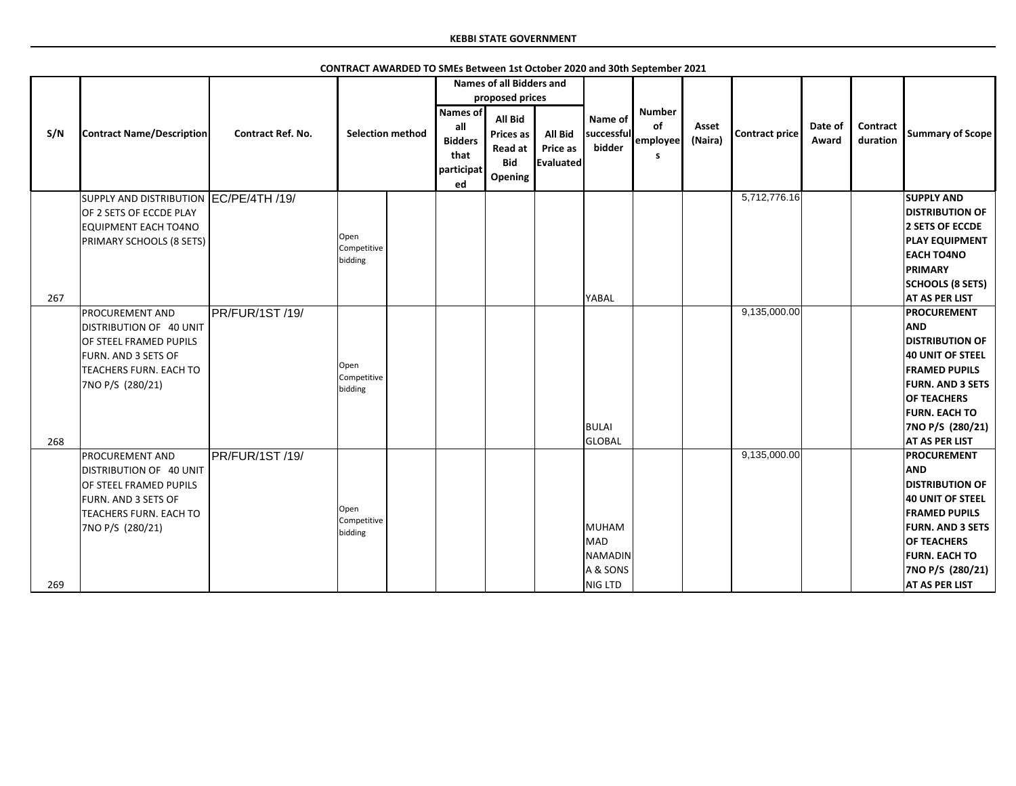|     |                                                                                                                                                         |                          |                                |                                                               | <b>Names of all Bidders and</b><br>proposed prices                     |                                                |                                                |                                             |                  |                |                  |                             |                                                                                                                                                                                                                              |
|-----|---------------------------------------------------------------------------------------------------------------------------------------------------------|--------------------------|--------------------------------|---------------------------------------------------------------|------------------------------------------------------------------------|------------------------------------------------|------------------------------------------------|---------------------------------------------|------------------|----------------|------------------|-----------------------------|------------------------------------------------------------------------------------------------------------------------------------------------------------------------------------------------------------------------------|
| S/N | <b>Contract Name/Description</b>                                                                                                                        | <b>Contract Ref. No.</b> | <b>Selection method</b>        | Names of<br>all<br><b>Bidders</b><br>that<br>participat<br>ed | <b>All Bid</b><br><b>Prices as</b><br>Read at<br><b>Bid</b><br>Opening | <b>All Bid</b><br>Price as<br><b>Evaluated</b> | Name of<br>successful<br>bidder                | <b>Number</b><br>of<br>employee<br><b>S</b> | Asset<br>(Naira) | Contract price | Date of<br>Award | <b>Contract</b><br>duration | <b>Summary of Scope</b>                                                                                                                                                                                                      |
| 267 | SUPPLY AND DISTRIBUTION EC/PE/4TH /19/<br>OF 2 SETS OF ECCDE PLAY<br><b>EQUIPMENT EACH TO4NO</b><br>PRIMARY SCHOOLS (8 SETS)                            |                          | Open<br>Competitive<br>bidding |                                                               |                                                                        |                                                | YABAL                                          |                                             |                  | 5,712,776.16   |                  |                             | <b>SUPPLY AND</b><br><b>DISTRIBUTION OF</b><br>2 SETS OF ECCDE<br><b>PLAY EQUIPMENT</b><br><b>EACH TO4NO</b><br><b>PRIMARY</b><br><b>SCHOOLS (8 SETS)</b><br><b>AT AS PER LIST</b>                                           |
| 268 | <b>PROCUREMENT AND</b><br>DISTRIBUTION OF 40 UNIT<br>OF STEEL FRAMED PUPILS<br>FURN. AND 3 SETS OF<br>TEACHERS FURN. EACH TO<br>7NO P/S (280/21)        | PR/FUR/1ST /19/          | Open<br>Competitive<br>bidding |                                                               |                                                                        |                                                | BULAI<br>GLOBAL                                |                                             |                  | 9,135,000.00   |                  |                             | PROCUREMENT<br><b>AND</b><br><b>DISTRIBUTION OF</b><br>40 UNIT OF STEEL<br><b>FRAMED PUPILS</b><br><b>FURN. AND 3 SETS</b><br><b>OF TEACHERS</b><br><b>FURN. EACH TO</b><br>7NO P/S (280/21)<br><b>AT AS PER LIST</b>        |
| 269 | <b>PROCUREMENT AND</b><br>DISTRIBUTION OF 40 UNIT<br>OF STEEL FRAMED PUPILS<br><b>FURN. AND 3 SETS OF</b><br>TEACHERS FURN. EACH TO<br>7NO P/S (280/21) | PR/FUR/1ST /19/          | Open<br>Competitive<br>bidding |                                                               |                                                                        |                                                | MUHAM<br>MAD<br>NAMADIN<br>A & SONS<br>NIG LTD |                                             |                  | 9,135,000.00   |                  |                             | <b>PROCUREMENT</b><br><b>AND</b><br><b>DISTRIBUTION OF</b><br>40 UNIT OF STEEL<br><b>FRAMED PUPILS</b><br><b>FURN. AND 3 SETS</b><br><b>OF TEACHERS</b><br><b>FURN. EACH TO</b><br>7NO P/S (280/21)<br><b>AT AS PER LIST</b> |

**CONTRACT AWARDED TO SMEs Between 1st October 2020 and 30th September 2021**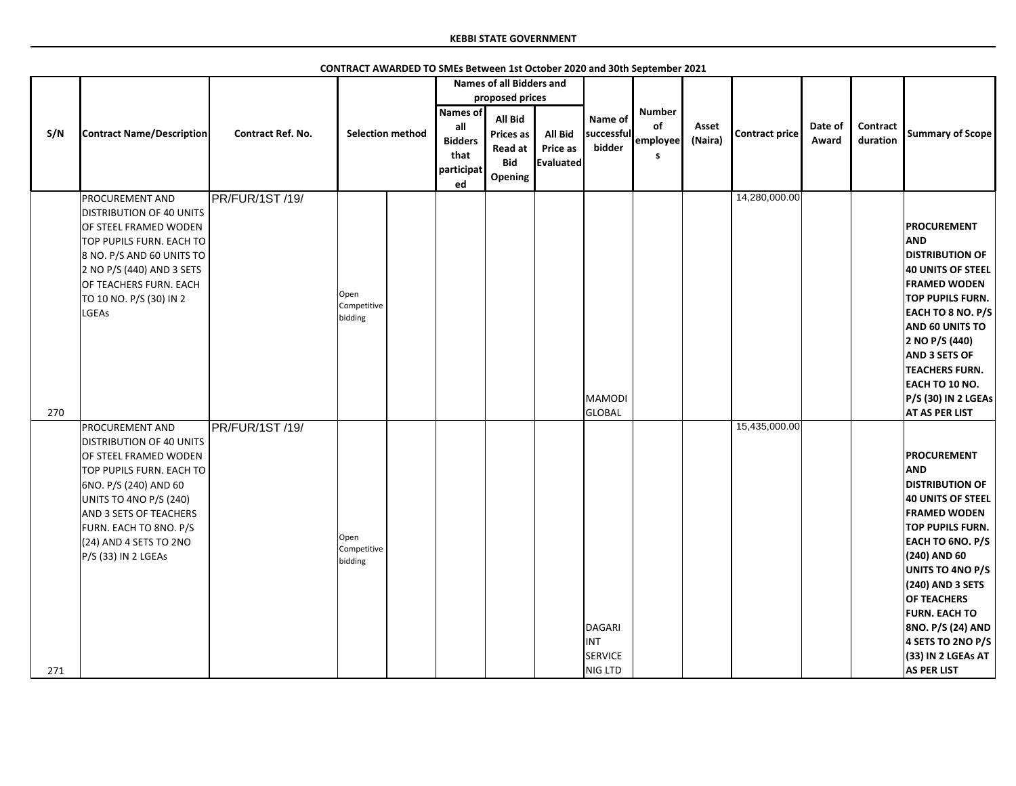|     |                                                                                                                                                                                                                                                                                   |                          |                                |                                                  | <b>Names of all Bidders and</b>                                  |                            |                                            |                                       |                  |                       |                  |                      |                                                                                                                                                                                                                                                                                                                                                            |
|-----|-----------------------------------------------------------------------------------------------------------------------------------------------------------------------------------------------------------------------------------------------------------------------------------|--------------------------|--------------------------------|--------------------------------------------------|------------------------------------------------------------------|----------------------------|--------------------------------------------|---------------------------------------|------------------|-----------------------|------------------|----------------------|------------------------------------------------------------------------------------------------------------------------------------------------------------------------------------------------------------------------------------------------------------------------------------------------------------------------------------------------------------|
| S/N | <b>Contract Name/Description</b>                                                                                                                                                                                                                                                  | <b>Contract Ref. No.</b> | <b>Selection method</b>        | <b>Names of</b><br>all<br><b>Bidders</b><br>that | proposed prices<br>All Bid<br><b>Prices as</b><br><b>Read at</b> | <b>All Bid</b><br>Price as | Name of<br>successful<br>bidder            | <b>Number</b><br>of<br>employee<br>S. | Asset<br>(Naira) | <b>Contract price</b> | Date of<br>Award | Contract<br>duration | <b>Summary of Scope</b>                                                                                                                                                                                                                                                                                                                                    |
|     |                                                                                                                                                                                                                                                                                   |                          |                                | participat<br>ed                                 | <b>Bid</b><br>Opening                                            | <b>Evaluated</b>           |                                            |                                       |                  |                       |                  |                      |                                                                                                                                                                                                                                                                                                                                                            |
| 270 | <b>PROCUREMENT AND</b><br><b>DISTRIBUTION OF 40 UNITS</b><br>OF STEEL FRAMED WODEN<br>TOP PUPILS FURN. EACH TO<br>8 NO. P/S AND 60 UNITS TO<br>2 NO P/S (440) AND 3 SETS<br>OF TEACHERS FURN. EACH<br>TO 10 NO. P/S (30) IN 2<br>LGEAs                                            | PR/FUR/1ST/19/           | Open<br>Competitive<br>bidding |                                                  |                                                                  |                            | MAMODI<br>GLOBAL                           |                                       |                  | 14,280,000.00         |                  |                      | <b>PROCUREMENT</b><br><b>AND</b><br><b>DISTRIBUTION OF</b><br><b>40 UNITS OF STEEL</b><br><b>FRAMED WODEN</b><br><b>TOP PUPILS FURN.</b><br><b>EACH TO 8 NO. P/S</b><br>AND 60 UNITS TO<br>2 NO P/S (440)<br><b>AND 3 SETS OF</b><br><b>TEACHERS FURN.</b><br>EACH TO 10 NO.<br>P/S (30) IN 2 LGEAs<br><b>AT AS PER LIST</b>                               |
| 271 | <b>PROCUREMENT AND</b><br><b>DISTRIBUTION OF 40 UNITS</b><br>OF STEEL FRAMED WODEN<br>TOP PUPILS FURN. EACH TO<br>6NO. P/S (240) AND 60<br>UNITS TO 4NO P/S (240)<br><b>AND 3 SETS OF TEACHERS</b><br>FURN. EACH TO 8NO. P/S<br>$(24)$ AND 4 SETS TO 2NO<br>$P/S$ (33) IN 2 LGEAs | PR/FUR/1ST/19/           | Open<br>Competitive<br>bidding |                                                  |                                                                  |                            | DAGARI<br><b>INT</b><br>SERVICE<br>NIG LTD |                                       |                  | 15,435,000.00         |                  |                      | <b>PROCUREMENT</b><br><b>AND</b><br><b>DISTRIBUTION OF</b><br>40 UNITS OF STEEL<br><b>FRAMED WODEN</b><br><b>TOP PUPILS FURN.</b><br><b>EACH TO 6NO. P/S</b><br>$(240)$ AND 60<br>UNITS TO 4NO P/S<br>(240) AND 3 SETS<br><b>OF TEACHERS</b><br><b>FURN. EACH TO</b><br>8NO. P/S (24) AND<br>4 SETS TO 2NO P/S<br>(33) IN 2 LGEAs AT<br><b>AS PER LIST</b> |

**CONTRACT AWARDED TO SMEs Between 1st October 2020 and 30th September 2021**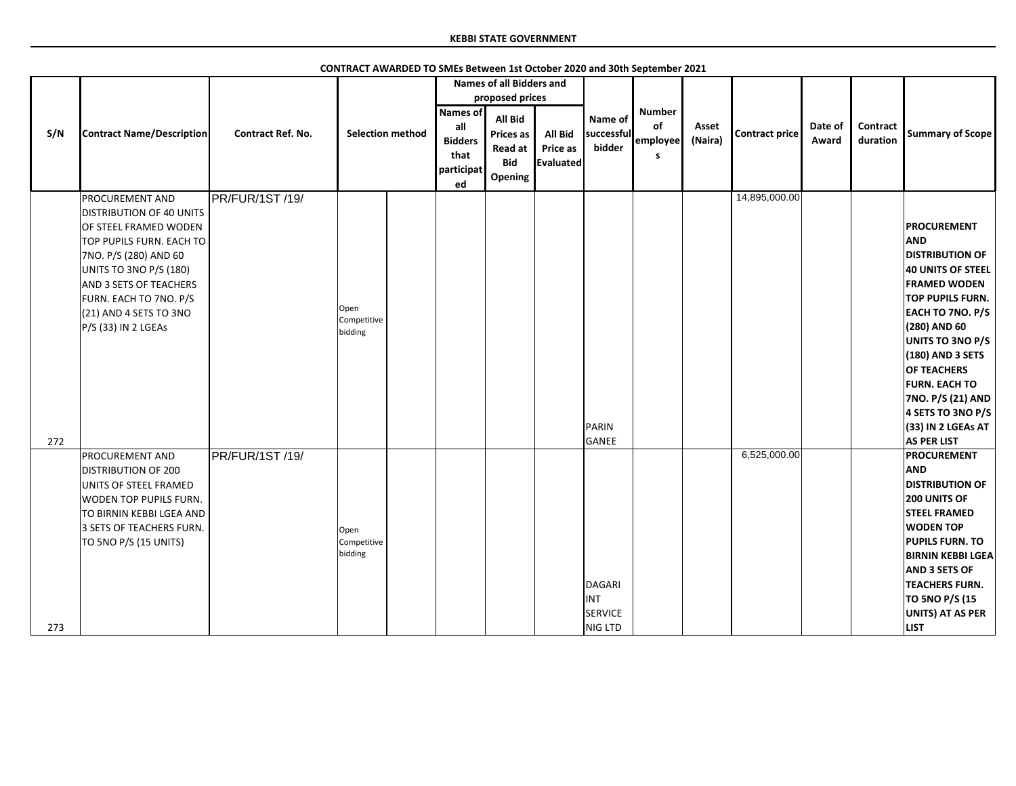|     |                                  |                          |                     |                         |                | <b>Names of all Bidders and</b> |                |                      |               |         |                |         |          |                          |
|-----|----------------------------------|--------------------------|---------------------|-------------------------|----------------|---------------------------------|----------------|----------------------|---------------|---------|----------------|---------|----------|--------------------------|
|     |                                  |                          |                     |                         |                | proposed prices                 |                |                      |               |         |                |         |          |                          |
|     |                                  |                          |                     |                         | Names of       |                                 |                | Name of              | <b>Number</b> |         |                |         |          |                          |
|     | <b>Contract Name/Description</b> | <b>Contract Ref. No.</b> |                     | <b>Selection method</b> | all            | <b>All Bid</b>                  |                |                      | of            | Asset   |                | Date of | Contract |                          |
| S/N |                                  |                          |                     |                         | <b>Bidders</b> | <b>Prices as</b>                | <b>All Bid</b> | successful<br>bidder | employee      | (Naira) | Contract price | Award   | duration | <b>Summary of Scope</b>  |
|     |                                  |                          |                     |                         | that           | Read at                         | Price as       |                      | s             |         |                |         |          |                          |
|     |                                  |                          |                     |                         | participat     | <b>Bid</b>                      | Evaluated      |                      |               |         |                |         |          |                          |
|     |                                  |                          |                     |                         | ed             | Opening                         |                |                      |               |         |                |         |          |                          |
|     | <b>PROCUREMENT AND</b>           | PR/FUR/1ST/19/           |                     |                         |                |                                 |                |                      |               |         | 14,895,000.00  |         |          |                          |
|     | <b>DISTRIBUTION OF 40 UNITS</b>  |                          |                     |                         |                |                                 |                |                      |               |         |                |         |          |                          |
|     | OF STEEL FRAMED WODEN            |                          |                     |                         |                |                                 |                |                      |               |         |                |         |          | <b>PROCUREMENT</b>       |
|     | TOP PUPILS FURN. EACH TO         |                          |                     |                         |                |                                 |                |                      |               |         |                |         |          | <b>AND</b>               |
|     | 7NO. P/S (280) AND 60            |                          |                     |                         |                |                                 |                |                      |               |         |                |         |          | <b>DISTRIBUTION OF</b>   |
|     | <b>UNITS TO 3NO P/S (180)</b>    |                          |                     |                         |                |                                 |                |                      |               |         |                |         |          | 40 UNITS OF STEEL        |
|     | <b>AND 3 SETS OF TEACHERS</b>    |                          |                     |                         |                |                                 |                |                      |               |         |                |         |          | <b>FRAMED WODEN</b>      |
|     | FURN. EACH TO 7NO. P/S           |                          |                     |                         |                |                                 |                |                      |               |         |                |         |          | TOP PUPILS FURN.         |
|     | (21) AND 4 SETS TO 3NO           |                          | Open<br>Competitive |                         |                |                                 |                |                      |               |         |                |         |          | EACH TO 7NO. P/S         |
|     | P/S (33) IN 2 LGEAs              |                          | bidding             |                         |                |                                 |                |                      |               |         |                |         |          | (280) AND 60             |
|     |                                  |                          |                     |                         |                |                                 |                |                      |               |         |                |         |          | UNITS TO 3NO P/S         |
|     |                                  |                          |                     |                         |                |                                 |                |                      |               |         |                |         |          | (180) AND 3 SETS         |
|     |                                  |                          |                     |                         |                |                                 |                |                      |               |         |                |         |          | OF TEACHERS              |
|     |                                  |                          |                     |                         |                |                                 |                |                      |               |         |                |         |          | <b>FURN. EACH TO</b>     |
|     |                                  |                          |                     |                         |                |                                 |                |                      |               |         |                |         |          | 7NO. P/S (21) AND        |
|     |                                  |                          |                     |                         |                |                                 |                |                      |               |         |                |         |          | 4 SETS TO 3NO P/S        |
|     |                                  |                          |                     |                         |                |                                 |                | PARIN                |               |         |                |         |          | (33) IN 2 LGEAs AT       |
| 272 |                                  |                          |                     |                         |                |                                 |                | GANEE                |               |         |                |         |          | <b>AS PER LIST</b>       |
|     | <b>PROCUREMENT AND</b>           | <b>PR/FUR/1ST/19/</b>    |                     |                         |                |                                 |                |                      |               |         | 6,525,000.00   |         |          | <b>PROCUREMENT</b>       |
|     | <b>DISTRIBUTION OF 200</b>       |                          |                     |                         |                |                                 |                |                      |               |         |                |         |          | <b>AND</b>               |
|     | UNITS OF STEEL FRAMED            |                          |                     |                         |                |                                 |                |                      |               |         |                |         |          | <b>DISTRIBUTION OF</b>   |
|     | <b>WODEN TOP PUPILS FURN.</b>    |                          |                     |                         |                |                                 |                |                      |               |         |                |         |          | 200 UNITS OF             |
|     | TO BIRNIN KEBBI LGEA AND         |                          |                     |                         |                |                                 |                |                      |               |         |                |         |          | <b>STEEL FRAMED</b>      |
|     | 3 SETS OF TEACHERS FURN.         |                          | Open                |                         |                |                                 |                |                      |               |         |                |         |          | <b>WODEN TOP</b>         |
|     | TO 5NO P/S (15 UNITS)            |                          | Competitive         |                         |                |                                 |                |                      |               |         |                |         |          | <b>PUPILS FURN. TO</b>   |
|     |                                  |                          | bidding             |                         |                |                                 |                |                      |               |         |                |         |          | <b>BIRNIN KEBBI LGEA</b> |
|     |                                  |                          |                     |                         |                |                                 |                |                      |               |         |                |         |          | <b>AND 3 SETS OF</b>     |
|     |                                  |                          |                     |                         |                |                                 |                | DAGARI               |               |         |                |         |          | <b>TEACHERS FURN.</b>    |
|     |                                  |                          |                     |                         |                |                                 |                | <b>INT</b>           |               |         |                |         |          | <b>TO 5NO P/S (15</b>    |
|     |                                  |                          |                     |                         |                |                                 |                | <b>SERVICE</b>       |               |         |                |         |          | <b>UNITS) AT AS PER</b>  |
| 273 |                                  |                          |                     |                         |                |                                 |                | NIG LTD              |               |         |                |         |          | <b>LIST</b>              |

**CONTRACT AWARDED TO SMEs Between 1st October 2020 and 30th September 2021**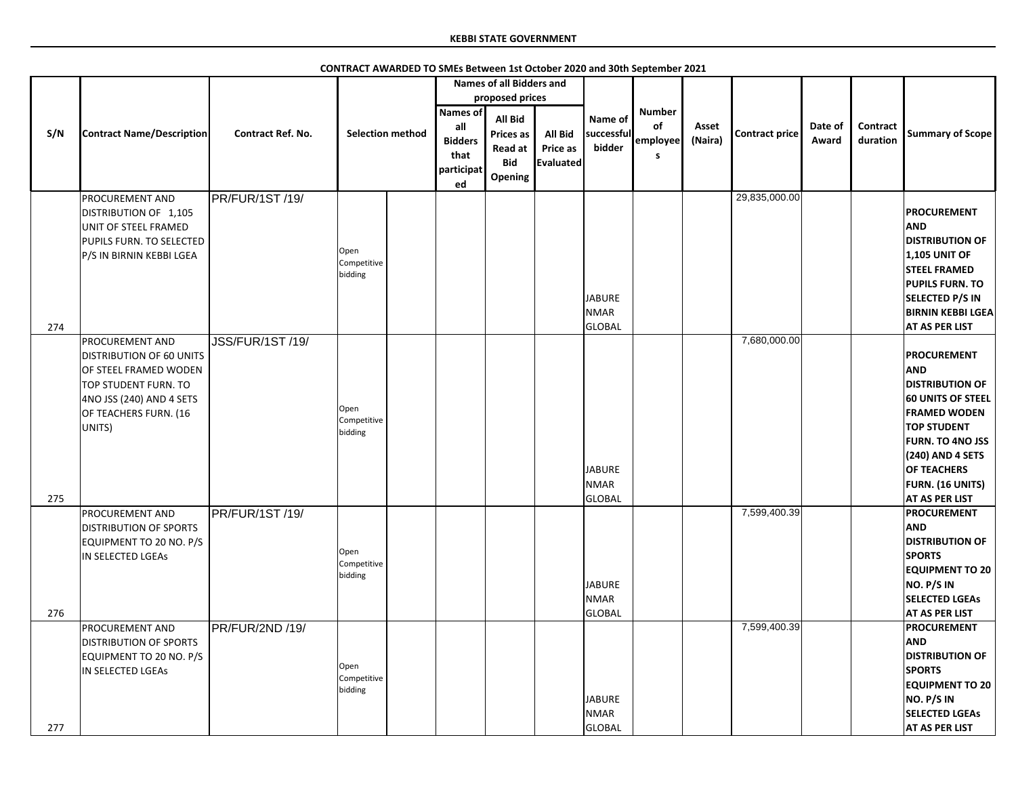|     |                                                                                                                                                                           |                          |                                |                         |                                                                      | <b>Names of all Bidders and</b>                                                    |                                         |                                               |                                      |                  |                       |                  |                             |                                                                                                                                                                                                                                                              |
|-----|---------------------------------------------------------------------------------------------------------------------------------------------------------------------------|--------------------------|--------------------------------|-------------------------|----------------------------------------------------------------------|------------------------------------------------------------------------------------|-----------------------------------------|-----------------------------------------------|--------------------------------------|------------------|-----------------------|------------------|-----------------------------|--------------------------------------------------------------------------------------------------------------------------------------------------------------------------------------------------------------------------------------------------------------|
| S/N | <b>Contract Name/Description</b>                                                                                                                                          | <b>Contract Ref. No.</b> |                                | <b>Selection method</b> | <b>Names of</b><br>all<br><b>Bidders</b><br>that<br>participat<br>ed | proposed prices<br>All Bid<br><b>Prices as</b><br>Read at<br><b>Bid</b><br>Opening | <b>All Bid</b><br>Price as<br>Evaluated | Name of<br>successful<br>bidder               | <b>Number</b><br>of<br>employee<br>S | Asset<br>(Naira) | <b>Contract price</b> | Date of<br>Award | <b>Contract</b><br>duration | <b>Summary of Scope</b>                                                                                                                                                                                                                                      |
| 274 | <b>PROCUREMENT AND</b><br>DISTRIBUTION OF 1,105<br>UNIT OF STEEL FRAMED<br>PUPILS FURN. TO SELECTED<br>P/S IN BIRNIN KEBBI LGEA                                           | PR/FUR/1ST /19/          | Open<br>Competitive<br>bidding |                         |                                                                      |                                                                                    |                                         | JABURE<br><b>NMAR</b><br>GLOBAL               |                                      |                  | 29,835,000.00         |                  |                             | <b>PROCUREMENT</b><br><b>AND</b><br><b>DISTRIBUTION OF</b><br><b>1,105 UNIT OF</b><br><b>STEEL FRAMED</b><br><b>PUPILS FURN. TO</b><br><b>SELECTED P/S IN</b><br><b>BIRNIN KEBBI LGEA</b><br><b>AT AS PER LIST</b>                                           |
| 275 | <b>PROCUREMENT AND</b><br><b>DISTRIBUTION OF 60 UNITS</b><br>OF STEEL FRAMED WODEN<br>TOP STUDENT FURN. TO<br>4NO JSS (240) AND 4 SETS<br>OF TEACHERS FURN. (16<br>UNITS) | <b>JSS/FUR/1ST /19/</b>  | Open<br>Competitive<br>bidding |                         |                                                                      |                                                                                    |                                         | JABURE<br><b>NMAR</b><br>GLOBAL               |                                      |                  | 7,680,000.00          |                  |                             | <b>PROCUREMENT</b><br><b>AND</b><br><b>DISTRIBUTION OF</b><br><b>60 UNITS OF STEEL</b><br><b>FRAMED WODEN</b><br><b>TOP STUDENT</b><br><b>FURN. TO 4NO JSS</b><br>(240) AND 4 SETS<br><b>OF TEACHERS</b><br><b>FURN. (16 UNITS)</b><br><b>AT AS PER LIST</b> |
| 276 | <b>PROCUREMENT AND</b><br><b>DISTRIBUTION OF SPORTS</b><br>EQUIPMENT TO 20 NO. P/S<br>IN SELECTED LGEAS                                                                   | PR/FUR/1ST /19/          | Open<br>Competitive<br>bidding |                         |                                                                      |                                                                                    |                                         | <b>JABURE</b><br><b>NMAR</b><br><b>GLOBAL</b> |                                      |                  | 7,599,400.39          |                  |                             | <b>PROCUREMENT</b><br><b>AND</b><br><b>DISTRIBUTION OF</b><br><b>SPORTS</b><br><b>EQUIPMENT TO 20</b><br>NO. P/S IN<br><b>SELECTED LGEAS</b><br><b>AT AS PER LIST</b>                                                                                        |
| 277 | <b>PROCUREMENT AND</b><br><b>DISTRIBUTION OF SPORTS</b><br>EQUIPMENT TO 20 NO. P/S<br>IN SELECTED LGEAS                                                                   | PR/FUR/2ND /19/          | Open<br>Competitive<br>bidding |                         |                                                                      |                                                                                    |                                         | <b>JABURE</b><br><b>NMAR</b><br><b>GLOBAL</b> |                                      |                  | 7,599,400.39          |                  |                             | <b>PROCUREMENT</b><br><b>AND</b><br><b>DISTRIBUTION OF</b><br><b>SPORTS</b><br><b>EQUIPMENT TO 20</b><br>NO. P/S IN<br><b>SELECTED LGEAS</b><br><b>AT AS PER LIST</b>                                                                                        |

**CONTRACT AWARDED TO SMEs Between 1st October 2020 and 30th September 2021**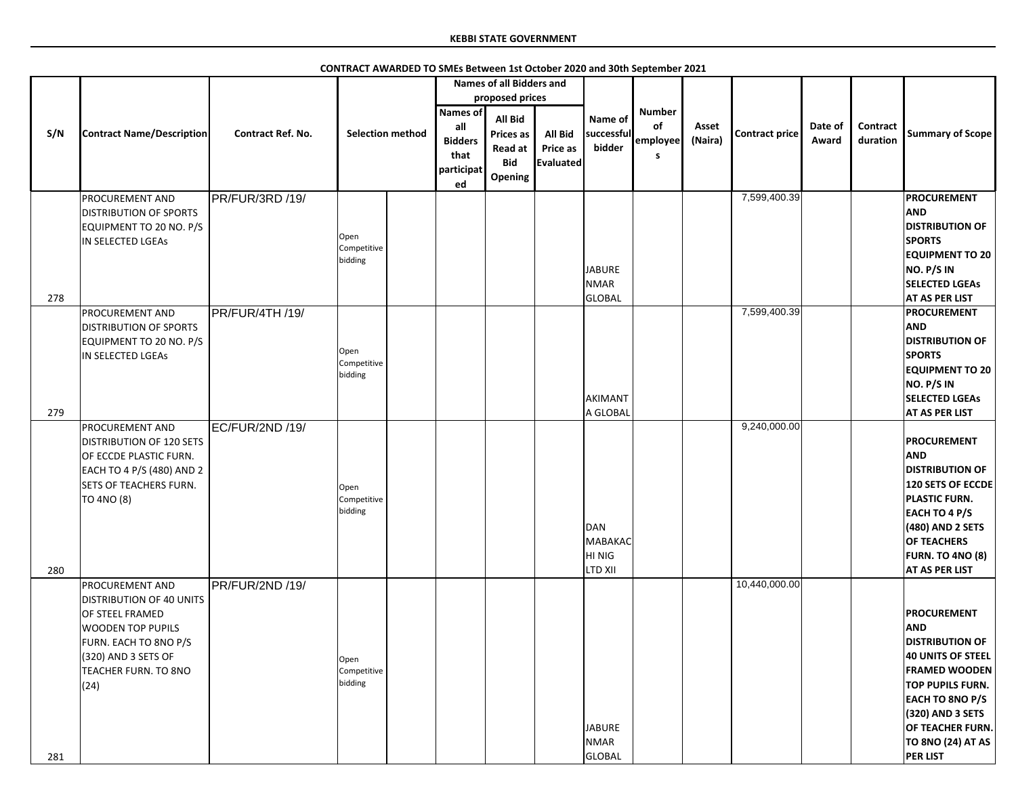|     |                                                                                                                                                                                                   |                          |                                |                                                                      | <b>Names of all Bidders and</b>                                        |                                                       |                                               |                                       |                  |                       |                  |                      |                                                                                                                                                                                                                                                     |
|-----|---------------------------------------------------------------------------------------------------------------------------------------------------------------------------------------------------|--------------------------|--------------------------------|----------------------------------------------------------------------|------------------------------------------------------------------------|-------------------------------------------------------|-----------------------------------------------|---------------------------------------|------------------|-----------------------|------------------|----------------------|-----------------------------------------------------------------------------------------------------------------------------------------------------------------------------------------------------------------------------------------------------|
|     |                                                                                                                                                                                                   |                          |                                |                                                                      | proposed prices                                                        |                                                       |                                               |                                       |                  |                       |                  |                      |                                                                                                                                                                                                                                                     |
| S/N | <b>Contract Name/Description</b>                                                                                                                                                                  | <b>Contract Ref. No.</b> | <b>Selection method</b>        | <b>Names of</b><br>all<br><b>Bidders</b><br>that<br>participat<br>ed | <b>All Bid</b><br><b>Prices as</b><br>Read at<br><b>Bid</b><br>Opening | <b>All Bid</b><br><b>Price as</b><br><b>Evaluated</b> | Name of<br>successful<br>bidder               | <b>Number</b><br>of<br>employee<br>-S | Asset<br>(Naira) | <b>Contract price</b> | Date of<br>Award | Contract<br>duration | <b>Summary of Scope</b>                                                                                                                                                                                                                             |
| 278 | <b>PROCUREMENT AND</b><br><b>DISTRIBUTION OF SPORTS</b><br>EQUIPMENT TO 20 NO. P/S<br>IN SELECTED LGEAS                                                                                           | PR/FUR/3RD /19/          | Open<br>Competitive<br>bidding |                                                                      |                                                                        |                                                       | <b>JABURE</b><br><b>NMAR</b><br>GLOBAL        |                                       |                  | 7,599,400.39          |                  |                      | <b>PROCUREMENT</b><br><b>AND</b><br><b>DISTRIBUTION OF</b><br><b>SPORTS</b><br><b>EQUIPMENT TO 20</b><br>NO. P/S IN<br><b>SELECTED LGEAS</b><br><b>AT AS PER LIST</b>                                                                               |
| 279 | <b>PROCUREMENT AND</b><br><b>DISTRIBUTION OF SPORTS</b><br>EQUIPMENT TO 20 NO. P/S<br>IN SELECTED LGEAS                                                                                           | PR/FUR/4TH /19/          | Open<br>Competitive<br>bidding |                                                                      |                                                                        |                                                       | AKIMANT<br>A GLOBAL                           |                                       |                  | 7,599,400.39          |                  |                      | <b>PROCUREMENT</b><br><b>AND</b><br><b>DISTRIBUTION OF</b><br><b>SPORTS</b><br><b>EQUIPMENT TO 20</b><br>NO. P/S IN<br><b>SELECTED LGEAS</b><br><b>AT AS PER LIST</b>                                                                               |
| 280 | <b>PROCUREMENT AND</b><br><b>DISTRIBUTION OF 120 SETS</b><br>OF ECCDE PLASTIC FURN.<br>EACH TO 4 P/S (480) AND 2<br><b>SETS OF TEACHERS FURN.</b><br>TO 4NO (8)                                   | EC/FUR/2ND /19/          | Open<br>Competitive<br>bidding |                                                                      |                                                                        |                                                       | DAN<br>MABAKAC<br>HI NIG<br>LTD XII           |                                       |                  | 9,240,000.00          |                  |                      | <b>PROCUREMENT</b><br><b>AND</b><br><b>DISTRIBUTION OF</b><br><b>120 SETS OF ECCDE</b><br><b>PLASTIC FURN.</b><br><b>EACH TO 4 P/S</b><br>(480) AND 2 SETS<br><b>OF TEACHERS</b><br><b>FURN. TO 4NO (8)</b><br><b>AT AS PER LIST</b>                |
| 281 | <b>PROCUREMENT AND</b><br><b>DISTRIBUTION OF 40 UNITS</b><br><b>OF STEEL FRAMED</b><br><b>WOODEN TOP PUPILS</b><br>FURN. EACH TO 8NO P/S<br>$(320)$ AND 3 SETS OF<br>TEACHER FURN. TO 8NO<br>(24) | PR/FUR/2ND /19/          | Open<br>Competitive<br>bidding |                                                                      |                                                                        |                                                       | <b>JABURE</b><br><b>NMAR</b><br><b>GLOBAL</b> |                                       |                  | 10,440,000.00         |                  |                      | <b>PROCUREMENT</b><br><b>AND</b><br><b>DISTRIBUTION OF</b><br><b>40 UNITS OF STEEL</b><br><b>FRAMED WOODEN</b><br><b>TOP PUPILS FURN.</b><br>EACH TO 8NO P/S<br>(320) AND 3 SETS<br>OF TEACHER FURN.<br><b>TO 8NO (24) AT AS</b><br><b>PER LIST</b> |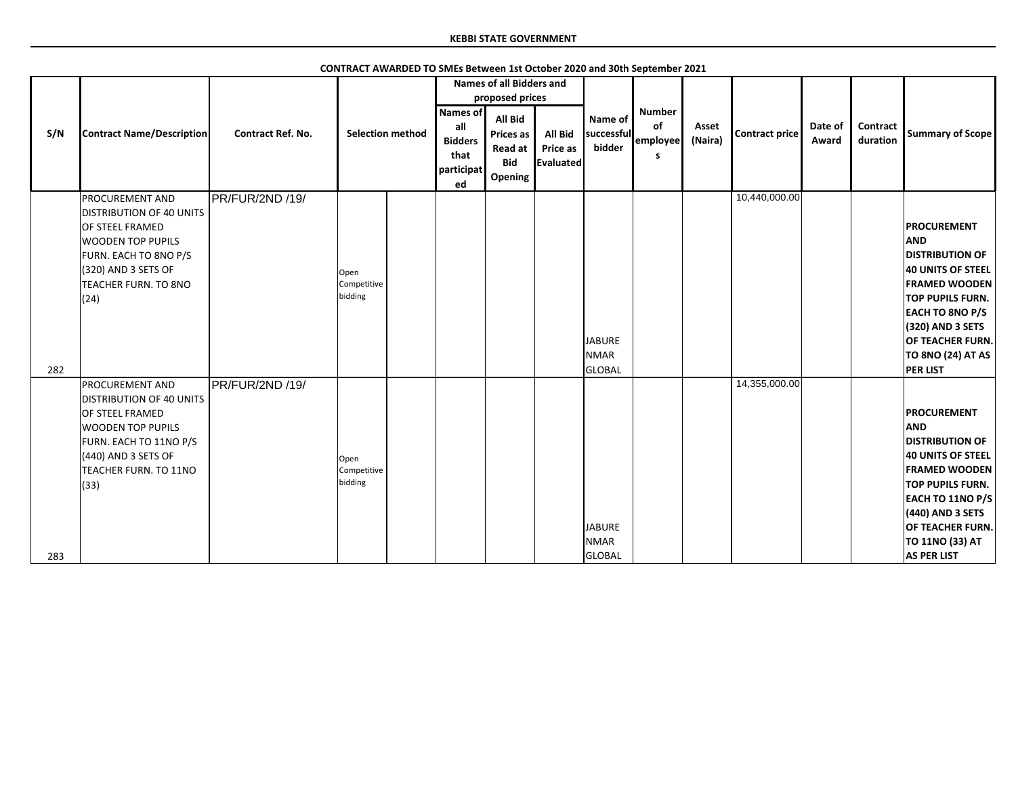|     |                                                                                                                                                                                            |                          |                                |                                                                      | <b>Names of all Bidders and</b>                                                           |                                                |                                               |                                       |                  |                       |                  |                             |                                                                                                                                                                                                                                         |
|-----|--------------------------------------------------------------------------------------------------------------------------------------------------------------------------------------------|--------------------------|--------------------------------|----------------------------------------------------------------------|-------------------------------------------------------------------------------------------|------------------------------------------------|-----------------------------------------------|---------------------------------------|------------------|-----------------------|------------------|-----------------------------|-----------------------------------------------------------------------------------------------------------------------------------------------------------------------------------------------------------------------------------------|
| S/N | <b>Contract Name/Description</b>                                                                                                                                                           | <b>Contract Ref. No.</b> | <b>Selection method</b>        | <b>Names of</b><br>all<br><b>Bidders</b><br>that<br>participat<br>ed | proposed prices<br><b>All Bid</b><br><b>Prices as</b><br>Read at<br><b>Bid</b><br>Opening | <b>All Bid</b><br><b>Price as</b><br>Evaluated | Name of<br>successful<br>bidder               | <b>Number</b><br>of<br>employee<br>S. | Asset<br>(Naira) | <b>Contract price</b> | Date of<br>Award | <b>Contract</b><br>duration | <b>Summary of Scope</b>                                                                                                                                                                                                                 |
| 282 | <b>PROCUREMENT AND</b><br><b>DISTRIBUTION OF 40 UNITS</b><br>OF STEEL FRAMED<br><b>WOODEN TOP PUPILS</b><br>FURN. EACH TO 8NO P/S<br>(320) AND 3 SETS OF<br>TEACHER FURN. TO 8NO<br>(24)   | PR/FUR/2ND /19/          | Open<br>Competitive<br>bidding |                                                                      |                                                                                           |                                                | <b>JABURE</b><br><b>NMAR</b><br><b>GLOBAL</b> |                                       |                  | 10,440,000.00         |                  |                             | <b>PROCUREMENT</b><br><b>AND</b><br><b>DISTRIBUTION OF</b><br>40 UNITS OF STEEL<br><b>FRAMED WOODEN</b><br>TOP PUPILS FURN.<br><b>EACH TO 8NO P/S</b><br>(320) AND 3 SETS<br>OF TEACHER FURN.<br>TO 8NO (24) AT AS<br><b>PER LIST</b>   |
| 283 | <b>PROCUREMENT AND</b><br><b>DISTRIBUTION OF 40 UNITS</b><br>OF STEEL FRAMED<br><b>WOODEN TOP PUPILS</b><br>FURN. EACH TO 11NO P/S<br>(440) AND 3 SETS OF<br>TEACHER FURN. TO 11NO<br>(33) | <b>PR/FUR/2ND /19/</b>   | Open<br>Competitive<br>bidding |                                                                      |                                                                                           |                                                | <b>JABURE</b><br><b>NMAR</b><br><b>GLOBAL</b> |                                       |                  | 14,355,000.00         |                  |                             | PROCUREMENT<br><b>AND</b><br><b>DISTRIBUTION OF</b><br><b>40 UNITS OF STEEL</b><br><b>FRAMED WOODEN</b><br>TOP PUPILS FURN.<br><b>EACH TO 11NO P/S</b><br>(440) AND 3 SETS<br>OF TEACHER FURN.<br>TO 11NO (33) AT<br><b>AS PER LIST</b> |

**CONTRACT AWARDED TO SMEs Between 1st October 2020 and 30th September 2021**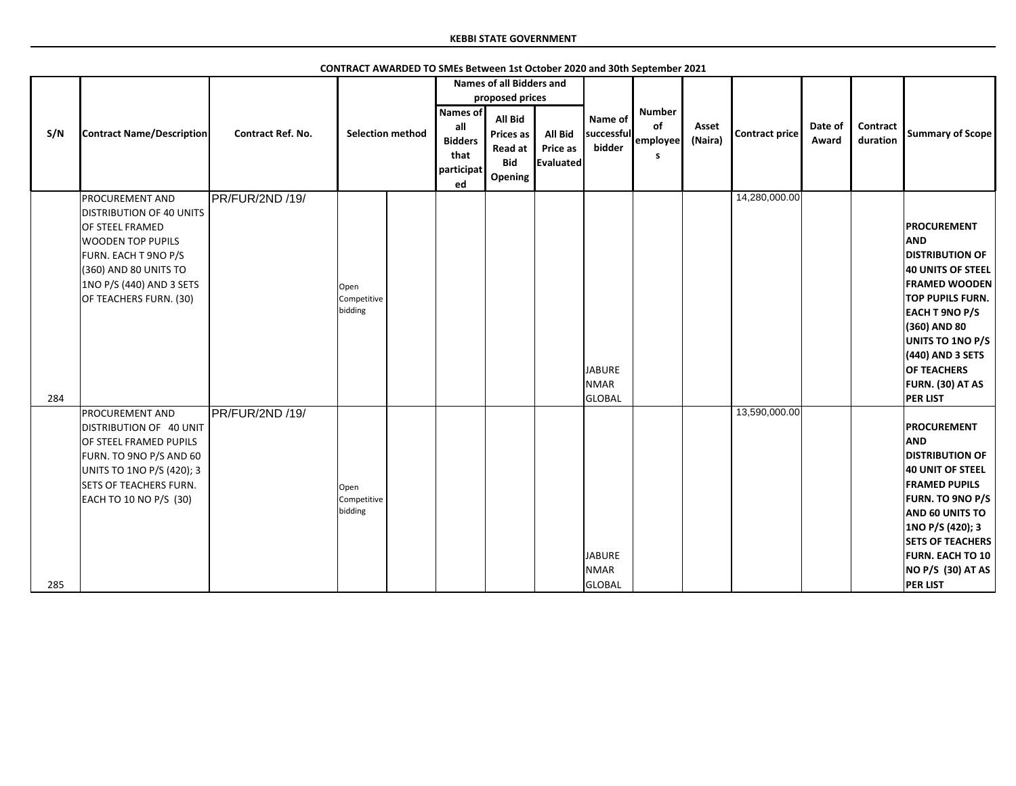|     |                                                                                                                                                                                                                 |                          |                                |                                                                      | <b>Names of all Bidders and</b>                                                      |                                                |                                               |                                      |                  |                       |                  |                             |                                                                                                                                                                                                                                                                                                |
|-----|-----------------------------------------------------------------------------------------------------------------------------------------------------------------------------------------------------------------|--------------------------|--------------------------------|----------------------------------------------------------------------|--------------------------------------------------------------------------------------|------------------------------------------------|-----------------------------------------------|--------------------------------------|------------------|-----------------------|------------------|-----------------------------|------------------------------------------------------------------------------------------------------------------------------------------------------------------------------------------------------------------------------------------------------------------------------------------------|
|     |                                                                                                                                                                                                                 |                          |                                |                                                                      | proposed prices                                                                      |                                                |                                               |                                      |                  |                       |                  |                             |                                                                                                                                                                                                                                                                                                |
| S/N | <b>Contract Name/Description</b>                                                                                                                                                                                | <b>Contract Ref. No.</b> | <b>Selection method</b>        | <b>Names of</b><br>all<br><b>Bidders</b><br>that<br>participat<br>ed | <b>All Bid</b><br><b>Prices as</b><br><b>Read at</b><br><b>Bid</b><br><b>Opening</b> | <b>All Bid</b><br>Price as<br><b>Evaluated</b> | Name of<br>successful<br>bidder               | <b>Number</b><br>of<br>employee<br>S | Asset<br>(Naira) | <b>Contract price</b> | Date of<br>Award | <b>Contract</b><br>duration | <b>Summary of Scope</b>                                                                                                                                                                                                                                                                        |
| 284 | <b>PROCUREMENT AND</b><br><b>DISTRIBUTION OF 40 UNITS</b><br>OF STEEL FRAMED<br><b>WOODEN TOP PUPILS</b><br>FURN. EACH T 9NO P/S<br>(360) AND 80 UNITS TO<br>1NO P/S (440) AND 3 SETS<br>OF TEACHERS FURN. (30) | <b>PR/FUR/2ND /19/</b>   | Open<br>Competitive<br>bidding |                                                                      |                                                                                      |                                                | <b>JABURE</b><br><b>NMAR</b><br><b>GLOBAL</b> |                                      |                  | 14,280,000.00         |                  |                             | <b>PROCUREMENT</b><br><b>AND</b><br><b>DISTRIBUTION OF</b><br><b>40 UNITS OF STEEL</b><br><b>FRAMED WOODEN</b><br><b>TOP PUPILS FURN.</b><br><b>EACH T 9NO P/S</b><br>(360) AND 80<br>UNITS TO 1NO P/S<br>(440) AND 3 SETS<br><b>OF TEACHERS</b><br><b>FURN. (30) AT AS</b><br><b>PER LIST</b> |
| 285 | PROCUREMENT AND<br>DISTRIBUTION OF 40 UNIT<br>OF STEEL FRAMED PUPILS<br>FURN. TO 9NO P/S AND 60<br>UNITS TO 1NO P/S (420); 3<br><b>SETS OF TEACHERS FURN.</b><br>EACH TO 10 NO P/S (30)                         | PR/FUR/2ND /19/          | Open<br>Competitive<br>bidding |                                                                      |                                                                                      |                                                | <b>JABURE</b><br><b>NMAR</b><br><b>GLOBAL</b> |                                      |                  | 13,590,000.00         |                  |                             | <b>PROCUREMENT</b><br><b>AND</b><br><b>DISTRIBUTION OF</b><br><b>40 UNIT OF STEEL</b><br><b>FRAMED PUPILS</b><br><b>FURN. TO 9NO P/S</b><br>AND 60 UNITS TO<br>1NO P/S (420); 3<br><b>SETS OF TEACHERS</b><br><b>FURN. EACH TO 10</b><br><b>NO P/S (30) AT AS</b><br><b>PER LIST</b>           |

**CONTRACT AWARDED TO SMEs Between 1st October 2020 and 30th September 2021**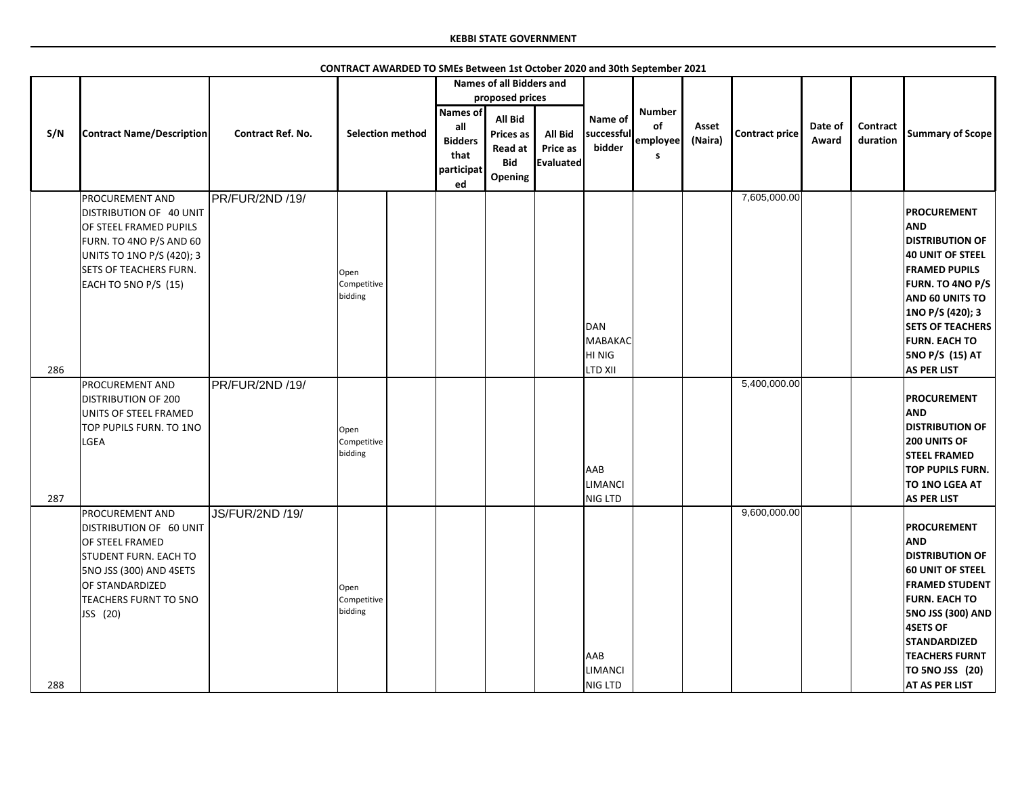|     |                                                                                                                                                                                                       |                          |                                |                                                                      | <b>Names of all Bidders and</b>                                                                  |                                         |                                                |                                       |                  |                |                  |                             |                                                                                                                                                                                                                                                                                    |
|-----|-------------------------------------------------------------------------------------------------------------------------------------------------------------------------------------------------------|--------------------------|--------------------------------|----------------------------------------------------------------------|--------------------------------------------------------------------------------------------------|-----------------------------------------|------------------------------------------------|---------------------------------------|------------------|----------------|------------------|-----------------------------|------------------------------------------------------------------------------------------------------------------------------------------------------------------------------------------------------------------------------------------------------------------------------------|
| S/N | <b>Contract Name/Description</b>                                                                                                                                                                      | <b>Contract Ref. No.</b> | <b>Selection method</b>        | <b>Names of</b><br>all<br><b>Bidders</b><br>that<br>participat<br>ed | proposed prices<br><b>All Bid</b><br><b>Prices as</b><br><b>Read at</b><br><b>Bid</b><br>Opening | <b>All Bid</b><br>Price as<br>Evaluated | Name of<br>successful<br>bidder                | <b>Number</b><br>of<br>employee<br>S. | Asset<br>(Naira) | Contract price | Date of<br>Award | <b>Contract</b><br>duration | <b>Summary of Scope</b>                                                                                                                                                                                                                                                            |
| 286 | <b>PROCUREMENT AND</b><br>DISTRIBUTION OF 40 UNIT<br>OF STEEL FRAMED PUPILS<br>FURN. TO 4NO P/S AND 60<br>UNITS TO 1NO P/S (420); 3<br><b>SETS OF TEACHERS FURN.</b><br>EACH TO 5NO P/S (15)          | PR/FUR/2ND /19/          | Open<br>Competitive<br>bidding |                                                                      |                                                                                                  |                                         | DAN<br>MABAKAC<br>HI NIG<br><b>LTD XII</b>     |                                       |                  | 7,605,000.00   |                  |                             | <b>PROCUREMENT</b><br><b>AND</b><br><b>DISTRIBUTION OF</b><br>40 UNIT OF STEEL<br><b>FRAMED PUPILS</b><br><b>FURN. TO 4NO P/S</b><br><b>AND 60 UNITS TO</b><br>1NO P/S (420); 3<br><b>SETS OF TEACHERS</b><br><b>FURN. EACH TO</b><br><b>5NO P/S (15) AT</b><br><b>AS PER LIST</b> |
| 287 | <b>PROCUREMENT AND</b><br><b>DISTRIBUTION OF 200</b><br>UNITS OF STEEL FRAMED<br>TOP PUPILS FURN. TO 1NO<br>LGEA                                                                                      | PR/FUR/2ND /19/          | Open<br>Competitive<br>bidding |                                                                      |                                                                                                  |                                         | <b>AAB</b><br><b>LIMANCI</b><br><b>NIG LTD</b> |                                       |                  | 5,400,000.00   |                  |                             | <b>PROCUREMENT</b><br><b>AND</b><br><b>DISTRIBUTION OF</b><br><b>200 UNITS OF</b><br><b>STEEL FRAMED</b><br><b>TOP PUPILS FURN.</b><br>TO 1NO LGEA AT<br><b>AS PER LIST</b>                                                                                                        |
| 288 | <b>PROCUREMENT AND</b><br>DISTRIBUTION OF 60 UNIT<br><b>OF STEEL FRAMED</b><br><b>STUDENT FURN. EACH TO</b><br>5NO JSS (300) AND 4SETS<br>OF STANDARDIZED<br><b>TEACHERS FURNT TO 5NO</b><br>JSS (20) | JS/FUR/2ND /19/          | Open<br>Competitive<br>bidding |                                                                      |                                                                                                  |                                         | <b>AAB</b><br><b>LIMANCI</b><br>NIG LTD        |                                       |                  | 9,600,000.00   |                  |                             | <b>PROCUREMENT</b><br><b>AND</b><br><b>DISTRIBUTION OF</b><br><b>60 UNIT OF STEEL</b><br><b>FRAMED STUDENT</b><br><b>FURN. EACH TO</b><br><b>5NO JSS (300) AND</b><br><b>4SETS OF</b><br><b>STANDARDIZED</b><br><b>TEACHERS FURNT</b><br>TO 5NO JSS (20)<br><b>AT AS PER LIST</b>  |

**CONTRACT AWARDED TO SMEs Between 1st October 2020 and 30th September 2021**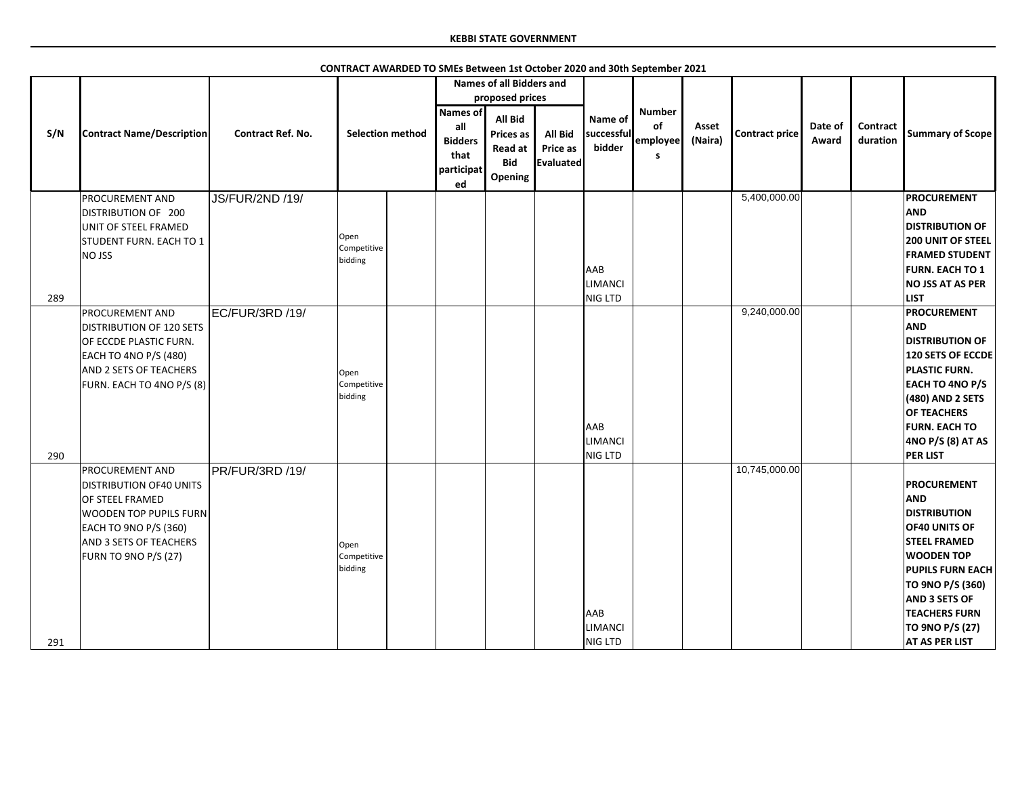|     |                                                                                                                                                                                                       |                          |                                |                                                               | <b>Names of all Bidders and</b>                                                           |                                                |                                         |                                             |                  |                |                  |                      |                                                                                                                                                                                                                                                                        |
|-----|-------------------------------------------------------------------------------------------------------------------------------------------------------------------------------------------------------|--------------------------|--------------------------------|---------------------------------------------------------------|-------------------------------------------------------------------------------------------|------------------------------------------------|-----------------------------------------|---------------------------------------------|------------------|----------------|------------------|----------------------|------------------------------------------------------------------------------------------------------------------------------------------------------------------------------------------------------------------------------------------------------------------------|
| S/N | <b>Contract Name/Description</b>                                                                                                                                                                      | <b>Contract Ref. No.</b> | <b>Selection method</b>        | Names of<br>all<br><b>Bidders</b><br>that<br>participat<br>ed | proposed prices<br><b>All Bid</b><br><b>Prices as</b><br>Read at<br><b>Bid</b><br>Opening | <b>All Bid</b><br><b>Price as</b><br>Evaluated | Name of<br>successful<br>bidder         | <b>Number</b><br>of<br>employee<br><b>S</b> | Asset<br>(Naira) | Contract price | Date of<br>Award | Contract<br>duration | <b>Summary of Scope</b>                                                                                                                                                                                                                                                |
| 289 | <b>PROCUREMENT AND</b><br>DISTRIBUTION OF 200<br>UNIT OF STEEL FRAMED<br>STUDENT FURN. EACH TO 1<br>NO JSS                                                                                            | <b>JS/FUR/2ND /19/</b>   | Open<br>Competitive<br>bidding |                                                               |                                                                                           |                                                | <b>AAB</b><br><b>LIMANCI</b><br>NIG LTD |                                             |                  | 5,400,000.00   |                  |                      | <b>PROCUREMENT</b><br><b>AND</b><br><b>DISTRIBUTION OF</b><br><b>200 UNIT OF STEEL</b><br><b>FRAMED STUDENT</b><br><b>FURN. EACH TO 1</b><br><b>NO JSS AT AS PER</b><br><b>LIST</b>                                                                                    |
| 290 | <b>PROCUREMENT AND</b><br><b>DISTRIBUTION OF 120 SETS</b><br>OF ECCDE PLASTIC FURN.<br>EACH TO 4NO P/S (480)<br>AND 2 SETS OF TEACHERS<br>FURN. EACH TO 4NO P/S (8)                                   | EC/FUR/3RD /19/          | Open<br>Competitive<br>bidding |                                                               |                                                                                           |                                                | <b>AAB</b><br><b>LIMANCI</b><br>NIG LTD |                                             |                  | 9,240,000.00   |                  |                      | <b>PROCUREMENT</b><br><b>AND</b><br><b>DISTRIBUTION OF</b><br><b>120 SETS OF ECCDE</b><br><b>PLASTIC FURN.</b><br><b>EACH TO 4NO P/S</b><br>(480) AND 2 SETS<br><b>OF TEACHERS</b><br><b>FURN. EACH TO</b><br>4NO P/S (8) AT AS<br><b>PER LIST</b>                     |
| 291 | <b>PROCUREMENT AND</b><br><b>DISTRIBUTION OF40 UNITS</b><br><b>OF STEEL FRAMED</b><br><b>WOODEN TOP PUPILS FURN</b><br>EACH TO 9NO P/S (360)<br><b>AND 3 SETS OF TEACHERS</b><br>FURN TO 9NO P/S (27) | PR/FUR/3RD /19/          | Open<br>Competitive<br>bidding |                                                               |                                                                                           |                                                | <b>AAB</b><br>LIMANCI<br>NIG LTD        |                                             |                  | 10,745,000.00  |                  |                      | <b>PROCUREMENT</b><br><b>AND</b><br><b>DISTRIBUTION</b><br><b>OF40 UNITS OF</b><br><b>STEEL FRAMED</b><br><b>WOODEN TOP</b><br><b>PUPILS FURN EACH</b><br>TO 9NO P/S (360)<br><b>AND 3 SETS OF</b><br><b>TEACHERS FURN</b><br>TO 9NO P/S (27)<br><b>AT AS PER LIST</b> |

**CONTRACT AWARDED TO SMEs Between 1st October 2020 and 30th September 2021**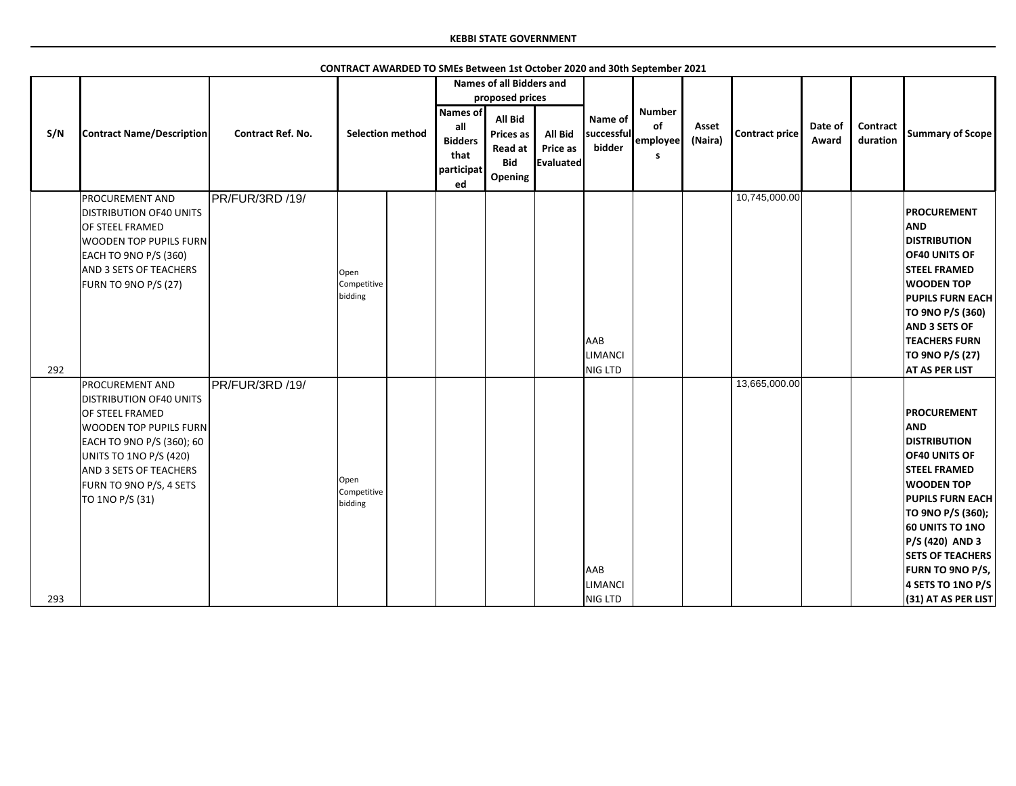|     |                                                                                                                                                                                                                                                           |                          |                                |                                                               | <b>Names of all Bidders and</b>                                                           |                                                |                                  |                                      |                  |                       |                  |                             |                                                                                                                                                                                                                                                                                                                            |
|-----|-----------------------------------------------------------------------------------------------------------------------------------------------------------------------------------------------------------------------------------------------------------|--------------------------|--------------------------------|---------------------------------------------------------------|-------------------------------------------------------------------------------------------|------------------------------------------------|----------------------------------|--------------------------------------|------------------|-----------------------|------------------|-----------------------------|----------------------------------------------------------------------------------------------------------------------------------------------------------------------------------------------------------------------------------------------------------------------------------------------------------------------------|
| S/N | <b>Contract Name/Description</b>                                                                                                                                                                                                                          | <b>Contract Ref. No.</b> | <b>Selection method</b>        | Names of<br>all<br><b>Bidders</b><br>that<br>participat<br>ed | proposed prices<br><b>All Bid</b><br><b>Prices as</b><br>Read at<br><b>Bid</b><br>Opening | <b>All Bid</b><br>Price as<br><b>Evaluated</b> | Name of<br>successful<br>bidder  | <b>Number</b><br>of<br>employee<br>s | Asset<br>(Naira) | <b>Contract price</b> | Date of<br>Award | <b>Contract</b><br>duration | <b>Summary of Scope</b>                                                                                                                                                                                                                                                                                                    |
| 292 | PROCUREMENT AND<br><b>DISTRIBUTION OF40 UNITS</b><br>OF STEEL FRAMED<br>WOODEN TOP PUPILS FURN<br>EACH TO 9NO P/S (360)<br><b>AND 3 SETS OF TEACHERS</b><br>FURN TO 9NO P/S (27)                                                                          | PR/FUR/3RD /19/          | Open<br>Competitive<br>bidding |                                                               |                                                                                           |                                                | <b>AAB</b><br>LIMANCI<br>NIG LTD |                                      |                  | 10,745,000.00         |                  |                             | <b>PROCUREMENT</b><br><b>AND</b><br><b>DISTRIBUTION</b><br>OF40 UNITS OF<br><b>STEEL FRAMED</b><br><b>WOODEN TOP</b><br><b>PUPILS FURN EACH</b><br>TO 9NO P/S (360)<br><b>AND 3 SETS OF</b><br><b>TEACHERS FURN</b><br>TO 9NO P/S (27)<br><b>AT AS PER LIST</b>                                                            |
| 293 | <b>PROCUREMENT AND</b><br><b>DISTRIBUTION OF40 UNITS</b><br><b>OF STEEL FRAMED</b><br><b>WOODEN TOP PUPILS FURN</b><br>EACH TO 9NO P/S (360); 60<br><b>UNITS TO 1NO P/S (420)</b><br>AND 3 SETS OF TEACHERS<br>FURN TO 9NO P/S, 4 SETS<br>TO 1NO P/S (31) | PR/FUR/3RD /19/          | Open<br>Competitive<br>bidding |                                                               |                                                                                           |                                                | AAB<br><b>LIMANCI</b><br>NIG LTD |                                      |                  | 13,665,000.00         |                  |                             | <b>PROCUREMENT</b><br><b>AND</b><br><b>DISTRIBUTION</b><br><b>OF40 UNITS OF</b><br><b>STEEL FRAMED</b><br><b>WOODEN TOP</b><br><b>PUPILS FURN EACH</b><br>TO 9NO P/S (360);<br><b>60 UNITS TO 1NO</b><br><b>P/S (420) AND 3</b><br><b>SETS OF TEACHERS</b><br>FURN TO 9NO P/S,<br>4 SETS TO 1NO P/S<br>(31) AT AS PER LIST |

**CONTRACT AWARDED TO SMEs Between 1st October 2020 and 30th September 2021**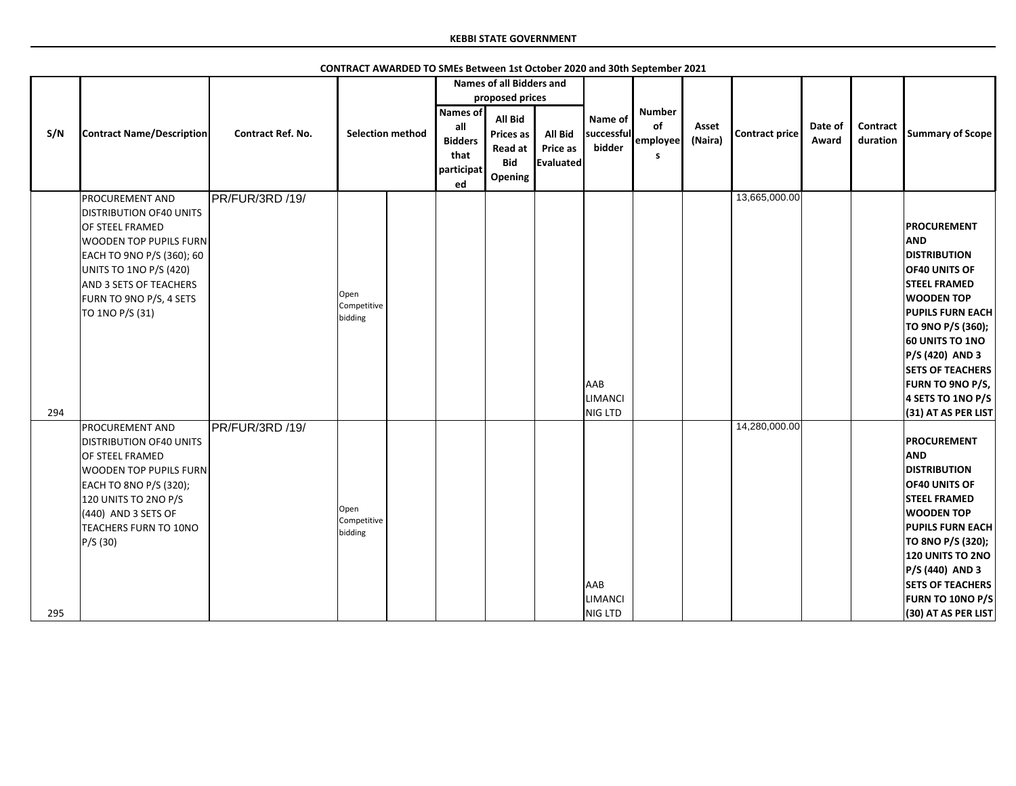|     |                                                                                                                                                                                                                                             |                          |                                |                                                                      | <b>Names of all Bidders and</b>                                 |                                                |                                         |                                      |                  |                |                  |                             |                                                                                                                                                                                                                                                                                                                     |
|-----|---------------------------------------------------------------------------------------------------------------------------------------------------------------------------------------------------------------------------------------------|--------------------------|--------------------------------|----------------------------------------------------------------------|-----------------------------------------------------------------|------------------------------------------------|-----------------------------------------|--------------------------------------|------------------|----------------|------------------|-----------------------------|---------------------------------------------------------------------------------------------------------------------------------------------------------------------------------------------------------------------------------------------------------------------------------------------------------------------|
|     |                                                                                                                                                                                                                                             |                          |                                |                                                                      | proposed prices                                                 |                                                |                                         |                                      |                  |                |                  |                             |                                                                                                                                                                                                                                                                                                                     |
| S/N | <b>Contract Name/Description</b>                                                                                                                                                                                                            | <b>Contract Ref. No.</b> | <b>Selection method</b>        | <b>Names of</b><br>all<br><b>Bidders</b><br>that<br>participat<br>ed | All Bid<br><b>Prices as</b><br>Read at<br><b>Bid</b><br>Opening | <b>All Bid</b><br>Price as<br><b>Evaluated</b> | Name of<br>successful<br>bidder         | <b>Number</b><br>of<br>employee<br>s | Asset<br>(Naira) | Contract price | Date of<br>Award | <b>Contract</b><br>duration | <b>Summary of Scope</b>                                                                                                                                                                                                                                                                                             |
| 294 | PROCUREMENT AND<br><b>DISTRIBUTION OF40 UNITS</b><br>OF STEEL FRAMED<br><b>WOODEN TOP PUPILS FURN</b><br>EACH TO 9NO P/S (360); 60<br>UNITS TO 1NO P/S (420)<br><b>AND 3 SETS OF TEACHERS</b><br>FURN TO 9NO P/S, 4 SETS<br>TO 1NO P/S (31) | PR/FUR/3RD /19/          | Open<br>Competitive<br>bidding |                                                                      |                                                                 |                                                | <b>AAB</b><br><b>LIMANCI</b><br>NIG LTD |                                      |                  | 13,665,000.00  |                  |                             | <b>PROCUREMENT</b><br><b>AND</b><br><b>DISTRIBUTION</b><br>OF40 UNITS OF<br><b>STEEL FRAMED</b><br><b>WOODEN TOP</b><br><b>PUPILS FURN EACH</b><br>TO 9NO P/S (360);<br><b>60 UNITS TO 1NO</b><br><b>P/S (420) AND 3</b><br><b>SETS OF TEACHERS</b><br>FURN TO 9NO P/S,<br>4 SETS TO 1NO P/S<br>(31) AT AS PER LIST |
| 295 | <b>PROCUREMENT AND</b><br><b>DISTRIBUTION OF40 UNITS</b><br>OF STEEL FRAMED<br><b>WOODEN TOP PUPILS FURN</b><br>EACH TO 8NO P/S (320);<br>120 UNITS TO 2NO P/S<br>$(440)$ AND 3 SETS OF<br>TEACHERS FURN TO 10NO<br>P/S(30)                 | PR/FUR/3RD /19/          | Open<br>Competitive<br>bidding |                                                                      |                                                                 |                                                | AAB<br><b>LIMANCI</b><br>NIG LTD        |                                      |                  | 14,280,000.00  |                  |                             | <b>PROCUREMENT</b><br><b>AND</b><br><b>DISTRIBUTION</b><br>OF40 UNITS OF<br><b>STEEL FRAMED</b><br><b>WOODEN TOP</b><br><b>PUPILS FURN EACH</b><br>TO 8NO P/S (320);<br><b>120 UNITS TO 2NO</b><br>P/S (440) AND 3<br><b>SETS OF TEACHERS</b><br>FURN TO 10NO P/S<br>(30) AT AS PER LIST                            |

**CONTRACT AWARDED TO SMEs Between 1st October 2020 and 30th September 2021**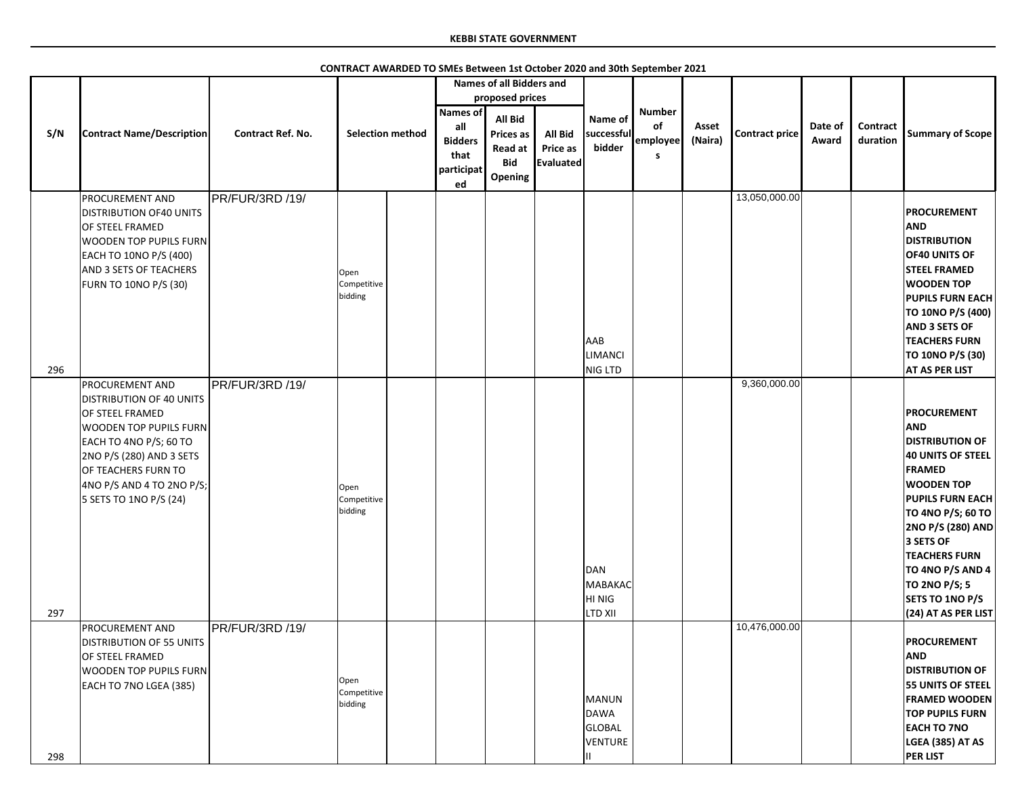|     |                                                                                                                                                                                                                                             |                          |                                |                                                                      | <b>Names of all Bidders and</b>                                        |                                                |                                            |                                       |                  |                |                  |                      |                                                                                                                                                                                                                                                                                                                                     |
|-----|---------------------------------------------------------------------------------------------------------------------------------------------------------------------------------------------------------------------------------------------|--------------------------|--------------------------------|----------------------------------------------------------------------|------------------------------------------------------------------------|------------------------------------------------|--------------------------------------------|---------------------------------------|------------------|----------------|------------------|----------------------|-------------------------------------------------------------------------------------------------------------------------------------------------------------------------------------------------------------------------------------------------------------------------------------------------------------------------------------|
|     |                                                                                                                                                                                                                                             |                          |                                |                                                                      | proposed prices                                                        |                                                |                                            |                                       |                  |                |                  |                      |                                                                                                                                                                                                                                                                                                                                     |
| S/N | <b>Contract Name/Description</b>                                                                                                                                                                                                            | <b>Contract Ref. No.</b> | <b>Selection method</b>        | <b>Names of</b><br>all<br><b>Bidders</b><br>that<br>participat<br>ed | All Bid<br><b>Prices as</b><br><b>Read at</b><br><b>Bid</b><br>Opening | <b>All Bid</b><br>Price as<br><b>Evaluated</b> | Name of<br>successful<br>bidder            | <b>Number</b><br>of<br>employee<br>S. | Asset<br>(Naira) | Contract price | Date of<br>Award | Contract<br>duration | <b>Summary of Scope</b>                                                                                                                                                                                                                                                                                                             |
| 296 | PROCUREMENT AND<br><b>DISTRIBUTION OF40 UNITS</b><br>OF STEEL FRAMED<br><b>WOODEN TOP PUPILS FURN</b><br>EACH TO 10NO P/S (400)<br>AND 3 SETS OF TEACHERS<br><b>FURN TO 10NO P/S (30)</b>                                                   | PR/FUR/3RD /19/          | Open<br>Competitive<br>bidding |                                                                      |                                                                        |                                                | <b>AAB</b><br>LIMANCI<br>NIG LTD           |                                       |                  | 13,050,000.00  |                  |                      | <b>PROCUREMENT</b><br><b>AND</b><br><b>DISTRIBUTION</b><br><b>OF40 UNITS OF</b><br><b>STEEL FRAMED</b><br><b>WOODEN TOP</b><br><b>PUPILS FURN EACH</b><br>TO 10NO P/S (400)<br><b>AND 3 SETS OF</b><br><b>TEACHERS FURN</b><br>TO 10NO P/S (30)<br><b>AT AS PER LIST</b>                                                            |
| 297 | PROCUREMENT AND<br><b>DISTRIBUTION OF 40 UNITS</b><br>OF STEEL FRAMED<br><b>WOODEN TOP PUPILS FURN</b><br>EACH TO 4NO P/S; 60 TO<br>2NO P/S (280) AND 3 SETS<br>OF TEACHERS FURN TO<br> 4NO P/S AND 4 TO 2NO P/S;<br>5 SETS TO 1NO P/S (24) | PR/FUR/3RD /19/          | Open<br>Competitive<br>bidding |                                                                      |                                                                        |                                                | DAN<br>MABAKAC<br>HI NIG<br><b>LTD XII</b> |                                       |                  | 9,360,000.00   |                  |                      | <b>PROCUREMENT</b><br><b>AND</b><br><b>DISTRIBUTION OF</b><br><b>40 UNITS OF STEEL</b><br><b>FRAMED</b><br><b>WOODEN TOP</b><br><b>PUPILS FURN EACH</b><br>TO 4NO P/S; 60 TO<br><b>2NO P/S (280) AND</b><br>3 SETS OF<br><b>TEACHERS FURN</b><br>TO 4NO P/S AND 4<br>TO 2NO P/S; 5<br><b>SETS TO 1NO P/S</b><br>(24) AT AS PER LIST |
| 298 | PROCUREMENT AND<br><b>DISTRIBUTION OF 55 UNITS</b><br>OF STEEL FRAMED<br><b>WOODEN TOP PUPILS FURN</b><br>EACH TO 7NO LGEA (385)                                                                                                            | PR/FUR/3RD /19/          | Open<br>Competitive<br>bidding |                                                                      |                                                                        |                                                | MANUN<br>DAWA<br>GLOBAL<br>VENTURE         |                                       |                  | 10,476,000.00  |                  |                      | <b>PROCUREMENT</b><br><b>AND</b><br><b>DISTRIBUTION OF</b><br><b>55 UNITS OF STEEL</b><br><b>FRAMED WOODEN</b><br><b>TOP PUPILS FURN</b><br><b>EACH TO 7NO</b><br>LGEA (385) AT AS<br><b>PER LIST</b>                                                                                                                               |

**CONTRACT AWARDED TO SMEs Between 1st October 2020 and 30th September 2021**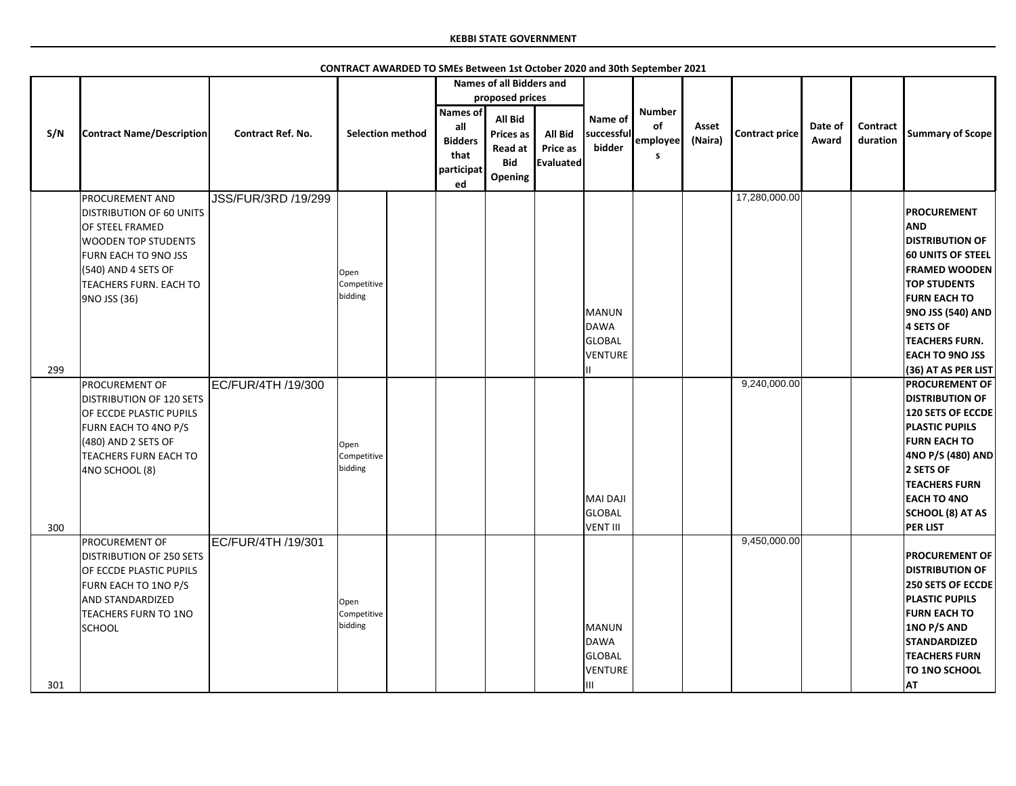|     |                                                                                                                                                                                                                              |                                           |                                |                                                                      | <b>Names of all Bidders and</b>                                                                  |                                                       |                                                                     |                                       |                  |                               |                  |                             |                                                                                                                                                                                                                                                                                                   |
|-----|------------------------------------------------------------------------------------------------------------------------------------------------------------------------------------------------------------------------------|-------------------------------------------|--------------------------------|----------------------------------------------------------------------|--------------------------------------------------------------------------------------------------|-------------------------------------------------------|---------------------------------------------------------------------|---------------------------------------|------------------|-------------------------------|------------------|-----------------------------|---------------------------------------------------------------------------------------------------------------------------------------------------------------------------------------------------------------------------------------------------------------------------------------------------|
| S/N | <b>Contract Name/Description</b>                                                                                                                                                                                             | <b>Contract Ref. No.</b>                  | <b>Selection method</b>        | <b>Names of</b><br>all<br><b>Bidders</b><br>that<br>participat<br>ed | proposed prices<br><b>All Bid</b><br><b>Prices as</b><br>Read at<br><b>Bid</b><br><b>Opening</b> | <b>All Bid</b><br><b>Price as</b><br><b>Evaluated</b> | Name of<br>successful<br>bidder                                     | <b>Number</b><br>of<br>employee<br>S. | Asset<br>(Naira) | <b>Contract price</b>         | Date of<br>Award | <b>Contract</b><br>duration | <b>Summary of Scope</b>                                                                                                                                                                                                                                                                           |
| 299 | PROCUREMENT AND<br><b>DISTRIBUTION OF 60 UNITS</b><br>OF STEEL FRAMED<br><b>WOODEN TOP STUDENTS</b><br>FURN EACH TO 9NO JSS<br>(540) AND 4 SETS OF<br><b>TEACHERS FURN. EACH TO</b><br>9NO JSS (36)<br><b>PROCUREMENT OF</b> | JSS/FUR/3RD /19/299<br>EC/FUR/4TH /19/300 | Open<br>Competitive<br>bidding |                                                                      |                                                                                                  |                                                       | <b>MANUN</b><br><b>DAWA</b><br><b>GLOBAL</b><br><b>VENTURE</b>      |                                       |                  | 17,280,000.00<br>9,240,000.00 |                  |                             | <b>PROCUREMENT</b><br><b>AND</b><br><b>DISTRIBUTION OF</b><br><b>60 UNITS OF STEEL</b><br><b>FRAMED WOODEN</b><br><b>TOP STUDENTS</b><br><b>FURN EACH TO</b><br>9NO JSS (540) AND<br>4 SETS OF<br><b>TEACHERS FURN.</b><br><b>EACH TO 9NO JSS</b><br>(36) AT AS PER LIST<br><b>PROCUREMENT OF</b> |
| 300 | <b>DISTRIBUTION OF 120 SETS</b><br>OF ECCDE PLASTIC PUPILS<br>FURN EACH TO 4NO P/S<br>(480) AND 2 SETS OF<br><b>TEACHERS FURN EACH TO</b><br>4NO SCHOOL (8)                                                                  |                                           | Open<br>Competitive<br>bidding |                                                                      |                                                                                                  |                                                       | <b>MAI DAJI</b><br><b>GLOBAL</b><br><b>VENT III</b>                 |                                       |                  |                               |                  |                             | <b>DISTRIBUTION OF</b><br>120 SETS OF ECCDE<br><b>PLASTIC PUPILS</b><br><b>FURN EACH TO</b><br>4NO P/S (480) AND<br>2 SETS OF<br><b>TEACHERS FURN</b><br><b>EACH TO 4NO</b><br>SCHOOL (8) AT AS<br><b>PER LIST</b>                                                                                |
| 301 | PROCUREMENT OF<br><b>DISTRIBUTION OF 250 SETS</b><br>OF ECCDE PLASTIC PUPILS<br>FURN EACH TO 1NO P/S<br><b>AND STANDARDIZED</b><br><b>TEACHERS FURN TO 1NO</b><br><b>SCHOOL</b>                                              | EC/FUR/4TH /19/301                        | Open<br>Competitive<br>bidding |                                                                      |                                                                                                  |                                                       | <b>MANUN</b><br><b>DAWA</b><br><b>GLOBAL</b><br><b>VENTURE</b><br>Ш |                                       |                  | 9,450,000.00                  |                  |                             | <b>PROCUREMENT OF</b><br><b>DISTRIBUTION OF</b><br>250 SETS OF ECCDE<br><b>PLASTIC PUPILS</b><br><b>FURN EACH TO</b><br>1NO P/S AND<br><b>STANDARDIZED</b><br><b>TEACHERS FURN</b><br><b>TO 1NO SCHOOL</b><br><b>AT</b>                                                                           |

**CONTRACT AWARDED TO SMEs Between 1st October 2020 and 30th September 2021**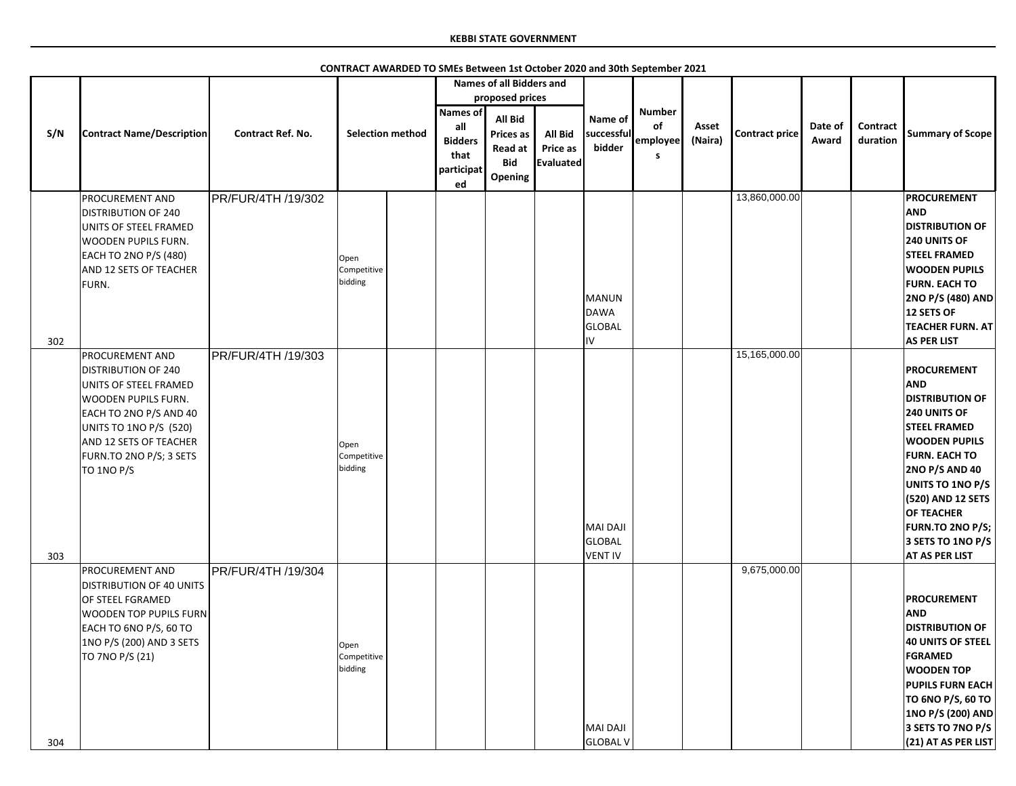|     | <b>Contract Name/Description</b>                                                                                                                                                                                                   | <b>Contract Ref. No.</b> | <b>Selection method</b>        |  | <b>Names of all Bidders and</b><br>proposed prices                   |                                                                 |                                         |                                 |                                      |                  |                       |                  |                             |                                                                                                                                                                                                                                                                                                                   |
|-----|------------------------------------------------------------------------------------------------------------------------------------------------------------------------------------------------------------------------------------|--------------------------|--------------------------------|--|----------------------------------------------------------------------|-----------------------------------------------------------------|-----------------------------------------|---------------------------------|--------------------------------------|------------------|-----------------------|------------------|-----------------------------|-------------------------------------------------------------------------------------------------------------------------------------------------------------------------------------------------------------------------------------------------------------------------------------------------------------------|
| S/N |                                                                                                                                                                                                                                    |                          |                                |  | <b>Names of</b><br>all<br><b>Bidders</b><br>that<br>participat<br>ed | All Bid<br><b>Prices as</b><br>Read at<br><b>Bid</b><br>Opening | <b>All Bid</b><br>Price as<br>Evaluated | Name of<br>successful<br>bidder | <b>Number</b><br>of<br>employee<br>S | Asset<br>(Naira) | <b>Contract price</b> | Date of<br>Award | <b>Contract</b><br>duration | <b>Summary of Scope</b>                                                                                                                                                                                                                                                                                           |
| 302 | <b>PROCUREMENT AND</b><br><b>DISTRIBUTION OF 240</b><br>UNITS OF STEEL FRAMED<br><b>WOODEN PUPILS FURN.</b><br>EACH TO 2NO P/S (480)<br>AND 12 SETS OF TEACHER<br>FURN.                                                            | PR/FUR/4TH /19/302       | Open<br>Competitive<br>bidding |  |                                                                      |                                                                 |                                         | MANUN<br>DAWA<br>GLOBAL<br>IV   |                                      |                  | 13,860,000.00         |                  |                             | <b>PROCUREMENT</b><br><b>AND</b><br><b>DISTRIBUTION OF</b><br><b>240 UNITS OF</b><br><b>STEEL FRAMED</b><br><b>WOODEN PUPILS</b><br><b>FURN. EACH TO</b><br>2NO P/S (480) AND<br>12 SETS OF<br><b>TEACHER FURN. AT</b><br><b>AS PER LIST</b>                                                                      |
| 303 | <b>PROCUREMENT AND</b><br><b>DISTRIBUTION OF 240</b><br>UNITS OF STEEL FRAMED<br><b>WOODEN PUPILS FURN.</b><br>EACH TO 2NO P/S AND 40<br>UNITS TO 1NO P/S (520)<br>AND 12 SETS OF TEACHER<br>FURN.TO 2NO P/S; 3 SETS<br>TO 1NO P/S | PR/FUR/4TH /19/303       | Open<br>Competitive<br>bidding |  |                                                                      |                                                                 |                                         | MAI DAJI<br>GLOBAL<br>VENT IV   |                                      |                  | 15,165,000.00         |                  |                             | <b>PROCUREMENT</b><br><b>AND</b><br><b>DISTRIBUTION OF</b><br><b>240 UNITS OF</b><br><b>STEEL FRAMED</b><br><b>WOODEN PUPILS</b><br><b>FURN. EACH TO</b><br><b>2NO P/S AND 40</b><br>UNITS TO 1NO P/S<br>(520) AND 12 SETS<br><b>OF TEACHER</b><br>FURN.TO 2NO P/S;<br>3 SETS TO 1NO P/S<br><b>AT AS PER LIST</b> |
| 304 | <b>PROCUREMENT AND</b><br><b>DISTRIBUTION OF 40 UNITS</b><br>OF STEEL FGRAMED<br><b>WOODEN TOP PUPILS FURN</b><br>EACH TO 6NO P/S, 60 TO<br>1NO P/S (200) AND 3 SETS<br>TO 7NO P/S (21)                                            | PR/FUR/4TH /19/304       | Open<br>Competitive<br>bidding |  |                                                                      |                                                                 |                                         | MAI DAJI<br><b>GLOBAL V</b>     |                                      |                  | 9,675,000.00          |                  |                             | <b>PROCUREMENT</b><br><b>AND</b><br><b>DISTRIBUTION OF</b><br><b>40 UNITS OF STEEL</b><br><b>FGRAMED</b><br><b>WOODEN TOP</b><br><b>PUPILS FURN EACH</b><br>TO 6NO P/S, 60 TO<br>1NO P/S (200) AND<br>3 SETS TO 7NO P/S<br>(21) AT AS PER LIST                                                                    |

**CONTRACT AWARDED TO SMEs Between 1st October 2020 and 30th September 2021**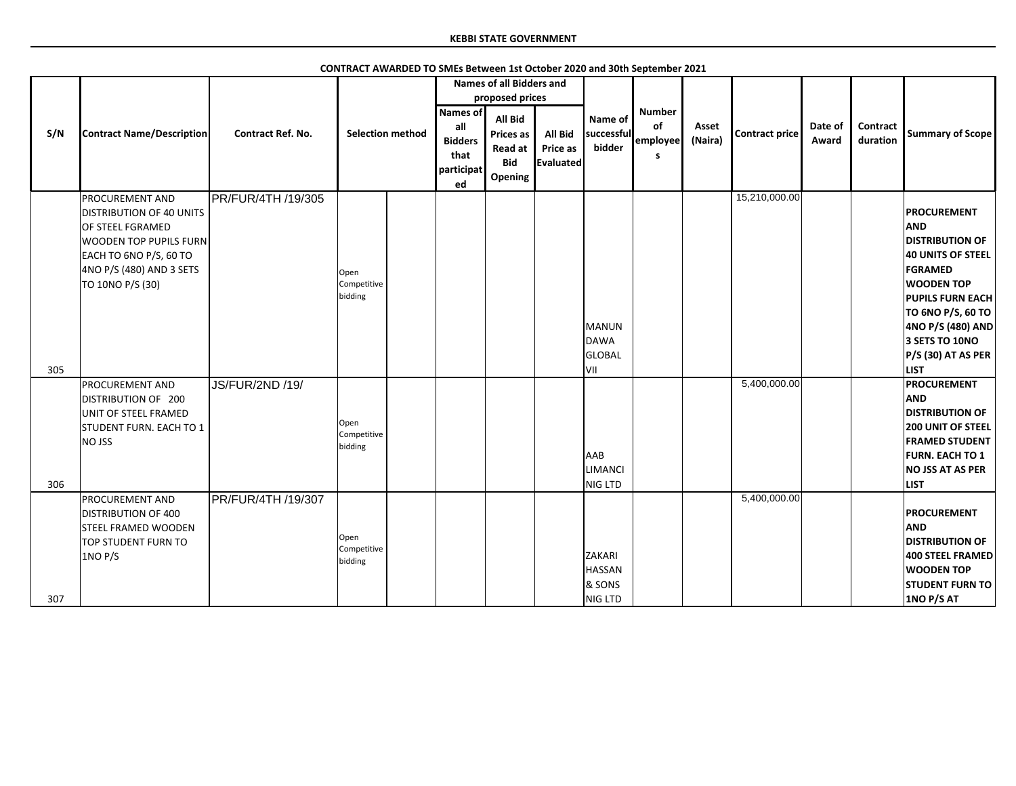|     |                                                                                                                                                                                          |                           |                                |  |                                                               | <b>Names of all Bidders and</b>                                 |                                                |                                              |                                       |                  |                       |                  |                             |                                                                                                                                                                                                                                                                  |
|-----|------------------------------------------------------------------------------------------------------------------------------------------------------------------------------------------|---------------------------|--------------------------------|--|---------------------------------------------------------------|-----------------------------------------------------------------|------------------------------------------------|----------------------------------------------|---------------------------------------|------------------|-----------------------|------------------|-----------------------------|------------------------------------------------------------------------------------------------------------------------------------------------------------------------------------------------------------------------------------------------------------------|
|     | <b>Contract Name/Description</b>                                                                                                                                                         | <b>Contract Ref. No.</b>  | <b>Selection method</b>        |  | proposed prices                                               |                                                                 |                                                |                                              |                                       |                  |                       |                  |                             |                                                                                                                                                                                                                                                                  |
| S/N |                                                                                                                                                                                          |                           |                                |  | Names of<br>all<br><b>Bidders</b><br>that<br>participat<br>ed | <b>All Bid</b><br>Prices as<br>Read at<br><b>Bid</b><br>Opening | <b>All Bid</b><br>Price as<br><b>Evaluated</b> | Name of<br>successful<br>bidder              | <b>Number</b><br>of<br>employee<br>s. | Asset<br>(Naira) | <b>Contract price</b> | Date of<br>Award | <b>Contract</b><br>duration | <b>Summary of Scope</b>                                                                                                                                                                                                                                          |
| 305 | <b>PROCUREMENT AND</b><br><b>DISTRIBUTION OF 40 UNITS</b><br>OF STEEL FGRAMED<br><b>WOODEN TOP PUPILS FURN</b><br>EACH TO 6NO P/S, 60 TO<br>4NO P/S (480) AND 3 SETS<br>TO 10NO P/S (30) | <b>PR/FUR/4TH /19/305</b> | Open<br>Competitive<br>bidding |  |                                                               |                                                                 |                                                | MANUN<br>DAWA<br><b>GLOBAL</b><br>lvii       |                                       |                  | 15,210,000.00         |                  |                             | <b>PROCUREMENT</b><br><b>AND</b><br><b>DISTRIBUTION OF</b><br><b>40 UNITS OF STEEL</b><br><b>FGRAMED</b><br><b>WOODEN TOP</b><br><b>PUPILS FURN EACH</b><br>TO 6NO P/S, 60 TO<br>4NO P/S (480) AND<br>3 SETS TO 10NO<br><b>P/S (30) AT AS PER</b><br><b>LIST</b> |
| 306 | <b>PROCUREMENT AND</b><br>DISTRIBUTION OF 200<br>UNIT OF STEEL FRAMED<br>STUDENT FURN. EACH TO 1<br><b>NO JSS</b>                                                                        | <b>JS/FUR/2ND /19/</b>    | Open<br>Competitive<br>bidding |  |                                                               |                                                                 |                                                | AAB<br><b>LIMANCI</b><br>NIG LTD             |                                       |                  | 5,400,000.00          |                  |                             | <b>PROCUREMENT</b><br><b>AND</b><br><b>DISTRIBUTION OF</b><br><b>200 UNIT OF STEEL</b><br><b>FRAMED STUDENT</b><br><b>FURN. EACH TO 1</b><br><b>NO JSS AT AS PER</b><br><b>LIST</b>                                                                              |
| 307 | PROCUREMENT AND<br><b>DISTRIBUTION OF 400</b><br><b>STEEL FRAMED WOODEN</b><br>TOP STUDENT FURN TO<br>1NO P/S                                                                            | PR/FUR/4TH /19/307        | Open<br>Competitive<br>bidding |  |                                                               |                                                                 |                                                | ZAKARI<br><b>HASSAN</b><br>& SONS<br>NIG LTD |                                       |                  | 5,400,000.00          |                  |                             | <b>PROCUREMENT</b><br><b>AND</b><br><b>DISTRIBUTION OF</b><br>400 STEEL FRAMED<br><b>WOODEN TOP</b><br><b>STUDENT FURN TO</b><br>1NO P/S AT                                                                                                                      |

**CONTRACT AWARDED TO SMEs Between 1st October 2020 and 30th September 2021**